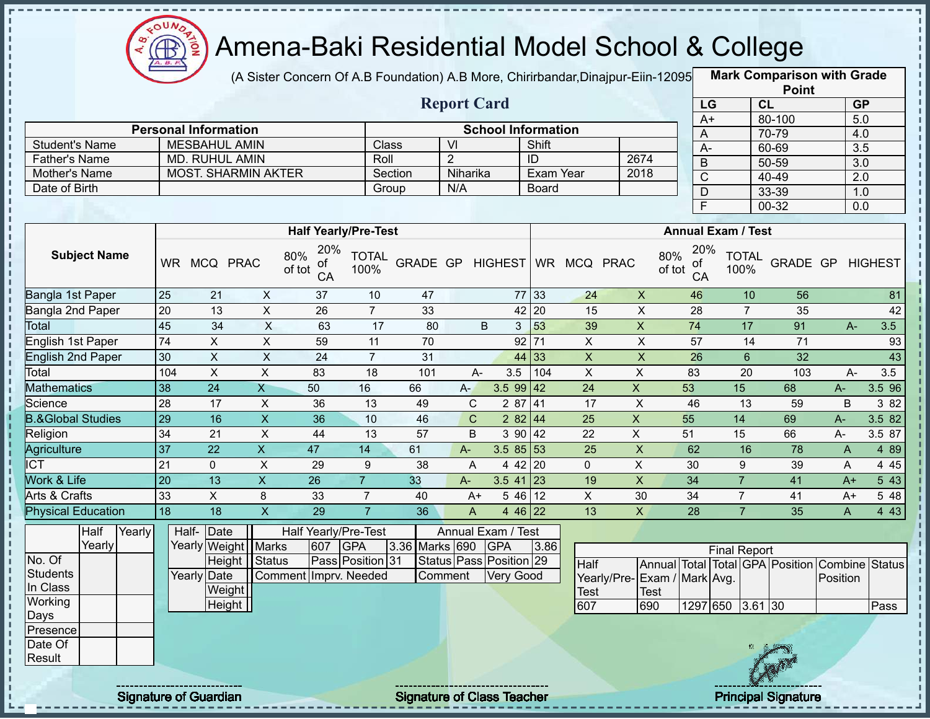

(A Sister Concern Of A.B Foundation) A.B More, Chirirbandar, Dinajpur-Eiin-12095

**Mark Comparison with Grade Point**

|                              |        |                 |                             |                            |                                  |                      |                  | <b>Report Card</b> |                           |                  |                           |                             | LG                               |                           | CL                                             | GP               |                |
|------------------------------|--------|-----------------|-----------------------------|----------------------------|----------------------------------|----------------------|------------------|--------------------|---------------------------|------------------|---------------------------|-----------------------------|----------------------------------|---------------------------|------------------------------------------------|------------------|----------------|
|                              |        |                 | <b>Personal Information</b> |                            |                                  |                      |                  |                    | <b>School Information</b> |                  |                           |                             | $A+$                             |                           | 80-100                                         | $\overline{5.0}$ |                |
| <b>Student's Name</b>        |        |                 | <b>MESBAHUL AMIN</b>        |                            |                                  | Class                |                  | $\overline{V}$     |                           | Shift            |                           |                             | A                                |                           | 70-79                                          | 4.0              |                |
| <b>Father's Name</b>         |        |                 | <b>MD. RUHUL AMIN</b>       |                            |                                  | Roll                 |                  | $\overline{2}$     |                           | ID               |                           | 2674                        | $A -$                            |                           | 60-69                                          | 3.5              |                |
| Mother's Name                |        |                 |                             | <b>MOST. SHARMIN AKTER</b> |                                  |                      | Section          | Niharika           |                           | <b>Exam Year</b> |                           | 2018                        | $\overline{B}$<br>$\overline{C}$ |                           | $50 - 59$<br>40-49                             | 3.0              |                |
| Date of Birth                |        |                 |                             |                            |                                  | Group                |                  | N/A                |                           | Board            |                           |                             | D                                |                           | 33-39                                          | 2.0<br>1.0       |                |
|                              |        |                 |                             |                            |                                  |                      |                  |                    |                           |                  |                           |                             | $\overline{\mathsf{F}}$          |                           | $00 - 32$                                      | 0.0              |                |
|                              |        |                 |                             |                            |                                  |                      |                  |                    |                           |                  |                           |                             |                                  |                           |                                                |                  |                |
|                              |        |                 |                             |                            | <b>Half Yearly/Pre-Test</b>      |                      |                  |                    |                           |                  |                           |                             |                                  | <b>Annual Exam / Test</b> |                                                |                  |                |
| <b>Subject Name</b>          |        | WR.             | MCQ PRAC                    |                            | 20%<br>80%<br>Οt<br>of tot<br>CA | <b>TOTAL</b><br>100% | GRADE GP HIGHEST |                    |                           |                  | WR MCQ PRAC               | 80%<br>of tot               | 20%<br>0t<br>CA                  | <b>TOTAL</b><br>100%      | GRADE GP                                       |                  | <b>HIGHEST</b> |
| Bangla 1st Paper             |        | 25              | 21                          | $\pmb{\times}$             | 37                               | 10                   | 47               |                    |                           | 77 33            | 24                        | $\mathsf X$                 | 46                               | 10                        | 56                                             |                  | 81             |
| Bangla 2nd Paper             |        | 20              | 13                          | $\overline{X}$             | 26                               | $\overline{7}$       | 33               |                    |                           | 42 20            | 15                        | $\mathsf X$                 | 28                               | $\overline{7}$            | 35                                             |                  | 42             |
| Total                        |        | 45              | $\overline{34}$             | $\overline{\mathsf{x}}$    | 63                               | 17                   | 80               |                    | $\sf B$<br>3              | 53               | 39                        | $\overline{X}$              | $\overline{74}$                  | 17                        | 91                                             | $A -$            | 3.5            |
| English 1st Paper            |        | 74              | $\mathsf{X}$                | $\sf X$                    | 59                               | 11                   | 70               |                    |                           | $92$ 71          | $\pmb{\times}$            | $\mathsf X$                 | 57                               | 14                        | $\overline{71}$                                |                  | 93             |
| <b>English 2nd Paper</b>     |        | 30              | $\overline{X}$              | $\overline{X}$             | 24                               | $\overline{7}$       | 31               |                    |                           | 44 33            | $\boldsymbol{\mathsf{X}}$ | $\overline{X}$              | $\overline{26}$                  | $6\phantom{1}$            | 32                                             |                  | 43             |
| Total                        |        | 104             | $\sf X$                     | $\overline{\mathsf{x}}$    | 83                               | 18                   | 101              | A-                 | 3.5                       | 104              | $\boldsymbol{\mathsf{X}}$ | $\overline{X}$              | 83                               | 20                        | 103                                            | A-               | 3.5            |
| <b>Mathematics</b>           |        | 38              | $\overline{24}$             | $\overline{X}$             | 50                               | 16                   | 66               | $A -$              | $3.599$ 42                |                  | $\overline{24}$           | $\mathsf X$                 | 53                               | 15                        | 68                                             | $A-$             | 3.5 96         |
| Science                      |        | 28              | 17                          | $\pmb{\times}$             | 36                               | 13                   | 49               | $\mathbf C$        | 2 87 41                   |                  | 17                        | $\mathsf X$                 | 46                               | 13                        | 59                                             | $\sf B$          | 3 8 2          |
| <b>B.&amp;Global Studies</b> |        | 29              | 16                          | $\overline{X}$             | $\overline{36}$                  | 10                   | 46               | $\mathbf C$        | 282 44                    |                  | $\overline{25}$           | $\pmb{\times}$              | 55                               | 14                        | 69                                             | A-               | 3.582          |
| Religion                     |        | 34              | 21                          | $\overline{\mathsf{x}}$    | 44                               | 13                   | 57               | B                  |                           | 3 90 42          | $\overline{22}$           | $\pmb{\times}$              | 51                               | 15                        | 66                                             | A-               | 3.5 87         |
| Agriculture                  |        | 37              | $\overline{22}$             | $\overline{X}$             | 47                               | 14                   | 61               | $A -$              | $3.585$ 3                 |                  | 25                        | $\pmb{\mathsf{X}}$          | 62                               | 16                        | 78                                             | $\mathsf{A}$     | 489            |
| <b>ICT</b>                   |        | $\overline{21}$ | $\mathbf 0$                 | $\overline{\mathsf{x}}$    | 29                               | $9\,$                | 38               | A                  |                           | 4 42 20          | $\mathbf 0$               | $\pmb{\times}$              | 30                               | 9                         | 39                                             | A                | 4 4 5          |
| Work & Life                  |        | 20              | $\overline{13}$             | $\overline{X}$             | $\overline{26}$                  | $\overline{7}$       | 33               | $A -$              | $3.541$ 23                |                  | 19                        | $\pmb{\mathsf{X}}$          | $\overline{34}$                  | $\overline{7}$            | 41                                             | $A+$             | 543            |
| Arts & Crafts                |        | 33              | $\mathsf{X}$                | 8                          | 33                               | $\overline{7}$       | 40               | $A+$               |                           | 54612            | $\boldsymbol{\mathsf{X}}$ | 30                          | 34                               | $\overline{7}$            | 41                                             | $A+$             | 5 48           |
| <b>Physical Education</b>    |        | 18              | $\overline{18}$             | $\overline{\mathsf{x}}$    | $\overline{29}$                  | $\overline{7}$       | 36               | A                  | 4 46 22                   |                  | 13                        | $\pmb{\mathsf{X}}$          | $\overline{28}$                  | $\overline{7}$            | 35                                             | A                | 4 4 3          |
| Half                         | Yearly | Half-           | Date                        |                            | Half Yearly/Pre-Test             |                      |                  |                    | Annual Exam / Test        |                  |                           |                             |                                  |                           |                                                |                  |                |
| Yearly                       |        |                 |                             | Yearly Weight Marks        | 607                              | GPA                  | 3.36 Marks 690   |                    | <b>GPA</b>                | 3.86             |                           |                             |                                  | <b>Final Report</b>       |                                                |                  |                |
| No. Of                       |        |                 |                             | Height   Status            |                                  | Pass Position 31     |                  |                    | Status Pass Position 29   |                  | Half                      |                             |                                  |                           | Annual Total Total GPA Position Combine Status |                  |                |
| <b>Students</b>              |        |                 | Yearly Date                 |                            | Comment Imprv. Needed            |                      |                  | Comment            | Very Good                 |                  |                           | Yearly/Pre-Exam / Mark Avg. |                                  |                           |                                                | Position         |                |
| In Class                     |        |                 | Weight                      |                            |                                  |                      |                  |                    |                           |                  | <b>Test</b>               | <b>Test</b>                 |                                  |                           |                                                |                  |                |
| Working                      |        |                 | Height                      |                            |                                  |                      |                  |                    |                           |                  | 607                       | 690                         |                                  | 1297 650 3.61 30          |                                                |                  | Pass           |
| Days                         |        |                 |                             |                            |                                  |                      |                  |                    |                           |                  |                           |                             |                                  |                           |                                                |                  |                |
| Presence                     |        |                 |                             |                            |                                  |                      |                  |                    |                           |                  |                           |                             |                                  |                           |                                                |                  |                |
| Date Of<br>Result            |        |                 |                             |                            |                                  |                      |                  |                    |                           |                  |                           |                             |                                  |                           |                                                |                  |                |
|                              |        |                 |                             |                            |                                  |                      |                  |                    |                           |                  |                           |                             |                                  |                           |                                                |                  |                |

Î

f,

I

 $\frac{1}{1}$ 

Signature of Guardian Signature of Class Teacher Principal Signature of Class Teacher Principal Signature

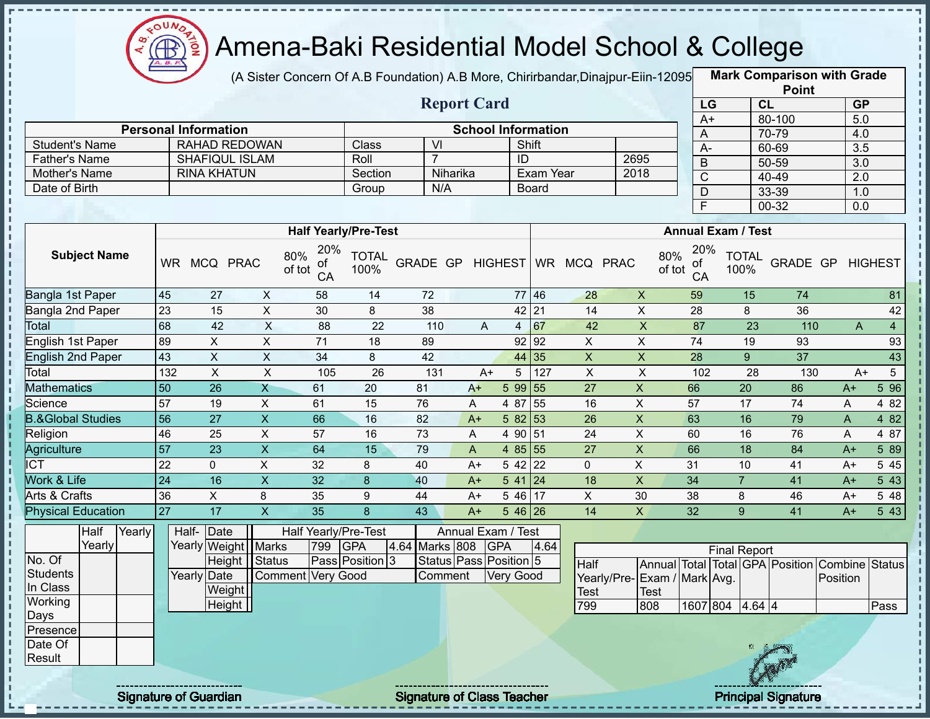

(A Sister Concern Of A.B Foundation) A.B More, Chirirbandar,Dinajpur-Eiin-120950

**Mark Comparison with Grade**

|                              |                 |                                                     |                           |                 |                             |                         |                                   |                  |                                    |                     |                             |                                        |                           |                | <b>Point</b>                    |                  |                  |
|------------------------------|-----------------|-----------------------------------------------------|---------------------------|-----------------|-----------------------------|-------------------------|-----------------------------------|------------------|------------------------------------|---------------------|-----------------------------|----------------------------------------|---------------------------|----------------|---------------------------------|------------------|------------------|
|                              |                 |                                                     |                           |                 |                             |                         | <b>Report Card</b>                |                  |                                    |                     |                             | LG                                     |                           | CL             |                                 | <b>GP</b>        |                  |
|                              |                 |                                                     |                           |                 |                             |                         |                                   |                  |                                    |                     |                             | $A+$                                   |                           |                | 80-100                          | 5.0              |                  |
| <b>Student's Name</b>        |                 | <b>Personal Information</b><br><b>RAHAD REDOWAN</b> |                           |                 | <b>Class</b>                | $\overline{\mathsf{V}}$ |                                   |                  | <b>School Information</b><br>Shift |                     |                             | A                                      |                           |                | 70-79                           | 4.0              |                  |
| <b>Father's Name</b>         |                 | SHAFIQUL ISLAM                                      |                           |                 | Roll                        | $\overline{7}$          |                                   | ID               |                                    |                     | 2695                        | A-                                     |                           |                | 60-69                           | $\overline{3.5}$ |                  |
| Mother's Name                |                 | <b>RINA KHATUN</b>                                  |                           |                 | Section                     |                         | Niharika                          |                  | Exam Year                          |                     | 2018                        | $\sf B$                                |                           |                | $50 - 59$                       | 3.0              |                  |
| Date of Birth                |                 |                                                     |                           |                 | Group                       | N/A                     |                                   |                  | <b>Board</b>                       |                     |                             | $\overline{C}$                         |                           |                | 40-49                           | $\overline{2.0}$ |                  |
|                              |                 |                                                     |                           |                 |                             |                         |                                   |                  |                                    |                     |                             | $\mathsf D$<br>$\overline{\mathsf{F}}$ |                           |                | 33-39                           | 1.0              |                  |
|                              |                 |                                                     |                           |                 |                             |                         |                                   |                  |                                    |                     |                             |                                        |                           |                | $00 - 32$                       | 0.0              |                  |
|                              |                 |                                                     |                           |                 | <b>Half Yearly/Pre-Test</b> |                         |                                   |                  |                                    |                     |                             |                                        | <b>Annual Exam / Test</b> |                |                                 |                  |                  |
| <b>Subject Name</b>          |                 | WR MCQ PRAC                                         | 80%<br>of tot             | 20%<br>οf<br>CA | <b>TOTAL</b><br>100%        | GRADE GP                |                                   |                  |                                    | HIGHEST WR MCQ PRAC | 80%<br>of tot               | 20%<br>οf<br>CA                        | 100%                      | <b>TOTAL</b>   | GRADE GP                        |                  | <b>HIGHEST</b>   |
| Bangla 1st Paper             | 45              | 27                                                  | $\mathsf{X}$              | 58              | 14                          | 72                      |                                   |                  | 77 46                              | 28                  | $\mathsf{X}$                | 59                                     |                           | 15             | 74                              |                  | 81               |
| Bangla 2nd Paper             | 23              | 15                                                  | X                         | 30              | 8                           | 38                      |                                   |                  | 42 21                              | 14                  | $\pmb{\times}$              | 28                                     |                           | 8              | 36                              |                  | 42               |
| <b>Total</b>                 | 68              | 42                                                  | X                         | 88              | 22                          | 110                     | A                                 | $\overline{4}$   | 67                                 | 42                  | $\boldsymbol{\mathsf{X}}$   | 87                                     |                           | 23             | 110                             | A                | $\overline{4}$   |
| English 1st Paper            | 89              | X                                                   | X                         | 71              | 18                          | 89                      |                                   | 92               | 92                                 | X                   | X                           | 74                                     |                           | 19             | 93                              |                  | 93               |
| <b>English 2nd Paper</b>     | 43              | $\pmb{\times}$                                      | $\mathsf{X}$              | 34              | 8                           | 42                      |                                   | 44               | 35                                 | $\pmb{\times}$      | $\mathsf{X}$                | 28                                     |                           | 9 <sup>°</sup> | $\overline{37}$                 |                  | 43               |
| Total                        | 132             | $\boldsymbol{\mathsf{X}}$                           | $\pmb{\times}$            | 105             | 26                          | 131                     | $A+$                              | 5                | 127                                | $\pmb{\times}$      | $\pmb{\times}$              | 102                                    |                           | 28             | 130                             | $A+$             | $5\phantom{.0}$  |
| <b>Mathematics</b>           | 50              | 26                                                  | $\mathsf{X}$              | 61              | 20                          | 81                      | $A+$                              |                  | 5 99 55                            | 27                  | $\pmb{\times}$              | 66                                     |                           | 20             | 86                              | $A+$             | $5\overline{96}$ |
| Science                      | 57              | 19                                                  | X                         | 61              | 15                          | 76                      | A                                 | 4 87             | 55                                 | 16                  | X                           | 57                                     |                           | 17             | 74                              | A                | 4 8 2            |
| <b>B.&amp;Global Studies</b> | 56              | 27                                                  | $\mathsf{X}$              | 66              | 16                          | 82                      | $A+$                              | 5 82             | 53                                 | 26                  | $\pmb{\times}$              | 63                                     |                           | 16             | 79                              | A                | 4 82             |
| Religion                     | 46              | 25                                                  | X                         | 57              | 16                          | 73                      | A                                 | 4 90 51          |                                    | 24                  | $\pmb{\times}$              | 60                                     |                           | 16             | 76                              | A                | 4 87             |
| Agriculture                  | 57              | 23                                                  | $\overline{X}$            | 64              | 15                          | 79                      | $\mathsf{A}$                      |                  | 4 85 55                            | 27                  | $\mathsf X$                 | 66                                     |                           | 18             | 84                              | $A+$             | 589              |
| <b>ICT</b>                   | 22              | 0                                                   | $\boldsymbol{\mathsf{X}}$ | 32              | 8                           | 40                      | $A+$                              | 5 42             | 22                                 | 0                   | X                           | 31                                     | 10                        |                | 41                              | $A+$             | 5 4 5            |
| Work & Life                  | $\overline{24}$ | 16                                                  | $\mathsf X$               | 32              | $\boldsymbol{8}$            | 40                      | $A+$                              | 541              | 24                                 | 18                  | $\pmb{\times}$              | 34                                     | $\overline{7}$            |                | 41                              | $A+$             | 5 43             |
| Arts & Crafts                | 36              | X                                                   | 8                         | 35              | 9                           | 44                      | $A+$                              | 5 4 6            | 17                                 | X                   | 30                          | 38                                     | 8                         |                | 46                              | $A+$             | 5 48             |
| <b>Physical Education</b>    | 27              | $\overline{17}$                                     | $\overline{X}$            | 35              | 8                           | 43                      | $A+$                              |                  | $546$ 26                           | 14                  | $\mathsf{X}$                | 32                                     | 9                         |                | 41                              | $A+$             | 543              |
| Half<br>Yearly               |                 | Half- Date                                          |                           |                 | Half Yearly/Pre-Test        |                         | Annual Exam / Test                |                  |                                    |                     |                             |                                        |                           |                |                                 |                  |                  |
| Yearly                       |                 | Yearly Weight Marks                                 |                           | 799             | <b>GPA</b>                  | 4.64 Marks 808          |                                   | <b>GPA</b>       | 4.64                               |                     |                             |                                        | <b>Final Report</b>       |                |                                 |                  |                  |
| No. Of                       |                 | Height                                              | Status                    |                 | Pass Position 3             |                         | Status Pass Position 5            |                  |                                    | Half                |                             |                                        |                           |                | Annual Total Total GPA Position | Combine          | <b>Status</b>    |
| <b>Students</b>              |                 | Yearly Date                                         | Comment Very Good         |                 |                             | Comment                 |                                   | <b>Very Good</b> |                                    |                     | Yearly/Pre-Exam / Mark Avg. |                                        |                           |                |                                 | Position         |                  |
| In Class                     |                 | Weight                                              |                           |                 |                             |                         |                                   |                  |                                    | <b>Test</b>         | <b>Test</b>                 |                                        |                           |                |                                 |                  |                  |
| Working                      |                 | Height                                              |                           |                 |                             |                         |                                   |                  |                                    | 799                 | 808                         |                                        | 1607 804 4.64 4           |                |                                 |                  | Pass             |
| Days                         |                 |                                                     |                           |                 |                             |                         |                                   |                  |                                    |                     |                             |                                        |                           |                |                                 |                  |                  |
| Presence                     |                 |                                                     |                           |                 |                             |                         |                                   |                  |                                    |                     |                             |                                        |                           |                |                                 |                  |                  |
| Date Of                      |                 |                                                     |                           |                 |                             |                         |                                   |                  |                                    |                     |                             |                                        |                           |                |                                 |                  |                  |
| Result                       |                 | <b>Signature of Guardian</b>                        |                           |                 |                             |                         | <b>Signature of Class Teacher</b> |                  |                                    |                     |                             |                                        |                           |                | <b>Principal Signature</b>      |                  |                  |
|                              |                 |                                                     |                           |                 |                             |                         |                                   |                  |                                    |                     |                             |                                        |                           |                |                                 |                  |                  |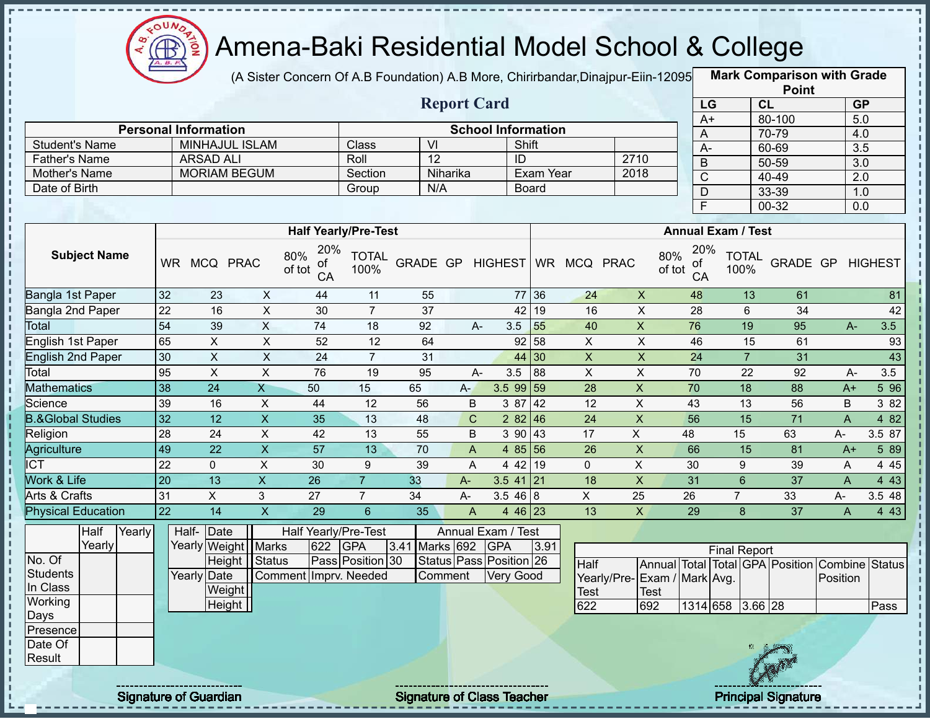

п

J.

П

 $\frac{1}{2}$ 

 $\mathbf I$ J,

 $\frac{1}{1}$ 

 $\mathbf{I}$  $\mathbf I$ 

 $\mathbf{I}$  $\mathbf{I}$ 

# Amena-Baki Residential Model School & College

(A Sister Concern Of A.B Foundation) A.B More, Chirirbandar,Dinajpur-Eiin-120950

**Mark Comparison with Grade**

|                                       |                 |                                         |                         |                             |                      |                  |                           |                           |              |                 |                             |                     |                           | <b>Point</b>                                   |                |                  |
|---------------------------------------|-----------------|-----------------------------------------|-------------------------|-----------------------------|----------------------|------------------|---------------------------|---------------------------|--------------|-----------------|-----------------------------|---------------------|---------------------------|------------------------------------------------|----------------|------------------|
|                                       |                 |                                         |                         |                             |                      |                  | <b>Report Card</b>        |                           |              |                 |                             | LG                  |                           | CL                                             |                | GP               |
|                                       |                 |                                         |                         |                             |                      |                  |                           |                           |              |                 |                             | $A+$                |                           | 80-100                                         |                | 5.0              |
|                                       |                 | <b>Personal Information</b>             |                         |                             |                      | $\overline{V}$   |                           | <b>School Information</b> |              |                 |                             | A                   |                           | 70-79                                          |                | 4.0              |
| <b>Student's Name</b>                 |                 | MINHAJUL ISLAM                          |                         |                             | Class                | 12               |                           |                           | Shift        |                 |                             | $A-$                |                           | 60-69                                          |                | 3.5              |
| <b>Father's Name</b><br>Mother's Name |                 | <b>ARSAD ALI</b><br><b>MORIAM BEGUM</b> |                         |                             | Roll                 |                  | Niharika                  | ID                        | Exam Year    |                 | 2710<br>2018                | B                   |                           | $50 - 59$                                      |                | $\overline{3.0}$ |
| Date of Birth                         |                 |                                         |                         |                             | Section              | N/A              |                           |                           | <b>Board</b> |                 |                             | $\overline{C}$      |                           | 40-49                                          |                | $\overline{2.0}$ |
|                                       |                 |                                         |                         |                             | Group                |                  |                           |                           |              |                 |                             | $\overline{D}$      |                           | 33-39                                          |                | 1.0              |
|                                       |                 |                                         |                         |                             |                      |                  |                           |                           |              |                 |                             | F                   |                           | $00 - 32$                                      |                | 0.0              |
|                                       |                 |                                         |                         | <b>Half Yearly/Pre-Test</b> |                      |                  |                           |                           |              |                 |                             |                     | <b>Annual Exam / Test</b> |                                                |                |                  |
| <b>Subject Name</b>                   |                 | WR MCQ PRAC                             |                         | 20%<br>80%<br>οf<br>of tot  | <b>TOTAL</b><br>100% | GRADE GP HIGHEST |                           |                           |              | WR MCQ PRAC     | 80%                         | 20%<br>οf<br>of tot | <b>TOTAL</b><br>100%      | GRADE GP                                       |                | <b>HIGHEST</b>   |
|                                       |                 |                                         |                         | CA                          |                      |                  |                           |                           |              |                 |                             | CA                  |                           |                                                |                |                  |
| Bangla 1st Paper                      | 32              | 23                                      | $\mathsf{X}$            | 44                          | 11                   | 55               |                           |                           | 77 36        | 24              | $\mathsf X$                 | 48                  | 13                        | 61                                             |                | 81               |
| <b>Bangla 2nd Paper</b>               | $\overline{22}$ | 16                                      | $\overline{X}$          | $\overline{30}$             | $\overline{7}$       | $\overline{37}$  |                           |                           | 42 19        | 16              | $\overline{\mathsf{x}}$     | 28                  | 6                         | 34                                             |                | 42               |
| <b>Total</b>                          | 54              | 39                                      | $\mathsf{X}$            | 74                          | 18                   | 92               | $A-$                      | 3.5                       | 55           | 40              | $\pmb{\mathsf{X}}$          | 76                  | 19                        | 95                                             | $A-$           | 3.5              |
| <b>English 1st Paper</b>              | 65              | X                                       | $\overline{X}$          | 52                          | $\overline{12}$      | 64               |                           |                           | 92 58        | $\overline{X}$  | $\overline{\mathsf{x}}$     | 46                  | 15                        | 61                                             |                | 93               |
| <b>English 2nd Paper</b>              | 30              | $\mathsf{X}$                            | $\overline{X}$          | $\overline{24}$             | $\overline{7}$       | 31               |                           |                           | 44 30        | $\overline{X}$  | $\overline{X}$              | $\overline{24}$     | $\overline{7}$            | $\overline{31}$                                |                | 43               |
| Total                                 | 95              | $\boldsymbol{\mathsf{X}}$               | $\overline{X}$          | 76                          | 19                   | 95               | A-                        | 3.5                       | 88           | $\sf X$         | X                           | 70                  | 22                        | 92                                             | $A -$          | $\overline{3.5}$ |
| <b>Mathematics</b>                    | 38              | $\overline{24}$                         | $\overline{X}$          | 50                          | 15                   | 65               | $A -$                     | $3.599$ 59                |              | 28              | $\mathsf X$                 | 70                  | 18                        | 88                                             | $A+$           | 5 9 6            |
| Science                               | 39              | 16                                      | $\pmb{\times}$          | 44                          | $\overline{12}$      | 56               | B                         | 387                       | 42           | $\overline{12}$ | $\overline{X}$              | $\overline{43}$     | 13                        | 56                                             | B              | 3 82             |
| <b>B.&amp;Global Studies</b>          | 32              | $\overline{12}$                         | $\overline{\mathsf{x}}$ | 35                          | 13                   | 48               | $\mathbf C$               |                           | 282   46     | $\overline{24}$ | $\overline{\mathsf{x}}$     | 56                  | 15                        | $\overline{71}$                                | $\overline{A}$ | 4 8 2            |
| Religion                              | 28              | 24                                      | $\overline{\mathsf{x}}$ | 42                          | 13                   | 55               | B                         | 3 90                      | 43           | 17              | $\overline{X}$              | 48                  | 15                        | 63                                             | A-             | 3.5 87           |
| Agriculture                           | 49              | $\overline{22}$                         | $\overline{\mathsf{x}}$ | $\overline{57}$             | 13                   | 70               | $\boldsymbol{\mathsf{A}}$ |                           | 4 $85$ 56    | 26              | $\mathsf X$                 | 66                  | 15                        | 81                                             | $A+$           | 5 89             |
| <b>ICT</b>                            | $\overline{22}$ | $\mathbf 0$                             | $\overline{X}$          | 30                          | $\boldsymbol{9}$     | 39               | A                         |                           | 4 42 19      | $\mathbf 0$     | $\mathsf X$                 | 30                  | 9                         | 39                                             | A              | 4 4 5            |
| Work & Life                           | $\overline{20}$ | 13                                      | $\overline{\mathsf{x}}$ | $\overline{26}$             | $\overline{7}$       | 33               | $A-$                      | $3.5$ 41 21               |              | $\overline{18}$ | $\overline{\mathsf{x}}$     | $\overline{31}$     | $\overline{6}$            | $\overline{37}$                                | $\overline{A}$ | 4 4 3            |
| Arts & Crafts                         | 31              | $\mathsf X$                             | 3                       | 27                          | $\overline{7}$       | 34               | A-                        | 3.5468                    |              | $\mathsf X$     | 25                          | 26                  | $\overline{7}$            | 33                                             | А-             | 3.5 48           |
| <b>Physical Education</b>             | $\overline{22}$ | $\overline{14}$                         | $\overline{X}$          | 29                          | $6\overline{6}$      | 35               | $\boldsymbol{\mathsf{A}}$ |                           | 4 46 23      | 13              | $\overline{X}$              | 29                  | 8                         | $\overline{37}$                                | $\overline{A}$ | 4 4 3            |
| Half<br>Yearly                        |                 | Half-<br>Date                           |                         | <b>Half Yearly/Pre-Test</b> |                      |                  |                           | Annual Exam / Test        |              |                 |                             |                     |                           |                                                |                |                  |
| Yearly                                |                 | Yearly Weight                           | <b>Marks</b>            | 622                         | <b>GPA</b>           | 3.41 Marks 692   |                           | <b>GPA</b>                | 3.91         |                 |                             |                     | <b>Final Report</b>       |                                                |                |                  |
| No. Of                                |                 | Height                                  | Status                  |                             | Pass Position 30     |                  |                           | Status Pass Position 26   |              | <b>Half</b>     |                             |                     |                           | Annual Total Total GPA Position Combine Status |                |                  |
| <b>Students</b>                       |                 | <b>Yearly Date</b>                      |                         | Comment Imprv. Needed       |                      |                  | Comment                   | Very Good                 |              |                 | Yearly/Pre-Exam / Mark Avg. |                     |                           |                                                | Position       |                  |
| In Class                              |                 | Weight                                  |                         |                             |                      |                  |                           |                           |              | Test            | <b>Test</b>                 |                     |                           |                                                |                |                  |
| Working                               |                 | Height                                  |                         |                             |                      |                  |                           |                           |              | 622             | 692                         |                     | 1314 658 3.66 28          |                                                |                | Pass             |
| Days                                  |                 |                                         |                         |                             |                      |                  |                           |                           |              |                 |                             |                     |                           |                                                |                |                  |
| Presence<br>Date Of                   |                 |                                         |                         |                             |                      |                  |                           |                           |              |                 |                             |                     |                           |                                                |                |                  |
| Result                                |                 |                                         |                         |                             |                      |                  |                           |                           |              |                 |                             |                     |                           |                                                |                |                  |
|                                       |                 |                                         |                         |                             |                      |                  |                           |                           |              |                 |                             |                     |                           |                                                |                |                  |
|                                       |                 |                                         |                         |                             |                      |                  |                           |                           |              |                 |                             |                     |                           |                                                |                |                  |

Signature of Guardian Signature of Class Teacher **Signature 3/477 and Teacher Principal Signature**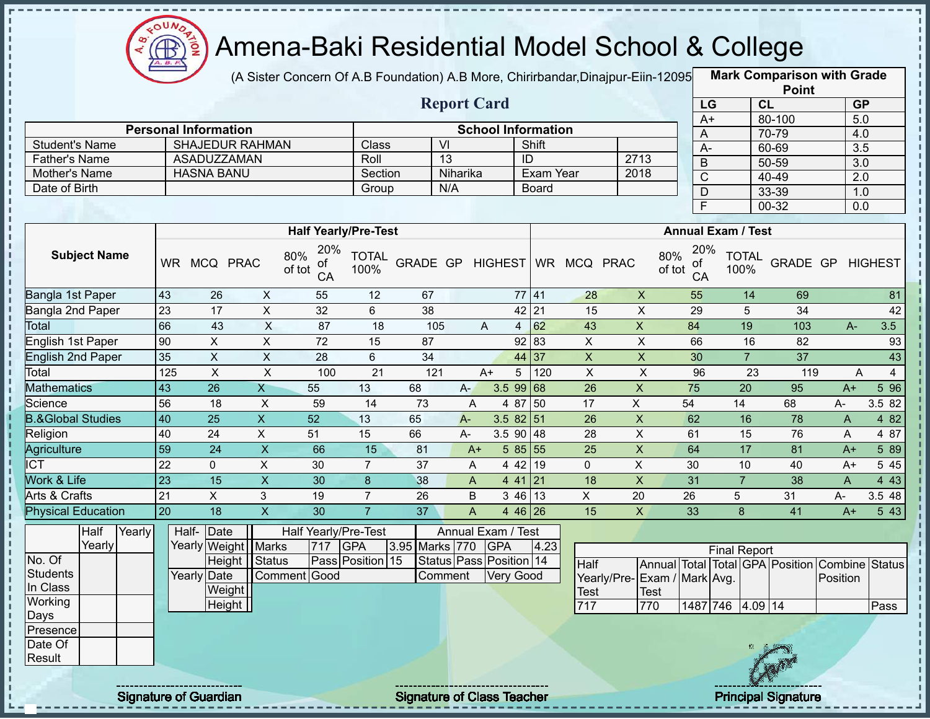

(A Sister Concern Of A.B Foundation) A.B More, Chirirbandar, Dinajpur-Eiin-12095

**Mark Comparison with Grade**

|                              |        |                             |                         |                           |                             |                      |                  |                           |            |           |                           |                 |                             |                                  |                     |                      | <b>Point</b>                            |              |                     |
|------------------------------|--------|-----------------------------|-------------------------|---------------------------|-----------------------------|----------------------|------------------|---------------------------|------------|-----------|---------------------------|-----------------|-----------------------------|----------------------------------|---------------------|----------------------|-----------------------------------------|--------------|---------------------|
|                              |        |                             |                         |                           |                             |                      |                  | <b>Report Card</b>        |            |           |                           |                 |                             |                                  | LG                  | CL                   |                                         |              | <b>GP</b>           |
|                              |        | <b>Personal Information</b> |                         |                           |                             |                      |                  |                           |            |           | <b>School Information</b> |                 |                             | $A+$                             |                     |                      | 80-100                                  |              | 5.0                 |
| <b>Student's Name</b>        |        |                             | <b>SHAJEDUR RAHMAN</b>  |                           |                             | Class                |                  | $\overline{\mathsf{V}}$   |            |           | Shift                     |                 |                             | A                                |                     |                      | 70-79                                   |              | 4.0                 |
| Father's Name                |        |                             | <b>ASADUZZAMAN</b>      |                           |                             | Roll                 |                  | $\overline{13}$           |            |           | ID                        |                 | 2713                        | $A -$                            |                     |                      | 60-69                                   |              | $\overline{3.5}$    |
| Mother's Name                |        | <b>HASNA BANU</b>           |                         |                           |                             | Section              |                  | Niharika                  |            |           | Exam Year                 |                 | 2018                        | $\overline{B}$                   |                     |                      | $50 - 59$                               |              | $\overline{3.0}$    |
| Date of Birth                |        |                             |                         |                           |                             | Group                |                  | N/A                       |            |           | <b>Board</b>              |                 |                             | $\overline{C}$                   |                     |                      | 40-49                                   |              | $\overline{2.0}$    |
|                              |        |                             |                         |                           |                             |                      |                  |                           |            |           |                           |                 |                             | $\mathsf D$                      |                     |                      | 33-39                                   |              | 1.0                 |
|                              |        |                             |                         |                           |                             |                      |                  |                           |            |           |                           |                 |                             | F                                |                     |                      | $00 - 32$                               |              | $\overline{0.0}$    |
|                              |        |                             |                         |                           | <b>Half Yearly/Pre-Test</b> |                      |                  |                           |            |           |                           |                 |                             | <b>Annual Exam / Test</b>        |                     |                      |                                         |              |                     |
| <b>Subject Name</b>          |        | WR MCQ PRAC                 |                         | 80%<br>of tot             | 20%<br>of<br>CA             | <b>TOTAL</b><br>100% | GRADE GP HIGHEST |                           |            |           |                           | WR MCQ PRAC     |                             | 20%<br>80%<br>of<br>of tot<br>CA |                     | <b>TOTAL</b><br>100% | GRADE GP HIGHEST                        |              |                     |
| Bangla 1st Paper             |        | 43                          | 26                      | $\mathsf{X}$              | 55                          | 12                   | 67               |                           |            |           | 77 41                     | 28              | $\pmb{\times}$              | 55                               |                     | 14                   | 69                                      |              | 81                  |
| Bangla 2nd Paper             |        | 23                          | 17                      | $\boldsymbol{\mathsf{X}}$ | 32                          | 6                    | 38               |                           |            |           | 42 21                     | 15              | $\boldsymbol{\mathsf{X}}$   | 29                               |                     | 5                    | 34                                      |              | 42                  |
| Total                        |        | 66                          | 43                      | $\times$                  | 87                          | 18                   | 105              |                           | A          |           | $4 \overline{\smash{62}}$ | 43              | $\mathsf{X}$                | 84                               |                     | 19                   | 103                                     | $A -$        | 3.5                 |
| <b>English 1st Paper</b>     |        | 90                          | $\overline{X}$          | $\overline{X}$            | 72                          | 15                   | 87               |                           |            |           | 92 83                     | $\mathsf{X}$    | $\overline{X}$              | 66                               |                     | 16                   | 82                                      |              | 93                  |
| <b>English 2nd Paper</b>     |        | 35                          | $\overline{\mathsf{x}}$ | $\overline{X}$            | $\overline{28}$             | 6                    | $\overline{34}$  |                           |            |           | 44 37                     | $\overline{X}$  | $\overline{X}$              | 30                               |                     | $\overline{7}$       | $\overline{37}$                         |              | 43                  |
| Total                        |        | 125                         | $\overline{X}$          | $\pmb{\times}$            | 100                         | 21                   | 121              |                           | $A+$       | 5         | 120                       | $\mathsf X$     | $\boldsymbol{\mathsf{X}}$   | 96                               |                     | 23                   | 119                                     |              | $\overline{4}$<br>A |
| <b>Mathematics</b>           |        | 43                          | 26                      | $\mathsf{X}$              | 55                          | 13                   | 68               | $A -$                     |            | 3.5 99    | 68                        | 26              | $\pmb{\times}$              | 75                               |                     | 20                   | 95                                      | $A+$         | 5 9 6               |
| Science                      |        | 56                          | 18                      | $\boldsymbol{\mathsf{X}}$ | 59                          | 14                   | 73               | A                         |            | 4 87 50   |                           | 17              | $\overline{X}$              | 54                               |                     | 14                   | 68                                      | A-           | 3.5 82              |
| <b>B.&amp;Global Studies</b> |        | 40                          | $\overline{25}$         | $\overline{X}$            | 52                          | 13                   | 65               | $A -$                     |            | 3.58251   |                           | $\overline{26}$ | $\overline{X}$              | 62                               |                     | 16                   | 78                                      | $\mathsf{A}$ | 4 8 2               |
| Religion                     |        | 40                          | 24                      | $\overline{\mathsf{x}}$   | 51                          | 15                   | 66               | $A -$                     |            | 3.5 90    | 48                        | $\overline{28}$ | $\overline{X}$              | 61                               |                     | $\overline{15}$      | 76                                      | A            | 4 87                |
| Agriculture                  |        | 59                          | $\overline{24}$         | $\overline{X}$            | 66                          | $\overline{15}$      | $\overline{81}$  | $A+$                      |            | 5 85 55   |                           | $\overline{25}$ | $\overline{X}$              | 64                               |                     | $\overline{17}$      | $\overline{81}$                         | $A+$         | 5 89                |
| <b>ICT</b>                   |        | $\overline{22}$             | $\mathbf 0$             | $\mathsf{X}$              | 30                          | $\overline{7}$       | 37               | A                         |            | 4 4 2     | 19                        | $\mathbf 0$     | $\overline{X}$              | 30                               |                     | 10                   | 40                                      | A+           | 5 4 5               |
| Work & Life                  |        | 23                          | 15                      | $\overline{X}$            | 30                          | $\bf{8}$             | 38               | $\overline{A}$            |            | $441$ 21  |                           | $\overline{18}$ | $\overline{\mathsf{x}}$     | 31                               |                     | $\overline{7}$       | 38                                      | $\mathsf{A}$ | 443                 |
| <b>Arts &amp; Crafts</b>     |        | $\overline{21}$             | $\overline{X}$          | $\mathbf{3}$              | 19                          | $\overline{7}$       | 26               | B                         |            | $346$ 13  |                           | $\overline{X}$  | $\overline{20}$             | $\overline{26}$                  | 5                   |                      | 31                                      | A-           | 3.548               |
| <b>Physical Education</b>    |        | 20                          | $\overline{18}$         | $\overline{X}$            | $\overline{30}$             | $\overline{7}$       | $\overline{37}$  | $\boldsymbol{\mathsf{A}}$ |            | 4 46 26   |                           | 15              | $\mathsf{X}$                | 33                               |                     | 8                    | 41                                      | $A+$         | 5 4 3               |
| Half                         | Yearly | Half- Date                  |                         |                           | Half Yearly/Pre-Test        |                      |                  | Annual Exam / Test        |            |           |                           |                 |                             |                                  |                     |                      |                                         |              |                     |
| Yearly                       |        | Yearly Weight               |                         | <b>Marks</b>              | 717                         | <b>GPA</b>           | 3.95 Marks 770   |                           | <b>GPA</b> |           | 4.23                      |                 |                             |                                  | <b>Final Report</b> |                      |                                         |              |                     |
| No. Of                       |        |                             | <b>Height</b>           | Status                    |                             | Pass Position 15     |                  | Status Pass Position 14   |            |           |                           | <b>Half</b>     |                             |                                  |                     |                      | Annual Total Total GPA Position Combine |              | <b>Status</b>       |
| <b>Students</b>              |        | Yearly Date                 |                         |                           | Comment Good                |                      |                  | Comment                   |            | Very Good |                           |                 | Yearly/Pre-Exam / Mark Avg. |                                  |                     |                      |                                         | Position     |                     |
| In Class                     |        |                             | Weight                  |                           |                             |                      |                  |                           |            |           |                           | Test            | <b>Test</b>                 |                                  |                     |                      |                                         |              |                     |
| Working                      |        |                             | Height                  |                           |                             |                      |                  |                           |            |           |                           | 717             | 770                         |                                  | 1487 746 4.09 14    |                      |                                         |              | Pass                |
| Days                         |        |                             |                         |                           |                             |                      |                  |                           |            |           |                           |                 |                             |                                  |                     |                      |                                         |              |                     |
| Presence                     |        |                             |                         |                           |                             |                      |                  |                           |            |           |                           |                 |                             |                                  |                     |                      |                                         |              |                     |
| Date Of<br>Result            |        |                             |                         |                           |                             |                      |                  |                           |            |           |                           |                 |                             |                                  |                     |                      |                                         |              |                     |
|                              |        |                             |                         |                           |                             |                      |                  |                           |            |           |                           |                 |                             |                                  |                     |                      |                                         |              |                     |
|                              |        |                             |                         |                           |                             |                      |                  |                           |            |           |                           |                 |                             |                                  |                     |                      |                                         |              |                     |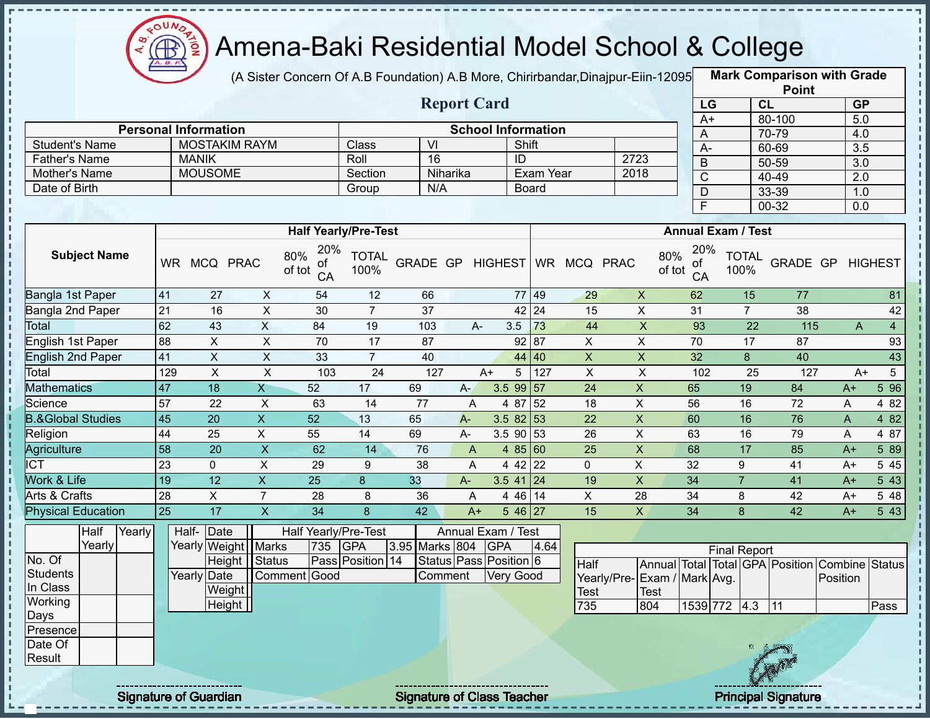

(A Sister Concern Of A.B Foundation) A.B More, Chirirbandar, Dinajpur-Eiin-12095

**Mark Comparison with Grade**

|                                |                 |                             |                           |                                  |                             |                  |                |                           |                                  |                              |                             |                                  |                     |                 | <b>Point</b>                                   |              |                                |
|--------------------------------|-----------------|-----------------------------|---------------------------|----------------------------------|-----------------------------|------------------|----------------|---------------------------|----------------------------------|------------------------------|-----------------------------|----------------------------------|---------------------|-----------------|------------------------------------------------|--------------|--------------------------------|
|                                |                 |                             |                           |                                  |                             |                  |                | <b>Report Card</b>        |                                  |                              |                             |                                  | LG                  | CL              |                                                |              | GP                             |
|                                |                 |                             |                           |                                  |                             |                  |                |                           |                                  |                              |                             |                                  | $A+$                |                 | 80-100                                         |              | 5.0                            |
|                                |                 | <b>Personal Information</b> |                           |                                  |                             |                  |                | <b>School Information</b> |                                  |                              |                             | A                                |                     |                 | 70-79                                          |              | 4.0                            |
| <b>Student's Name</b>          |                 | <b>MOSTAKIM RAYM</b>        |                           |                                  | Class                       | $\overline{VI}$  |                |                           | Shift                            |                              |                             | $A-$                             |                     |                 | 60-69                                          |              | $\overline{3.5}$               |
| <b>Father's Name</b>           |                 | <b>MANIK</b>                |                           |                                  | Roll                        | 16               |                |                           | ID                               |                              | 2723                        | $\mathsf B$                      |                     |                 | $50 - 59$                                      |              | $\overline{3.0}$               |
| Mother's Name<br>Date of Birth |                 | <b>MOUSOME</b>              |                           |                                  | Section                     | N/A              | Niharika       |                           | <b>Exam Year</b><br><b>Board</b> |                              | 2018                        | $\overline{C}$                   |                     |                 | 40-49                                          |              | $\overline{2.0}$               |
|                                |                 |                             |                           |                                  | Group                       |                  |                |                           |                                  |                              |                             | $\overline{D}$                   |                     |                 | 33-39                                          |              | 1.0                            |
|                                |                 |                             |                           |                                  |                             |                  |                |                           |                                  |                              |                             | F                                |                     |                 | $00 - 32$                                      |              | $\overline{0.0}$               |
|                                |                 |                             |                           |                                  | <b>Half Yearly/Pre-Test</b> |                  |                |                           |                                  |                              |                             | <b>Annual Exam / Test</b>        |                     |                 |                                                |              |                                |
| <b>Subject Name</b>            |                 | WR MCQ PRAC                 |                           | 20%<br>80%<br>ot<br>of tot<br>CA | <b>TOTAL</b><br>100%        |                  |                |                           |                                  | GRADE GP HIGHEST WR MCQ PRAC |                             | 20%<br>80%<br>ot<br>of tot<br>CA | 100%                | <b>TOTAL</b>    | <b>GRADE GP HIGHEST</b>                        |              |                                |
| Bangla 1st Paper               | 41              | 27                          | $\mathsf{X}$              | 54                               | 12                          | 66               |                |                           | 77 49                            | 29                           | $\pmb{\times}$              | 62                               |                     | 15              | 77                                             |              | 81                             |
| Bangla 2nd Paper               | 21              | 16                          | $\mathsf{X}$              | 30                               | $\overline{7}$              | $\overline{37}$  |                |                           | 42 24                            | 15                           | $\mathsf{X}$                | 31                               |                     | $\overline{7}$  | $\overline{38}$                                |              | 42                             |
| Total                          | 62              | 43                          | $\overline{X}$            | 84                               | 19                          | 103              |                | $A -$                     | 73<br>3.5                        | 44                           | $\overline{\mathsf{x}}$     | 93                               |                     | $\overline{22}$ | 115                                            |              | $\overline{4}$<br>$\mathsf{A}$ |
| English 1st Paper              | 88              | $\pmb{\times}$              | $\mathsf{X}$              | 70                               | 17                          | 87               |                |                           | 92 87                            | X                            | $\mathsf X$                 | 70                               |                     | 17              | 87                                             |              | 93                             |
| <b>English 2nd Paper</b>       | 41              | $\boldsymbol{\mathsf{X}}$   | $\pmb{\times}$            | 33                               | $\overline{7}$              | 40               |                |                           | 44<br>40                         | $\mathsf{X}$                 | $\pmb{\mathsf{X}}$          | 32                               |                     | 8               | 40                                             |              | 43                             |
| Total                          | 129             | $\boldsymbol{\mathsf{X}}$   | $\overline{\mathsf{x}}$   | 103                              | $\overline{24}$             | $\overline{127}$ |                | $A+$                      | $\overline{127}$<br>5            | $\overline{X}$               | $\boldsymbol{\mathsf{X}}$   | 102                              |                     | 25              | $\overline{127}$                               |              | $5\overline{)}$<br>$A+$        |
| <b>Mathematics</b>             | 47              | 18                          | $\mathsf{X}$              | 52                               | 17                          | 69               | $A -$          | 3.5 99                    | 57                               | 24                           | $\pmb{\times}$              | 65                               |                     | 19              | 84                                             | $A+$         | 596                            |
| Science                        | 57              | 22                          | $\overline{X}$            | 63                               | 14                          | $\overline{77}$  | $\overline{A}$ |                           | 52<br>4 87                       | 18                           | $\overline{X}$              | 56                               |                     | 16              | $\overline{72}$                                | $\mathsf{A}$ | 4 8 2                          |
| <b>B.&amp;Global Studies</b>   | $\overline{45}$ | $\overline{20}$             | $\overline{\mathsf{x}}$   | 52                               | 13                          | 65               | $A -$          |                           | 3.58253                          | $\overline{22}$              | $\overline{X}$              | 60                               |                     | 16              | 76                                             | $\mathsf{A}$ | 482                            |
| Religion                       | 44              | $\overline{25}$             | $\overline{X}$            | 55                               | 14                          | 69               | $A-$           |                           | $3.5$ 90 $53$                    | $\overline{26}$              | $\overline{X}$              | 63                               |                     | 16              | 79                                             | A            | 4 87                           |
| <b>Agriculture</b>             | $\overline{58}$ | $\overline{20}$             | $\overline{\mathsf{x}}$   | 62                               | $\overline{14}$             | 76               | $\overline{A}$ |                           | 4 85 60                          | $\overline{25}$              | $\overline{X}$              | 68                               |                     | 17              | 85                                             | $A+$         | 589                            |
| <b>ICT</b>                     | 23              | $\mathbf 0$                 | $\pmb{\times}$            | 29                               | 9                           | 38               | $\overline{A}$ |                           | $442$ 22                         | $\mathbf 0$                  | $\mathsf{X}$                | 32                               |                     | 9               | 41                                             | $A+$         | 5 4 5                          |
| Work & Life                    | 19              | $\overline{12}$             | $\overline{X}$            | $\overline{25}$                  | 8                           | 33               | $A-$           |                           | $3.5$ 41 24                      | 19                           | $\overline{X}$              | $\overline{34}$                  |                     | $\overline{7}$  | $\overline{41}$                                | $A+$         | 543                            |
| Arts & Crafts                  | $\overline{28}$ | $\mathsf X$                 | $\overline{7}$            | 28                               | 8                           | 36               | A              |                           | 14<br>4 4 6                      | $\mathsf{X}$                 | 28                          | 34                               |                     | 8               | 42                                             | $A+$         | 5 48                           |
| <b>Physical Education</b>      | $\overline{25}$ | $\overline{17}$             | $\boldsymbol{\mathsf{X}}$ | $\overline{34}$                  | 8                           | $\overline{42}$  | $A+$           |                           | $5\overline{46}$ 27              | 15                           | $\mathsf{X}$                | $\overline{34}$                  |                     | 8               | $\overline{42}$                                | $A+$         | $5\overline{43}$               |
| Half<br>Yearly                 |                 | Half-Date                   |                           |                                  | Half Yearly/Pre-Test        |                  |                | Annual Exam / Test        |                                  |                              |                             |                                  |                     |                 |                                                |              |                                |
| Yearly                         |                 | Yearly Weight Marks         |                           | 735                              | <b>GPA</b>                  | 3.95 Marks 804   |                | <b>GPA</b>                | 4.64                             |                              |                             |                                  | <b>Final Report</b> |                 |                                                |              |                                |
| No. Of                         |                 | Height Status               |                           |                                  | Pass Position 14            |                  |                | Status Pass Position 6    |                                  | Half                         |                             |                                  |                     |                 | Annual Total Total GPA Position Combine Status |              |                                |
| <b>Students</b>                |                 | <b>Yearly Date</b>          |                           | Comment Good                     |                             | Comment          |                |                           | <b>Very Good</b>                 |                              | Yearly/Pre-Exam / Mark Avg. |                                  |                     |                 |                                                | Position     |                                |
| In Class                       |                 | Weight                      |                           |                                  |                             |                  |                |                           |                                  | <b>Test</b>                  | <b>Test</b>                 |                                  |                     |                 |                                                |              |                                |
| Working                        |                 | Height                      |                           |                                  |                             |                  |                |                           |                                  | 735                          | 804                         |                                  | 1539 772 4.3        |                 | 11                                             |              | Pass                           |
| Days                           |                 |                             |                           |                                  |                             |                  |                |                           |                                  |                              |                             |                                  |                     |                 |                                                |              |                                |
| Presence<br>Date Of            |                 |                             |                           |                                  |                             |                  |                |                           |                                  |                              |                             |                                  |                     |                 |                                                |              |                                |
| Result                         |                 |                             |                           |                                  |                             |                  |                |                           |                                  |                              |                             |                                  |                     |                 |                                                |              |                                |
|                                |                 |                             |                           |                                  |                             |                  |                |                           |                                  |                              |                             |                                  |                     |                 |                                                |              |                                |
|                                |                 |                             |                           |                                  |                             |                  |                |                           |                                  |                              |                             |                                  |                     |                 |                                                |              |                                |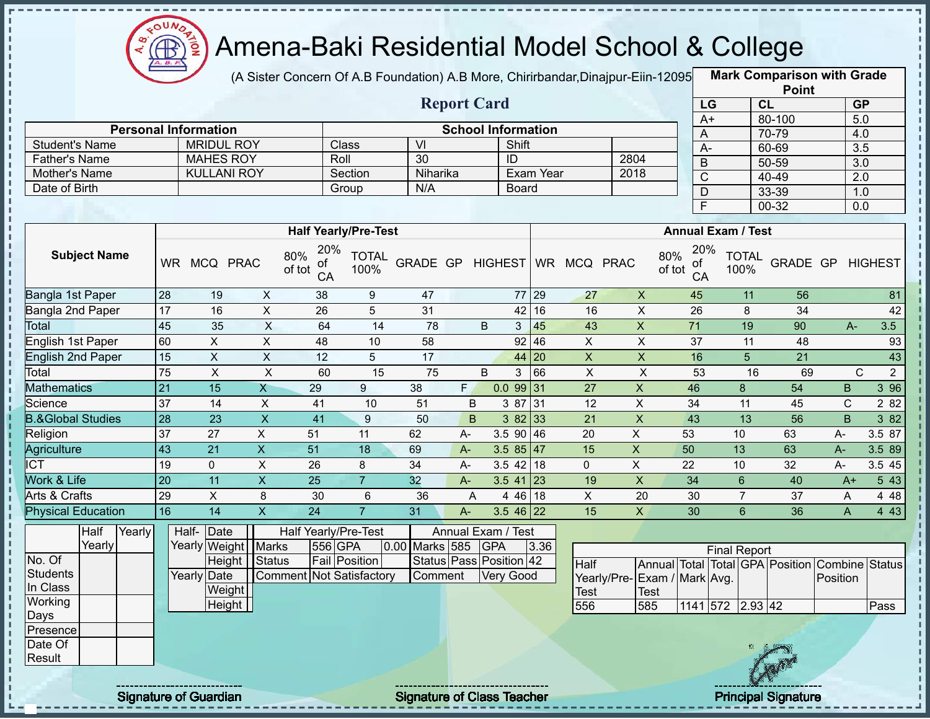

п

J.

п

Î

Î Ţ

 $\frac{1}{1}$ 

f, п

Ì

,,,,,,,,,,,,,,,,,,,,,,,,,,,,,,,,,,,

### Amena-Baki Residential Model School & College

(A Sister Concern Of A.B Foundation) A.B More, Chirirbandar,Dinajpur-Eiin-120950

**Mark Comparison with Grade**

|                              |                 |                             |                           |                                  |                             |                         |                |                           |              |                 |                           |                                                |                         |                      | <b>Point</b>    |                         |                  |
|------------------------------|-----------------|-----------------------------|---------------------------|----------------------------------|-----------------------------|-------------------------|----------------|---------------------------|--------------|-----------------|---------------------------|------------------------------------------------|-------------------------|----------------------|-----------------|-------------------------|------------------|
|                              |                 |                             |                           |                                  |                             |                         |                | <b>Report Card</b>        |              |                 |                           |                                                | LG                      | CL                   |                 | <b>GP</b>               |                  |
|                              |                 |                             |                           |                                  |                             |                         |                |                           |              |                 |                           |                                                | $A+$                    |                      | 80-100          | 5.0                     |                  |
|                              |                 | <b>Personal Information</b> |                           |                                  |                             |                         |                | <b>School Information</b> |              |                 |                           |                                                | $\mathsf{A}$            |                      | 70-79           | 4.0                     |                  |
| <b>Student's Name</b>        |                 | <b>MRIDUL ROY</b>           |                           |                                  | Class                       | $\overline{\mathsf{M}}$ |                | Shift                     |              |                 |                           |                                                | $\overline{A}$          |                      | 60-69           | $\overline{3.5}$        |                  |
| <b>Father's Name</b>         |                 | <b>MAHES ROY</b>            |                           |                                  | Roll                        | $\overline{30}$         |                | ID                        |              |                 | 2804                      |                                                | B                       |                      | $50 - 59$       | $\overline{3.0}$        |                  |
| Mother's Name                |                 | <b>KULLANI ROY</b>          |                           |                                  | Section                     | Niharika                |                |                           | Exam Year    |                 | 2018                      |                                                | $\overline{\text{C}}$   |                      | 40-49           | $\overline{2.0}$        |                  |
| Date of Birth                |                 |                             |                           |                                  | Group                       | N/A                     |                |                           | <b>Board</b> |                 |                           |                                                | D                       |                      | 33-39           | 1.0                     |                  |
|                              |                 |                             |                           |                                  |                             |                         |                |                           |              |                 |                           |                                                | $\overline{\mathsf{F}}$ |                      | $00 - 32$       | 0.0                     |                  |
|                              |                 |                             |                           |                                  |                             |                         |                |                           |              |                 |                           |                                                |                         |                      |                 |                         |                  |
|                              |                 |                             |                           |                                  | <b>Half Yearly/Pre-Test</b> |                         |                |                           |              |                 |                           | <b>Annual Exam / Test</b>                      |                         |                      |                 |                         |                  |
| <b>Subject Name</b>          |                 | WR MCQ PRAC                 |                           | 20%<br>80%<br>оf<br>of tot<br>CA | <b>TOTAL</b><br>100%        | GRADE GP HIGHEST        |                |                           |              | WR MCQ PRAC     |                           | 80%<br>оf<br>of tot<br>CA                      | 20%                     | <b>TOTAL</b><br>100% |                 | <b>GRADE GP HIGHEST</b> |                  |
| Bangla 1st Paper             | 28              | 19                          | $\mathsf X$               | 38                               | 9                           | 47                      |                |                           | 77 29        | 27              | $\pmb{\times}$            | 45                                             |                         | 11                   | 56              |                         | 81               |
| Bangla 2nd Paper             | 17              | 16                          | $\mathsf{X}$              | 26                               | 5                           | 31                      |                |                           | 42 16        | 16              | $\pmb{\times}$            | $\overline{26}$                                |                         | 8                    | $\overline{34}$ |                         | 42               |
| <b>Total</b>                 | 45              | 35                          | $\overline{X}$            | 64                               | $\overline{14}$             | 78                      |                | B<br>3                    | 45           | 43              | $\overline{X}$            | $\overline{71}$                                |                         | 19                   | 90              | $A -$                   | 3.5              |
| <b>English 1st Paper</b>     | 60              | $\overline{X}$              | $\overline{X}$            | 48                               | 10                          | 58                      |                |                           | 92   46      | $\overline{X}$  | $\overline{X}$            | $\overline{37}$                                |                         | $\overline{11}$      | 48              |                         | 93               |
| <b>English 2nd Paper</b>     | $\overline{15}$ | $\pmb{\times}$              | $\mathsf{X}$              | 12                               | 5                           | 17                      |                |                           | 44 20        | $\pmb{\times}$  | $\pmb{\times}$            | 16                                             |                         | 5                    | 21              |                         | 43               |
| Total                        | 75              | $\mathsf{x}$                | $\boldsymbol{\mathsf{X}}$ | 60                               | 15                          | 75                      |                | B<br>3                    | 66           | $\overline{X}$  | $\boldsymbol{\mathsf{X}}$ | 53                                             |                         | 16                   | 69              | $\mathsf{C}$            | $\overline{2}$   |
| <b>Mathematics</b>           | 21              | 15                          | $\mathsf{X}$              | 29                               | 9                           | $\overline{38}$         | F.             | 0.09931                   |              | $\overline{27}$ | $\overline{X}$            | 46                                             |                         | 8                    | 54              | $\mathsf B$             | $3\overline{96}$ |
| Science                      | $\overline{37}$ | 14                          | $\overline{X}$            | 41                               | 10                          | 51                      | B              |                           | 3 87 31      | $\overline{12}$ | $\overline{X}$            | 34                                             |                         | 11                   | 45              | $\mathsf{C}$            | 2 8 2            |
| <b>B.&amp;Global Studies</b> | 28              | 23                          | $\overline{X}$            | 41                               | $9\,$                       | 50                      | B              |                           | $382$ 33     | 21              | $\pmb{\times}$            | 43                                             |                         | 13                   | $\overline{56}$ | <sub>B</sub>            | 3 82             |
| Religion                     | $\overline{37}$ | $\overline{27}$             | $\overline{X}$            | 51                               | 11                          | 62                      | $A-$           | $3.5$ 90 46               |              | $\overline{20}$ | $\mathsf{X}$              | 53                                             |                         | 10                   | 63              | $A-$                    | 3.5 87           |
| Agriculture                  | $\overline{43}$ | 21                          | $\overline{X}$            | $\overline{51}$                  | 18                          | 69                      | $A -$          | 3.5 $85 \mid 47$          |              | 15              | $\pmb{\times}$            | 50                                             |                         | 13                   | 63              | $A -$                   | 3.5 89           |
| <b>ICT</b>                   | 19              | $\mathbf 0$                 | $\pmb{\times}$            | 26                               | 8                           | 34                      | A-             | $3.5$ 42 18               |              | $\mathbf 0$     | $\mathsf X$               | 22                                             |                         | 10                   | 32              | A-                      | 3.5 45           |
| Work & Life                  | $\overline{20}$ | 11                          | $\overline{\mathsf{x}}$   | $\overline{25}$                  | $\overline{7}$              | 32                      | $A-$           | $3.5$ 41 23               |              | 19              | $\overline{X}$            | $\overline{34}$                                |                         | $6\phantom{1}$       | 40              | $A+$                    | 543              |
| <b>Arts &amp; Crafts</b>     | 29              | $\overline{X}$              | 8                         | 30                               | 6                           | $\overline{36}$         | $\overline{A}$ |                           | 4 46 18      | $\overline{X}$  | $\overline{20}$           | 30                                             |                         | $\overline{7}$       | 37              | A                       | 448              |
| <b>Physical Education</b>    | 16              | $\overline{14}$             | $\overline{\mathsf{x}}$   | $\overline{24}$                  | $\overline{7}$              | 31                      | $A -$          | $3.546$ 22                |              | $\overline{15}$ | $\mathsf{X}$              | 30                                             |                         | 6                    | $\overline{36}$ | $\overline{A}$          | 443              |
| Half<br>Yearly               |                 | Half-Date                   |                           | Half Yearly/Pre-Test             |                             |                         |                | Annual Exam / Test        |              |                 |                           |                                                |                         |                      |                 |                         |                  |
| Yearly                       |                 | Yearly Weight Marks         |                           | 556 GPA                          |                             | 0.00 Marks 585          |                | <b>GPA</b>                | 3.36         |                 |                           |                                                |                         | <b>Final Report</b>  |                 |                         |                  |
| No. Of                       |                 | Height                      | Status                    |                                  | <b>Fail Position</b>        |                         |                | Status Pass Position 42   |              | Half            |                           | Annual Total Total GPA Position Combine Status |                         |                      |                 |                         |                  |
| <b>Students</b>              |                 | Yearly Date                 |                           |                                  | Comment Not Satisfactory    | Comment                 |                | Very Good                 |              |                 | Yearly/Pre-               | Exam / Mark Avg.                               |                         |                      |                 | Position                |                  |
| In Class                     |                 | Weight                      |                           |                                  |                             |                         |                |                           |              | <b>Test</b>     | <b>Test</b>               |                                                |                         |                      |                 |                         |                  |
| Working                      |                 | Height                      |                           |                                  |                             |                         |                |                           |              | 556             | 585                       |                                                | 1141 572 2.93 42        |                      |                 |                         | Pass             |
| Days                         |                 |                             |                           |                                  |                             |                         |                |                           |              |                 |                           |                                                |                         |                      |                 |                         |                  |
| Presence                     |                 |                             |                           |                                  |                             |                         |                |                           |              |                 |                           |                                                |                         |                      |                 |                         |                  |
| Date Of                      |                 |                             |                           |                                  |                             |                         |                |                           |              |                 |                           |                                                |                         |                      |                 |                         |                  |
| Result                       |                 |                             |                           |                                  |                             |                         |                |                           |              |                 |                           |                                                |                         |                      |                 |                         |                  |
|                              |                 |                             |                           |                                  |                             |                         |                |                           |              |                 |                           |                                                |                         |                      |                 |                         |                  |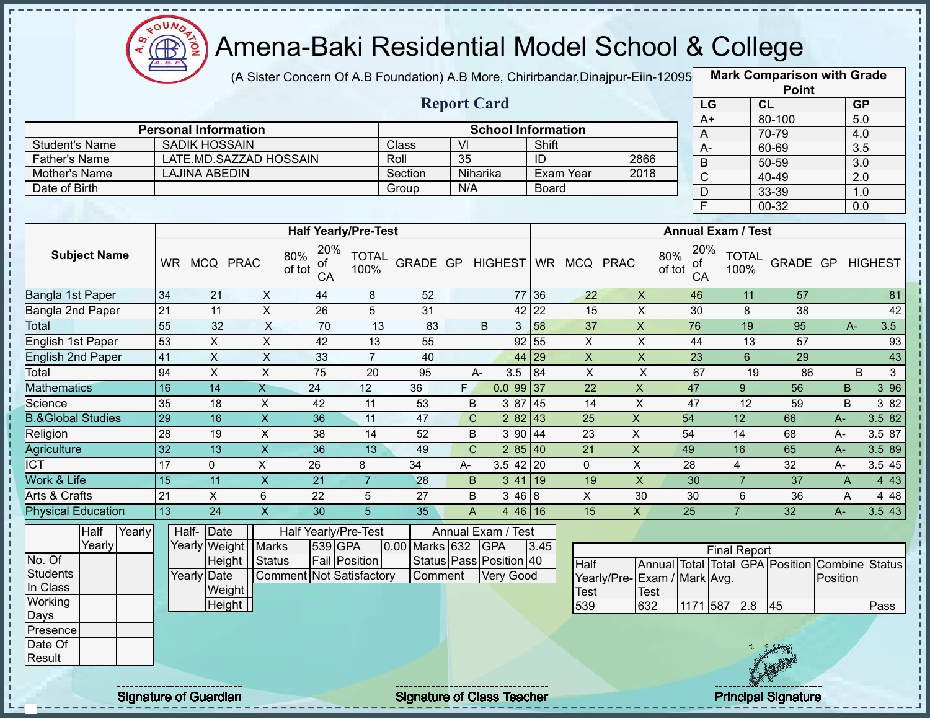

(A Sister Concern Of A.B Foundation) A.B More, Chirirbandar,Dinajpur-Eiin-12095 **Mark Comparison with Grade** 

|                      |                             |         | <b>Report Card</b> |                           |      |
|----------------------|-----------------------------|---------|--------------------|---------------------------|------|
|                      | <b>Personal Information</b> |         |                    | <b>School Information</b> |      |
| Student's Name       | <b>SADIK HOSSAIN</b>        | Class   | VI                 | Shift                     |      |
| <b>Father's Name</b> | LATE.MD.SAZZAD HOSSAIN      | Roll    | -35                | ID                        | 2866 |
| Mother's Name        | LAJINA ABEDIN               | Section | Niharika           | Exam Year                 | 2018 |
| Date of Birth        |                             | Group   | N/A                | Board                     |      |

|      | <b>Point</b> |                  |
|------|--------------|------------------|
| LG   | CL           | <b>GP</b>        |
| $A+$ | 80-100       | 5.0              |
| Α    | 70-79        | 4.0              |
| А-   | 60-69        | $\overline{3.5}$ |
| B    | 50-59        | $\overline{3.0}$ |
| C    | 40-49        | 2.0              |
| D    | 33-39        | 1.0              |
| F    | 00-32        | 0.0              |

|                              |           |               |                            | <b>Half Yearly/Pre-Test</b>       |                      |                        |                    |                |             |           |          |    | <b>Annual Exam / Test</b>        |                      |          |              |                |
|------------------------------|-----------|---------------|----------------------------|-----------------------------------|----------------------|------------------------|--------------------|----------------|-------------|-----------|----------|----|----------------------------------|----------------------|----------|--------------|----------------|
| <b>Subject Name</b>          | <b>WR</b> | <b>MCQ</b>    | <b>PRAC</b>                | 20%<br>80%<br>οt<br>of tot<br>CA  | <b>TOTAL</b><br>100% | GRADE GP               |                    | <b>HIGHEST</b> |             | <b>WR</b> | MCQ PRAC |    | 20%<br>80%<br>оt<br>of tot<br>CA | <b>TOTAL</b><br>100% | GRADE GP |              | <b>HIGHEST</b> |
| Bangla 1st Paper             | 34        | 21            | X                          | 44                                | 8                    | 52                     |                    |                | 77          | 36        | 22       | X  | 46                               | 11                   | 57       |              | 81             |
| Bangla 2nd Paper             | 21        | 11            | X                          | 26                                | 5                    | 31                     |                    |                | $42$ 22     |           | 15       | X  | 30                               | 8                    | 38       |              | 42             |
| <b>Total</b>                 | 55        | 32            | X                          | 70                                | 13                   | 83                     |                    | B              | 3           | 58        | 37       | X  | 76                               | 19                   | 95       |              | 3.5<br>A-      |
| English 1st Paper            | 53        | X             | Χ                          | 42                                | 13                   | 55                     |                    |                | 92          | 55        | X        | X  | 44                               | 13                   | 57       |              | 93             |
| <b>English 2nd Paper</b>     | 41        | X             | $\pmb{\mathsf{X}}$         | 33                                | 7                    | 40                     |                    |                | 44          | 29        | X        | X  | 23                               | 6                    | 29       |              | 43             |
| Total                        | 94        | X             | X                          | 75                                | 20                   | 95                     |                    | A-             | 3.5         | 84        | X        | X  | 67                               | 19                   | 86       |              | B<br>3         |
| <b>Mathematics</b>           | 16        | 14            | Χ                          | 24                                | 12                   | 36                     | F.                 |                | $0.099$ 37  |           | 22       | X  | 47                               | 9                    | 56       | B            | 3 9 6          |
| Science                      | 35        | 18            | X                          | 42                                | 11                   | 53                     | B                  |                | 3 87        | <b>45</b> | 14       | X  | 47                               | 12                   | 59       | B            | 3 82           |
| <b>B.&amp;Global Studies</b> | 29        | 16            | X.                         | 36                                | 11                   | 47                     | C.                 |                | $282$ 43    |           | 25       | X. | 54                               | 12                   | 66       | A-           | 3.582          |
| Religion                     | 28        | 19            | X                          | 38                                | 14                   | 52                     | B                  |                | 390   44    |           | 23       | X  | 54                               | 14                   | 68       | $A -$        | 3.5 87         |
| Agriculture                  | 32        | 13            | X.                         | 36                                | 13                   | 49                     | C.                 |                | 285 40      |           | 21       | X  | 49                               | 16                   | 65       | $A -$        | 3.5 89         |
| <b>ICT</b>                   | 17        | $\mathbf{0}$  | X                          | 26                                | 8                    | 34                     | A-                 |                | $3.5$ 42 20 |           | 0        | X  | 28                               | 4                    | 32       | A-           | 3.5 45         |
| Work & Life                  | 15        | 11            | X.                         | 21                                |                      | 28                     | B                  |                | 3 41        | 19        | 19       | X  | 30                               |                      | 37       | $\mathsf{A}$ | 4 4 3          |
| Arts & Crafts                | 21        | X.            | 6                          | 22                                | 5                    | 27                     | B                  |                | 346 8       |           | X        | 30 | 30                               | 6                    | 36       | A            | 4 48           |
| <b>Physical Education</b>    | 13        | 24            | X.                         | 30                                | 5                    | 35                     | A                  |                | $446$ 16    |           | 15       | X. | 25                               |                      | 32       | A-           | 3.543          |
| Half<br>Yearly<br>Vearly     |           | Half-<br>Date | Vegrly <i>Mojabt</i> Marke | Half Yearly/Pre-Test<br>$520$ CDA |                      | $0.00$ Marke 622 $CDA$ | Annual Exam / Test |                |             | 245       |          |    |                                  |                      |          |              |                |

|          | Yearly |  |             | Yearly Weight   Marks |                          | 539 GPA       | 0.00 Marks 632 | <b>GPA</b>              | 3.45 |                              |             |          | <b>Final Report</b> |     |                       |                                                |      |
|----------|--------|--|-------------|-----------------------|--------------------------|---------------|----------------|-------------------------|------|------------------------------|-------------|----------|---------------------|-----|-----------------------|------------------------------------------------|------|
| No. Of   |        |  |             | Height Status         |                          | Fail Position |                | Status Pass Position 40 |      | Half                         |             |          |                     |     |                       | Annual Total Total GPA Position Combine Status |      |
| Students |        |  | Yearly Date |                       | Comment Not Satisfactory |               | Comment        | <b>Very Good</b>        |      | Yearly/Pre- Exam / Mark Avg. |             |          |                     |     |                       | Position                                       |      |
| In Class |        |  |             | Weight                |                          |               |                |                         |      | Test                         | <b>Test</b> |          |                     |     |                       |                                                |      |
| Working  |        |  |             | Height                |                          |               |                |                         |      | 539                          | 632         | 1171 587 |                     | 2.8 | 45                    |                                                | Pass |
| Days     |        |  |             |                       |                          |               |                |                         |      |                              |             |          |                     |     |                       |                                                |      |
| Presence |        |  |             |                       |                          |               |                |                         |      |                              |             |          |                     |     |                       |                                                |      |
| Date Of  |        |  |             |                       |                          |               |                |                         |      |                              |             |          |                     |     |                       |                                                |      |
| Result   |        |  |             |                       |                          |               |                |                         |      |                              |             |          |                     |     | <b>A</b> and the same |                                                |      |

л J. Ţ  $\mathbf{I}$ J.

п  $\blacksquare$ 

п

Signature of Guardian Signature of Class Teacher Principal Signature 7/477 Principal Signature

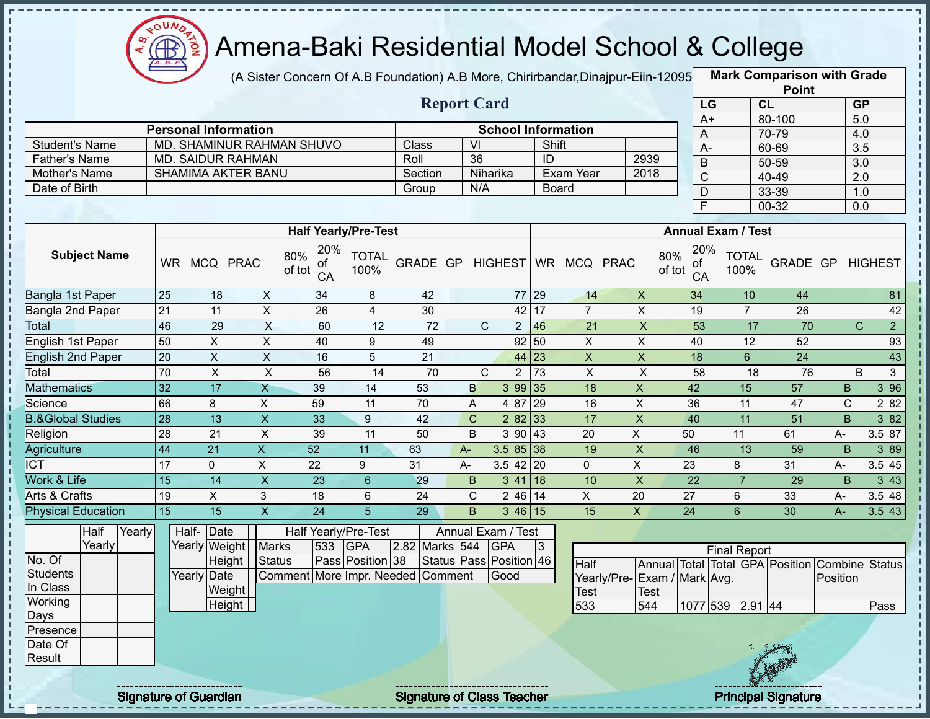

(A Sister Concern Of A.B Foundation) A.B More, Chirirbandar,Dinajpur-Eiin-12095 **Mark Comparison with Grade Report Card**

|                      |                             |         | Report Card |                           |      |
|----------------------|-----------------------------|---------|-------------|---------------------------|------|
|                      | <b>Personal Information</b> |         |             | <b>School Information</b> |      |
| Student's Name       | MD. SHAMINUR RAHMAN SHUVO   | Class   | -VI         | Shift                     |      |
| <b>Father's Name</b> | MD. SAIDUR RAHMAN           | Roll    | 36          | ID                        | 2939 |
| Mother's Name        | SHAMIMA AKTER BANU          | Section | Niharika    | Exam Year                 | 2018 |
| Date of Birth        |                             | Group   | N/A         | <b>Board</b>              |      |

|             | <b>Point</b> |                  |
|-------------|--------------|------------------|
| LG          | <b>CL</b>    | <b>GP</b>        |
| $A+$        | 80-100       | 5.0              |
| A           | 70-79        | 4.0              |
| А-          | 60-69        | 3.5              |
| В           | 50-59        | $\overline{3.0}$ |
| $\mathsf C$ | 40-49        | 2.0              |
| D           | 33-39        | 1.0              |
| Ē           | 00-32        | 0.0              |

|                                          |           |                                      |             | <b>Half Yearly/Pre-Test</b>      |                      |                 |       |                    |             |             |    | <b>Annual Exam / Test</b>        |                      |          |              |                                |
|------------------------------------------|-----------|--------------------------------------|-------------|----------------------------------|----------------------|-----------------|-------|--------------------|-------------|-------------|----|----------------------------------|----------------------|----------|--------------|--------------------------------|
| <b>Subject Name</b>                      | <b>WR</b> | <b>MCQ</b>                           | <b>PRAC</b> | 20%<br>80%<br>οf<br>of tot<br>CA | <b>TOTAL</b><br>100% | <b>GRADE GP</b> |       | <b>HIGHEST</b>     | <b>WR</b>   | MCQ PRAC    |    | 20%<br>80%<br>of<br>of tot<br>CA | <b>TOTAL</b><br>100% | GRADE GP |              | <b>HIGHEST</b>                 |
| Bangla 1st Paper                         | 25        | 18                                   | X           | 34                               | 8                    | 42              |       |                    | 77 29       | 14          | X  | 34                               | 10                   | 44       |              | 81                             |
| Bangla 2nd Paper                         | 21        | 11                                   | X           | 26                               | 4                    | 30              |       | 42                 | 17          |             | X  | 19                               |                      | 26       |              | 42                             |
| Total                                    | 46        | 29                                   | X           | 60                               | 12                   | 72              |       | C<br>2             | 46          | 21          | X  | 53                               | 17                   | 70       |              | $\overline{2}$<br>$\mathsf{C}$ |
| English 1st Paper                        | 50        | X.                                   | X           | 40                               | 9                    | 49              |       |                    | 92 50       | X           | X  | 40                               | 12                   | 52       |              | 93                             |
| <b>English 2nd Paper</b>                 | 20        | X.                                   | X           | 16                               | 5                    | 21              |       | 44                 | 23          | X           | X  | 18                               | 6                    | 24       |              | 43                             |
| Total                                    | 70        | X.                                   | X           | 56                               | 14                   | 70              |       | C<br>2             | 73          | X           | X  | 58                               | 18                   | 76       |              | B<br>3                         |
| <b>Mathematics</b>                       | 32        | 17                                   | Χ           | 39                               | 14                   | 53              | B     | 3 9 9              | $\sqrt{35}$ | 18          | X  | 42                               | 15                   | 57       | B            | 3 9 6                          |
| Science                                  | 66        | 8                                    | X           | 59                               | 11                   | 70              | A     | 4 87               | 29          | 16          | X  | 36                               | 11                   | 47       | $\mathsf{C}$ | 2 8 2                          |
| <b>B.&amp;Global Studies</b>             | 28        | 13                                   | X           | 33                               | 9                    | 42              | C     | 2 8 2              | 33          | 17          | X  | 40                               | 11                   | 51       | B.           | 3 82                           |
| Religion                                 | 28        | 21                                   | X           | 39                               | 11                   | 50              | B     | 3 90 43            |             | 20          | X  | 50                               | 11                   | 61       | A-           | 3.5 87                         |
| Agriculture                              | 44        | 21                                   | X           | 52                               | 11                   | 63              | $A -$ | $3.585$ 38         |             | 19          | X  | 46                               | 13                   | 59       | B            | 3 8 9                          |
| <b>ICT</b>                               | 17        | 0                                    | X           | 22                               | 9                    | 31              | A-    | $3.5$ 42 20        |             | $\mathbf 0$ | X  | 23                               | 8                    | 31       | $A -$        | 3.5 45                         |
| Work & Life                              | 15        | 14                                   | X           | 23                               | 6                    | 29              | B     | 3 41               | 18          | 10          | X  | 22                               |                      | 29       | B            | 3 4 3                          |
| Arts & Crafts                            | 19        | X                                    | 3           | 18                               | 6                    | 24              | C     | $246$ 14           |             | X           | 20 | 27                               | 6                    | 33       | $A-$         | 3.5 48                         |
| <b>Physical Education</b>                | 15        | 15                                   | X.          | 24                               | 5                    | 29              | B     | 346 15             |             | 15          | X  | 24                               | 6                    | 30       | $A -$        | 3.5 43                         |
| $V_{\alpha\alpha\beta\gamma}$<br>⊩ا ا∼⊔ا |           | $L = \sqrt{1 + \frac{1}{2}}$<br>Indc |             | Holf Voorly/Dro Toot             |                      |                 |       | Annual Evam / Tost |             |             |    |                                  |                      |          |              |                                |

|                 | Half   | Yearly |  | Half- Date            |                                   |      | Half Yearly/Pre-Test    |                | Annual Exam / Test            |  |                             |       |                     |            |                                 |                                               |      |
|-----------------|--------|--------|--|-----------------------|-----------------------------------|------|-------------------------|----------------|-------------------------------|--|-----------------------------|-------|---------------------|------------|---------------------------------|-----------------------------------------------|------|
|                 | Yearly |        |  | Yearly Weight   Marks |                                   | 1533 | <b>IGPA</b>             | 2.82 Marks 544 | <b>GPA</b>                    |  |                             |       | <b>Final Report</b> |            |                                 |                                               |      |
| No. Of          |        |        |  | Height                | Status                            |      | <b>Pass Position 38</b> |                | Status   Pass   Position   46 |  | Half                        |       |                     |            |                                 | Annual Total Total GPA Position Combine Statu |      |
| <b>Students</b> |        |        |  | Yearly Date           | Comment More Impr. Needed Comment |      |                         |                | Good                          |  | Yearly/Pre-Exam / Mark Avg. |       |                     |            |                                 | Position                                      |      |
| In Class        |        |        |  | Weight                |                                   |      |                         |                |                               |  | <b>Test</b>                 | 'Test |                     |            |                                 |                                               |      |
| Working         |        |        |  | <b>Height</b>         |                                   |      |                         |                |                               |  | 533                         | 544   | 1077 539 2.91 44    |            |                                 |                                               | Pass |
| Days            |        |        |  |                       |                                   |      |                         |                |                               |  |                             |       |                     |            |                                 |                                               |      |
| Presence        |        |        |  |                       |                                   |      |                         |                |                               |  |                             |       |                     |            |                                 |                                               |      |
| Date Of         |        |        |  |                       |                                   |      |                         |                |                               |  |                             |       |                     | <b>NEW</b> |                                 |                                               |      |
| Result          |        |        |  |                       |                                   |      |                         |                |                               |  |                             |       |                     |            | $\mathcal{F}$ and $\mathcal{F}$ |                                               |      |



л J.

 $\frac{1}{1}$ 

п

J,

Signature of Guardian Signature of Class Teacher Principal Signature 8/47 Principal Signature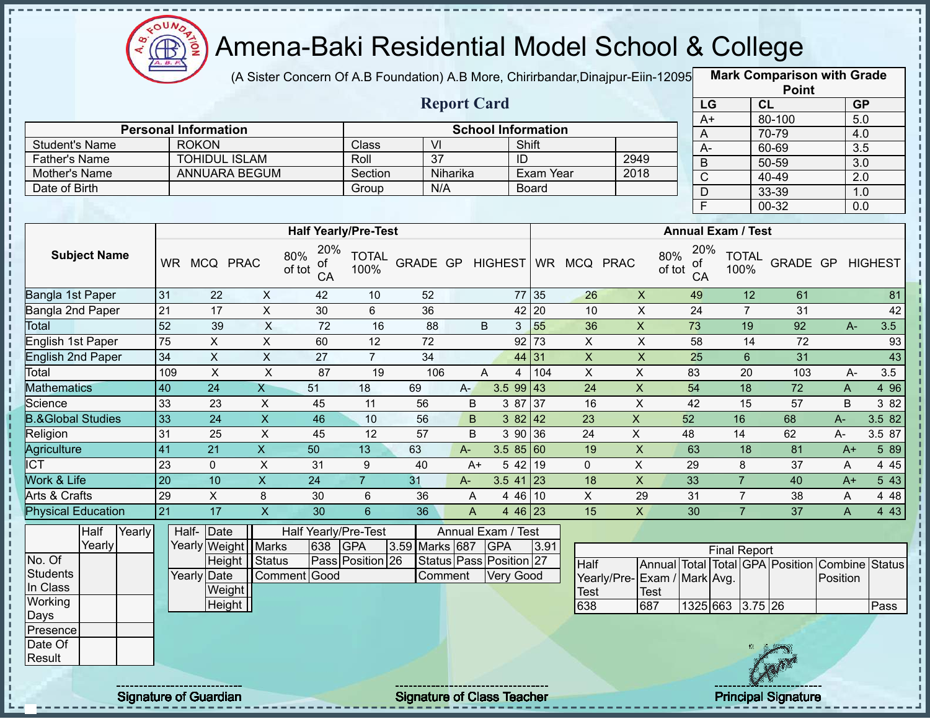

п

 $\mathbf I$ 

J,  $\mathbf{I}$ п

Î

J. п

i

ï J.

Ţ  $\frac{1}{1}$ 

# Amena-Baki Residential Model School & College

(A Sister Concern Of A.B Foundation) A.B More, Chirirbandar,Dinajpur-Eiin-120950

**Mark Comparison with Grade**

|                                |                 |                             |                           |                                  |                      |                         |                         |                     |                           |                 |                             |                           |                  |                      | <b>Point</b>    |                                                |                |
|--------------------------------|-----------------|-----------------------------|---------------------------|----------------------------------|----------------------|-------------------------|-------------------------|---------------------|---------------------------|-----------------|-----------------------------|---------------------------|------------------|----------------------|-----------------|------------------------------------------------|----------------|
|                                |                 |                             |                           |                                  |                      |                         | <b>Report Card</b>      |                     |                           |                 |                             |                           | LG               |                      | CL              | <b>GP</b>                                      |                |
|                                |                 |                             |                           |                                  |                      |                         |                         |                     |                           |                 |                             |                           | $A+$             |                      | 80-100          | 5.0                                            |                |
|                                |                 | <b>Personal Information</b> |                           |                                  |                      |                         |                         |                     | <b>School Information</b> |                 |                             |                           | A                |                      | 70-79           | 4.0                                            |                |
| <b>Student's Name</b>          |                 | <b>ROKON</b>                |                           |                                  | Class                | $\overline{\mathsf{V}}$ |                         |                     | Shift                     |                 |                             |                           | $\overline{A}$   |                      | 60-69           | $\overline{3.5}$                               |                |
| <b>Father's Name</b>           |                 | <b>TOHIDUL ISLAM</b>        |                           |                                  | Roll                 | $\overline{37}$         |                         |                     | $\overline{D}$            |                 | 2949                        |                           | $\mathsf B$      |                      | $50 - 59$       | $\overline{3.0}$                               |                |
| Mother's Name<br>Date of Birth |                 | <b>ANNUARA BEGUM</b>        |                           |                                  | Section              | N/A                     | Niharika                |                     | Exam Year                 |                 | 2018                        |                           | $\overline{C}$   |                      | $40 - 49$       | $\overline{2.0}$                               |                |
|                                |                 |                             |                           |                                  | Group                |                         |                         |                     | <b>Board</b>              |                 |                             |                           | $\overline{D}$   |                      | 33-39           | 1.0                                            |                |
|                                |                 |                             |                           |                                  |                      |                         |                         |                     |                           |                 |                             |                           | F                |                      | $00 - 32$       | 0.0                                            |                |
|                                |                 |                             |                           | <b>Half Yearly/Pre-Test</b>      |                      |                         |                         |                     |                           |                 |                             | <b>Annual Exam / Test</b> |                  |                      |                 |                                                |                |
| <b>Subject Name</b>            |                 | WR MCQ PRAC                 |                           | 20%<br>80%<br>οf<br>of tot<br>CA | <b>TOTAL</b><br>100% | GRADE GP HIGHEST        |                         |                     |                           | WR MCQ PRAC     |                             | 80%<br>ot<br>of tot<br>CA | 20%              | <b>TOTAL</b><br>100% | GRADE GP        |                                                | <b>HIGHEST</b> |
| Bangla 1st Paper               | 31              | 22                          | $\mathsf{X}$              | 42                               | 10                   | 52                      |                         |                     | 77 35                     | 26              | $\pmb{\times}$              | 49                        |                  | 12                   | 61              |                                                | 81             |
| Bangla 2nd Paper               | 21              | $\overline{17}$             | $\overline{X}$            | 30                               | $6\phantom{1}$       | 36                      |                         |                     | 42 20                     | 10              | $\overline{X}$              | $\overline{24}$           |                  | $\overline{7}$       | 31              |                                                | 42             |
| Total                          | 52              | 39                          | $\overline{X}$            | $\overline{72}$                  | 16                   | 88                      |                         | B                   | 55<br>3 <sup>1</sup>      | 36              | $\pmb{\times}$              | 73                        |                  | 19                   | 92              | A-                                             | 3.5            |
| <b>English 1st Paper</b>       | $\overline{75}$ | $\pmb{\times}$              | $\overline{X}$            | 60                               | 12                   | 72                      |                         |                     | $92$ 73                   | $\pmb{\times}$  | $\pmb{\times}$              | 58                        |                  | 14                   | 72              |                                                | 93             |
| <b>English 2nd Paper</b>       | $\overline{34}$ | $\overline{\mathsf{x}}$     | $\overline{X}$            | $\overline{27}$                  | $\overline{7}$       | $\overline{34}$         |                         |                     | 44 31                     | $\overline{X}$  | $\overline{X}$              | $\overline{25}$           |                  | $6\phantom{a}$       | 31              |                                                | 43             |
| Total                          | 109             | $\pmb{\times}$              | $\boldsymbol{\mathsf{X}}$ | 87                               | 19                   | 106                     |                         | $\overline{4}$<br>A | 104                       | $\pmb{\times}$  | $\mathsf{X}$                | 83                        |                  | 20                   | 103             | A-                                             | 3.5            |
| <b>Mathematics</b>             | 40              | $\overline{24}$             | $\overline{X}$            | $\overline{51}$                  | 18                   | 69                      | $A -$                   | 3.5 99              | 43                        | $\overline{24}$ | $\mathsf{X}$                | 54                        |                  | $\overline{18}$      | $\overline{72}$ | $\mathsf{A}$                                   | 4 9 6          |
| Science                        | 33              | 23                          | X                         | 45                               | 11                   | 56                      | B                       | 3 87                | 37                        | 16              | $\mathsf X$                 | 42                        |                  | 15                   | 57              | B                                              | 3 8 2          |
| <b>B.&amp;Global Studies</b>   | 33              | $\overline{24}$             | $\overline{X}$            | $\overline{46}$                  | 10                   | 56                      | $\mathsf B$             |                     | $382$ 42                  | $\overline{23}$ | $\overline{X}$              | 52                        |                  | 16                   | 68              | A-                                             | 3.5 82         |
| Religion                       | 31              | $\overline{25}$             | $\overline{\mathsf{x}}$   | 45                               | $\overline{12}$      | 57                      | B                       |                     | 390 36                    | $\overline{24}$ | $\overline{X}$              | 48                        |                  | 14                   | 62              | $A-$                                           | 3.5 87         |
| Agriculture                    | 41              | $\overline{21}$             | $\overline{X}$            | 50                               | 13                   | 63                      | $A-$                    |                     | 3.585 60                  | 19              | $\overline{X}$              | 63                        |                  | 18                   | 81              | $A+$                                           | 5 89           |
| $\overline{\text{ICT}}$        | $\overline{23}$ | $\mathbf 0$                 | $\overline{\mathsf{x}}$   | 31                               | $\overline{9}$       | 40                      | $A+$                    |                     | 542 19                    | $\mathbf 0$     | $\overline{X}$              | $\overline{29}$           |                  | 8                    | $\overline{37}$ | A                                              | 4 4 5          |
| Work & Life                    | $\overline{20}$ | 10                          | $\overline{X}$            | 24                               | $\overline{7}$       | 31                      | $A -$                   | $3.5$ 41 23         |                           | $\overline{18}$ | $\overline{X}$              | 33                        |                  | $\overline{7}$       | 40              | $A+$                                           | 543            |
| <b>Arts &amp; Crafts</b>       | 29              | $\overline{X}$              | $\,8\,$                   | 30                               | $6\phantom{1}$       | 36                      | A                       |                     | 4 46 10                   | $\overline{X}$  | 29                          | 31                        |                  | $\overline{7}$       | 38              | A                                              | 4 4 8          |
| <b>Physical Education</b>      | 21              | $\overline{17}$             | $\overline{X}$            | 30                               | $6\phantom{1}$       | 36                      | $\overline{A}$          |                     | 4 46 23                   | 15              | $\overline{X}$              | 30                        |                  | $\overline{7}$       | $\overline{37}$ | $\mathsf{A}$                                   | 4 4 3          |
| Half<br>Yearly                 |                 | Date<br>Half-               |                           | Half Yearly/Pre-Test             |                      |                         | Annual Exam / Test      |                     |                           |                 |                             |                           |                  |                      |                 |                                                |                |
| Yearly                         |                 | Yearly Weight   Marks       |                           | 638                              | <b>GPA</b>           | 3.59 Marks 687          |                         | <b>GPA</b>          | 3.91                      |                 |                             |                           |                  | <b>Final Report</b>  |                 |                                                |                |
| No. Of<br><b>Students</b>      |                 |                             | Height   Status           |                                  | Pass Position 26     |                         | Status Pass Position 27 |                     |                           | <b>Half</b>     |                             |                           |                  |                      |                 | Annual Total Total GPA Position Combine Status |                |
| In Class                       |                 | Yearly Date                 |                           | Comment Good                     |                      | Comment                 |                         | <b>Very Good</b>    |                           |                 | Yearly/Pre-Exam / Mark Avg. |                           |                  |                      |                 | Position                                       |                |
| Working                        |                 | Weight                      |                           |                                  |                      |                         |                         |                     |                           | Test            | <b>Test</b>                 |                           |                  |                      |                 |                                                |                |
| Days                           |                 | Height                      |                           |                                  |                      |                         |                         |                     |                           | 638             | 687                         |                           | 1325 663 3.75 26 |                      |                 |                                                | Pass           |
| Presence                       |                 |                             |                           |                                  |                      |                         |                         |                     |                           |                 |                             |                           |                  |                      |                 |                                                |                |
| Date Of<br>Result              |                 |                             |                           |                                  |                      |                         |                         |                     |                           |                 |                             |                           |                  |                      |                 |                                                |                |
|                                |                 |                             |                           |                                  |                      |                         |                         |                     |                           |                 |                             |                           |                  |                      |                 |                                                |                |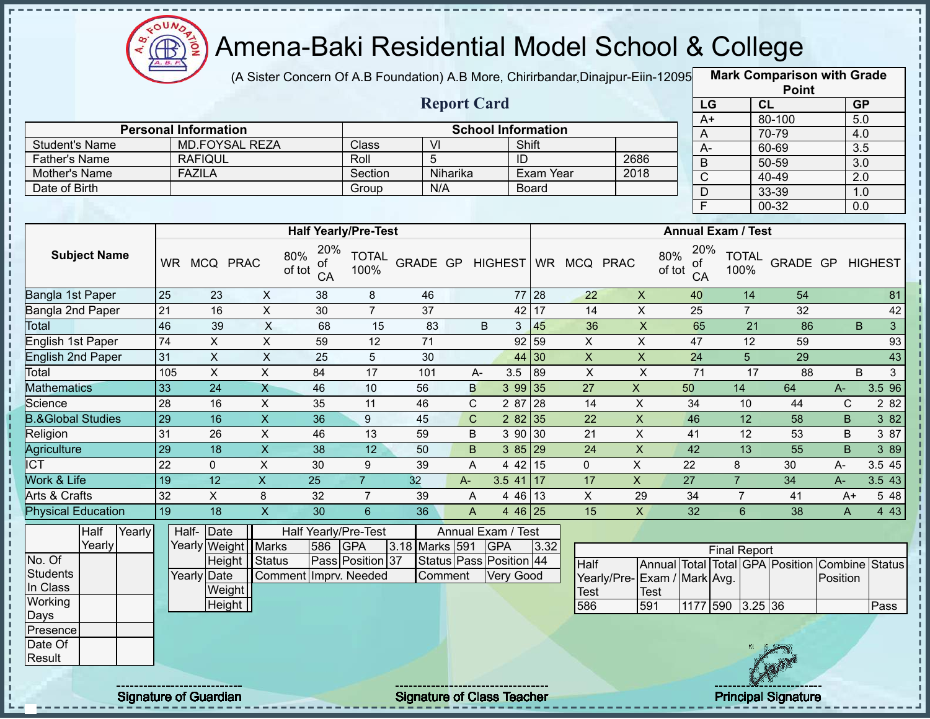

(A Sister Concern Of A.B Foundation) A.B More, Chirirbandar, Dinajpur-Eiin-12095

**Mark Comparison with Grade**

|                                       |                 |                                        |                         |                                  |                      |                                  |                    |                                             |                                   |                                    |                         |                           |                           |                 | <b>Point</b>                                   |              |                     |
|---------------------------------------|-----------------|----------------------------------------|-------------------------|----------------------------------|----------------------|----------------------------------|--------------------|---------------------------------------------|-----------------------------------|------------------------------------|-------------------------|---------------------------|---------------------------|-----------------|------------------------------------------------|--------------|---------------------|
|                                       |                 |                                        |                         |                                  |                      |                                  | <b>Report Card</b> |                                             |                                   |                                    |                         |                           | LG                        | CL              |                                                |              | GP                  |
|                                       |                 |                                        |                         |                                  |                      |                                  |                    |                                             |                                   |                                    |                         | $A+$                      |                           |                 | 80-100                                         |              | 5.0                 |
|                                       |                 | <b>Personal Information</b>            |                         |                                  |                      |                                  |                    |                                             | <b>School Information</b>         |                                    |                         | A                         |                           |                 | 70-79                                          |              | 4.0                 |
| <b>Student's Name</b>                 |                 | <b>MD.FOYSAL REZA</b>                  |                         |                                  | Class                | $\overline{M}$<br>$\overline{5}$ |                    |                                             | Shift                             |                                    |                         | $A -$                     |                           |                 | 60-69                                          |              | $\overline{3.5}$    |
| <b>Father's Name</b>                  |                 | <b>RAFIQUL</b><br><b>FAZILA</b>        |                         |                                  | Roll                 |                                  | Niharika           |                                             | ID<br><b>Exam Year</b>            |                                    | 2686<br>2018            | $\mathsf B$               |                           |                 | 50-59                                          |              | $\overline{3.0}$    |
| Mother's Name<br>Date of Birth        |                 |                                        |                         |                                  | Section<br>Group     | N/A                              |                    |                                             | <b>Board</b>                      |                                    |                         | $\overline{C}$            |                           |                 | $40 - 49$                                      |              | $\overline{2.0}$    |
|                                       |                 |                                        |                         |                                  |                      |                                  |                    |                                             |                                   |                                    |                         | $\overline{D}$            |                           |                 | 33-39                                          |              | 1.0                 |
|                                       |                 |                                        |                         |                                  |                      |                                  |                    |                                             |                                   |                                    |                         | $\overline{\mathsf{F}}$   |                           |                 | $00 - 32$                                      |              | $\overline{0.0}$    |
|                                       |                 |                                        |                         | <b>Half Yearly/Pre-Test</b>      |                      |                                  |                    |                                             |                                   |                                    |                         |                           | <b>Annual Exam / Test</b> |                 |                                                |              |                     |
| <b>Subject Name</b>                   |                 | WR MCQ PRAC                            |                         | 20%<br>80%<br>οf<br>of tot<br>CA | <b>TOTAL</b><br>100% | GRADE GP HIGHEST                 |                    |                                             |                                   | WR MCQ PRAC                        | 80%                     | 20%<br>of<br>of tot<br>CA | <b>TOTAL</b><br>100%      |                 | GRADE GP HIGHEST                               |              |                     |
| Bangla 1st Paper                      | 25              | 23                                     | $\mathsf{X}$            | 38                               | 8                    | 46                               |                    |                                             | $77 \overline{\smash{\big)}\ 28}$ | 22                                 | $\mathsf{X}$            | 40                        |                           | 14              | 54                                             |              | 81                  |
| Bangla 2nd Paper                      | 21              | 16                                     | $\mathsf{X}$            | 30                               | $\overline{7}$       | 37                               |                    |                                             | 42 17                             | 14                                 | $\overline{X}$          | 25                        |                           | $\overline{7}$  | 32                                             |              | 42                  |
| <b>Total</b>                          | 46              | 39                                     | X                       | 68                               | 15                   | 83                               |                    | B                                           | 45<br>3 <sup>1</sup>              | 36                                 | $\overline{X}$          | 65                        |                           | $\overline{21}$ | 86                                             |              | B<br>$\overline{3}$ |
| English 1st Paper                     | 74              | $\boldsymbol{\mathsf{X}}$              | $\mathsf X$             | 59                               | 12                   | 71                               |                    |                                             | 92<br>59                          | X                                  | $\mathsf X$             | 47                        |                           | 12              | 59                                             |              | 93                  |
| <b>English 2nd Paper</b>              | 31              | $\boldsymbol{\mathsf{X}}$              | $\overline{X}$          | 25                               | 5                    | 30                               |                    |                                             | 44<br>$ 30\rangle$                | $\boldsymbol{\mathsf{X}}$          | $\mathsf X$             | 24                        |                           | $5\phantom{.}$  | 29                                             |              | 43                  |
| Total                                 | 105             | $\overline{X}$                         | $\mathsf{X}$            | 84                               | $\overline{17}$      | 101                              | A-                 | 3.5                                         | 89                                | $\mathsf{X}$                       | $\pmb{\times}$          | 71                        |                           | 17              | 88                                             |              | B<br>3 <sup>1</sup> |
| <b>Mathematics</b>                    | 33              | 24                                     | $\mathsf{X}$            | 46                               | 10                   | 56                               | B                  | 3 9 9                                       | 35                                | 27                                 | $\mathsf{X}$            | 50                        | 14                        |                 | 64                                             | $A-$         | 3.596               |
| Science                               | $\overline{28}$ | 16                                     | $\mathsf{X}$            | 35                               | 11                   | 46                               | $\mathbf C$        | 2 87                                        | 28                                | 14                                 | $\overline{\mathsf{x}}$ | 34                        | 10                        |                 | 44                                             | C            | 2 8 2               |
| <b>B.&amp;Global Studies</b>          | 29              | 16                                     | $\overline{\mathsf{x}}$ | $\overline{36}$                  | $\overline{9}$       | 45                               | $\overline{C}$     |                                             | 28235                             | 22                                 | $\overline{\mathsf{x}}$ | 46                        | $\overline{12}$           |                 | $\overline{58}$                                | $\mathsf{B}$ | 382                 |
| Religion                              | 31              | $\overline{26}$                        | $\pmb{\times}$          | 46                               | 13                   | 59                               | B                  |                                             | $3\overline{90}$ 30               | $\overline{21}$                    | $\overline{\mathsf{x}}$ | 41                        |                           | $\overline{12}$ | 53                                             | B            | 3 87                |
| Agriculture                           | 29              | 18                                     | $\overline{X}$          | 38                               | $\overline{12}$      | 50                               | B                  |                                             | 3 85 29                           | 24                                 | $\overline{\mathsf{x}}$ | 42                        | $\overline{13}$           |                 | $\overline{55}$                                | <sub>B</sub> | 3 8 9               |
| <b>ICT</b>                            | $\overline{22}$ | $\mathbf{0}$                           | $\overline{X}$          | 30                               | 9                    | 39                               | $\overline{A}$     |                                             | 442   15                          | $\mathbf 0$                        | $\mathsf X$             | 22                        | 8                         |                 | 30                                             | $A-$         | 3.5 45              |
| Work & Life                           | 19              | $\overline{12}$                        | $\overline{X}$          | $\overline{25}$                  | $\overline{7}$       | 32                               | A-                 |                                             | $3.5$ 41 17                       | 17                                 | $\overline{X}$          | $\overline{27}$           | $\overline{7}$            |                 | $\overline{34}$                                | $A-$         | 3.543               |
| Arts & Crafts                         | 32              | $\overline{X}$                         | 8                       | 32                               | $\overline{7}$       | 39                               | A                  |                                             | 4 46 13                           | $\overline{X}$                     | 29                      | 34                        | $\overline{7}$            |                 | 41                                             | $A+$         | 5 48                |
| <b>Physical Education</b>             | 19              | 18                                     | $\overline{\mathsf{x}}$ | $\overline{30}$                  | $6\overline{6}$      | $\overline{36}$                  | A                  |                                             | $446$ 25                          | 15                                 | $\overline{\mathsf{x}}$ | $\overline{32}$           | $6\overline{6}$           |                 | $\overline{38}$                                | $\mathsf{A}$ | 4 4 3               |
| Half<br>Yearly<br>Yearly              |                 | Half-Date<br>Yearly Weight Marks       |                         | Half Yearly/Pre-Test<br>586      | <b>GPA</b>           | 3.18 Marks 591                   |                    | Annual Exam / Test<br><b>GPA</b>            | 3.32                              |                                    |                         |                           | <b>Final Report</b>       |                 |                                                |              |                     |
| No. Of<br><b>Students</b><br>In Class |                 | Height<br><b>Yearly Date</b><br>Weight | Status                  | Comment Imprv. Needed            | Pass Position 37     | Comment                          |                    | Status Pass Position 44<br><b>Very Good</b> |                                   | Half<br>Yearly/Pre-<br><b>Test</b> | <b>Test</b>             | Exam / Mark Avg.          |                           |                 | Annual Total Total GPA Position Combine Status | Position     |                     |
| Working<br>Days                       |                 | Height                                 |                         |                                  |                      |                                  |                    |                                             |                                   | 586                                | 591                     | 1177 590                  |                           | $3.25$ 36       |                                                |              | Pass                |
| Presence<br>Date Of<br>Result         |                 |                                        |                         |                                  |                      |                                  |                    |                                             |                                   |                                    |                         |                           |                           |                 |                                                |              |                     |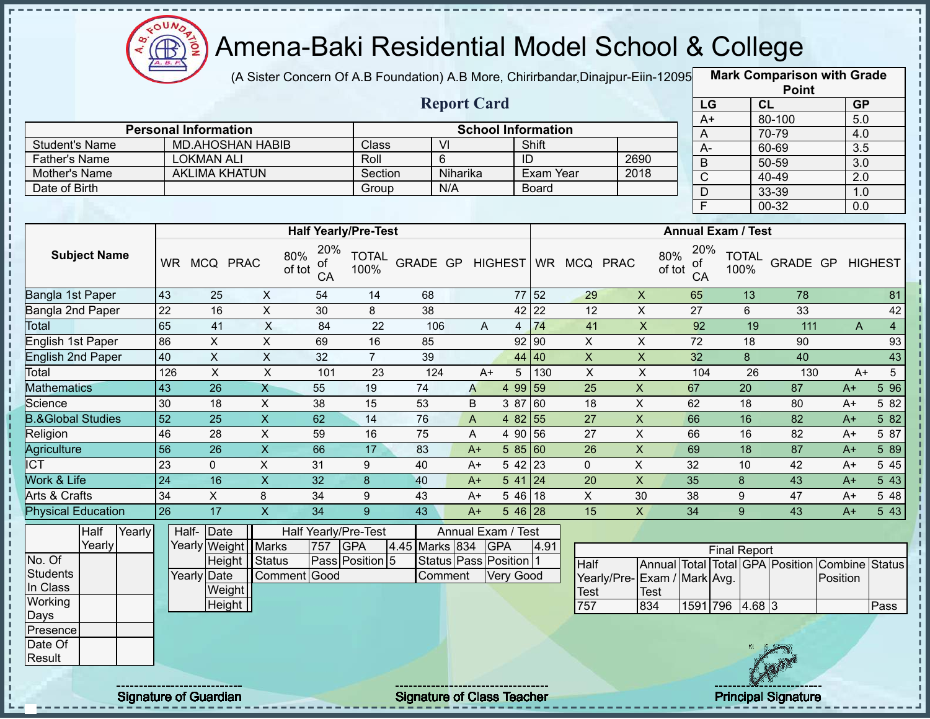

I.

п  $\mathbf{I}$ п

> $\mathbf I$  $\mathbf I$

> J. п

> $\frac{1}{1}$

 $\begin{array}{c} \begin{array}{c} \text{1} \\ \text{2} \\ \text{3} \\ \text{4} \end{array} \end{array}$ 

 $\mathbf I$  $\mathsf I$ 

 $\frac{1}{1}$ 

f,  $\mathbf{I}$ Ţ

 $\frac{1}{1}$ 

# Amena-Baki Residential Model School & College

(A Sister Concern Of A.B Foundation) A.B More, Chirirbandar,Dinajpur-Eiin-120950

**Mark Comparison with Grade Point**

|                              |                 |                             |                           |                      |                             |                | <b>Report Card</b>        |                           |                   |                  |                              |                             |                           | LG              |                      | CL              | .                                              |          | GP                             |
|------------------------------|-----------------|-----------------------------|---------------------------|----------------------|-----------------------------|----------------|---------------------------|---------------------------|-------------------|------------------|------------------------------|-----------------------------|---------------------------|-----------------|----------------------|-----------------|------------------------------------------------|----------|--------------------------------|
|                              |                 | <b>Personal Information</b> |                           |                      |                             |                |                           | <b>School Information</b> |                   |                  |                              |                             |                           | $A+$            |                      |                 | 80-100                                         |          | 5.0                            |
| <b>Student's Name</b>        |                 | <b>MD.AHOSHAN HABIB</b>     |                           |                      | Class                       |                | VI                        |                           | Shift             |                  |                              |                             |                           | A               |                      |                 | 70-79                                          |          | 4.0                            |
| <b>Father's Name</b>         |                 | <b>LOKMAN ALI</b>           |                           |                      | Roll                        |                | $6\phantom{1}$            |                           | ID                |                  |                              | 2690                        |                           | $\overline{A}$  |                      |                 | 60-69                                          |          | $\overline{3.5}$               |
| Mother's Name                |                 | <b>AKLIMA KHATUN</b>        |                           |                      | Section                     |                | Niharika                  |                           |                   | <b>Exam Year</b> |                              | 2018                        |                           | $\sf B$         |                      |                 | $50 - 59$                                      |          | $\overline{3.0}$               |
| Date of Birth                |                 |                             |                           |                      | Group                       |                | N/A                       |                           | Board             |                  |                              |                             |                           | $\overline{C}$  |                      |                 | 40-49                                          |          | $\overline{2.0}$               |
|                              |                 |                             |                           |                      |                             |                |                           |                           |                   |                  |                              |                             |                           | $\mathsf D$     |                      |                 | 33-39                                          |          | 1.0                            |
|                              |                 |                             |                           |                      |                             |                |                           |                           |                   |                  |                              |                             |                           | F               |                      |                 | $00 - 32$                                      |          | 0.0                            |
|                              |                 |                             |                           |                      | <b>Half Yearly/Pre-Test</b> |                |                           |                           |                   |                  |                              |                             | <b>Annual Exam / Test</b> |                 |                      |                 |                                                |          |                                |
| <b>Subject Name</b>          |                 | WR MCQ PRAC                 | 80%<br>of tot             | 20%<br>οf<br>CA      | <b>TOTAL</b><br>100%        |                |                           |                           |                   |                  | GRADE GP HIGHEST WR MCQ PRAC |                             | 80%<br>of tot             | 20%<br>of<br>CA | <b>TOTAL</b><br>100% |                 | GRADE GP HIGHEST                               |          |                                |
| Bangla 1st Paper             | 43              | 25                          | $\mathsf{X}$              | 54                   | 14                          | 68             |                           |                           | 77 52             |                  | 29                           | $\boldsymbol{\mathsf{X}}$   |                           | 65              |                      | 13              | 78                                             |          | 81                             |
| Bangla 2nd Paper             | $\overline{22}$ | 16                          | $\overline{X}$            | 30                   | 8                           | 38             |                           |                           | 42 22             |                  | $12 \overline{ }$            | $\overline{X}$              |                           | 27              |                      | 6               | 33                                             |          | 42                             |
| Total                        | 65              | 41                          | $\overline{X}$            | $\overline{84}$      | $\overline{22}$             | 106            |                           | A                         | $4 \overline{74}$ |                  | 41                           | $\overline{\mathsf{x}}$     |                           | 92              |                      | 19              | $\overline{111}$                               |          | $\overline{4}$<br>$\mathsf{A}$ |
| English 1st Paper            | 86              | $\pmb{\times}$              | $\overline{X}$            | 69                   | 16                          | 85             |                           |                           | $92$ 90           |                  | $\overline{X}$               | $\pmb{\times}$              |                           | 72              |                      | 18              | 90                                             |          | 93                             |
| <b>English 2nd Paper</b>     | 40              | $\pmb{\times}$              | $\overline{X}$            | 32                   | $\overline{7}$              | 39             |                           |                           | 44 40             |                  | $\mathsf X$                  | $\overline{\mathsf{x}}$     |                           | 32              |                      | 8               | 40                                             |          | 43                             |
| Total                        | 126             | $\pmb{\times}$              | $\overline{X}$            | 101                  | 23                          | 124            |                           | $A+$                      | 5 <sup>5</sup>    | 130              | $\overline{X}$               | $\overline{\mathsf{x}}$     |                           | 104             |                      | 26              | 130                                            |          | $5\overline{)}$<br>$A+$        |
| <b>Mathematics</b>           | $\overline{43}$ | $\overline{26}$             | $\overline{X}$            | 55                   | 19                          | 74             | $\boldsymbol{\mathsf{A}}$ |                           | 4 99 59           |                  | $\overline{25}$              | $\overline{\mathsf{x}}$     | 67                        |                 |                      | $\overline{20}$ | 87                                             | $A+$     | 596                            |
| Science                      | 30              | 18                          | $\pmb{\times}$            | 38                   | $\overline{15}$             | 53             | B                         |                           | 3 87 60           |                  | 18                           | $\mathsf X$                 | 62                        |                 |                      | 18              | 80                                             | $A+$     | 5 82                           |
| <b>B.&amp;Global Studies</b> | $\overline{52}$ | $\overline{25}$             | $\overline{\mathsf{x}}$   | 62                   | $\overline{14}$             | 76             | $\boldsymbol{\mathsf{A}}$ |                           | 4 82 55           |                  | $\overline{27}$              | $\overline{X}$              | 66                        |                 |                      | 16              | $\overline{82}$                                | $A+$     | 582                            |
| Religion                     | 46              | 28                          | $\overline{\mathsf{x}}$   | 59                   | 16                          | 75             | A                         |                           | 4 90 56           |                  | $\overline{27}$              | $\overline{X}$              | 66                        |                 |                      | 16              | $\overline{82}$                                | $A+$     | 5 87                           |
| <b>Agriculture</b>           | $\overline{56}$ | 26                          | $\overline{\mathsf{x}}$   | 66                   | 17                          | 83             | $A+$                      |                           | 5 85 60           |                  | $\overline{26}$              | $\overline{X}$              | 69                        |                 | $\overline{18}$      |                 | $\overline{87}$                                | $A+$     | 589                            |
| <b>ICT</b>                   | 23              | $\mathbf 0$                 | $\pmb{\times}$            | 31                   | 9                           | 40             | $A+$                      |                           | $542$ 23          |                  | $\mathbf 0$                  | $\pmb{\times}$              | 32                        |                 | 10                   |                 | 42                                             | $A+$     | 5 4 5                          |
| Work & Life                  | 24              | 16                          | $\boldsymbol{\mathsf{X}}$ | 32                   | $\boldsymbol{8}$            | 40             | $A+$                      |                           | $541$ 24          |                  | 20                           | $\mathsf{X}$                | 35                        |                 | 8                    |                 | 43                                             | $A+$     | $5\overline{43}$               |
| <b>Arts &amp; Crafts</b>     | $\overline{34}$ | $\overline{X}$              | 8                         | $\overline{34}$      | 9                           | 43             | $A+$                      |                           | $546$ 18          |                  | $\mathsf X$                  | 30                          | $\overline{38}$           |                 | 9                    |                 | 47                                             | $A+$     | 5 48                           |
| <b>Physical Education</b>    | 26              | $\overline{17}$             | $\overline{\mathsf{x}}$   | $\overline{34}$      | 9                           | 43             | $A+$                      |                           | $546$ 28          |                  | 15                           | $\overline{X}$              | $\overline{34}$           |                 | 9                    |                 | 43                                             | $A+$     | 543                            |
| Yearly<br>Half               |                 | Half-Date                   |                           | Half Yearly/Pre-Test |                             |                | Annual Exam / Test        |                           |                   |                  |                              |                             |                           |                 |                      |                 |                                                |          |                                |
| Yearly                       |                 | Yearly Weight               | <b>Marks</b>              | 757                  | <b>GPA</b>                  | 4.45 Marks 834 |                           | <b>GPA</b>                |                   | 4.91             |                              |                             |                           |                 | <b>Final Report</b>  |                 |                                                |          |                                |
| No. Of                       |                 | Height                      | Status                    |                      | Pass Position 5             |                | Status Pass Position 1    |                           |                   |                  | Half                         |                             |                           |                 |                      |                 | Annual Total Total GPA Position Combine Status |          |                                |
| <b>Students</b>              |                 | Yearly Date                 | Comment Good              |                      |                             |                | Comment                   | <b>Very Good</b>          |                   |                  |                              | Yearly/Pre-Exam / Mark Avg. |                           |                 |                      |                 |                                                | Position |                                |
| In Class                     |                 | Weight                      |                           |                      |                             |                |                           |                           |                   |                  | <b>Test</b>                  | <b>Test</b>                 |                           |                 |                      |                 |                                                |          |                                |
| Working<br>Days              |                 | Height                      |                           |                      |                             |                |                           |                           |                   |                  | 757                          | 834                         |                           |                 | 1591 796 4.68 3      |                 |                                                |          | Pass                           |
| Presence                     |                 |                             |                           |                      |                             |                |                           |                           |                   |                  |                              |                             |                           |                 |                      |                 |                                                |          |                                |
| Date Of<br>Result            |                 |                             |                           |                      |                             |                |                           |                           |                   |                  |                              |                             |                           |                 |                      |                 |                                                |          |                                |
|                              |                 |                             |                           |                      |                             |                |                           |                           |                   |                  |                              |                             |                           |                 |                      |                 |                                                |          |                                |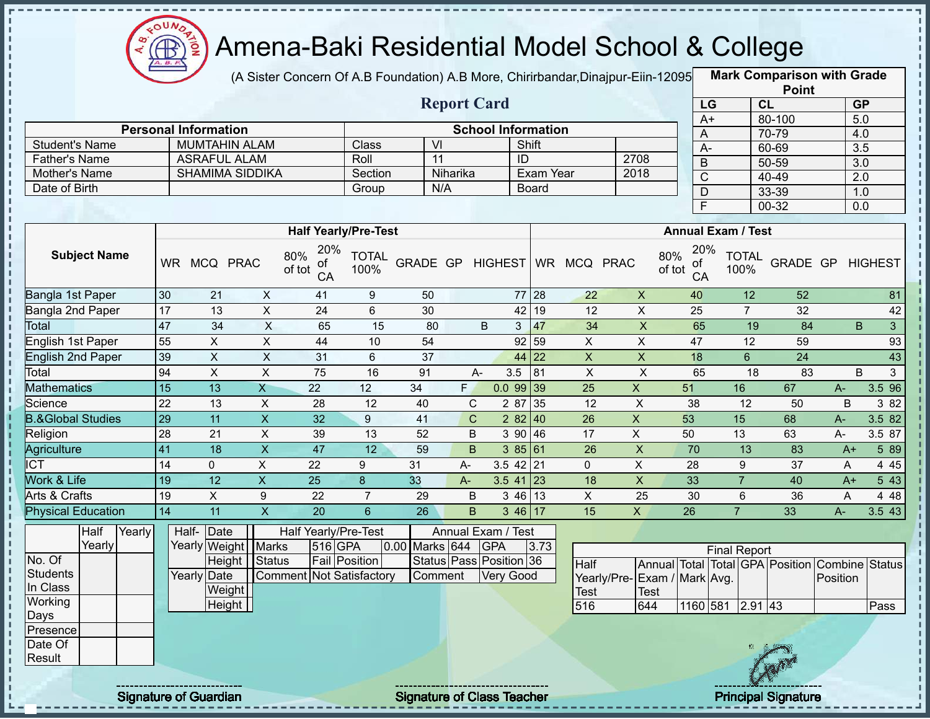

(A Sister Concern Of A.B Foundation) A.B More, Chirirbandar, Dinajpur-Eiin-12095

**Mark Comparison with Grade**

|                              |                 |                             |                         |                                 |                      |                  |                    |                           |                      |                           |                             |                           |                     |                      | <b>Point</b>                            |                  |                   |
|------------------------------|-----------------|-----------------------------|-------------------------|---------------------------------|----------------------|------------------|--------------------|---------------------------|----------------------|---------------------------|-----------------------------|---------------------------|---------------------|----------------------|-----------------------------------------|------------------|-------------------|
|                              |                 |                             |                         |                                 |                      |                  | <b>Report Card</b> |                           |                      |                           |                             |                           | LG                  | CL                   |                                         |                  | GP                |
|                              |                 | <b>Personal Information</b> |                         |                                 |                      |                  |                    | <b>School Information</b> |                      |                           |                             |                           | $A+$                |                      | 80-100                                  |                  | 5.0               |
| <b>Student's Name</b>        |                 | <b>MUMTAHIN ALAM</b>        |                         |                                 | Class                | $\overline{V}$   |                    |                           | Shift                |                           |                             | A                         |                     |                      | 70-79                                   |                  | 4.0               |
| Father's Name                |                 | <b>ASRAFUL ALAM</b>         |                         |                                 | Roll                 | $\overline{11}$  |                    |                           | ID                   |                           | 2708                        | $A -$                     |                     |                      | 60-69                                   |                  | 3.5               |
| Mother's Name                |                 | <b>SHAMIMA SIDDIKA</b>      |                         |                                 | Section              |                  | Niharika           |                           | Exam Year            |                           | 2018                        | $\overline{B}$            |                     |                      | $50 - 59$                               |                  | $\overline{3.0}$  |
| Date of Birth                |                 |                             |                         |                                 | Group                | N/A              |                    |                           | Board                |                           |                             | $\overline{C}$            |                     |                      | $40 - 49$                               |                  | $\overline{2.0}$  |
|                              |                 |                             |                         |                                 |                      |                  |                    |                           |                      |                           |                             | $\overline{D}$            |                     |                      | 33-39                                   |                  | 1.0               |
|                              |                 |                             |                         |                                 |                      |                  |                    |                           |                      |                           |                             | F                         |                     |                      | $00 - 32$                               |                  | $\overline{0.0}$  |
|                              |                 |                             |                         | <b>Half Yearly/Pre-Test</b>     |                      |                  |                    |                           |                      |                           |                             | <b>Annual Exam / Test</b> |                     |                      |                                         |                  |                   |
|                              |                 |                             |                         | 20%                             |                      |                  |                    |                           |                      |                           |                             | 20%                       |                     |                      |                                         |                  |                   |
| <b>Subject Name</b>          |                 | WR MCQ PRAC                 |                         | 80%<br>ot<br>of tot<br>CA       | <b>TOTAL</b><br>100% | GRADE GP HIGHEST |                    |                           |                      | WR MCQ PRAC               |                             | 80%<br>0t<br>of tot<br>CA |                     | <b>TOTAL</b><br>100% |                                         | GRADE GP HIGHEST |                   |
| Bangla 1st Paper             | 30              | $\overline{21}$             | $\mathsf{X}$            | 41                              | 9                    | 50               |                    |                           | 77 28                | $\overline{22}$           | $\mathsf{X}$                | 40                        |                     | $\overline{12}$      | $\overline{52}$                         |                  | 81                |
| Bangla 2nd Paper             | 17              | 13                          | $\overline{X}$          | $\overline{24}$                 | $\overline{6}$       | 30               |                    |                           | 19<br>42             | $\overline{12}$           | $\overline{\mathsf{x}}$     | $\overline{25}$           |                     | $\overline{7}$       | 32                                      |                  | 42                |
| Total                        | 47              | 34                          | $\mathsf{X}$            | 65                              | 15                   | 80               |                    | B                         | 47<br>3 <sub>o</sub> | 34                        | $\boldsymbol{\mathsf{X}}$   | 65                        |                     | 19                   | 84                                      |                  | B<br>$\mathbf{3}$ |
| <b>English 1st Paper</b>     | 55              | $\pmb{\times}$              | $\overline{X}$          | 44                              | 10                   | 54               |                    |                           | 92<br>59             | $\boldsymbol{\mathsf{X}}$ | $\boldsymbol{\mathsf{X}}$   | $\overline{47}$           |                     | $\overline{12}$      | 59                                      |                  | 93                |
| <b>English 2nd Paper</b>     | 39              | $\boldsymbol{\mathsf{X}}$   | $\overline{X}$          | 31                              | 6                    | 37               |                    |                           | 44 22                | $\boldsymbol{\mathsf{X}}$ | $\pmb{\mathsf{X}}$          | 18                        |                     | $6\phantom{a}$       | 24                                      |                  | 43                |
| Total                        | 94              | $\pmb{\times}$              | X                       | 75                              | 16                   | 91               | $A -$              | 3.5                       | 81                   | $\boldsymbol{\mathsf{X}}$ | $\overline{X}$              | 65                        |                     | 18                   | 83                                      |                  | B<br>3            |
| <b>Mathematics</b>           | $\overline{15}$ | 13                          | $\mathsf{X}$            | 22                              | 12                   | 34               | F.                 |                           | 0.09939              | 25                        | $\mathsf{X}$                | 51                        | 16                  |                      | 67                                      | $A-$             | 3.5 96            |
| Science                      | $\overline{22}$ | 13                          | $\sf X$                 | 28                              | 12                   | 40               | C                  | 2 87                      | 35                   | $\overline{12}$           | $\overline{X}$              | 38                        |                     | $\overline{12}$      | 50                                      | B                | 3 82              |
| <b>B.&amp;Global Studies</b> | 29              | $\overline{11}$             | $\overline{X}$          | 32                              | $9\,$                | 41               | $\mathbf C$        |                           | 282   40             | $\overline{26}$           | $\overline{X}$              | 53                        | 15                  |                      | 68                                      | $A -$            | 3.5 82            |
| Religion                     | 28              | 21                          | $\overline{X}$          | 39                              | 13                   | 52               | $\sf B$            |                           | 390   46             | 17                        | $\overline{X}$              | 50                        | 13                  |                      | 63                                      | $A -$            | 3.5 87            |
| Agriculture                  | 41              | $\overline{18}$             | $\overline{\mathsf{x}}$ | 47                              | $\overline{12}$      | 59               | $\overline{B}$     |                           | 38561                | 26                        | $\overline{X}$              | 70                        |                     | $\overline{13}$      | 83                                      | $A+$             | 5 89              |
| <b>ICT</b>                   | 14              | $\mathbf 0$                 | $\overline{X}$          | $\overline{22}$                 | 9                    | 31               | A-                 |                           | $3.5$ 42 21          | $\mathbf 0$               | $\overline{X}$              | 28                        |                     | 9                    | $\overline{37}$                         | A                | 4 4 5             |
| Work & Life                  | 19              | $\overline{12}$             | $\mathsf{X}$            | $\overline{25}$                 | 8                    | 33               | $A-$               |                           | $3.5$ 41 23          | 18                        | $\overline{X}$              | 33                        |                     | $\overline{7}$       | 40                                      | $A+$             | 543               |
| Arts & Crafts                | 19              | $\mathsf X$                 | $\boldsymbol{9}$        | 22                              | $\overline{7}$       | 29               | $\sf B$            | 3 4 6                     | 13                   | $\mathsf{X}$              | 25                          | 30                        |                     | $6\phantom{1}$       | 36                                      | A                | 4 4 8             |
| <b>Physical Education</b>    | 14              | $\overline{11}$             | $\overline{\mathsf{x}}$ | $\overline{20}$                 | $\overline{6}$       | $\overline{26}$  | $\overline{B}$     |                           | 346 17               | $\overline{15}$           | $\overline{X}$              | $\overline{26}$           | $\overline{7}$      |                      | $\overline{33}$                         | $A -$            | 3.543             |
| Half<br>Yearly               |                 | Half- Date                  |                         | Half Yearly/Pre-Test            |                      |                  |                    | Annual Exam / Test        |                      |                           |                             |                           |                     |                      |                                         |                  |                   |
| Yearly                       |                 | Yearly Weight Marks         |                         | 516 GPA                         |                      | 0.00 Marks 644   |                    | <b>GPA</b>                | 3.73                 |                           |                             |                           | <b>Final Report</b> |                      |                                         |                  |                   |
| No. Of                       |                 | Height   Status             |                         |                                 | <b>Fail Position</b> |                  |                    | Status Pass Position 36   |                      | Half                      |                             |                           |                     |                      | Annual Total Total GPA Position Combine |                  | <b>Status</b>     |
| <b>Students</b>              |                 | <b>Yearly Date</b>          |                         | <b>Comment Not Satisfactory</b> |                      | Comment          |                    | Very Good                 |                      |                           | Yearly/Pre-Exam / Mark Avg. |                           |                     |                      |                                         | Position         |                   |
| In Class                     |                 | Weight                      |                         |                                 |                      |                  |                    |                           |                      | Test                      | <b>Test</b>                 |                           |                     |                      |                                         |                  |                   |
| Working                      |                 | <b>Height</b>               |                         |                                 |                      |                  |                    |                           |                      | 516                       | 644                         |                           | 1160 581 2.91 43    |                      |                                         |                  | Pass              |
| Days                         |                 |                             |                         |                                 |                      |                  |                    |                           |                      |                           |                             |                           |                     |                      |                                         |                  |                   |
| Presence<br>Date Of          |                 |                             |                         |                                 |                      |                  |                    |                           |                      |                           |                             |                           |                     |                      |                                         |                  |                   |
| Result                       |                 |                             |                         |                                 |                      |                  |                    |                           |                      |                           |                             |                           |                     |                      |                                         |                  |                   |
|                              |                 |                             |                         |                                 |                      |                  |                    |                           |                      |                           |                             |                           |                     |                      |                                         |                  |                   |
|                              |                 |                             |                         |                                 |                      |                  |                    |                           |                      |                           |                             |                           |                     |                      |                                         |                  |                   |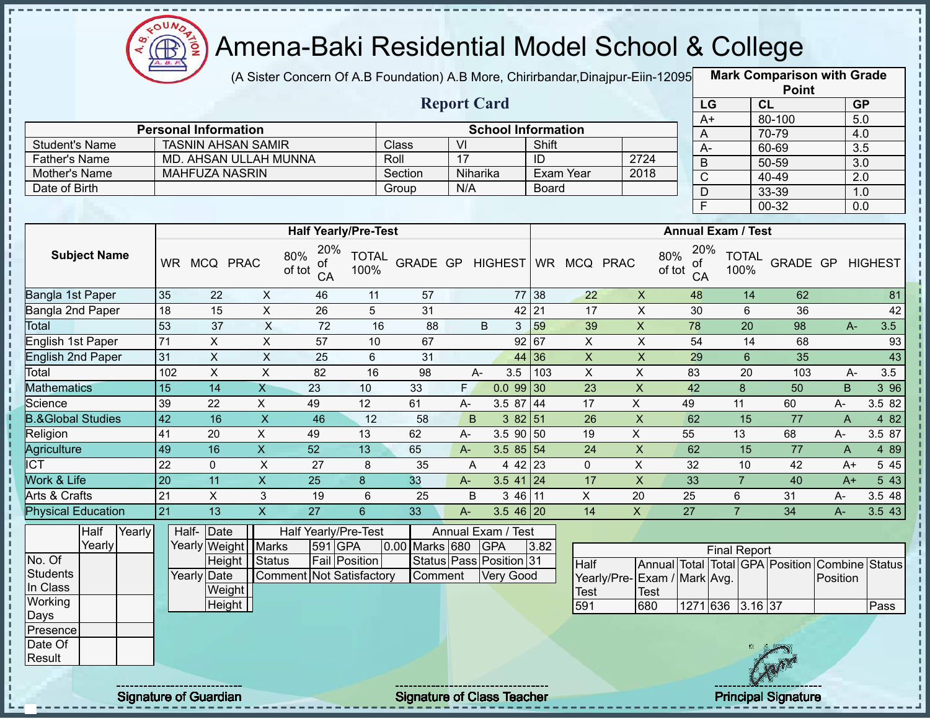

(A Sister Concern Of A.B Foundation) A.B More, Chirirbandar, Dinajpur-Eiin-12095

**Mark Comparison with Grade**

|                       |                             |         | <b>Report Card</b> |                           |      |
|-----------------------|-----------------------------|---------|--------------------|---------------------------|------|
|                       | <b>Personal Information</b> |         |                    | <b>School Information</b> |      |
| <b>Student's Name</b> | <b>TASNIN AHSAN SAMIR</b>   | Class   | VI                 | Shift                     |      |
| <b>Father's Name</b>  | MD. AHSAN ULLAH MUNNA       | Roll    |                    | ID                        | 2724 |
| Mother's Name         | <b>MAHFUZA NASRIN</b>       | Section | Niharika           | Exam Year                 | 2018 |
| Date of Birth         |                             | Group   | N/A                | <b>Board</b>              |      |
|                       |                             |         |                    |                           |      |

|      | <b>Point</b> |                  |
|------|--------------|------------------|
| LG   | CL           | <b>GP</b>        |
| $A+$ | 80-100       | 5.0              |
| Α    | 70-79        | 4.0              |
| А-   | 60-69        | $\overline{3.5}$ |
| B    | 50-59        | 3.0              |
| C    | 40-49        | 2.0              |
| D    | 33-39        | 1.0              |
| Ē    | 00-32        | 0.0              |

|                              |           |            |             | <b>Half Yearly/Pre-Test</b>      |                      |                 |       |                |           |             |             | <b>Annual Exam / Test</b>        |                      |          |       |         |
|------------------------------|-----------|------------|-------------|----------------------------------|----------------------|-----------------|-------|----------------|-----------|-------------|-------------|----------------------------------|----------------------|----------|-------|---------|
| <b>Subject Name</b>          | <b>WR</b> | <b>MCQ</b> | <b>PRAC</b> | 20%<br>80%<br>of<br>of tot<br>CA | <b>TOTAL</b><br>100% | <b>GRADE GP</b> |       | <b>HIGHEST</b> | <b>WR</b> | <b>MCQ</b>  | <b>PRAC</b> | 20%<br>80%<br>0f<br>of tot<br>CA | <b>TOTAL</b><br>100% | GRADE GP |       | HIGHEST |
| Bangla 1st Paper             | 35        | 22         | X           | 46                               | 11                   | 57              |       |                | 77 38     | 22          | X           | 48                               | 14                   | 62       |       | 81      |
| Bangla 2nd Paper             | 18        | 15         | X           | 26                               | 5                    | 31              |       |                | 42 21     | 17          | X           | 30                               | 6                    | 36       |       | 42      |
| Total                        | 53        | 37         | X           | 72                               | 16                   | 88              |       | B<br>3         | 59        | 39          | X           | 78                               | 20                   | 98       | $A -$ | 3.5     |
| English 1st Paper            | 71        | X.         | X           | 57                               | 10                   | 67              |       |                | 92 67     | X.          | X           | 54                               | 14                   | 68       |       | 93      |
| English 2nd Paper            | 31        | X          | X           | 25                               | 6                    | 31              |       |                | 44 36     | X           | X           | 29                               | 6                    | 35       |       | 43      |
| Total                        | 102       | X          | X           | 82                               | 16                   | 98              |       | 3.5<br>A-      | 103       | X.          | X           | 83                               | 20                   | 103      | A-    | 3.5     |
| <b>Mathematics</b>           | 15        | 14         | X           | 23                               | 10                   | 33              | F.    | $0.099$ 30     |           | 23          | X           | 42                               | 8                    | 50       | B     | 3 9 6   |
| Science                      | 39        | 22         | X           | 49                               | 12                   | 61              | A-    | 3.5 87 44      |           | 17          | X.          | 49                               | 11                   | 60       | A-    | 3.5 82  |
| <b>B.&amp;Global Studies</b> | 42        | 16         | X           | 46                               | 12                   | 58              | B.    | 382 51         |           | 26          | X           | 62                               | 15                   | 77       | A     | 4 8 2   |
| Religion                     | 41        | 20         | X.          | 49                               | 13                   | 62              | А-    | 3.5 90 50      |           | 19          | X.          | 55                               | 13                   | 68       | A-    | 3.5 87  |
| Agriculture                  | 49        | 16         | X           | 52                               | 13                   | 65              | $A -$ | $3.585$ 54     |           | 24          | X           | 62                               | 15                   | 77       | A     | 4 8 9   |
| <b>ICT</b>                   | 22        | 0          | X           | 27                               | 8                    | 35              | A     | 4 42 23        |           | $\mathbf 0$ | Χ           | 32                               | 10                   | 42       | $A+$  | 5 4 5   |
| <b>Nork &amp; Life</b>       | 20        | 11         | X           | 25                               | 8                    | 33              | $A -$ | $3.5$ 41 24    |           | 17          | X           | 33                               |                      | 40       | $A+$  | 5 4 3   |
| Arts & Crafts                | 21        | X          | 3           | 19                               | 6                    | 25              | B     | 3 46 11        |           | X           | 20          | 25                               | 6                    | 31       | A-    | 3.5 48  |
| <b>Physical Education</b>    | 21        | 13         | X           | 27                               | 6                    | 33              | A-    | $3.546$ 20     |           | 14          | X           | 27                               | ⇁                    | 34       | А-    | 3.543   |

|                 | Half   | Yearly | Half-Date   |                       |                                 | Half Yearly/Pre-Test |                | Annual Exam / Test      |      |                 |             |
|-----------------|--------|--------|-------------|-----------------------|---------------------------------|----------------------|----------------|-------------------------|------|-----------------|-------------|
|                 | Yearly |        |             | Yearly Weight   Marks |                                 | 591 GPA              | 0.00 Marks 680 | <b>IGPA</b>             | 3.82 |                 |             |
| No. Of          |        |        |             | Height   Status       |                                 | <b>Fail Position</b> |                | Status Pass Position 31 |      | Half            | Annu        |
| <b>Students</b> |        |        | Yearly Date |                       | <b>Comment Not Satisfactory</b> |                      | Comment        | Very Good               |      | Yearly/Pre-Exam |             |
| In Class        |        |        |             | Weight                |                                 |                      |                |                         |      | <b>Test</b>     | <b>Test</b> |
| Working         |        |        |             | Height                |                                 |                      |                |                         |      | 591             | 680         |
| Days            |        |        |             |                       |                                 |                      |                |                         |      |                 |             |
| Presence        |        |        |             |                       |                                 |                      |                |                         |      |                 |             |
| Date Of         |        |        |             |                       |                                 |                      |                |                         |      |                 |             |
| Result          |        |        |             |                       |                                 |                      |                |                         |      |                 |             |

|                              |      |                  | <b>Final Report</b> |  |                                                |      |
|------------------------------|------|------------------|---------------------|--|------------------------------------------------|------|
| Half                         |      |                  |                     |  | Annual Total Total GPA Position Combine Status |      |
| Yearly/Pre- Exam / Mark Avg. |      |                  |                     |  | <b>IPosition</b>                               |      |
| Test                         | Test |                  |                     |  |                                                |      |
| 591                          | 680  | 1271 636 3.16 37 |                     |  |                                                | Pass |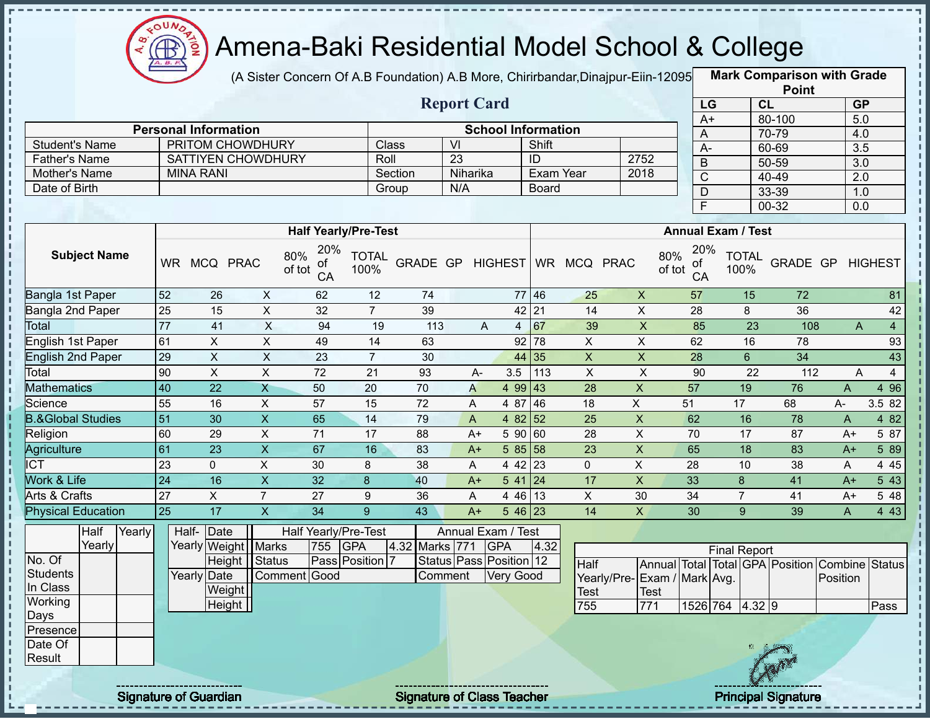

J,

 $\frac{1}{1}$ 

 $\frac{1}{1}$ 

 $\frac{1}{1}$ 

Î

 $\mathbf{I}$ 

 $\frac{1}{1}$ 

# Amena-Baki Residential Model School & College

(A Sister Concern Of A.B Foundation) A.B More, Chirirbandar, Dinajpur-Eiin-12095

**Mark Comparison with Grade Point**

|                              | <b>Report Card</b>  |        |                 |                             |                         |                                  |                      |            |              |                               |                 |                           |                             |               | LG              |                           | CL              |                                 | GP               |                  |
|------------------------------|---------------------|--------|-----------------|-----------------------------|-------------------------|----------------------------------|----------------------|------------|--------------|-------------------------------|-----------------|---------------------------|-----------------------------|---------------|-----------------|---------------------------|-----------------|---------------------------------|------------------|------------------|
|                              |                     |        |                 | <b>Personal Information</b> |                         |                                  |                      |            |              | <b>School Information</b>     |                 |                           |                             |               | $A+$            |                           |                 | 80-100                          |                  | 5.0              |
| <b>Student's Name</b>        |                     |        |                 |                             | PRITOM CHOWDHURY        |                                  |                      | Class      | VI           |                               | Shift           |                           |                             |               | A               |                           |                 | 70-79                           | 4.0              |                  |
| <b>Father's Name</b>         |                     |        |                 |                             | SATTIYEN CHOWDHURY      |                                  | Roll                 |            | 23           |                               | ID              |                           | 2752                        |               | $A -$           |                           |                 | 60-69                           |                  | $\overline{3.5}$ |
| Mother's Name                |                     |        |                 | <b>MINA RANI</b>            |                         |                                  |                      | Section    | Niharika     |                               | Exam Year       |                           | 2018                        |               | $\overline{B}$  |                           |                 | $50 - 59$                       |                  | $\overline{3.0}$ |
| Date of Birth                |                     |        |                 |                             |                         |                                  |                      | Group      | N/A          |                               | <b>Board</b>    |                           |                             |               | $\overline{C}$  |                           |                 | $40 - 49$                       | $\overline{2.0}$ |                  |
|                              |                     |        |                 |                             |                         |                                  |                      |            |              |                               |                 |                           |                             |               | D               |                           |                 | 33-39                           |                  | 1.0              |
|                              |                     |        |                 |                             |                         |                                  |                      |            |              |                               |                 |                           |                             |               | $\overline{F}$  |                           |                 | 00-32                           | 0.0              |                  |
|                              |                     |        |                 |                             |                         | <b>Half Yearly/Pre-Test</b>      |                      |            |              |                               |                 |                           |                             |               |                 | <b>Annual Exam / Test</b> |                 |                                 |                  |                  |
|                              | <b>Subject Name</b> |        | <b>WR</b>       | MCQ PRAC                    |                         | 20%<br>80%<br>0t<br>of tot<br>CA | <b>TOTAL</b><br>100% | GRADE GP   |              | <b>HIGHEST</b>                |                 | WR MCQ PRAC               |                             | 80%<br>of tot | 20%<br>ot<br>CA | 100%                      | <b>TOTAL</b>    | GRADE GP                        |                  | <b>HIGHEST</b>   |
| Bangla 1st Paper             |                     |        | 52              | 26                          | $\pmb{\times}$          | 62                               | 12                   | 74         |              |                               | 77 46           | 25                        | $\pmb{\times}$              |               | 57              |                           | 15              | 72                              |                  | 81               |
| Bangla 2nd Paper             |                     |        | $\overline{25}$ | 15                          | $\pmb{\times}$          | 32                               | $\overline{7}$       | 39         |              |                               | 42 21           | 14                        | $\pmb{\times}$              |               | 28              |                           | 8               | 36                              |                  | 42               |
| Total                        |                     |        | $\overline{77}$ | 41                          | X                       | 94                               | 19                   | 113        |              | A<br>4                        | 67              | 39                        | $\times$                    |               | 85              |                           | 23              | 108                             | A                | $\overline{4}$   |
| English 1st Paper            |                     |        | 61              | $\pmb{\times}$              | $\pmb{\times}$          | 49                               | 14                   | 63         |              | 92                            | 78              | $\mathsf X$               | $\pmb{\times}$              |               | 62              |                           | 16              | 78                              |                  | 93               |
| <b>English 2nd Paper</b>     |                     |        | $\overline{29}$ | $\overline{X}$              | $\pmb{\times}$          | 23                               | $\overline{7}$       | 30         |              | 44                            | $\overline{35}$ | $\boldsymbol{\mathsf{X}}$ | $\pmb{\times}$              |               | 28              |                           | $6\phantom{a}$  | 34                              |                  | 43               |
| Total                        |                     |        | 90              | $\pmb{\times}$              | X                       | 72                               | 21                   | 93         | A-           | 3.5                           | 113             | $\sf X$                   | $\sf X$                     |               | 90              |                           | 22              | 112                             | A                | $\overline{4}$   |
| <b>Mathematics</b>           |                     |        | $\overline{40}$ | $\overline{22}$             | X                       | 50                               | 20                   | 70         | A            | 4 99 43                       |                 | $\overline{28}$           | $\mathsf X$                 |               | $\overline{57}$ |                           | 19              | 76                              | $\mathsf{A}$     | 496              |
| Science                      |                     |        | 55              | 16                          | $\pmb{\times}$          | 57                               | 15                   | 72         | A            | 4 87                          | 46              | 18                        | X                           |               | 51              | 17                        |                 | 68                              | А-               | 3.5 82           |
| <b>B.&amp;Global Studies</b> |                     |        | $\overline{51}$ | 30                          | $\overline{X}$          | 65                               | 14                   | 79         | $\mathsf{A}$ | 4 82 52                       |                 | 25                        | X                           |               | 62              |                           | 16              | 78                              | A                | 482              |
| Religion                     |                     |        | 60              | 29                          | X                       | 71                               | 17                   | 88         | $A+$         | 5 90 60                       |                 | 28                        | X                           |               | 70              |                           | 17              | 87                              | $A+$             | 5 87             |
| <b>Agriculture</b>           |                     |        | 61              | 23                          | $\overline{X}$          | 67                               | 16                   | 83         | $A+$         | 58558                         |                 | $\overline{23}$           | $\overline{X}$              |               | 65              |                           | $\overline{18}$ | 83                              | $A+$             | 5 89             |
| <b>ICT</b>                   |                     |        | 23              | $\mathbf 0$                 | $\mathsf{X}$            | 30                               | 8                    | 38         | A            | 4 42 23                       |                 | $\mathbf{0}$              | $\pmb{\times}$              |               | 28              |                           | 10              | 38                              | A                | 4 4 5            |
| Work & Life                  |                     |        | $\overline{24}$ | 16                          | $\overline{X}$          | 32                               | 8                    | 40         | $A+$         | $541$ 24                      |                 | 17                        | X                           |               | 33              | 8                         |                 | 41                              | $A+$             | 5 4 3            |
| Arts & Crafts                |                     |        | $\overline{27}$ | $\mathsf{X}$                | $\overline{7}$          | 27                               | 9                    | 36         | A            | $446$ 13                      |                 | $\overline{X}$            | 30                          |               | 34              | $\overline{7}$            |                 | 41                              | $A+$             | 5 48             |
| <b>Physical Education</b>    |                     |        | $\overline{25}$ | $\overline{17}$             | $\overline{\mathsf{X}}$ | 34                               | 9                    | 43         | $A+$         | $546$ 23                      |                 | 14                        | $\overline{X}$              |               | 30              | 9                         |                 | 39                              | A                | 4 4 3            |
|                              | Half                | Yearly |                 | Half- Date                  |                         | Half Yearly/Pre-Test             |                      |            |              | Annual Exam / Test            |                 |                           |                             |               |                 |                           |                 |                                 |                  |                  |
|                              | Yearly              |        |                 |                             | Yearly Weight   Marks   | 755                              | <b>GPA</b>           | 4.32 Marks | 771          | <b>GPA</b>                    | 4.32            |                           |                             |               |                 | <b>Final Report</b>       |                 |                                 |                  |                  |
| No. Of                       |                     |        |                 |                             | Height Status           |                                  | Pass Position 7      |            |              | Status   Pass   Position   12 |                 | Half                      |                             |               |                 |                           |                 | Annual Total Total GPA Position |                  | Combine Status   |
| <b>Students</b>              |                     |        |                 | Yearly Date                 |                         | Comment Good                     |                      |            | Comment      | <b>Very Good</b>              |                 |                           | Yearly/Pre-Exam / Mark Avg. |               |                 |                           |                 |                                 | Position         |                  |
| In Class                     |                     |        |                 |                             | Weight                  |                                  |                      |            |              |                               |                 | Test                      |                             | <b>Test</b>   |                 |                           |                 |                                 |                  |                  |
| Working                      |                     |        |                 |                             | Height                  |                                  |                      |            |              |                               |                 | 755                       |                             | 771           |                 | 1526 764 4.32 9           |                 |                                 |                  | Pass             |
| Days                         |                     |        |                 |                             |                         |                                  |                      |            |              |                               |                 |                           |                             |               |                 |                           |                 |                                 |                  |                  |
| Presence<br>Date Of          |                     |        |                 |                             |                         |                                  |                      |            |              |                               |                 |                           |                             |               |                 |                           |                 |                                 |                  |                  |
| Result                       |                     |        |                 |                             |                         |                                  |                      |            |              |                               |                 |                           |                             |               |                 |                           |                 |                                 |                  |                  |

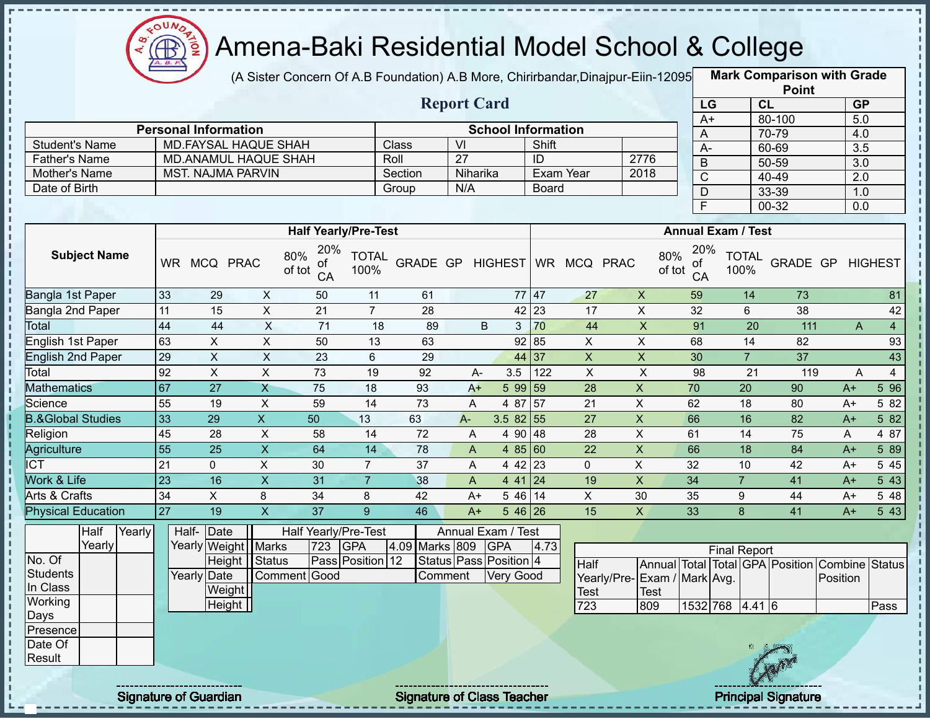

п

J. п

 $\frac{1}{1}$ 

 $\mathbf I$ 

### Amena-Baki Residential Model School & College

(A Sister Concern Of A.B Foundation) A.B More, Chirirbandar,Dinajpur-Eiin-12095 **Mark Comparison with Grade** 

|                |                             |         | <b>Report Card</b> |                           |      |
|----------------|-----------------------------|---------|--------------------|---------------------------|------|
|                | <b>Personal Information</b> |         |                    | <b>School Information</b> |      |
| Student's Name | MD.FAYSAL HAQUE SHAH        | Class   | VI                 | Shift                     |      |
| Father's Name  | <b>MD.ANAMUL HAQUE SHAH</b> | Roll    | 27                 | ID                        | 2776 |
| Mother's Name  | MST. NAJMA PARVIN           | Section | Niharika           | Exam Year                 | 2018 |
| Date of Birth  |                             | Group   | N/A                | <b>Board</b>              |      |

| <b>Point</b>          |           |                  |  |  |  |  |  |  |
|-----------------------|-----------|------------------|--|--|--|--|--|--|
| LG                    | CL        | <b>GP</b>        |  |  |  |  |  |  |
| $\overline{A+}$       | 80-100    | 5.0              |  |  |  |  |  |  |
| Α                     | 70-79     | 4.0              |  |  |  |  |  |  |
| A-                    | 60-69     | $\overline{3.5}$ |  |  |  |  |  |  |
| B                     | 50-59     | $\overline{3.0}$ |  |  |  |  |  |  |
| $\overline{\text{c}}$ | 40-49     | 2.0              |  |  |  |  |  |  |
| D                     | $33 - 39$ | 1.0              |  |  |  |  |  |  |
| F                     | 00-32     | 0.0              |  |  |  |  |  |  |

|                              |           |            |             | <b>Half Yearly/Pre-Test</b>      |                      |                 |       |            |           |            |             | <b>Annual Exam / Test</b>        |                      |          |      |                     |
|------------------------------|-----------|------------|-------------|----------------------------------|----------------------|-----------------|-------|------------|-----------|------------|-------------|----------------------------------|----------------------|----------|------|---------------------|
| <b>Subject Name</b>          | <b>WR</b> | <b>MCQ</b> | <b>PRAC</b> | 20%<br>80%<br>οf<br>of tot<br>CA | <b>TOTAL</b><br>100% | <b>GRADE GP</b> |       | HIGHEST    | <b>WR</b> | <b>MCQ</b> | <b>PRAC</b> | 20%<br>80%<br>οf<br>of tot<br>CA | <b>TOTAL</b><br>100% | GRADE GP |      | <b>HIGHEST</b>      |
| Bangla 1st Paper             | 33        | 29         | X           | 50                               | 11                   | 61              |       |            | 77 47     | 27         | X           | 59                               | 14                   | 73       |      | 81                  |
| Bangla 2nd Paper             | 11        | 15         | X           | 21                               | $\overline{7}$       | 28              |       |            | $42$ 23   | 17         | X           | 32                               | 6                    | 38       |      | 42                  |
| Total                        | 44        | 44         | X           | 71                               | 18                   | 89              |       | B<br>3     | 70        | 44         | X           | 91                               | 20                   | 111      |      | $\overline{4}$<br>A |
| English 1st Paper            | 63        | X.         | X           | 50                               | 13                   | 63              |       |            | 92 85     | X.         | X           | 68                               | 14                   | 82       |      | 93                  |
| English 2nd Paper            | 29        | X          | X           | 23                               | 6                    | 29              |       |            | 44 37     | X          | X           | 30                               | 7                    | 37       |      | 43                  |
| Total                        | 92        | X          | X           | 73                               | 19                   | 92              | A-    | 3.5        | 122       | X          | X           | 98                               | 21                   | 119      |      | 4<br>A              |
| <b>Mathematics</b>           | 67        | 27         | Χ           | 75                               | 18                   | 93              | $A+$  | 5 9 9      | 59        | 28         | X           | 70                               | 20                   | 90       | $A+$ | 5 96                |
| Science                      | 55        | 19         | X           | 59                               | 14                   | 73              | A     | 4 87       | 157       | 21         | X           | 62                               | 18                   | 80       | $A+$ | 5 82                |
| <b>B.&amp;Global Studies</b> | 33        | 29         | X.          | 50                               | 13                   | 63              | $A -$ | $3.582$ 55 |           | 27         | X           | 66                               | 16                   | 82       | $A+$ | 5 82                |
| Religion                     | 45        | 28         | X           | 58                               | 14                   | 72              | A     | 4 90       | 48        | 28         | X           | 61                               | 14                   | 75       | A    | 4 87                |
| Agriculture                  | 55        | 25         | X.          | 64                               | 14                   | 78              | A     | 485 60     |           | 22         | X           | 66                               | 18                   | 84       | $A+$ | 5 89                |
| ∥CT                          | 21        | 0          | X           | 30                               | $\overline{7}$       | 37              | A     | 4 42 23    |           | 0          | X           | 32                               | 10                   | 42       | $A+$ | 5 4 5               |
| Work & Life                  | 23        | 16         | X.          | 31                               |                      | 38              | A     | 4 4 1      | 24        | 19         | X.          | 34                               |                      | 41       | $A+$ | 5 4 3               |
| Arts & Crafts                | 34        | X          | 8           | 34                               | 8                    | 42              | $A+$  | 5 4 6      | <b>14</b> | X          | 30          | 35                               | 9                    | 44       | $A+$ | 5 48                |
| Physical Education           | 27        | 19         | X           | 37                               | 9                    | 46              | $A+$  | $546$ 26   |           | 15         | X.          | 33                               | 8                    | 41       | $A+$ | 5 4 3               |

|          | Half   | Yearly | Half- Date                    |                       |              |     | Half Yearly/Pre-Test |                | Annual Exam / Test                 |      |                              |             |                 |                     |                            |                                                |      |
|----------|--------|--------|-------------------------------|-----------------------|--------------|-----|----------------------|----------------|------------------------------------|------|------------------------------|-------------|-----------------|---------------------|----------------------------|------------------------------------------------|------|
|          | Yearly |        |                               | Yearly Weight   Marks |              | 723 | <b>GPA</b>           | 4.09 Marks 809 | <b>GPA</b>                         | 4.73 |                              |             |                 | <b>Final Report</b> |                            |                                                |      |
| No. Of   |        |        |                               | Height                | Status       |     | Pass Position 12     |                | Status   Pass   Position   4       |      | <b>Half</b>                  |             |                 |                     |                            | Annual Total Total GPA Position Combine Status |      |
| Students |        |        | Yearly Date                   |                       | Comment Good |     |                      | Comment        | Very Good                          |      | Yearly/Pre- Exam / Mark Avg. |             |                 |                     |                            | Position                                       |      |
| In Class |        |        |                               | Weight                |              |     |                      |                |                                    |      | <b>Test</b>                  | <b>Test</b> |                 |                     |                            |                                                |      |
| Working  |        |        |                               | Height                |              |     |                      |                |                                    |      | 723                          | 809         | 1532 768 4.41 6 |                     |                            |                                                | Pass |
| Days     |        |        |                               |                       |              |     |                      |                |                                    |      |                              |             |                 |                     |                            |                                                |      |
| Presence |        |        |                               |                       |              |     |                      |                |                                    |      |                              |             |                 |                     |                            |                                                |      |
| Date Of  |        |        |                               |                       |              |     |                      |                |                                    |      |                              |             |                 |                     |                            |                                                |      |
| Result   |        |        |                               |                       |              |     |                      |                |                                    |      |                              |             |                 |                     | <b>SAIN</b>                |                                                |      |
|          |        |        | ----------------------------- |                       |              |     |                      |                | ---------------------------------- |      |                              |             |                 |                     | -------------------------- |                                                |      |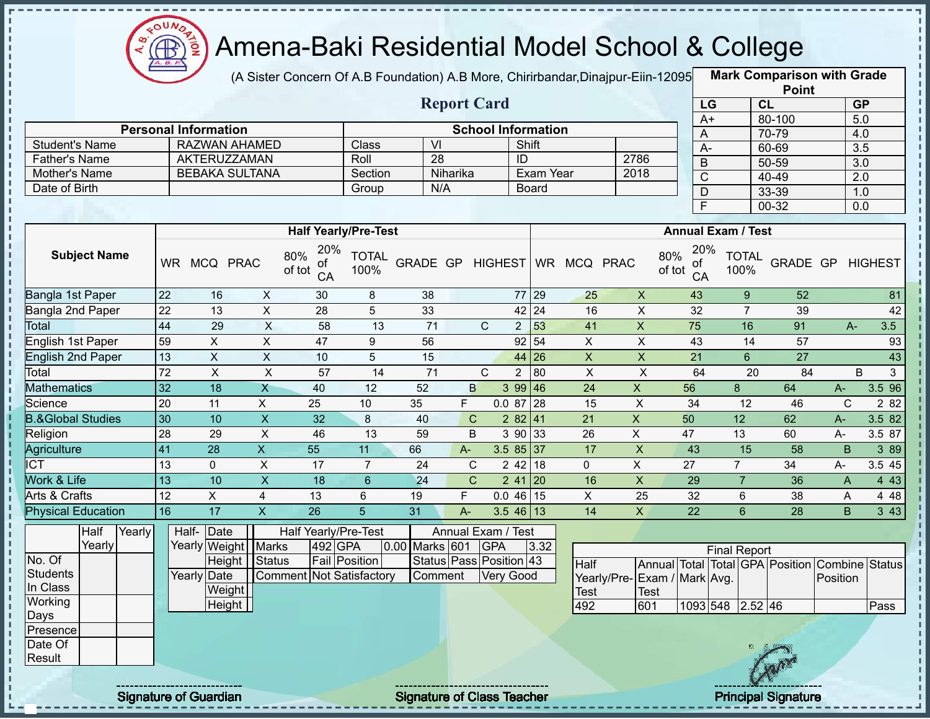

(A Sister Concern Of A.B Foundation) A.B More, Chirirbandar, Dinajpur-Eiin-12095

**Mark Comparison with Grade**

|                                       |                 |                               |                         |                                 |                      |                  |              |                         |                           |                |                             |                           |                     |                      | <b>Point</b>                                   |                |                  |
|---------------------------------------|-----------------|-------------------------------|-------------------------|---------------------------------|----------------------|------------------|--------------|-------------------------|---------------------------|----------------|-----------------------------|---------------------------|---------------------|----------------------|------------------------------------------------|----------------|------------------|
|                                       |                 |                               |                         |                                 |                      |                  |              | <b>Report Card</b>      |                           |                |                             |                           | LG                  | CL                   |                                                |                | <b>GP</b>        |
|                                       |                 |                               |                         |                                 |                      |                  |              |                         |                           |                |                             |                           | $A+$                |                      | 80-100                                         |                | 5.0              |
|                                       |                 | <b>Personal Information</b>   |                         |                                 |                      | $\overline{V}$   |              |                         | <b>School Information</b> |                |                             | A                         |                     |                      | 70-79                                          |                | 4.0              |
| <b>Student's Name</b>                 |                 | RAZWAN AHAMED<br>AKTERUZZAMAN |                         |                                 | Class<br>Roll        | 28               |              |                         | Shift<br>ID               |                | 2786                        | $A -$                     |                     |                      | 60-69                                          |                | 3.5              |
| <b>Father's Name</b><br>Mother's Name |                 | <b>BEBAKA SULTANA</b>         |                         |                                 | Section              |                  | Niharika     |                         | <b>Exam Year</b>          |                | 2018                        | $\sf B$                   |                     |                      | $50 - 59$                                      |                | $\overline{3.0}$ |
| Date of Birth                         |                 |                               |                         |                                 | Group                |                  | N/A          |                         | <b>Board</b>              |                |                             | $\overline{C}$            |                     |                      | 40-49                                          |                | $\overline{2.0}$ |
|                                       |                 |                               |                         |                                 |                      |                  |              |                         |                           |                |                             | $\overline{D}$            |                     |                      | 33-39                                          |                | 1.0              |
|                                       |                 |                               |                         |                                 |                      |                  |              |                         |                           |                |                             | F                         |                     |                      | $00 - 32$                                      |                | 0.0              |
|                                       |                 |                               |                         | <b>Half Yearly/Pre-Test</b>     |                      |                  |              |                         |                           |                |                             | <b>Annual Exam / Test</b> |                     |                      |                                                |                |                  |
|                                       |                 |                               |                         | 20%                             |                      |                  |              |                         |                           |                |                             | 20%                       |                     |                      |                                                |                |                  |
| <b>Subject Name</b>                   |                 | WR MCQ PRAC                   |                         | 80%<br>οf<br>of tot<br>CA       | <b>TOTAL</b><br>100% | GRADE GP HIGHEST |              |                         |                           | WR MCQ PRAC    |                             | 80%<br>0t<br>of tot<br>CA |                     | <b>TOTAL</b><br>100% | GRADE GP                                       |                | <b>HIGHEST</b>   |
| Bangla 1st Paper                      | 22              | 16                            | X                       | 30                              | 8                    | 38               |              |                         | 77 29                     | 25             | $\pmb{\times}$              | 43                        |                     | 9                    | 52                                             |                | 81               |
| Bangla 2nd Paper                      | 22              | 13                            | $\overline{X}$          | $\overline{28}$                 | 5                    | 33               |              |                         | $42 \overline{24}$        | 16             | $\overline{X}$              | $\overline{32}$           |                     | $\overline{7}$       | 39                                             |                | 42               |
| Total                                 | 44              | 29                            | X                       | 58                              | 13                   | 71               |              | $\mathsf{C}$            | 53<br>$2 \overline{ }$    | 41             | $\mathsf X$                 | $\overline{75}$           |                     | 16                   | 91                                             | $A-$           | 3.5              |
| <b>English 1st Paper</b>              | 59              | $\pmb{\times}$                | $\pmb{\times}$          | 47                              | 9                    | 56               |              |                         | 92   54                   | $\pmb{\times}$ | $\boldsymbol{\mathsf{X}}$   | 43                        |                     | 14                   | 57                                             |                | 93               |
| <b>English 2nd Paper</b>              | 13              | $\mathsf{X}$                  | $\mathsf{X}$            | 10                              | 5                    | 15               |              |                         | 44 26                     | $\mathsf{X}$   | $\boldsymbol{\mathsf{X}}$   | $\overline{21}$           |                     | $6\phantom{1}$       | 27                                             |                | 43               |
| Total                                 | 72              | $\overline{X}$                | $\mathsf{X}$            | 57                              | 14                   | 71               |              | $\mathsf{C}$            | 80<br>2 <sup>1</sup>      | $\pmb{\times}$ | $\pmb{\times}$              | 64                        |                     | 20                   | 84                                             | B              | $\mathbf{3}$     |
| <b>Mathematics</b>                    | $\overline{32}$ | 18                            | $\overline{X}$          | 40                              | 12                   | 52               | B            |                         | 399   46                  | 24             | $\mathsf{X}$                | 56                        | 8                   |                      | 64                                             | $A-$           | 3.5 96           |
| Science                               | 20              | 11                            | $\mathsf{X}$            | 25                              | 10                   | 35               | F            | 0.087                   | 28                        | 15             | $\boldsymbol{\mathsf{X}}$   | 34                        |                     | 12                   | 46                                             | $\mathsf{C}$   | 2 8 2            |
| <b>B.&amp;Global Studies</b>          | 30              | 10                            | $\mathsf{X}$            | 32                              | 8                    | 40               | $\mathbf C$  |                         | 282 41                    | 21             | $\mathsf{X}$                | 50                        | 12                  |                      | 62                                             | $A -$          | 3.582            |
| Religion                              | $\overline{28}$ | 29                            | $\pmb{\times}$          | 46                              | 13                   | 59               | B            |                         | 3 90 33                   | 26             | $\overline{X}$              | 47                        | 13                  |                      | 60                                             | A-             | 3.5 87           |
| Agriculture                           | 41              | $\overline{28}$               | $\overline{X}$          | 55                              | 11                   | 66               | $A-$         |                         | $3.585$ 37                | 17             | $\overline{X}$              | 43                        |                     | 15                   | 58                                             | B              | 3 8 9            |
| $\overline{ICT}$                      | $\overline{13}$ | $\mathbf 0$                   | $\overline{X}$          | 17                              | $\overline{7}$       | 24               | $\mathbf C$  |                         | $242$ 18                  | $\overline{0}$ | $\mathsf{X}$                | 27                        | $\overline{7}$      |                      | 34                                             | A-             | 3.5 45           |
| Work & Life                           | $\overline{13}$ | 10                            | $\overline{\mathsf{x}}$ | $\overline{18}$                 | $6\overline{6}$      | 24               | $\mathsf{C}$ |                         | $241$ 20                  | 16             | $\overline{\mathsf{x}}$     | 29                        |                     | $\overline{7}$       | $\overline{36}$                                | $\overline{A}$ | 4 4 3            |
| Arts & Crafts                         | $\overline{12}$ | $\mathsf{X}$                  | $\overline{4}$          | 13                              | 6                    | 19               | F.           |                         | $0.046$ 15                | $\overline{X}$ | 25                          | 32                        |                     | 6                    | 38                                             | A              | 4 4 8            |
| <b>Physical Education</b>             | 16              | 17                            | $\overline{\mathsf{X}}$ | $\overline{26}$                 | 5                    | 31               | $A -$        |                         | $3.546$ 13                | 14             | $\mathsf{X}$                | 22                        |                     | $6\overline{6}$      | 28                                             | B              | 343              |
| Half<br>Yearly                        |                 | Half-Date                     |                         | Half Yearly/Pre-Test            |                      |                  |              | Annual Exam / Test      |                           |                |                             |                           |                     |                      |                                                |                |                  |
| Yearly                                |                 | Yearly Weight Marks           |                         | 492 GPA                         |                      | 0.00 Marks 601   |              | <b>GPA</b>              | 3.32                      |                |                             |                           | <b>Final Report</b> |                      |                                                |                |                  |
| No. Of                                |                 | Height                        | Status                  |                                 | <b>Fail Position</b> |                  |              | Status Pass Position 43 |                           | Half           |                             |                           |                     |                      | Annual Total Total GPA Position Combine Status |                |                  |
| <b>Students</b>                       |                 | Yearly Date                   |                         | <b>Comment Not Satisfactory</b> |                      | Comment          |              | <b>Very Good</b>        |                           |                | Yearly/Pre-Exam / Mark Avg. |                           |                     |                      |                                                | Position       |                  |
| In Class                              |                 | Weight                        |                         |                                 |                      |                  |              |                         |                           | Test           | <b>Test</b>                 |                           |                     |                      |                                                |                |                  |
| Working                               |                 | Height $\vert$                |                         |                                 |                      |                  |              |                         |                           | 492            | 601                         | 1093 548                  |                     | 2.52   46            |                                                |                | Pass             |
| Days                                  |                 |                               |                         |                                 |                      |                  |              |                         |                           |                |                             |                           |                     |                      |                                                |                |                  |
| Presence                              |                 |                               |                         |                                 |                      |                  |              |                         |                           |                |                             |                           |                     |                      |                                                |                |                  |
| Date Of                               |                 |                               |                         |                                 |                      |                  |              |                         |                           |                |                             |                           |                     |                      |                                                |                |                  |
| Result                                |                 |                               |                         |                                 |                      |                  |              |                         |                           |                |                             |                           |                     |                      |                                                |                |                  |
|                                       |                 |                               |                         |                                 |                      |                  |              |                         |                           |                |                             |                           |                     |                      |                                                |                |                  |

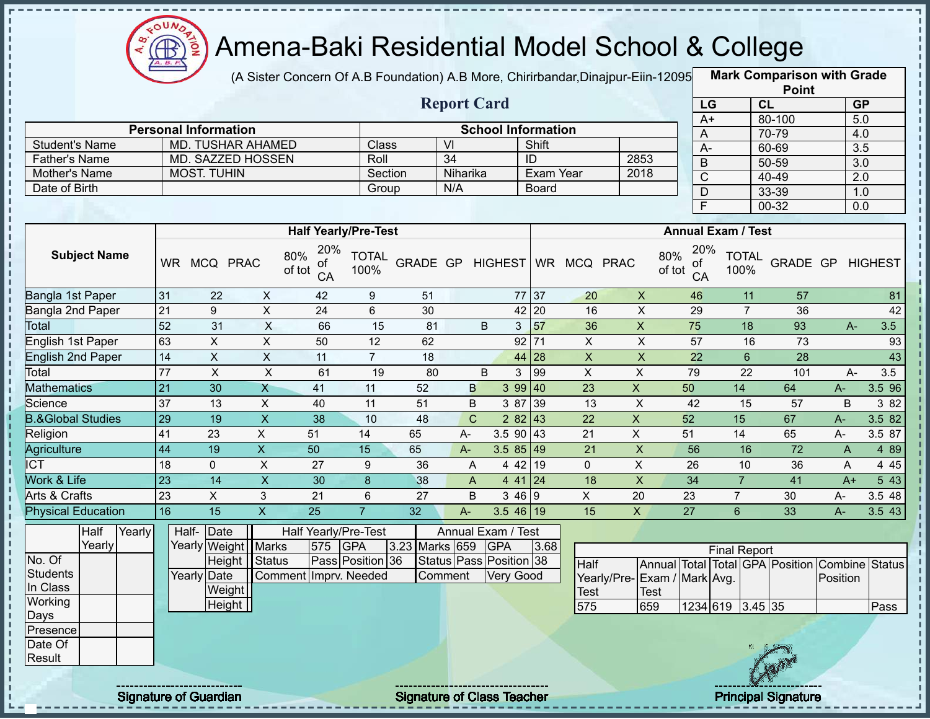

(A Sister Concern Of A.B Foundation) A.B More, Chirirbandar,Dinajpur-Eiin-120950

**Mark Comparison with Grade**

|                              |                 |                             |                           |                                  |                      |                |                    |                           |                 |                              |                              |                                  |                           | <b>Point</b>                            |                  |                  |
|------------------------------|-----------------|-----------------------------|---------------------------|----------------------------------|----------------------|----------------|--------------------|---------------------------|-----------------|------------------------------|------------------------------|----------------------------------|---------------------------|-----------------------------------------|------------------|------------------|
|                              |                 |                             |                           |                                  |                      |                | <b>Report Card</b> |                           |                 |                              |                              | LG                               |                           | CL                                      | <b>GP</b>        |                  |
|                              |                 |                             |                           |                                  |                      |                |                    |                           |                 |                              |                              | $A+$                             |                           | 80-100                                  | 5.0              |                  |
|                              |                 | <b>Personal Information</b> |                           |                                  |                      |                |                    | <b>School Information</b> |                 |                              |                              | A                                |                           | 70-79                                   | 4.0              |                  |
| <b>Student's Name</b>        |                 | <b>MD. TUSHAR AHAMED</b>    |                           |                                  | Class                |                | VI                 |                           | Shift           |                              |                              | $A -$                            |                           | 60-69                                   | 3.5              |                  |
| <b>Father's Name</b>         |                 | <b>MD. SAZZED HOSSEN</b>    |                           |                                  | Roll                 |                | $\overline{34}$    |                           | $\overline{ID}$ |                              | 2853                         | B                                |                           | 50-59                                   | $\overline{3.0}$ |                  |
| Mother's Name                |                 | <b>MOST. TUHIN</b>          |                           |                                  | Section              |                | Niharika           |                           | Exam Year       |                              | 2018                         | $\overline{C}$                   |                           | 40-49                                   | 2.0              |                  |
| Date of Birth                |                 |                             |                           |                                  | Group                |                | N/A                |                           | Board           |                              |                              | D                                |                           | 33-39                                   | 1.0              |                  |
|                              |                 |                             |                           |                                  |                      |                |                    |                           |                 |                              |                              | F                                |                           | $00 - 32$                               | 0.0              |                  |
|                              |                 |                             |                           | <b>Half Yearly/Pre-Test</b>      |                      |                |                    |                           |                 |                              |                              |                                  | <b>Annual Exam / Test</b> |                                         |                  |                  |
| <b>Subject Name</b>          |                 | WR MCQ PRAC                 |                           | 20%<br>80%<br>οf<br>of tot<br>CA | <b>TOTAL</b><br>100% |                |                    |                           |                 | GRADE GP HIGHEST WR MCQ PRAC |                              | 20%<br>80%<br>οf<br>of tot<br>CA | <b>TOTAL</b><br>100%      | GRADE GP                                |                  | <b>HIGHEST</b>   |
| Bangla 1st Paper             | 31              | 22                          | $\mathsf{X}$              | 42                               | 9                    | 51             |                    |                           | 77 37           | 20                           | $\mathsf{X}$                 | 46                               | 11                        | 57                                      |                  | 81               |
| Bangla 2nd Paper             | $\overline{21}$ | 9                           | X                         | 24                               | 6                    | 30             |                    |                           | $42$   20       | 16                           | $\mathsf{X}$                 | 29                               | $\overline{7}$            | 36                                      |                  | 42               |
| Total                        | 52              | 31                          | $\boldsymbol{\mathsf{X}}$ | 66                               | 15                   | 81             |                    | B<br>3                    | 57              | 36                           | X                            | 75                               | 18                        | 93                                      | $A-$             | 3.5              |
| English 1st Paper            | 63              | $\overline{X}$              | $\mathsf{x}$              | 50                               | $\overline{12}$      | 62             |                    |                           | 92 71           | $\mathsf{X}$                 | $\overline{X}$               | $\overline{57}$                  | 16                        | $\overline{73}$                         |                  | 93               |
| <b>English 2nd Paper</b>     | 14              | $\mathsf X$                 | X                         | 11                               | $\overline{7}$       | 18             |                    |                           | 44 28           | $\boldsymbol{\mathsf{X}}$    | $\pmb{\times}$               | 22                               | $6\phantom{1}$            | 28                                      |                  | 43               |
| Total                        | $\overline{77}$ | X                           | $\pmb{\times}$            | 61                               | 19                   | 80             |                    | B<br>3                    | 99              | $\mathsf X$                  | X                            | 79                               | 22                        | 101                                     | A-               | 3.5              |
| <b>Mathematics</b>           | 21              | 30                          | $\mathsf{X}$              | 41                               | 11                   | 52             | B                  |                           | 399 40          | 23                           | $\mathsf{X}$                 | 50                               | 14                        | 64                                      | A-               | 3.5 96           |
| Science                      | 37              | 13                          | X                         | 40                               | 11                   | 51             | B                  | 3 87                      | 39              | 13                           | $\mathsf{X}$                 | 42                               | 15                        | 57                                      | B                | 3 82             |
| <b>B.&amp;Global Studies</b> | 29              | 19                          | $\boldsymbol{\mathsf{X}}$ | 38                               | 10                   | 48             | $\mathsf{C}$       |                           | 282 43          | 22                           | $\mathsf{X}$                 | 52                               | 15                        | 67                                      | $A -$            | 3.5 82           |
| Religion                     | 41              | 23                          | $\mathsf{X}$              | 51                               | 14                   | 65             | $A -$              | $3.590$ 43                |                 | 21                           | $\pmb{\times}$               | 51                               | 14                        | 65                                      | $A -$            | 3.5 87           |
| <b>Agriculture</b>           | 44              | 19                          | $\overline{X}$            | 50                               | 15                   | 65             | $A-$               | $3.585$ 49                |                 | 21                           | X                            | 56                               | 16                        | $\overline{72}$                         | $\overline{A}$   | 4 8 9            |
| $\overline{ICT}$             | 18              | $\Omega$                    | X                         | 27                               | 9                    | 36             | A                  | 4 4 2                     | 19              | $\Omega$                     | X                            | 26                               | 10                        | 36                                      | A                | 4 4 5            |
| Work & Life                  | 23              | 14                          | $\overline{X}$            | 30                               | $\bf{8}$             | 38             | A                  | 4 4 1 24                  |                 | 18                           | $\pmb{\times}$               | 34                               | $\overline{7}$            | 41                                      | $A+$             | $5\overline{43}$ |
| Arts & Crafts                | 23              | X                           | 3                         | 21                               | 6                    | 27             | B                  | 3469                      |                 | $\pmb{\times}$               | 20                           | 23                               | $\overline{7}$            | 30                                      | А-               | 3.5 48           |
| <b>Physical Education</b>    | 16              | 15                          | $\overline{\mathsf{X}}$   | 25                               | $\overline{7}$       | 32             | $A -$              | $3.546$ 19                |                 | 15                           | $\mathsf{X}$                 | 27                               | $6\phantom{1}$            | 33                                      | $A-$             | 3.543            |
| Half<br>Yearly               | Half-           | Date                        |                           | Half Yearly/Pre-Test             |                      |                |                    | Annual Exam / Test        |                 |                              |                              |                                  |                           |                                         |                  |                  |
| Yearly                       |                 | Yearly Weight Marks         |                           | 575                              | <b>GPA</b>           | 3.23 Marks 659 |                    | <b>GPA</b>                | 3.68            |                              |                              |                                  | <b>Final Report</b>       |                                         |                  |                  |
| No. Of                       |                 | Height   Status             |                           |                                  | Pass Position 36     |                |                    | Status Pass Position 38   |                 | <b>Half</b>                  |                              |                                  |                           | Annual Total Total GPA Position Combine |                  | Status           |
| <b>Students</b>              |                 | Yearly Date                 |                           | Comment Imprv. Needed            |                      |                | Comment            | <b>Very Good</b>          |                 |                              | Yearly/Pre- Exam / Mark Avg. |                                  |                           |                                         | Position         |                  |
| In Class                     |                 | Weight                      |                           |                                  |                      |                |                    |                           |                 | <b>Test</b>                  | Test                         |                                  |                           |                                         |                  |                  |
| Working                      |                 | Height                      |                           |                                  |                      |                |                    |                           |                 | 575                          | 659                          |                                  | 1234 619 3.45 35          |                                         |                  | Pass             |

Days Presence Date Of **Result** 

п п п J. п п п п

п л

п

п J.

 $\mathbf{I}$  $\mathbf{I}$  $\frac{1}{1}$ J.  $\mathbf{I}$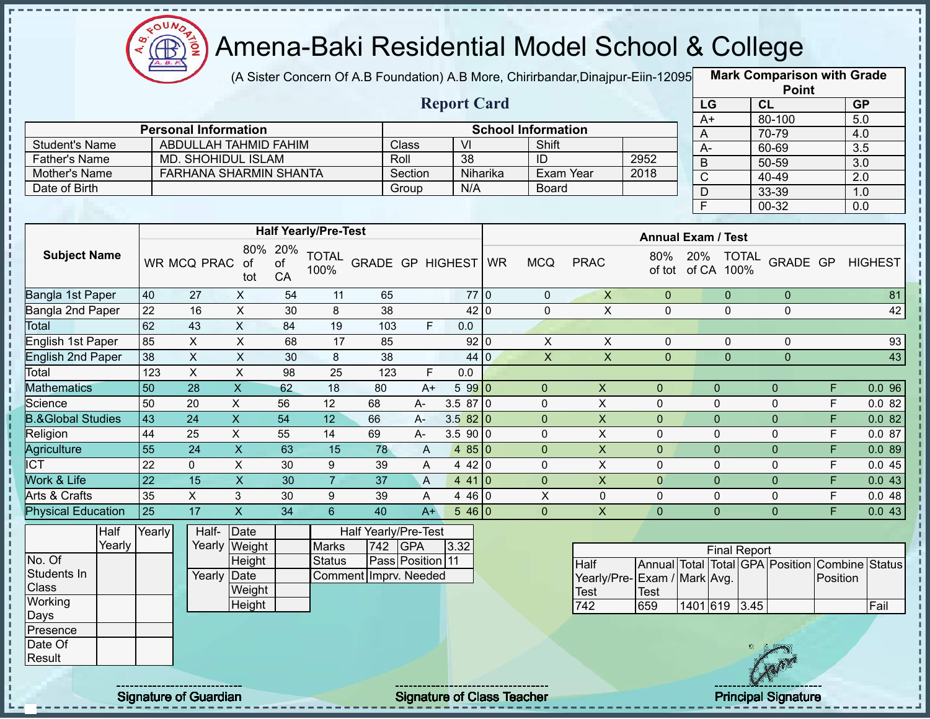

(A Sister Concern Of A.B Foundation) A.B More, Chirirbandar,Dinajpur-Eiin-12095 **Mark Comparison with Grade** 

| ABDULLAH TAHMID FAHIM  | Class                       | VI       | Shift              |                           |
|------------------------|-----------------------------|----------|--------------------|---------------------------|
| MD. SHOHIDUL ISLAM     | Roll                        | 38       | ID                 | 2952                      |
| FARHANA SHARMIN SHANTA | Section                     | Niharika | Exam Year          | 2018                      |
|                        | Group                       | N/A      | Board              |                           |
|                        | <b>Personal Information</b> |          | <b>Report Card</b> | <b>School Information</b> |

|                 | <b>Point</b> |                  |  |  |  |  |  |  |  |  |
|-----------------|--------------|------------------|--|--|--|--|--|--|--|--|
| LG              | <b>CL</b>    | <b>GP</b>        |  |  |  |  |  |  |  |  |
| $\overline{A+}$ | 80-100       | 5.0              |  |  |  |  |  |  |  |  |
| A               | 70-79        | 4.0              |  |  |  |  |  |  |  |  |
| А-              | 60-69        | 3.5              |  |  |  |  |  |  |  |  |
| B               | 50-59        | 3.0              |  |  |  |  |  |  |  |  |
| C               | 40-49        | $\overline{2.0}$ |  |  |  |  |  |  |  |  |
|                 | 33-39        | 1.0              |  |  |  |  |  |  |  |  |
| F               | 00-32        | 0.0              |  |  |  |  |  |  |  |  |

|                              |        |        |                           |                           |                 | <b>Half Yearly/Pre-Test</b> |                       |                  |          |                |                             | <b>Annual Exam / Test</b> |               |                      |                                 |          |                |
|------------------------------|--------|--------|---------------------------|---------------------------|-----------------|-----------------------------|-----------------------|------------------|----------|----------------|-----------------------------|---------------------------|---------------|----------------------|---------------------------------|----------|----------------|
| <b>Subject Name</b>          |        |        | WR MCQ PRAC               | 80%<br>of<br>tot          | 20%<br>of<br>CA | <b>TOTAL</b><br>100%        | GRADE GP HIGHEST WR   |                  |          | <b>MCQ</b>     | <b>PRAC</b>                 | 80%<br>of tot             | 20%<br>of CA  | <b>TOTAL</b><br>100% | GRADE GP                        |          | <b>HIGHEST</b> |
| Bangla 1st Paper             |        | 40     | 27                        | X                         | 54              | 11                          | 65                    |                  | 77 0     | 0              | $\pmb{\times}$              | $\pmb{0}$                 |               | $\mathbf{0}$         | $\mathbf 0$                     |          | 81             |
| Bangla 2nd Paper             |        | 22     | 16                        | X                         | 30              | 8                           | 38                    |                  | 42 0     | 0              | $\pmb{\mathsf{X}}$          | 0                         |               | $\mathbf{0}$         | $\mathbf 0$                     |          | 42             |
| Total                        |        | 62     | 43                        | $\mathsf X$               | 84              | 19                          | 103                   | F.               | 0.0      |                |                             |                           |               |                      |                                 |          |                |
| English 1st Paper            |        | 85     | $\boldsymbol{\mathsf{X}}$ | $\boldsymbol{\mathsf{X}}$ | 68              | 17                          | 85                    |                  | 92 0     | X              | X                           | $\mathbf 0$               |               | $\Omega$             | $\mathbf 0$                     |          | 93             |
| English 2nd Paper            |        | 38     | X                         | X                         | 30              | 8                           | 38                    |                  | 44 0     | $\mathsf X$    | $\pmb{\mathsf{X}}$          | $\mathbf 0$               |               | $\Omega$             | $\mathbf 0$                     |          | 43             |
| Total                        |        | 123    | $\boldsymbol{\mathsf{X}}$ | X                         | 98              | 25                          | 123                   | F.               | 0.0      |                |                             |                           |               |                      |                                 |          |                |
| <b>Mathematics</b>           |        | 50     | 28                        | $\overline{\mathsf{X}}$   | 62              | 18                          | 80                    | $A+$             | 5990     | $\mathbf{0}$   | $\boldsymbol{X}$            | $\overline{0}$            |               | $\mathbf 0$          | $\mathbf{0}$                    | F        | 0.096          |
| Science                      |        | 50     | 20                        | X                         | 56              | 12                          | 68                    | A-               | 3.5870   | $\pmb{0}$      | X                           | $\mathbf 0$               |               | $\mathbf 0$          | $\Omega$                        | F        | 0.082          |
| <b>B.&amp;Global Studies</b> |        | 43     | 24                        | X.                        | 54              | 12                          | 66                    | $A-$             | 3.582 0  | $\pmb{0}$      | X                           | $\overline{0}$            |               | $\mathbf{0}$         | $\mathbf 0$                     | F        | 0.082          |
| Religion                     |        | 44     | 25                        | X                         | 55              | 14                          | 69                    | $A -$            | 3.5900   | $\pmb{0}$      | X                           | $\mathbf 0$               |               | $\mathbf 0$          | $\Omega$                        | F        | 0.087          |
| Agriculture                  |        | 55     | 24                        | $\mathsf{X}$              | 63              | 15                          | 78                    | A                | 4 $85 0$ | $\overline{0}$ | X                           | $\overline{0}$            |               | $\mathbf{0}$         | $\mathbf{0}$                    | F        | 0.089          |
| <b>ICT</b>                   |        | 22     | $\pmb{0}$                 | X                         | 30              | 9                           | 39                    | A                | 4 4 2 0  | 0              | X                           | $\Omega$                  |               | $\Omega$             | $\Omega$                        | F        | 0.045          |
| Work & Life                  |        | 22     | 15                        | $\overline{\mathsf{x}}$   | 30              | $\overline{7}$              | 37                    | $\overline{A}$   | 4410     | $\mathbf{0}$   | X                           | $\overline{0}$            |               | $\mathbf{0}$         | $\Omega$                        | F        | 0.043          |
| Arts & Crafts                |        | 35     | $\mathsf{X}$              | 3                         | 30              | 9                           | 39                    | A                | 4 46 0   | X              | 0                           | $\Omega$                  |               | $\Omega$             | $\Omega$                        | F        | 0.048          |
| <b>Physical Education</b>    |        | 25     | 17                        | X                         | 34              | 6                           | 40                    | $A+$             | 546 0    | $\mathbf{0}$   | X                           | $\overline{0}$            |               | $\mathbf{0}$         | $\mathbf{0}$                    | F        | 0.043          |
|                              | Half   | Yearly | Half-                     | Date                      |                 |                             | Half Yearly/Pre-Test  |                  |          |                |                             |                           |               |                      |                                 |          |                |
|                              | Yearly |        | Yearly                    | Weight                    |                 | <b>Marks</b>                | 742                   | <b>GPA</b>       | 3.32     |                |                             |                           |               | <b>Final Report</b>  |                                 |          |                |
| No. Of                       |        |        |                           | Height                    |                 | <b>Status</b>               |                       | Pass Position 11 |          |                | Half                        |                           |               |                      | Annual Total Total GPA Position | Combine  | <b>Status</b>  |
| Students In                  |        |        | Yearly                    | Date                      |                 |                             | Comment Imprv. Needed |                  |          |                | Yearly/Pre-Exam / Mark Avg. |                           |               |                      |                                 | Position |                |
| Class                        |        |        |                           | Weight                    |                 |                             |                       |                  |          |                | Test                        | Test                      |               |                      |                                 |          |                |
| Working                      |        |        |                           | Height                    |                 |                             |                       |                  |          |                | 742                         | 659                       | 1401 619 3.45 |                      |                                 |          | Fail           |



 $\begin{array}{c} 1 \\ 1 \\ 1 \\ 1 \end{array}$ 

**Working** Days Presence Date Of Result

ï

J, f,

п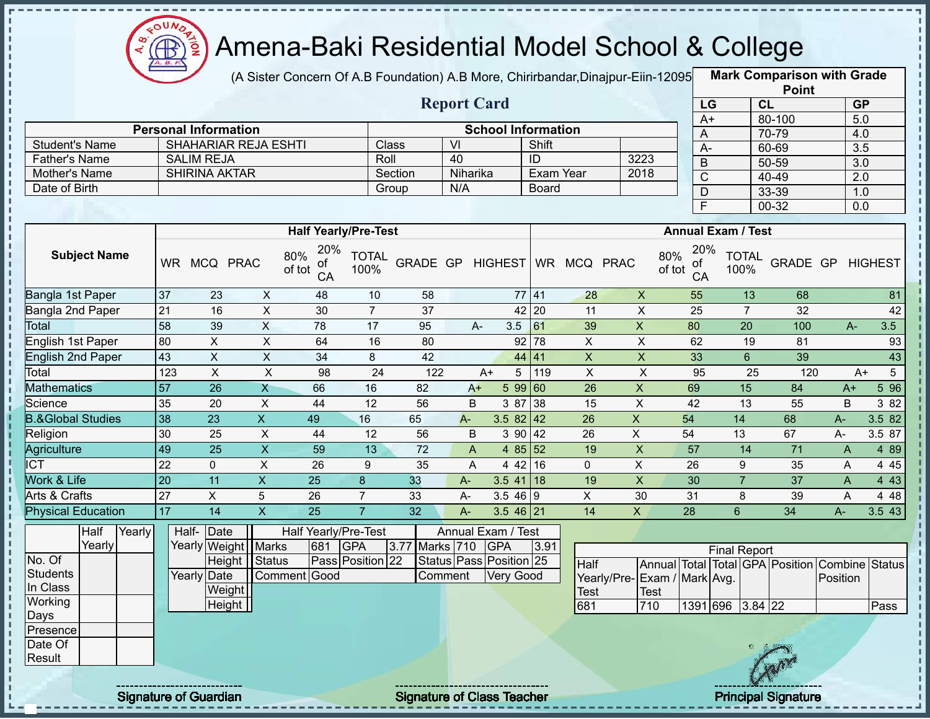

J.

п

п

J. п

J. п J.

 $1 + 1 + 1 + 1 + 1$ 

 $\mathbf{I}$  $\mathbf I$ ŋ

### Amena-Baki Residential Model School & College

(A Sister Concern Of A.B Foundation) A.B More, Chirirbandar,Dinajpur-Eiin-12095 **Mark Comparison with Grade** 

|                              |                  |                             |                           |                             |                      |                              |                           |                           |                                     |                         |                         |                           |                           | <b>Point</b>                    |              |                        |
|------------------------------|------------------|-----------------------------|---------------------------|-----------------------------|----------------------|------------------------------|---------------------------|---------------------------|-------------------------------------|-------------------------|-------------------------|---------------------------|---------------------------|---------------------------------|--------------|------------------------|
|                              |                  |                             |                           |                             |                      |                              |                           | <b>Report Card</b>        |                                     |                         |                         |                           | LG                        | CL                              |              | GP                     |
|                              |                  |                             |                           |                             |                      |                              |                           |                           |                                     |                         |                         |                           | $A+$                      | 80-100                          |              | 5.0                    |
|                              |                  | <b>Personal Information</b> |                           |                             |                      |                              |                           | <b>School Information</b> |                                     |                         |                         | A                         |                           | 70-79                           |              | 4.0                    |
| <b>Student's Name</b>        |                  | <b>SHAHARIAR REJA ESHTI</b> |                           |                             |                      | Class                        | $\overline{V}$<br>40      |                           | Shift<br>$\overline{ID}$            |                         | 3223                    | $A -$                     |                           | 60-69                           |              | $\overline{3.5}$       |
| <b>Father's Name</b>         |                  | <b>SALIM REJA</b>           |                           |                             | Roll                 |                              |                           |                           |                                     |                         |                         | $\overline{B}$            |                           | $50 - 59$                       |              | $\overline{3.0}$       |
| Mother's Name                |                  | <b>SHIRINA AKTAR</b>        |                           |                             |                      | Section                      | Niharika                  |                           | Exam Year                           |                         | 2018                    | $\overline{C}$            |                           | $40 - 49$                       |              | 2.0                    |
| Date of Birth                |                  |                             |                           |                             |                      | Group                        | N/A                       |                           | Board                               |                         |                         | $\mathsf{D}$              |                           | 33-39                           |              | 1.0                    |
|                              |                  |                             |                           |                             |                      |                              |                           |                           |                                     |                         |                         | E                         |                           | 00-32                           |              | 0.0                    |
|                              |                  |                             |                           | <b>Half Yearly/Pre-Test</b> |                      |                              |                           |                           |                                     |                         |                         |                           | <b>Annual Exam / Test</b> |                                 |              |                        |
|                              |                  |                             |                           | 20%                         |                      |                              |                           |                           |                                     |                         |                         | 20%                       |                           |                                 |              |                        |
| <b>Subject Name</b>          |                  | WR MCQ PRAC                 |                           | 80%<br>оf<br>of tot<br>CA   | <b>TOTAL</b><br>100% | GRADE GP HIGHEST WR MCQ PRAC |                           |                           |                                     |                         |                         | 80%<br>οf<br>of tot<br>CA | <b>TOTAL</b><br>100%      | GRADE GP HIGHEST                |              |                        |
| Bangla 1st Paper             | 37               | 23                          | $\mathsf{X}$              | 48                          | 10                   | 58                           |                           |                           | 77 41                               | 28                      | $\pmb{\times}$          | 55                        | 13                        | 68                              |              | 81                     |
| Bangla 2nd Paper             | 21               | 16                          | $\mathsf X$               | 30                          | $\overline{7}$       | 37                           |                           |                           | 42 20                               | 11                      | $\pmb{\times}$          | 25                        | $\overline{7}$            | 32                              |              | 42                     |
| Total                        | 58               | 39                          | $\overline{X}$            | 78                          | $\overline{17}$      | 95                           |                           | 3.5<br>A-                 | 61                                  | 39                      | $\overline{X}$          | 80                        | $\overline{20}$           | 100                             | $A-$         | 3.5                    |
| English 1st Paper            | 80               | $\pmb{\times}$              | $\overline{X}$            | 64                          | 16                   | 80                           |                           |                           | $92$ 78                             | $\mathsf X$             | $\mathsf X$             | 62                        | 19                        | 81                              |              | 93                     |
| <b>English 2nd Paper</b>     | 43               | $\overline{\mathsf{x}}$     | $\overline{X}$            | 34                          | 8                    | 42                           |                           |                           | 44 41                               | $\overline{X}$          | $\overline{X}$          | 33                        | $6\overline{6}$           | 39                              |              | 43                     |
| Total                        | $\overline{123}$ | $\overline{\mathsf{x}}$     | $\overline{X}$            | 98                          | 24                   | $\overline{122}$             |                           | 5<br>$A+$                 | 119                                 | $\overline{\mathsf{x}}$ | $\overline{X}$          | 95                        | $\overline{25}$           | 120                             |              | $\overline{5}$<br>$A+$ |
| <b>Mathematics</b>           | 57               | 26                          | $\mathsf{X}$              | 66                          | 16                   | 82                           |                           | $A+$                      | 5 99 60                             | 26                      | $\mathsf{X}$            | 69                        | 15                        | 84                              | $A+$         | $5\,96$                |
| Science                      | 35               | 20                          | $\boldsymbol{\mathsf{X}}$ | 44                          | 12                   | 56                           | B                         | 3 87 38                   |                                     | 15                      | $\overline{X}$          | 42                        | 13                        | 55                              | B            | 3 8 2                  |
| <b>B.&amp;Global Studies</b> | 38               | 23                          | $\overline{X}$            | 49                          | 16                   | 65                           | $A -$                     | 3.5 $82 \mid 42$          |                                     | 26                      | $\overline{X}$          | 54                        | 14                        | 68                              | A-           | 3.5 82                 |
| Religion                     | 30               | 25                          | $\boldsymbol{\mathsf{X}}$ | 44                          | 12                   | 56                           | B                         | 390   42                  |                                     | 26                      | $\mathsf{X}$            | 54                        | 13                        | 67                              | A-           | 3.5 87                 |
| Agriculture                  | 49               | 25                          | $\boldsymbol{\mathsf{X}}$ | 59                          | 13                   | 72                           | $\boldsymbol{\mathsf{A}}$ |                           | 4 $85 \overline{\smash{\big)}\ 52}$ | 19                      | $\mathsf X$             | 57                        | 14                        | 71                              | $\mathsf{A}$ | 4 8 9                  |
| $\overline{\text{ICT}}$      | $\overline{22}$  | $\mathbf 0$                 | $\mathsf X$               | 26                          | 9                    | 35                           | A                         | 4 4 2                     | 16                                  | $\mathbf 0$             | X                       | 26                        | 9                         | 35                              | A            | 445                    |
| Work & Life                  | $\overline{20}$  | 11                          | $\boldsymbol{\mathsf{X}}$ | $\overline{25}$             | 8                    | 33                           | A-                        | $3.5$ 41 18               |                                     | 19                      | $\overline{\mathsf{x}}$ | 30                        | $\overline{7}$            | 37                              | A            | 4 4 3                  |
| Arts & Crafts                | $\overline{27}$  | $\mathsf{X}$                | $5\phantom{.0}$           | 26                          | $\overline{7}$       | 33                           | A-                        | $3.546$ 9                 |                                     | $\mathsf{X}$            | 30                      | 31                        | 8                         | 39                              | A            | 4 4 8                  |
| <b>Physical Education</b>    | 17               | 14                          | $\overline{\mathsf{x}}$   | $\overline{25}$             | $\overline{7}$       | 32                           | $A -$                     | $3.546$ 21                |                                     | $\overline{14}$         | $\overline{X}$          | $\overline{28}$           | $6\overline{6}$           | $\overline{34}$                 | $A -$        | 3.543                  |
| Half<br>Yearly               |                  | Half-<br>Date               |                           | <b>Half Yearly/Pre-Test</b> |                      |                              |                           | Annual Exam / Test        |                                     |                         |                         |                           |                           |                                 |              |                        |
| Yearly                       |                  | Yearly Weight   Marks       |                           | 681                         | <b>GPA</b>           | 3.77 Marks 710               |                           | <b>GPA</b>                | 3.91                                |                         |                         |                           | <b>Final Report</b>       |                                 |              |                        |
| No. Of                       |                  |                             | Height   Status           |                             | Pass Position 22     |                              |                           | Status Pass Position 25   |                                     | Half                    |                         |                           |                           | Annual Total Total GPA Position |              | <b>Combine Status</b>  |
| <b>Students</b>              |                  | Yearly Date                 |                           | Comment Good                |                      |                              | Comment                   | Very Good                 |                                     | Yearly/Pre-             |                         | Exam / Mark Avg.          |                           |                                 | Position     |                        |
| In Class                     |                  | Weight                      |                           |                             |                      |                              |                           |                           |                                     | <b>Test</b>             | <b>Test</b>             |                           |                           |                                 |              |                        |
| Working                      |                  | Height                      |                           |                             |                      |                              |                           |                           |                                     | 681                     | 710                     |                           | 1391 696 3.84 22          |                                 |              | Pass                   |
| Days                         |                  |                             |                           |                             |                      |                              |                           |                           |                                     |                         |                         |                           |                           |                                 |              |                        |
| Presence<br>Date Of          |                  |                             |                           |                             |                      |                              |                           |                           |                                     |                         |                         |                           |                           |                                 |              |                        |
| Result                       |                  |                             |                           |                             |                      |                              |                           |                           |                                     |                         |                         |                           |                           |                                 |              |                        |
|                              |                  |                             |                           |                             |                      |                              |                           |                           |                                     |                         |                         |                           |                           |                                 |              |                        |
|                              |                  |                             |                           |                             |                      |                              |                           |                           |                                     |                         |                         |                           |                           |                                 |              |                        |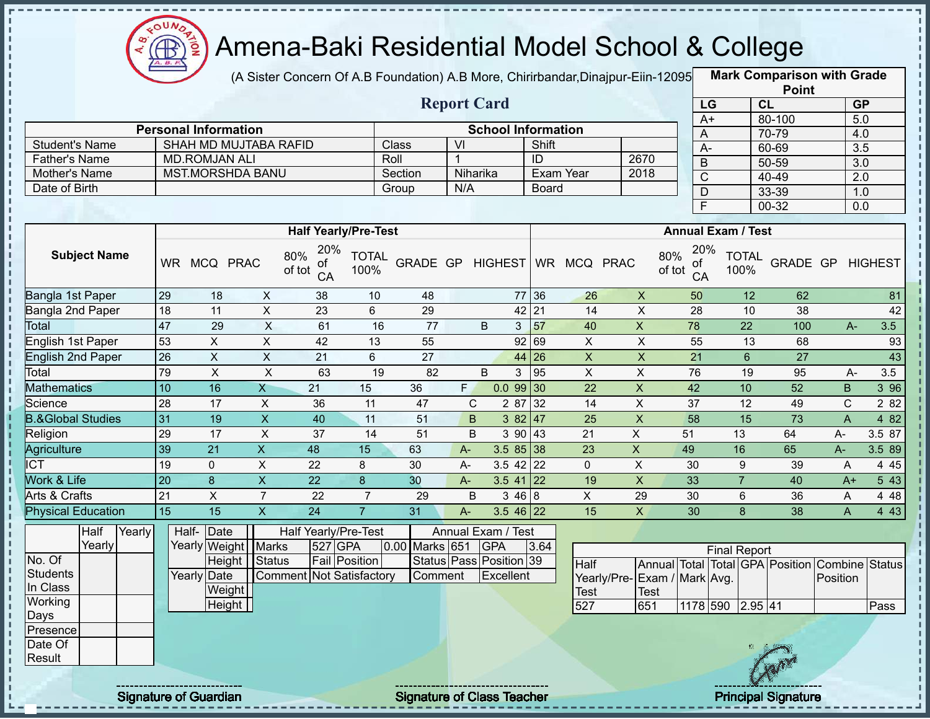

(A Sister Concern Of A.B Foundation) A.B More, Chirirbandar,Dinajpur-Eiin-12095 **Mark Comparison with Grade** 

| <b>Personal Information</b> |              |          |                    |                           |
|-----------------------------|--------------|----------|--------------------|---------------------------|
| SHAH MD MUJTABA RAFID       | <b>Class</b> | VI       | Shift              |                           |
| <b>MD.ROMJAN ALI</b>        | Roll         |          | ID                 | 2670                      |
| <b>MST.MORSHDA BANU</b>     | Section      | Niharika | Exam Year          | 2018                      |
|                             | Group        | N/A      | <b>Board</b>       |                           |
|                             |              |          | <b>Report Card</b> | <b>School Information</b> |

|      | <b>Point</b> |                  |  |  |  |  |  |  |  |  |
|------|--------------|------------------|--|--|--|--|--|--|--|--|
| LG   | CL           | <b>GP</b>        |  |  |  |  |  |  |  |  |
| $A+$ | 80-100       | 5.0              |  |  |  |  |  |  |  |  |
| A    | 70-79        | 4.0              |  |  |  |  |  |  |  |  |
| А-   | 60-69        | 3.5              |  |  |  |  |  |  |  |  |
| B    | 50-59        | $\overline{3.0}$ |  |  |  |  |  |  |  |  |
| C    | 40-49        | 2.0              |  |  |  |  |  |  |  |  |
| D    | 33-39        | 1.0              |  |  |  |  |  |  |  |  |
| F    | 00-32        | 0.0              |  |  |  |  |  |  |  |  |

|                              |                     |  |           |               |                        |               |                 | <b>Half Yearly/Pre-Test</b> |                |                 |                         |            |             |              |                 |              |                                                  | <b>Annual Exam / Test</b> |                 |       |                |        |
|------------------------------|---------------------|--|-----------|---------------|------------------------|---------------|-----------------|-----------------------------|----------------|-----------------|-------------------------|------------|-------------|--------------|-----------------|--------------|--------------------------------------------------|---------------------------|-----------------|-------|----------------|--------|
|                              | <b>Subject Name</b> |  | <b>WR</b> | <b>MCQ</b>    | <b>PRAC</b>            | 80%<br>of tot | 20%<br>of<br>CA | <b>TOTAL</b><br>100%        |                | <b>GRADE GP</b> |                         |            |             | HIGHEST   WR | <b>MCQ</b>      | <b>PRAC</b>  | 20%<br>80%<br>оf<br>of tot<br>CA                 | <b>TOTAL</b><br>100%      | <b>GRADE GP</b> |       | <b>HIGHEST</b> |        |
| Bangla 1st Paper             |                     |  | 29        | 18            | X                      |               | 38              | 10                          |                | 48              |                         |            | 77          | 36           | 26              | $\mathsf{X}$ | 50                                               | 12                        | 62              |       |                | 81     |
| Bangla 2nd Paper             |                     |  | 18        | 11            | X                      |               | 23              | 6                           |                | 29              |                         |            | 42 21       |              | 14              | X            | 28                                               | 10                        | 38              |       |                | 42     |
| Total                        |                     |  | 47        | 29            | X                      |               | 61              | 16                          |                | 77              |                         | B          | 3           | 57           | 40              | X            | 78                                               | 22                        | 100             |       | $A -$          | 3.5    |
| English 1st Paper            |                     |  | 53        | X.            | X                      |               | 42              | 13                          |                | 55              |                         |            | 92          | 69           | X               | X            | 55                                               | 13                        | 68              |       |                | 93     |
| <b>English 2nd Paper</b>     |                     |  | 26        | X.            | $\times$               |               | 21              | 6                           |                | 27              |                         |            |             | 44 26        | $\mathsf{X}$    | X            | 21                                               | 6                         | 27              |       |                | 43     |
| Total                        |                     |  | 79        | X             | Χ                      |               | 63              | 19                          |                | 82              |                         | B          |             | 95           | X               | X            | 76                                               | 19                        | 95              |       | $A -$          | 3.5    |
| <b>Mathematics</b>           |                     |  | 10        | 16            | Χ                      |               | 21              | 15                          | 36             |                 | F.                      |            | 0.099       | $\vert$ 30   | 22              | X            | 42                                               | 10                        | 52              | B     |                | 3 9 6  |
| Science                      |                     |  | 28        | 17            | X                      |               | 36              | 11                          |                | 47              | C                       |            | 2 87        | 32           | 14              | X            | 37                                               | 12                        | 49              | C.    |                | 2 8 2  |
| <b>B.&amp;Global Studies</b> |                     |  | 31        | 19            | $\mathsf{X}$           |               | 40              | 11                          |                | 51              | B                       |            | 382   47    |              | 25              | X            | 58                                               | 15                        | 73              | A     |                | 4 82   |
| Religion                     |                     |  | 29        | 17            | X                      |               | 37              | 14                          |                | 51              | B                       |            | 3 90        | 43           | 21              | X            | 51                                               | 13                        | 64              | A-    |                | 3.5 87 |
| Agriculture                  |                     |  | 39        | 21            | $\mathsf{X}$           |               | 48              | 15                          | 63             |                 | $A -$                   |            | $3.585$ 38  |              | 23              | X            | 49                                               | 16                        | 65              | $A -$ |                | 3.5 89 |
| <b>ICT</b>                   |                     |  | 19        | 0             | X                      |               | 22              | 8                           | 30             |                 | A-                      |            | $3.5$ 42 22 |              | 0               | X            | 30                                               | 9                         | 39              | A     |                | 4 4 5  |
| Work & Life                  |                     |  | 20        | 8             | X                      |               | 22              | 8                           | 30             |                 | $A-$                    |            | 3.5 41      | 22           | 19              | X            | 33                                               |                           | 40              | $A+$  |                | 5 4 3  |
| Arts & Crafts                |                     |  | 21        | X             | $\overline{7}$         |               | 22              | $\overline{7}$              |                | 29              | B                       |            | 3468        |              | X               | 29           | 30                                               | 6                         | 36              | A     |                | 4 4 8  |
| <b>Physical Education</b>    |                     |  | 15        | 15            | X                      |               | 24              | $\overline{7}$              | 31             |                 | A-                      |            | $3.546$ 22  |              | 15              | X            | 30                                               | 8                         | 38              | A     |                | 443    |
| Half<br>Yearly               |                     |  |           | Half-<br>Date |                        |               |                 | Half Yearly/Pre-Test        |                |                 | Annual Exam / Test      |            |             |              |                 |              |                                                  |                           |                 |       |                |        |
|                              | Yearly              |  |           | Yearlyl       | Weight   Marks         |               | 527             | <b>GPA</b>                  | 0.00 Marks 651 |                 |                         | <b>GPA</b> |             | 3.64         |                 |              |                                                  | <b>Final Report</b>       |                 |       |                |        |
| No. Of                       |                     |  |           |               | <b>Height I Status</b> |               |                 | <b>Fail Position</b>        |                |                 | Status Pass Position 39 |            |             |              | $L_{\text{ol}}$ |              | Appual Total Total CBA I Bosition Combine Status |                           |                 |       |                |        |

|             | Height | Status                   | <b>Fail Position</b> |         | Status Pass Position 39 |  | Half            | IAnnua |
|-------------|--------|--------------------------|----------------------|---------|-------------------------|--|-----------------|--------|
| Yearly Date |        | Comment Not Satisfactory |                      | Comment | <b>IExcellent</b>       |  | Yearly/Pre-Exam |        |
|             | Weight |                          |                      |         |                         |  | Test            | Test   |
|             | Height |                          |                      |         |                         |  | 527             | 651    |
|             |        |                          |                      |         |                         |  |                 |        |
|             |        |                          |                      |         |                         |  |                 |        |
|             |        |                          |                      |         |                         |  |                 |        |

|                              |      |          | <b>Final Report</b> |             |                                                |      |
|------------------------------|------|----------|---------------------|-------------|------------------------------------------------|------|
| Half                         |      |          |                     |             | Annual Total Total GPA Position Combine Status |      |
| Yearly/Pre- Exam / Mark Avg. |      |          |                     |             | <b>IPosition</b>                               |      |
| Test                         | Test |          |                     |             |                                                |      |
| 527                          | 651  | 1178 590 |                     | $2.95\,$ 41 |                                                | Pass |

**Students** In Class **Working** Days Presence Date Of Result

ï

п

Signature of Guardian Signature of Class Teacher Principal Signature 2014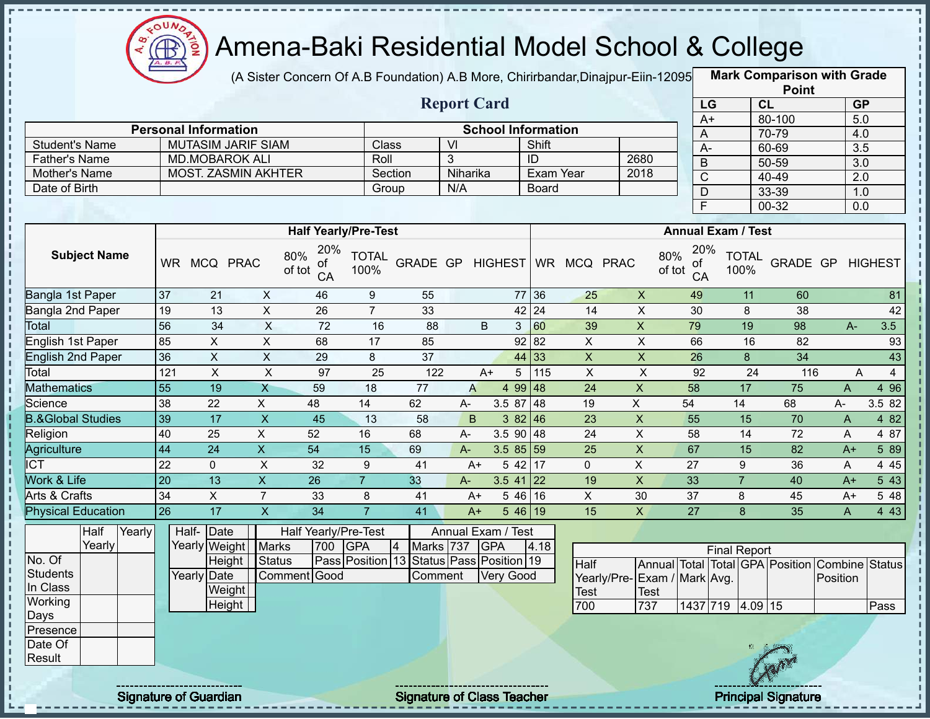

J. J.

> J. J. п I. п

J. J.  $\mathbf{I}$ J. J.

 $\mathbf I$ ł

### Amena-Baki Residential Model School & College

(A Sister Concern Of A.B Foundation) A.B More, Chirirbandar,Dinajpur-Eiin-12095 **Mark Comparison with Grade** 

|                              |                 |                             |                           |                             |                      |                  |                         |                           |                      |                           |                             |                           |                |                      | <b>Point</b>                    |                         |                |
|------------------------------|-----------------|-----------------------------|---------------------------|-----------------------------|----------------------|------------------|-------------------------|---------------------------|----------------------|---------------------------|-----------------------------|---------------------------|----------------|----------------------|---------------------------------|-------------------------|----------------|
|                              |                 |                             |                           |                             |                      |                  |                         | <b>Report Card</b>        |                      |                           |                             |                           | LG             |                      | CL                              | GP                      |                |
|                              |                 |                             |                           |                             |                      |                  |                         |                           |                      |                           |                             |                           | $A+$           |                      | 80-100                          | 5.0                     |                |
|                              |                 | <b>Personal Information</b> |                           |                             |                      |                  |                         | <b>School Information</b> |                      |                           |                             |                           | A              |                      | 70-79                           | 4.0                     |                |
| <b>Student's Name</b>        |                 | <b>MUTASIM JARIF SIAM</b>   |                           |                             | Class                |                  | $\overline{\mathsf{M}}$ |                           | Shift                |                           |                             |                           | $A -$          |                      | 60-69                           | 3.5                     |                |
| Father's Name                |                 | <b>MD.MOBAROK ALI</b>       |                           |                             | Roll                 |                  | 3                       |                           | ID                   |                           | 2680                        |                           | $\overline{B}$ |                      | 50-59                           | $\overline{3.0}$        |                |
| Mother's Name                |                 | <b>MOST. ZASMIN AKHTER</b>  |                           |                             |                      | Section          | Niharika                |                           |                      | <b>Exam Year</b>          | 2018                        |                           | $\overline{C}$ |                      | $40 - 49$                       | 2.0                     |                |
| Date of Birth                |                 |                             |                           |                             | Group                |                  | N/A                     |                           | Board                |                           |                             |                           | D              |                      | 33-39                           | 1.0                     |                |
|                              |                 |                             |                           |                             |                      |                  |                         |                           |                      |                           |                             |                           | $\overline{F}$ |                      | 00-32                           | 0.0                     |                |
|                              |                 |                             |                           | <b>Half Yearly/Pre-Test</b> |                      |                  |                         |                           |                      |                           |                             | <b>Annual Exam / Test</b> |                |                      |                                 |                         |                |
|                              |                 |                             |                           | 20%                         |                      |                  |                         |                           |                      |                           |                             |                           | 20%            |                      |                                 |                         |                |
| <b>Subject Name</b>          |                 | WR MCQ PRAC                 |                           | 80%<br>οf<br>of tot<br>CA   | <b>TOTAL</b><br>100% | GRADE GP HIGHEST |                         |                           |                      | WR MCQ PRAC               |                             | 80%<br>οf<br>of tot       | CA             | <b>TOTAL</b><br>100% |                                 | <b>GRADE GP HIGHEST</b> |                |
| Bangla 1st Paper             | 37              | 21                          | $\mathsf{X}$              | 46                          | 9                    | 55               |                         |                           | 77 36                | 25                        | $\mathsf X$                 | 49                        |                | 11                   | 60                              |                         | 81             |
| Bangla 2nd Paper             | 19              | 13                          | $\overline{X}$            | $\overline{26}$             | $\overline{7}$       | 33               |                         |                           | 42 24                | 14                        | $\overline{\mathsf{x}}$     | 30                        |                | 8                    | 38                              |                         | 42             |
| Total                        | 56              | 34                          | $\overline{\mathsf{x}}$   | 72                          | 16                   | 88               |                         | $\mathsf B$               | 3 <sup>1</sup><br>60 | 39                        | $\overline{X}$              | 79                        |                | 19                   | 98                              | $A -$                   | 3.5            |
| English 1st Paper            | 85              | $\pmb{\times}$              | $\overline{X}$            | 68                          | 17                   | 85               |                         |                           | 92 82                | $\boldsymbol{\mathsf{X}}$ | $\overline{\mathsf{x}}$     | 66                        |                | 16                   | 82                              |                         | 93             |
| <b>English 2nd Paper</b>     | 36              | $\overline{X}$              | $\overline{X}$            | $\overline{29}$             | 8                    | 37               |                         |                           | 44 33                | $\overline{X}$            | $\overline{\mathsf{x}}$     | $\overline{26}$           |                | $\overline{8}$       | $\overline{34}$                 |                         | 43             |
| Total                        | 121             | $\mathsf X$                 | $\boldsymbol{\mathsf{X}}$ | 97                          | 25                   | 122              |                         | A+                        | 5<br>115             | $\mathsf{X}$              | $\pmb{\times}$              |                           | 92             | 24                   | 116                             | A                       | $\overline{4}$ |
| <b>Mathematics</b>           | $\overline{55}$ | 19                          | $\overline{X}$            | 59                          | 18                   | 77               | $\overline{A}$          |                           | 4 99 48              | 24                        | $\mathsf X$                 | 58                        |                | $\overline{17}$      | 75                              | $\overline{A}$          | 4 9 6          |
| Science                      | 38              | 22                          | X                         | 48                          | 14                   | 62               | A-                      | 3.5 87                    | 48                   | 19                        | X                           | 54                        |                | 14                   | 68                              | $A-$                    | 3.5 82         |
| <b>B.&amp;Global Studies</b> | 39              | 17                          | $\mathsf X$               | 45                          | 13                   | 58               | $\mathsf B$             |                           | 382   46             | 23                        | $\pmb{\mathsf{X}}$          | 55                        |                | 15                   | 70                              | $\overline{A}$          | 4 8 2          |
| Religion                     | 40              | 25                          | X                         | 52                          | 16                   | 68               | $A -$                   |                           | $3.590$ 48           | $\overline{24}$           | X                           | 58                        |                | 14                   | $\overline{72}$                 | A                       | 4 87           |
| Agriculture                  | 44              | 24                          | $\mathsf X$               | 54                          | 15                   | 69               | $A -$                   |                           | $3.585$ 59           | 25                        | $\mathsf X$                 | 67                        |                | 15                   | 82                              | $A+$                    | 5 8 9          |
| <b>ICT</b>                   | 22              | $\mathbf 0$                 | $\boldsymbol{\mathsf{X}}$ | 32                          | 9                    | 41               |                         | $A+$                      | 17<br>5 42           | 0                         | $\overline{X}$              | 27                        |                | 9                    | 36                              | A                       | 4 4 5          |
| Work & Life                  | 20              | 13                          | $\overline{\mathsf{x}}$   | $\overline{26}$             | $\overline{7}$       | 33               | $A-$                    | 3.5 41                    | 22                   | 19                        | $\overline{X}$              | 33                        |                | $\overline{7}$       | 40                              | $A+$                    | 543            |
| <b>Arts &amp; Crafts</b>     | 34              | $\pmb{\times}$              | $\overline{7}$            | 33                          | 8                    | 41               | $A+$                    |                           | 5 46 16              | $\overline{X}$            | 30                          | $\overline{37}$           |                | 8                    | 45                              | $A+$                    | 5 48           |
| <b>Physical Education</b>    | 26              | 17                          | $\overline{X}$            | $\overline{34}$             | $\overline{7}$       | 41               | $A+$                    |                           | 546 19               | 15                        | $\mathsf X$                 | $\overline{27}$           |                | 8                    | 35                              | $\mathsf{A}$            | 4 4 3          |
| Half<br>Yearly               |                 | Half-Date                   |                           | Half Yearly/Pre-Test        |                      |                  |                         | Annual Exam / Test        |                      |                           |                             |                           |                |                      |                                 |                         |                |
| Yearly                       |                 | Yearly Weight Marks         |                           | 700                         | <b>GPA</b>           | Marks 737<br>4   |                         | <b>GPA</b>                | 4.18                 |                           |                             |                           |                | <b>Final Report</b>  |                                 |                         |                |
| No. Of                       |                 | Height                      | <b>Status</b>             | Pass Position 13            |                      |                  |                         | Status Pass Position 19   |                      | <b>Half</b>               |                             |                           |                |                      | Annual Total Total GPA Position | <b>Combine Status</b>   |                |
| <b>Students</b>              |                 | Yearly Date                 |                           | Comment Good                |                      | Comment          |                         | <b>Very Good</b>          |                      |                           | Yearly/Pre-Exam / Mark Avg. |                           |                |                      |                                 | Position                |                |
| In Class                     |                 | Weight                      |                           |                             |                      |                  |                         |                           |                      | <b>Test</b>               | Test                        |                           |                |                      |                                 |                         |                |
| Working                      |                 | Height                      |                           |                             |                      |                  |                         |                           |                      | 700                       | 737                         |                           |                | 1437 719 4.09 15     |                                 |                         | Pass           |
| Days                         |                 |                             |                           |                             |                      |                  |                         |                           |                      |                           |                             |                           |                |                      |                                 |                         |                |
| Presence                     |                 |                             |                           |                             |                      |                  |                         |                           |                      |                           |                             |                           |                |                      |                                 |                         |                |
| Date Of<br>Result            |                 |                             |                           |                             |                      |                  |                         |                           |                      |                           |                             |                           |                |                      |                                 |                         |                |
|                              |                 |                             |                           |                             |                      |                  |                         |                           |                      |                           |                             |                           |                |                      |                                 |                         |                |
|                              |                 |                             |                           |                             |                      |                  |                         |                           |                      |                           |                             |                           |                |                      |                                 |                         |                |

Signature of Guardian Signature of Class Teacher Principal Signature 21/47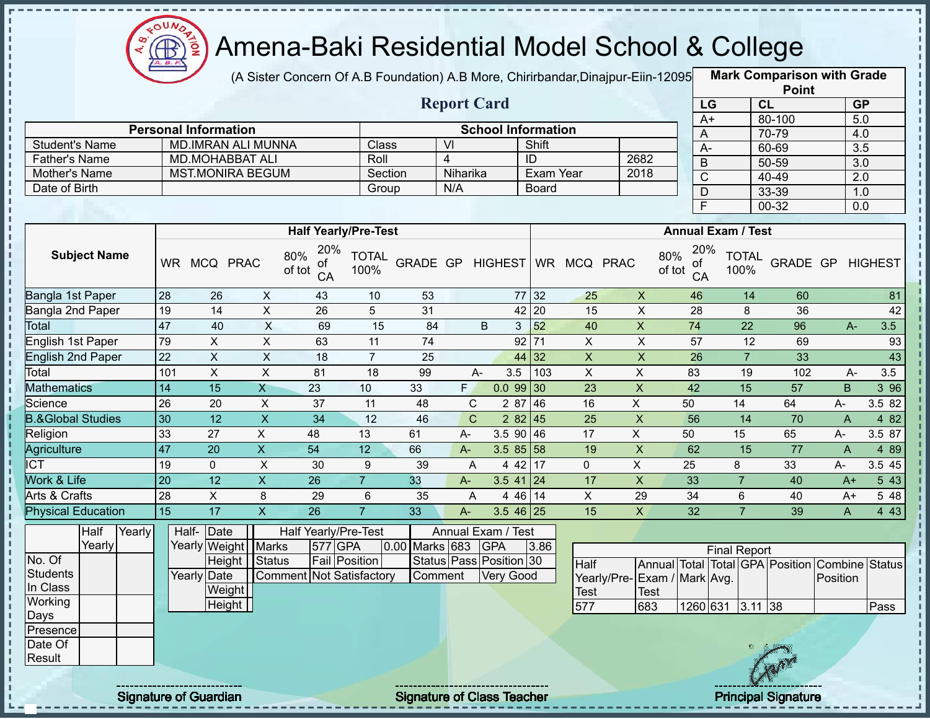

i

Î

l,

# Amena-Baki Residential Model School & College

(A Sister Concern Of A.B Foundation) A.B More, Chirirbandar, Dinajpur-Eiin-12095

**Mark Comparison with Grade Point**

|                                                       |                 |                                                     |                           |                                                                    |                      |                | <b>Report Card</b> |                                                             |                  |                              |                         | LG                                      |                           | CL              |                  | GP               |
|-------------------------------------------------------|-----------------|-----------------------------------------------------|---------------------------|--------------------------------------------------------------------|----------------------|----------------|--------------------|-------------------------------------------------------------|------------------|------------------------------|-------------------------|-----------------------------------------|---------------------------|-----------------|------------------|------------------|
|                                                       |                 | <b>Personal Information</b>                         |                           |                                                                    |                      |                |                    | <b>School Information</b>                                   |                  |                              |                         | $A+$                                    |                           | 80-100          |                  | 5.0              |
| <b>Student's Name</b>                                 |                 | MD.IMRAN ALI MUNNA                                  |                           |                                                                    | Class                |                | $\overline{V}$     |                                                             | Shift            |                              |                         | A                                       |                           | 70-79           |                  | 4.0              |
| <b>Father's Name</b>                                  |                 | <b>MD.MOHABBAT ALI</b>                              |                           |                                                                    | Roll                 |                | $\overline{4}$     |                                                             | ID               |                              | 2682                    | $A -$                                   |                           | 60-69           | $\overline{3.5}$ |                  |
| Mother's Name                                         |                 | <b>MST.MONIRA BEGUM</b>                             |                           |                                                                    | Section              |                | Niharika           |                                                             | <b>Exam Year</b> |                              | 2018                    | $\mathsf B$                             |                           | 50-59           |                  | 3.0              |
| Date of Birth                                         |                 |                                                     |                           |                                                                    | Group                |                | N/A                |                                                             | Board            |                              |                         | $\overline{C}$                          |                           | 40-49           |                  | 2.0              |
|                                                       |                 |                                                     |                           |                                                                    |                      |                |                    |                                                             |                  |                              |                         | $\overline{D}$                          |                           | 33-39           |                  | 1.0              |
|                                                       |                 |                                                     |                           |                                                                    |                      |                |                    |                                                             |                  |                              |                         | $\overline{\mathsf{F}}$                 |                           | $00 - 32$       |                  | 0.0              |
|                                                       |                 |                                                     |                           | <b>Half Yearly/Pre-Test</b>                                        |                      |                |                    |                                                             |                  |                              |                         |                                         | <b>Annual Exam / Test</b> |                 |                  |                  |
| <b>Subject Name</b>                                   |                 | WR MCQ PRAC                                         |                           | 20%<br>80%<br>οf<br>of tot<br>CA                                   | <b>TOTAL</b><br>100% |                |                    |                                                             |                  | GRADE GP HIGHEST WR MCQ PRAC |                         | 20%<br>80%<br>οf<br>of tot<br>CA        | <b>TOTAL</b><br>100%      | GRADE GP        |                  | <b>HIGHEST</b>   |
| Bangla 1st Paper                                      | 28              | 26                                                  | $\boldsymbol{\mathsf{X}}$ | 43                                                                 | 10                   | 53             |                    |                                                             | 77 32            | 25                           | $\pmb{\times}$          | 46                                      | 14                        | 60              |                  | 81               |
| Bangla 2nd Paper                                      | 19              | 14                                                  | $\boldsymbol{\mathsf{X}}$ | 26                                                                 | 5                    | 31             |                    | 42                                                          | 20               | 15                           | X                       | 28                                      | 8                         | 36              |                  | 42               |
| Total                                                 | 47              | 40                                                  | $\pmb{\times}$            | 69                                                                 | 15                   | 84             |                    | B<br>3 <sup>1</sup>                                         | 52               | 40                           | $\mathsf X$             | 74                                      | $\overline{22}$           | 96              | $A -$            | 3.5              |
| <b>English 1st Paper</b>                              | 79              | $\overline{X}$                                      | $\mathsf X$               | 63                                                                 | 11                   | 74             |                    |                                                             | $92$ 71          | $\mathsf X$                  | $\pmb{\times}$          | 57                                      | 12                        | 69              |                  | 93               |
| <b>English 2nd Paper</b>                              | $\overline{22}$ | $\overline{X}$                                      | $\overline{X}$            | 18                                                                 | $\overline{7}$       | 25             |                    |                                                             | 32 <br>44        | $\overline{X}$               | $\pmb{\times}$          | 26                                      | $\overline{7}$            | 33              |                  | 43               |
| Total                                                 | 101             | $\overline{X}$                                      | $\overline{X}$            | 81                                                                 | $\overline{18}$      | 99             | A-                 | 3.5                                                         | 103              | $\overline{X}$               | $\overline{X}$          | 83                                      | 19                        | 102             | $A-$             | 3.5              |
| <b>Mathematics</b>                                    | 14              | 15                                                  | $\overline{X}$            | $\overline{23}$                                                    | 10                   | 33             | F.                 | $0.099$ 30                                                  |                  | 23                           | $\overline{\mathsf{x}}$ | 42                                      | $\overline{15}$           | $\overline{57}$ | B                | $3\overline{96}$ |
| Science                                               | $\overline{26}$ | $\overline{20}$                                     | $\boldsymbol{\mathsf{X}}$ | $\overline{37}$                                                    | 11                   | 48             | $\mathbf C$        | 2 87                                                        | 46               | 16                           | $\overline{X}$          | 50                                      | 14                        | 64              | A-               | 3.5 82           |
| <b>B.&amp;Global Studies</b>                          | 30              | 12                                                  | $\overline{X}$            | 34                                                                 | 12                   | 46             | $\mathsf{C}$       |                                                             | 282   45         | 25                           | $\overline{X}$          | 56                                      | 14                        | 70              | $\mathsf{A}$     | 4 8 2            |
| Religion                                              | 33              | $\overline{27}$                                     | $\overline{X}$            | 48                                                                 | $\overline{13}$      | 61             | A-                 | 3.5 90                                                      | 46               | $\overline{17}$              | $\overline{X}$          | 50                                      | 15                        | 65              | A-               | 3.587            |
| Agriculture                                           | 47              | $\overline{20}$                                     | $\overline{\mathsf{x}}$   | $\overline{54}$                                                    | $\overline{12}$      | 66             | $A -$              | 3.5855                                                      |                  | 19                           | $\overline{X}$          | 62                                      | $\overline{15}$           | $\overline{77}$ | $\overline{A}$   | 4 8 9            |
| $\overline{\overline{\text{ICT}}}$                    | 19              | $\overline{0}$                                      | $\overline{X}$            | 30                                                                 | 9                    | 39             | A                  |                                                             | 4 42 17          | $\mathbf 0$                  | $\overline{X}$          | 25                                      | 8                         | 33              | A-               | 3.5 45           |
| Work & Life                                           | $\overline{20}$ | 12                                                  | $\overline{\mathsf{x}}$   | $\overline{26}$                                                    | $\overline{7}$       | 33             | $A-$               | $3.5$ 41 24                                                 |                  | 17                           | $\overline{X}$          | 33                                      | $\overline{7}$            | 40              | $A+$             | $5\overline{43}$ |
| Arts & Crafts                                         | 28              | $\overline{X}$                                      | 8                         | 29                                                                 | $\,6\,$              | 35             | A                  |                                                             | 44611            | $\overline{X}$               | 29                      | $\overline{34}$                         | 6                         | 40              | $A+$             | 5 48             |
| <b>Physical Education</b>                             | $\overline{15}$ | 17                                                  | $\overline{\mathsf{x}}$   | $\overline{26}$                                                    | $\overline{7}$       | 33             | A-                 | $3.546$ 25                                                  |                  | 15                           | $\overline{X}$          | 32                                      | $\overline{7}$            | 39              | $\mathsf{A}$     | 4 4 3            |
| Half<br>Yearly<br>Yearly<br>No. Of<br><b>Students</b> |                 | Date<br>Half-<br>Yearly Weight Marks<br>Yearly Date | Height Status             | Half Yearly/Pre-Test<br>577 GPA<br><b>Comment Not Satisfactory</b> | Fail Position        | 0.00 Marks 683 | Comment            | Annual Exam / Test<br><b>GPA</b><br>Status Pass Position 30 | 3.86             | <b>Half</b>                  |                         | Annual Total Total GPA Position Combine | <b>Final Report</b>       |                 |                  | <b>Status</b>    |
| In Class                                              |                 | Weight                                              |                           |                                                                    |                      |                |                    | <b>Very Good</b>                                            |                  | <b>Test</b>                  | Test                    | Yearly/Pre-Exam / Mark Avg.             |                           |                 | Position         |                  |
| Working                                               |                 | Height                                              |                           |                                                                    |                      |                |                    |                                                             |                  | 577                          | 683                     | 1260 631                                | $3.11$ 38                 |                 |                  | Pass             |
| <b>Days</b>                                           |                 |                                                     |                           |                                                                    |                      |                |                    |                                                             |                  |                              |                         |                                         |                           |                 |                  |                  |
| Presence<br>Date Of                                   |                 |                                                     |                           |                                                                    |                      |                |                    |                                                             |                  |                              |                         |                                         |                           |                 |                  |                  |
| Result                                                |                 |                                                     |                           |                                                                    |                      |                |                    |                                                             |                  |                              |                         |                                         |                           |                 |                  |                  |
|                                                       |                 |                                                     |                           |                                                                    |                      |                |                    |                                                             |                  |                              |                         |                                         |                           |                 |                  |                  |

Signature of Guardian Signature of Class Teacher Principal Signature 22/47

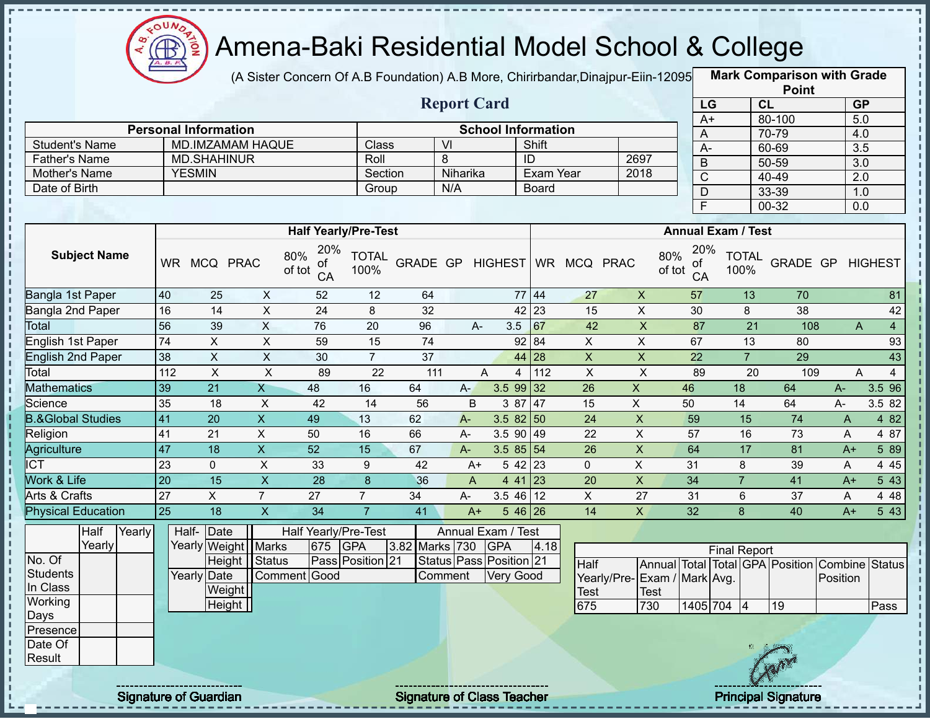

 $\mathbf I$ 

п f. п

 $\mathbf I$  $\mathbf{I}$ 

 $\begin{array}{c} 1 \\ 1 \\ 1 \\ 1 \\ 1 \\ 1 \\ \end{array}$ 

 $\mathbf I$  $\mathbf{I}$ 

 $\begin{array}{c} 1 \\ 1 \\ 1 \\ 1 \end{array}$ 

f,  $\mathbf I$ Ţ

 $\frac{1}{1}$ 

### Amena-Baki Residential Model School & College

(A Sister Concern Of A.B Foundation) A.B More, Chirirbandar,Dinajpur-Eiin-120950

**Mark Comparison with Grade**

|                                       |                 |                                                        |                           |                                  |                      |                 |                                    |                           |                    |                           |                             |                 |                           |                 | <b>Point</b>    |                                                            |                  |
|---------------------------------------|-----------------|--------------------------------------------------------|---------------------------|----------------------------------|----------------------|-----------------|------------------------------------|---------------------------|--------------------|---------------------------|-----------------------------|-----------------|---------------------------|-----------------|-----------------|------------------------------------------------------------|------------------|
|                                       |                 |                                                        |                           |                                  |                      |                 | <b>Report Card</b>                 |                           |                    |                           |                             | LG              |                           | CL              |                 | GP                                                         |                  |
|                                       |                 |                                                        |                           |                                  |                      |                 |                                    |                           |                    |                           |                             | $A+$            |                           | 80-100          |                 | 5.0                                                        |                  |
|                                       |                 | <b>Personal Information</b><br><b>MD.IMZAMAM HAQUE</b> |                           |                                  |                      |                 | $\overline{V}$                     | <b>School Information</b> | Shift              |                           |                             | Α               |                           | 70-79           |                 | 4.0                                                        |                  |
| <b>Student's Name</b>                 |                 |                                                        |                           |                                  | Class                |                 |                                    |                           | ID                 |                           | 2697                        | $A -$           |                           | 60-69           |                 | $\overline{3.5}$                                           |                  |
| <b>Father's Name</b><br>Mother's Name |                 | <b>MD.SHAHINUR</b><br><b>YESMIN</b>                    |                           |                                  | Roll<br>Section      |                 | 8<br>Niharika                      |                           | <b>Exam Year</b>   |                           | 2018                        | $\overline{B}$  |                           | $50 - 59$       |                 | $\overline{3.0}$                                           |                  |
| Date of Birth                         |                 |                                                        |                           |                                  | Group                |                 | N/A                                |                           | <b>Board</b>       |                           |                             | $\mathsf C$     |                           | 40-49           |                 | $\overline{2.0}$                                           |                  |
|                                       |                 |                                                        |                           |                                  |                      |                 |                                    |                           |                    |                           |                             | $\mathsf D$     |                           | 33-39           |                 | 1.0                                                        |                  |
|                                       |                 |                                                        |                           |                                  |                      |                 |                                    |                           |                    |                           |                             | F               |                           | $00 - 32$       |                 | $\overline{0.0}$                                           |                  |
|                                       |                 |                                                        |                           | <b>Half Yearly/Pre-Test</b>      |                      |                 |                                    |                           |                    |                           |                             |                 | <b>Annual Exam / Test</b> |                 |                 |                                                            |                  |
| <b>Subject Name</b>                   |                 | WR MCQ PRAC                                            |                           | 20%<br>80%<br>οf<br>of tot<br>CA | <b>TOTAL</b><br>100% |                 | GRADE GP HIGHEST                   |                           |                    | WR MCQ PRAC               | 80%<br>of tot               | 20%<br>0t<br>CA | <b>TOTAL</b><br>100%      |                 | GRADE GP        |                                                            | <b>HIGHEST</b>   |
| Bangla 1st Paper                      | 40              | 25                                                     | $\boldsymbol{\mathsf{X}}$ | 52                               | 12                   | 64              |                                    |                           | 77 44              | 27                        | $\boldsymbol{\mathsf{X}}$   | 57              |                           | 13              | 70              |                                                            | 81               |
| Bangla 2nd Paper                      | 16              | $\overline{14}$                                        | $\overline{X}$            | $\overline{24}$                  | 8                    | $\overline{32}$ |                                    |                           | $42 \overline{23}$ | $\overline{15}$           | $\overline{\mathsf{x}}$     | 30              |                           | 8               | $\overline{38}$ |                                                            | 42               |
| Total                                 | 56              | 39                                                     | $\overline{X}$            | 76                               | $\overline{20}$      | 96              | A-                                 | 3.5                       | 67                 | 42                        | $\overline{\mathsf{x}}$     | 87              |                           | $\overline{21}$ | 108             | $\mathsf{A}$                                               | $\overline{4}$   |
| <b>English 1st Paper</b>              | $\overline{74}$ | $\mathsf{X}$                                           | $\overline{X}$            | 59                               | $\overline{15}$      | $\overline{74}$ |                                    |                           | 92 84              | $\overline{X}$            | $\mathsf{X}$                | 67              |                           | 13              | 80              |                                                            | 93               |
| <b>English 2nd Paper</b>              | 38              | $\pmb{\times}$                                         | $\overline{X}$            | 30                               | $\overline{7}$       | 37              |                                    |                           | 44 28              | $\boldsymbol{\mathsf{X}}$ | $\mathsf X$                 | 22              |                           | $\overline{7}$  | $\overline{29}$ |                                                            | 43               |
| Total                                 | 112             | $\pmb{\times}$                                         | $\overline{X}$            | 89                               | $\overline{22}$      | 111             |                                    | A<br>$\overline{4}$       | 112                | $\pmb{\times}$            | $\times$                    | 89              |                           | 20              | 109             | A                                                          | $\overline{4}$   |
| <b>Mathematics</b>                    | 39              | 21                                                     | $\overline{X}$            | 48                               | 16                   | 64              | $A -$                              | $3.599$ 32                |                    | 26                        | $\boldsymbol{\mathsf{X}}$   | 46              | 18                        |                 | 64              | $A-$                                                       | 3.5 96           |
| Science                               | 35              | 18                                                     | $\boldsymbol{\mathsf{X}}$ | 42                               | 14                   | 56              | B                                  | 3 87                      | 47                 | 15                        | $\mathsf{X}$                | 50              | 14                        |                 | 64              | A-                                                         | 3.5 82           |
| <b>B.&amp;Global Studies</b>          | 41              | 20                                                     | $\mathsf X$               | 49                               | 13                   | 62              | $A -$                              | $3.582$ 50                |                    | 24                        | $\pmb{\times}$              | 59              | 15                        |                 | 74              | A                                                          | 4 8 2            |
| Religion                              | 41              | 21                                                     | $\mathsf X$               | 50                               | 16                   | 66              | A-                                 | $3.590$ 49                |                    | 22                        | $\mathsf X$                 | 57              |                           | 16              | 73              | A                                                          | 4 87             |
| Agriculture                           | 47              | $\overline{18}$                                        | $\overline{X}$            | 52                               | $\overline{15}$      | 67              | $A-$                               | $3.585$ 54                |                    | $\overline{26}$           | $\overline{X}$              | 64              | 17                        |                 | $\overline{81}$ | $A+$                                                       | 589              |
| <b>I</b> ICT                          | 23              | $\mathbf 0$                                            | $\overline{\mathsf{x}}$   | 33                               | $\boldsymbol{9}$     | 42              | $A+$                               |                           | $542$ 23           | $\mathbf 0$               | X                           | 31              | 8                         |                 | 39              | A                                                          | 4 4 5            |
| Work & Life                           | $\overline{20}$ | $\overline{15}$                                        | $\overline{X}$            | $\overline{28}$                  | $\boldsymbol{8}$     | 36              | $\mathsf{A}$                       | $441$ 23                  |                    | $\overline{20}$           | $\overline{\mathsf{x}}$     | 34              | $\overline{7}$            |                 | 41              | $A+$                                                       | $5\overline{43}$ |
| <b>Arts &amp; Crafts</b>              | $\overline{27}$ | $\overline{X}$                                         | $\overline{7}$            | $\overline{27}$                  | $\overline{7}$       | $\overline{34}$ | A-                                 | 3.5 46                    | 12                 | $\overline{X}$            | $\overline{27}$             | 31              | 6                         |                 | $\overline{37}$ | A                                                          | 4 4 8            |
| <b>Physical Education</b>             | 25              | 18                                                     | $\boldsymbol{\mathsf{X}}$ | 34                               | $\overline{7}$       | 41              | $A+$                               |                           | $546$ 26           | 14                        | $\mathsf{X}$                | 32              | 8                         |                 | 40              | $A+$                                                       | 5 4 3            |
| Half<br>Yearly<br>Yearly              |                 | Date<br>Half-<br>Yearly Weight                         | Marks                     | Half Yearly/Pre-Test<br>675      | <b>GPA</b>           | 3.82 Marks 730  | Annual Exam / Test                 | <b>GPA</b>                | 4.18               |                           |                             |                 | <b>Final Report</b>       |                 |                 |                                                            |                  |
| No. Of<br><b>Students</b>             |                 | Height<br>Yearly Date                                  | Status                    | Comment Good                     | Pass Position 21     |                 | Status Pass Position 21<br>Comment | <b>Very Good</b>          |                    | Half                      | Yearly/Pre-Exam / Mark Avg. |                 |                           |                 |                 | Annual Total Total GPA Position Combine Status<br>Position |                  |
| In Class                              |                 | Weight                                                 |                           |                                  |                      |                 |                                    |                           |                    | <b>Test</b>               | Test                        |                 |                           |                 |                 |                                                            |                  |
| Working<br>Days                       |                 | Height                                                 |                           |                                  |                      |                 |                                    |                           |                    | 675                       | 730                         |                 | 1405 704 4                | 19              |                 |                                                            | Pass             |
| Presence<br>Date Of<br>Result         |                 |                                                        |                           |                                  |                      |                 |                                    |                           |                    |                           |                             |                 |                           |                 |                 |                                                            |                  |
|                                       |                 |                                                        |                           |                                  |                      |                 |                                    |                           |                    |                           |                             |                 |                           |                 |                 |                                                            |                  |

Signature of Guardian Signature of Class Teacher Principal Signature 23/47/47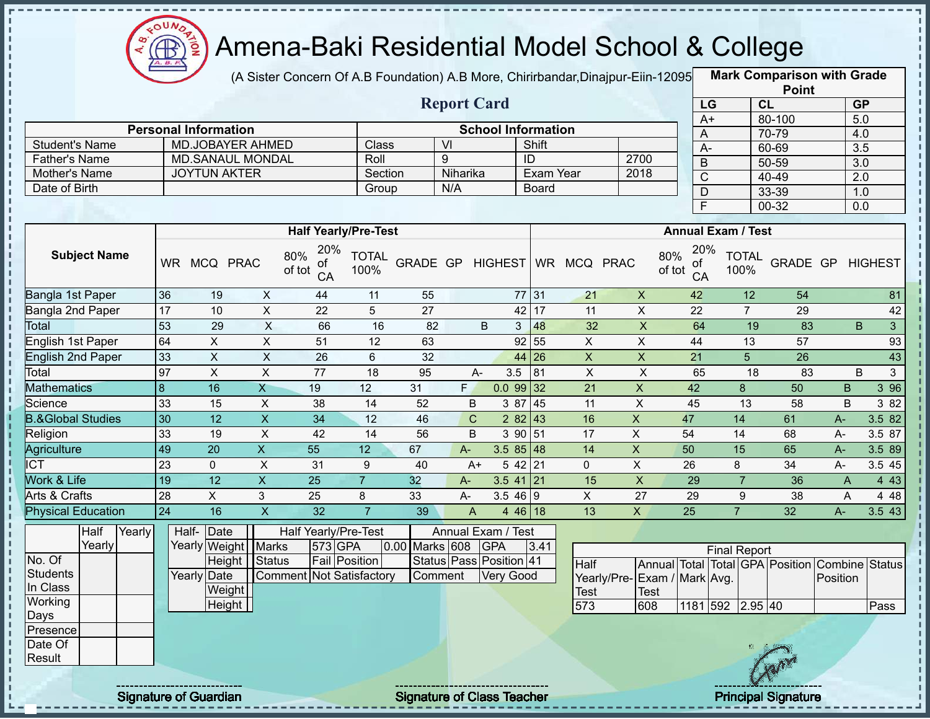

 $\mathbf I$ 

 $\mathbf{I}$ 

 $\mathbf{I}$ 

i

### Amena-Baki Residential Model School & College

(A Sister Concern Of A.B Foundation) A.B More, Chirirbandar, Dinajpur-Eiin-12095

**Mark Comparison with Grade**

|                              |                 |                             |                           |                                  |                      |                 |                         |                           |              |                         |                             |                           |                           | <b>Point</b>                                   |                  |                |
|------------------------------|-----------------|-----------------------------|---------------------------|----------------------------------|----------------------|-----------------|-------------------------|---------------------------|--------------|-------------------------|-----------------------------|---------------------------|---------------------------|------------------------------------------------|------------------|----------------|
|                              |                 |                             |                           |                                  |                      |                 | <b>Report Card</b>      |                           |              |                         |                             | LG                        |                           | CL                                             | GP               |                |
|                              |                 |                             |                           |                                  |                      |                 |                         |                           |              |                         |                             | $A+$                      |                           | 80-100                                         | 5.0              |                |
|                              |                 | <b>Personal Information</b> |                           |                                  |                      |                 |                         | <b>School Information</b> |              |                         |                             | A                         |                           | 70-79                                          | 4.0              |                |
| <b>Student's Name</b>        |                 | <b>MD.JOBAYER AHMED</b>     |                           |                                  | Class                |                 | $\vee$                  |                           | Shift        |                         |                             | $A -$                     |                           | 60-69                                          | $\overline{3.5}$ |                |
| <b>Father's Name</b>         |                 | <b>MD.SANAUL MONDAL</b>     |                           |                                  | Roll                 |                 | 9                       |                           | ID           |                         | 2700                        | B                         |                           | $50 - 59$                                      | 3.0              |                |
| Mother's Name                |                 | <b>JOYTUN AKTER</b>         |                           |                                  | Section              |                 | Niharika                |                           | Exam Year    |                         | 2018                        | $\overline{C}$            |                           | 40-49                                          | $\overline{2.0}$ |                |
| Date of Birth                |                 |                             |                           |                                  | Group                |                 | N/A                     |                           | <b>Board</b> |                         |                             | D                         |                           | 33-39                                          | 1.0              |                |
|                              |                 |                             |                           |                                  |                      |                 |                         |                           |              |                         |                             | $\overline{F}$            |                           | $00 - 32$                                      | 0.0              |                |
|                              |                 |                             |                           | <b>Half Yearly/Pre-Test</b>      |                      |                 |                         |                           |              |                         |                             |                           | <b>Annual Exam / Test</b> |                                                |                  |                |
| <b>Subject Name</b>          |                 | WR MCQ PRAC                 |                           | 20%<br>80%<br>οf<br>of tot<br>CA | <b>TOTAL</b><br>100% |                 | GRADE GP HIGHEST        |                           |              | WR MCQ PRAC             | 80%                         | 20%<br>οf<br>of tot<br>CA | <b>TOTAL</b><br>100%      | GRADE GP                                       |                  | <b>HIGHEST</b> |
| Bangla 1st Paper             | 36              | 19                          | X                         | 44                               | 11                   | 55              |                         |                           | 77 31        | 21                      | $\mathsf X$                 | 42                        | 12                        | 54                                             |                  | 81             |
| Bangla 2nd Paper             | $\overline{17}$ | 10                          | $\boldsymbol{\mathsf{X}}$ | $\overline{22}$                  | 5                    | $\overline{27}$ |                         | 42                        | 17           | 11                      | $\overline{X}$              | 22                        | $\overline{7}$            | 29                                             |                  | 42             |
| Total                        | 53              | 29                          | $\overline{X}$            | 66                               | 16                   | 82              |                         | B<br>3                    | 48           | $\overline{32}$         | $\overline{\mathsf{x}}$     | 64                        | $\overline{19}$           | 83                                             | B                | $\mathbf{3}$   |
| English 1st Paper            | 64              | $\mathsf{X}$                | $\mathsf{X}$              | 51                               | 12                   | 63              |                         |                           | 92 55        | $\overline{X}$          | $\mathsf X$                 | 44                        | 13                        | 57                                             |                  | 93             |
| <b>English 2nd Paper</b>     | 33              | $\overline{X}$              | $\overline{X}$            | 26                               | $6\phantom{a}$       | 32              |                         |                           | 44 26        | $\overline{\mathsf{x}}$ | $\overline{X}$              | $\overline{21}$           | $\overline{5}$            | $\overline{26}$                                |                  | 43             |
| Total                        | 97              | $\pmb{\times}$              | $\overline{X}$            | $\overline{77}$                  | 18                   | 95              | $A-$                    | 3.5                       | 81           | $\pmb{\times}$          | $\boldsymbol{\mathsf{X}}$   | 65                        | 18                        | 83                                             | B                | 3              |
| <b>Mathematics</b>           | 8               | 16                          | $\overline{X}$            | 19                               | 12                   | 31              | F                       | 0.09932                   |              | 21                      | $\pmb{\mathsf{X}}$          | 42                        | 8                         | 50                                             | B                | 3 9 6          |
| Science                      | 33              | 15                          | $\pmb{\times}$            | 38                               | 14                   | 52              | B                       | 3 87                      | 45           | 11                      | $\boldsymbol{\mathsf{X}}$   | 45                        | 13                        | 58                                             | B                | 3 8 2          |
| <b>B.&amp;Global Studies</b> | 30              | $\overline{12}$             | $\overline{\mathsf{x}}$   | $\overline{34}$                  | $\overline{12}$      | 46              | $\mathsf C$             |                           | 2 82 43      | 16                      | $\mathsf X$                 | 47                        | 14                        | 61                                             | $A -$            | 3.5 82         |
| Religion                     | 33              | 19                          | $\boldsymbol{\mathsf{X}}$ | 42                               | 14                   | 56              | B                       |                           | 3 90 51      | 17                      | $\mathsf{X}$                | 54                        | 14                        | 68                                             | $A -$            | 3.5 87         |
| Agriculture                  | 49              | $\overline{20}$             | $\overline{X}$            | $\overline{55}$                  | 12                   | 67              | $A-$                    | $3.585$ 48                |              | 14                      | $\boldsymbol{\mathsf{X}}$   | 50                        | 15                        | 65                                             | $A -$            | 3.5 89         |
| <b>ICT</b>                   | $\overline{23}$ | $\mathbf 0$                 | $\overline{\mathsf{x}}$   | $\overline{31}$                  | 9                    | 40              | $A+$                    |                           | 5 42 21      | $\mathbf 0$             | $\overline{X}$              | $\overline{26}$           | 8                         | 34                                             | A-               | 3.5 45         |
| <b>Work &amp; Life</b>       | 19              | 12                          | $\overline{X}$            | $\overline{25}$                  | $\overline{7}$       | 32              | $A -$                   | $3.5$ 41 21               |              | 15                      | $\overline{X}$              | 29                        | $\overline{7}$            | 36                                             | $\overline{A}$   | 4 4 3          |
| <b>Arts &amp; Crafts</b>     | 28              | $\overline{X}$              | $\mathbf{3}$              | 25                               | 8                    | 33              | A-                      | 3.546 9                   |              | $\overline{X}$          | $\overline{27}$             | 29                        | 9                         | $\overline{38}$                                | A                | 4 4 8          |
| <b>Physical Education</b>    | $\overline{24}$ | 16                          | $\overline{\mathsf{x}}$   | $\overline{32}$                  | $\overline{7}$       | 39              | $\overline{A}$          |                           | 4 46 18      | $\overline{13}$         | $\overline{X}$              | $\overline{25}$           | $\overline{7}$            | 32                                             | $A -$            | 3.5 43         |
| Half<br>Yearly               |                 | Half-<br>Date               |                           | Half Yearly/Pre-Test             |                      |                 | Annual Exam / Test      |                           |              |                         |                             |                           |                           |                                                |                  |                |
| Yearly                       |                 | Yearly Weight               | <b>Marks</b>              | 573 GPA                          |                      | 0.00 Marks 608  |                         | <b>GPA</b>                | 3.41         |                         |                             |                           | <b>Final Report</b>       |                                                |                  |                |
| No. Of                       |                 | Height                      | Status                    | <b>Fail Position</b>             |                      |                 | Status Pass Position 41 |                           |              | <b>Half</b>             |                             |                           |                           | Annual Total Total GPA Position Combine Status |                  |                |
| <b>Students</b>              |                 | Yearly Date                 |                           | Comment Not Satisfactory         |                      |                 | Comment                 | <b>Very Good</b>          |              |                         | Yearly/Pre-Exam / Mark Avg. |                           |                           |                                                | Position         |                |
| In Class                     |                 | Weight                      |                           |                                  |                      |                 |                         |                           |              | <b>Test</b>             | <b>Test</b>                 |                           |                           |                                                |                  |                |
| Working                      |                 | Height                      |                           |                                  |                      |                 |                         |                           |              | 573                     | 608                         |                           | 1181 592 2.95 40          |                                                |                  | Pass           |
| Days                         |                 |                             |                           |                                  |                      |                 |                         |                           |              |                         |                             |                           |                           |                                                |                  |                |
| Presence<br>Date Of          |                 |                             |                           |                                  |                      |                 |                         |                           |              |                         |                             |                           |                           |                                                |                  |                |
| Result                       |                 |                             |                           |                                  |                      |                 |                         |                           |              |                         |                             |                           |                           |                                                |                  |                |
|                              |                 |                             |                           |                                  |                      |                 |                         |                           |              |                         |                             |                           |                           |                                                |                  |                |
|                              |                 |                             |                           |                                  |                      |                 |                         |                           |              |                         |                             |                           |                           |                                                |                  |                |

Signature of Guardian Signature of Class Teacher Principal Signature 24/47/47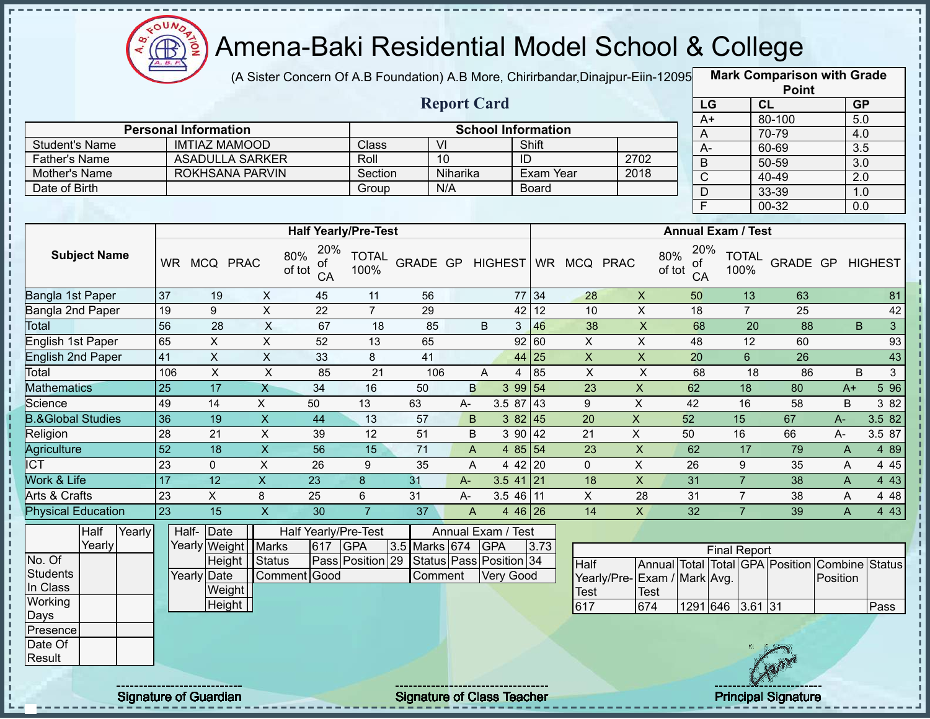

(A Sister Concern Of A.B Foundation) A.B More, Chirirbandar,Dinajpur-Eiin-120950

**Mark Comparison with Grade Point**

|                              |                             |                         |                           |                                  |                      |                 |                         |                           |                    |                              |                             |                                           |                                 | $\ddot{\phantom{0}}$ |                         |                  |
|------------------------------|-----------------------------|-------------------------|---------------------------|----------------------------------|----------------------|-----------------|-------------------------|---------------------------|--------------------|------------------------------|-----------------------------|-------------------------------------------|---------------------------------|----------------------|-------------------------|------------------|
|                              |                             |                         |                           |                                  |                      |                 | <b>Report Card</b>      |                           |                    |                              |                             | LG                                        |                                 | CL                   | GP                      |                  |
|                              | <b>Personal Information</b> |                         |                           |                                  |                      |                 |                         | <b>School Information</b> |                    |                              |                             | $A+$                                      |                                 | 80-100               | 5.0                     |                  |
| <b>Student's Name</b>        |                             |                         | <b>IMTIAZ MAMOOD</b>      |                                  | Class                |                 | $\overline{V}$          |                           | Shift              |                              |                             | A                                         |                                 | 70-79                | 4.0                     |                  |
| <b>Father's Name</b>         |                             |                         | <b>ASADULLA SARKER</b>    |                                  | Roll                 |                 | 10                      |                           | $\overline{ID}$    |                              | 2702                        | $A -$                                     |                                 | 60-69                | $\overline{3.5}$        |                  |
| <b>Mother's Name</b>         |                             |                         | <b>ROKHSANA PARVIN</b>    |                                  | Section              |                 | Niharika                |                           | Exam Year          |                              | 2018                        | B                                         |                                 | 50-59                | $\overline{3.0}$        |                  |
| Date of Birth                |                             |                         |                           |                                  | Group                |                 | N/A                     |                           | Board              |                              |                             | $\overline{C}$                            |                                 | 40-49                | $\overline{2.0}$        |                  |
|                              |                             |                         |                           |                                  |                      |                 |                         |                           |                    |                              |                             | $\overline{D}$<br>$\overline{\mathsf{F}}$ |                                 | 33-39                | 1.0                     |                  |
|                              |                             |                         |                           |                                  |                      |                 |                         |                           |                    |                              |                             |                                           |                                 | $00 - 32$            | $\overline{0.0}$        |                  |
|                              |                             |                         |                           | <b>Half Yearly/Pre-Test</b>      |                      |                 |                         |                           |                    |                              |                             |                                           | <b>Annual Exam / Test</b>       |                      |                         |                  |
| <b>Subject Name</b>          |                             | WR MCQ PRAC             |                           | 20%<br>80%<br>οt<br>of tot<br>CA | <b>TOTAL</b><br>100% |                 |                         |                           |                    | GRADE GP HIGHEST WR MCQ PRAC |                             | 20%<br>80%<br>ΟĪ<br>of tot<br>CA          | <b>TOTAL</b><br>100%            |                      | <b>GRADE GP HIGHEST</b> |                  |
| Bangla 1st Paper             | 37                          | 19                      | $\pmb{\times}$            | 45                               | 11                   | 56              |                         |                           | 77 34              | 28                           | $\pmb{\times}$              | 50                                        | 13                              | 63                   |                         | 81               |
| Bangla 2nd Paper             | 19                          | 9                       | $\overline{\mathsf{x}}$   | 22                               | $\overline{7}$       | 29              |                         |                           | 12<br>42           | 10                           | $\mathsf X$                 | 18                                        | $\overline{7}$                  | 25                   |                         | 42               |
| <b>Total</b>                 | $\overline{56}$             | $\overline{28}$         | $\overline{X}$            | 67                               | 18                   | 85              |                         | B                         | $\mathbf{3}$<br>46 | 38                           | $\overline{\mathsf{x}}$     | 68                                        | $\overline{20}$                 | 88                   | B                       | $\mathbf{3}$     |
| English 1st Paper            | 65                          | $\pmb{\times}$          | $\pmb{\times}$            | 52                               | 13                   | 65              |                         |                           | 92<br>60           | $\pmb{\times}$               | $\sf X$                     | 48                                        | 12                              | 60                   |                         | 93               |
| <b>English 2nd Paper</b>     | 41                          | $\overline{X}$          | $\overline{\mathsf{x}}$   | 33                               | 8                    | 41              |                         |                           | 44<br> 25          | $\boldsymbol{\mathsf{X}}$    | $\overline{X}$              | 20                                        | $6\phantom{1}$                  | $\overline{26}$      |                         | 43               |
| Total                        | 106                         | $\overline{\mathsf{x}}$ | $\overline{X}$            | 85                               | $\overline{21}$      | 106             |                         | A                         | 85<br>4            | $\pmb{\times}$               | $\overline{\mathsf{x}}$     | 68                                        | 18                              | 86                   | B                       | $\mathbf{3}$     |
| <b>Mathematics</b>           | $\overline{25}$             | 17                      | $\overline{X}$            | $\overline{34}$                  | 16                   | 50              | $\overline{B}$          |                           | 3 99 54            | 23                           | $\pmb{\times}$              | 62                                        | 18                              | 80                   | $A+$                    | $5\overline{96}$ |
| Science                      | 49                          | $\overline{14}$         | $\overline{X}$            | 50                               | 13                   | 63              | A-                      | 3.5 87                    | 43                 | 9                            | $\overline{X}$              | 42                                        | 16                              | 58                   | B                       | 3 82             |
| <b>B.&amp;Global Studies</b> | 36                          | 19                      | $\boldsymbol{\mathsf{X}}$ | 44                               | 13                   | 57              | $\sf B$                 |                           | 38245              | 20                           | $\overline{\mathsf{x}}$     | 52                                        | 15                              | 67                   | $A -$                   | 3.5 82           |
| Religion                     | $\overline{28}$             | $\overline{21}$         | $\overline{X}$            | 39                               | $\overline{12}$      | 51              | B                       | 3 90                      | 42                 | $\overline{21}$              | $\overline{X}$              | 50                                        | 16                              | 66                   | A-                      | 3.5 87           |
| <b>Agriculture</b>           | $\overline{52}$             | $\overline{18}$         | $\overline{X}$            | $\overline{56}$                  | $\overline{15}$      | $\overline{71}$ | $\overline{A}$          |                           | 4 85 54            | 23                           | $\overline{\mathsf{x}}$     | 62                                        | 17                              | 79                   | $\overline{A}$          | 4 8 9            |
| $\overline{\text{ICT}}$      | $\overline{23}$             | $\Omega$                | $\overline{X}$            | $\overline{26}$                  | 9                    | $\overline{35}$ | A                       |                           | $442$ 20           | $\Omega$                     | $\overline{X}$              | 26                                        | 9                               | 35                   | A                       | 4 4 5            |
| Work & Life                  | 17                          | $\overline{12}$         | $\overline{X}$            | 23                               | $\bf 8$              | 31              | $A -$                   |                           | $3.5$ 41 21        | 18                           | $\pmb{\times}$              | 31                                        | $\overline{7}$                  | 38                   | A                       | 4 4 3            |
| Arts & Crafts                | 23                          | $\mathsf X$             | 8                         | 25                               | $\,6\,$              | 31              | A-                      |                           | $3.546$ 11         | X                            | 28                          | 31                                        | $\overline{7}$                  | 38                   | A                       | 4 4 8            |
| <b>Physical Education</b>    | $\overline{23}$             | 15                      | $\overline{\mathsf{X}}$   | 30                               | $\overline{7}$       | 37              | A                       |                           | 4 46 26            | 14                           | $\mathsf{X}$                | 32                                        | $\overline{7}$                  | 39                   | A                       | 4 4 3            |
| Half                         | Yearly                      | Half-<br>Date           |                           | Half Yearly/Pre-Test             |                      |                 | Annual Exam / Test      |                           |                    |                              |                             |                                           |                                 |                      |                         |                  |
| Yearly                       |                             |                         | Yearly Weight Marks       | 617                              | <b>GPA</b>           | 3.5 Marks 674   |                         | <b>GPA</b>                | 3.73               |                              |                             |                                           | <b>Final Report</b>             |                      |                         |                  |
| No. Of                       |                             |                         | Height   Status           |                                  | Pass Position 29     |                 | Status Pass Position 34 |                           |                    | <b>Half</b>                  |                             |                                           | Annual Total Total GPA Position |                      | <b>Combine Status</b>   |                  |
| <b>Students</b>              |                             | Yearly Date             |                           | Comment Good                     |                      | Comment         |                         | <b>Very Good</b>          |                    |                              | Yearly/Pre-Exam / Mark Avg. |                                           |                                 |                      | Position                |                  |
| In Class                     |                             |                         | Weight                    |                                  |                      |                 |                         |                           |                    | <b>Test</b>                  | <b>Test</b>                 |                                           |                                 |                      |                         |                  |
| Working                      |                             |                         | Height                    |                                  |                      |                 |                         |                           |                    | 617                          | 674                         | 1291 646                                  | $3.61$ 31                       |                      |                         | Pass             |
| Days                         |                             |                         |                           |                                  |                      |                 |                         |                           |                    |                              |                             |                                           |                                 |                      |                         |                  |
| Presence                     |                             |                         |                           |                                  |                      |                 |                         |                           |                    |                              |                             |                                           |                                 |                      |                         |                  |
| Date Of<br>Result            |                             |                         |                           |                                  |                      |                 |                         |                           |                    |                              |                             |                                           |                                 |                      |                         |                  |
|                              |                             |                         |                           |                                  |                      |                 |                         |                           |                    |                              |                             |                                           |                                 |                      |                         |                  |
|                              |                             |                         |                           |                                  |                      |                 |                         |                           |                    |                              |                             |                                           |                                 |                      |                         |                  |

Signature of Guardian Signature of Class Teacher Principal Signature 25/47/47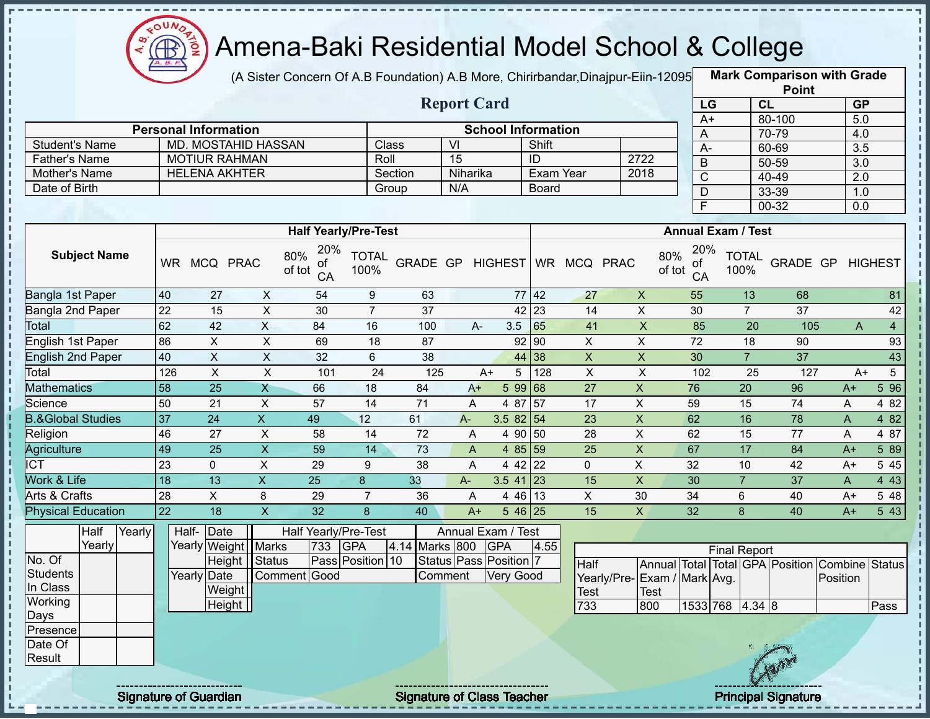

(A Sister Concern Of A.B Foundation) A.B More, Chirirbandar, Dinajpur-Eiin-12095

**Mark Comparison with Grade Point**

|                                               |                 |                             |                            |                                  |                      |                  |                       |                           |                  |                 |                             |                 |                           | <b>FUILL</b>                    |                  |                  |
|-----------------------------------------------|-----------------|-----------------------------|----------------------------|----------------------------------|----------------------|------------------|-----------------------|---------------------------|------------------|-----------------|-----------------------------|-----------------|---------------------------|---------------------------------|------------------|------------------|
|                                               |                 |                             |                            |                                  |                      |                  | <b>Report Card</b>    |                           |                  |                 |                             | LG              |                           | <b>CL</b>                       | <b>GP</b>        |                  |
|                                               |                 |                             |                            |                                  |                      |                  |                       |                           |                  |                 |                             | $A+$            |                           | 80-100                          | 5.0              |                  |
|                                               |                 | <b>Personal Information</b> | <b>MD. MOSTAHID HASSAN</b> |                                  |                      |                  |                       | <b>School Information</b> |                  |                 |                             | Α               |                           | 70-79                           | 4.0              |                  |
| <b>Student's Name</b><br><b>Father's Name</b> |                 |                             | <b>MOTIUR RAHMAN</b>       |                                  | Roll                 | Class            | VI<br>$\overline{15}$ |                           | Shift<br>ID      |                 | 2722                        | $A -$           |                           | 60-69                           | 3.5              |                  |
|                                               |                 |                             | <b>HELENA AKHTER</b>       |                                  |                      |                  | Niharika              |                           | <b>Exam Year</b> |                 | 2018                        | $\mathsf B$     |                           | 50-59                           | $\overline{3.0}$ |                  |
| Mother's Name<br>Date of Birth                |                 |                             |                            |                                  |                      | Section          | N/A                   |                           | <b>Board</b>     |                 |                             | $\overline{C}$  |                           | $40 - 49$                       | 2.0              |                  |
|                                               |                 |                             |                            |                                  |                      | Group            |                       |                           |                  |                 |                             | D               |                           | 33-39                           | 1.0              |                  |
|                                               |                 |                             |                            |                                  |                      |                  |                       |                           |                  |                 |                             | F               |                           | 00-32                           | $\overline{0.0}$ |                  |
|                                               |                 |                             |                            | <b>Half Yearly/Pre-Test</b>      |                      |                  |                       |                           |                  |                 |                             |                 | <b>Annual Exam / Test</b> |                                 |                  |                  |
| <b>Subject Name</b>                           |                 | WR MCQ PRAC                 |                            | 20%<br>80%<br>оt<br>of tot<br>CA | <b>TOTAL</b><br>100% | GRADE GP HIGHEST |                       |                           |                  | WR MCQ PRAC     | 80%<br>of tot               | 20%<br>οt<br>CA | <b>TOTAL</b><br>100%      | GRADE GP                        |                  | <b>HIGHEST</b>   |
| Bangla 1st Paper                              | 40              | 27                          | X                          | 54                               | $9\,$                | 63               |                       |                           | $77$ 42          | 27              | $\boldsymbol{\mathsf{X}}$   | 55              | 13                        | 68                              |                  | 81               |
| Bangla 2nd Paper                              | $\overline{22}$ | 15                          | $\overline{\mathsf{x}}$    | 30                               | $\overline{7}$       | 37               |                       |                           | $42 \mid 23$     | 14              | $\pmb{\times}$              | 30              | $\overline{7}$            | 37                              |                  | 42               |
| Total                                         | 62              | 42                          | $\overline{X}$             | 84                               | 16                   | 100              |                       | 3.5<br>A-                 | 65               | 41              | $\overline{X}$              | 85              | 20                        | 105                             | A                | $\overline{4}$   |
| English 1st Paper                             | 86              | $\mathsf X$                 | $\mathsf X$                | 69                               | 18                   | 87               |                       |                           | 92 90            | X               | $\boldsymbol{\mathsf{X}}$   | 72              | 18                        | 90                              |                  | 93               |
| <b>English 2nd Paper</b>                      | 40              | $\overline{X}$              | $\mathsf X$                | 32                               | 6                    | 38               |                       |                           | 44 38            | $\overline{X}$  | $\overline{X}$              | 30              | $\overline{7}$            | $\overline{37}$                 |                  | 43               |
| Total                                         | 126             | $\pmb{\times}$              | $\mathsf X$                | 101                              | 24                   | 125              |                       | 5<br>$A+$                 | 128              | $\mathsf X$     | $\pmb{\times}$              | 102             | 25                        | 127                             | $A+$             | $5\overline{)}$  |
| <b>Mathematics</b>                            | 58              | $\overline{25}$             | $\overline{X}$             | 66                               | 18                   | 84               | $A+$                  |                           | 5 99 68          | $\overline{27}$ | $\overline{X}$              | 76              | $\overline{20}$           | 96                              | $A+$             | $5\overline{96}$ |
| Science                                       | 50              | 21                          | $\mathsf{x}$               | 57                               | 14                   | 71               | A                     |                           | 4 87 57          | 17              | $\pmb{\times}$              | 59              | 15                        | $\overline{74}$                 | A                | 4 8 2            |
| <b>B.&amp;Global Studies</b>                  | 37              | $\overline{24}$             | $\overline{X}$             | 49                               | 12                   | 61               | $A -$                 | 3.5 82 54                 |                  | 23              | $\overline{X}$              | 62              | 16                        | 78                              | A                | 4 8 2            |
| Religion                                      | 46              | 27                          | $\mathsf X$                | 58                               | 14                   | 72               | A                     |                           | 4 90 50          | $\overline{28}$ | $\overline{X}$              | 62              | $\overline{15}$           | 77                              | A                | 4 87             |
| <b>Agriculture</b>                            | 49              | $\overline{25}$             | $\overline{X}$             | $\overline{59}$                  | 14                   | 73               | A                     |                           | 4 85 59          | 25              | $\overline{\mathsf{x}}$     | 67              | $\overline{17}$           | 84                              | $A+$             | 5 89             |
| $\overline{ICT}$                              | 23              | $\mathbf{0}$                | X                          | 29                               | 9                    | 38               | A                     |                           | 4 42 22          | $\mathbf 0$     | $\pmb{\times}$              | 32              | 10                        | 42                              | $A+$             | 5 4 5            |
| Work & Life                                   | 18              | $\overline{13}$             | $\overline{X}$             | $\overline{25}$                  | $\bf{8}$             | 33               | $A -$                 | $3.541$ 23                |                  | 15              | $\pmb{\times}$              | $\overline{30}$ | $\overline{7}$            | 37                              | A                | 4 4 3            |
| Arts & Crafts                                 | 28              | $\mathsf X$                 | 8                          | 29                               | $\overline{7}$       | 36               | A                     |                           | 4 46 13          | $\pmb{\times}$  | 30                          | 34              | 6                         | 40                              | A+               | 5 48             |
| <b>Physical Education</b>                     | $\overline{22}$ | $\overline{18}$             | $\overline{\mathsf{x}}$    | $\overline{32}$                  | 8                    | 40               | $A+$                  |                           | 5 46 25          | 15              | $\pmb{\times}$              | $\overline{32}$ | 8                         | 40                              | $A+$             | 543              |
| Half<br>Yearly                                |                 | Half-<br>Date               |                            | Half Yearly/Pre-Test             |                      |                  |                       | Annual Exam / Test        |                  |                 |                             |                 |                           |                                 |                  |                  |
| Yearly                                        |                 |                             | Yearly Weight Marks        | 733                              | <b>GPA</b>           | 4.14 Marks 800   |                       | <b>GPA</b>                | 4.55             |                 |                             |                 | <b>Final Report</b>       |                                 |                  |                  |
| No. Of                                        |                 |                             | Height Status              |                                  | Pass Position 10     |                  |                       | Status Pass Position 7    |                  | Half            |                             |                 |                           | Annual Total Total GPA Position | Combine          | <b>Status</b>    |
| <b>Students</b>                               |                 | Yearly Date                 |                            | Comment Good                     |                      |                  | Comment               | <b>Very Good</b>          |                  |                 | Yearly/Pre-Exam / Mark Avg. |                 |                           |                                 | Position         |                  |
| In Class                                      |                 |                             | Weight                     |                                  |                      |                  |                       |                           |                  | <b>Test</b>     | <b>Test</b>                 |                 |                           |                                 |                  |                  |
| Working                                       |                 |                             | <b>Height</b>              |                                  |                      |                  |                       |                           |                  | 733             | 800                         |                 | 1533 768 4.34 8           |                                 |                  | Pass             |
| Days                                          |                 |                             |                            |                                  |                      |                  |                       |                           |                  |                 |                             |                 |                           |                                 |                  |                  |
| Presence                                      |                 |                             |                            |                                  |                      |                  |                       |                           |                  |                 |                             |                 |                           |                                 |                  |                  |
| Date Of<br>Result                             |                 |                             |                            |                                  |                      |                  |                       |                           |                  |                 |                             |                 |                           |                                 |                  |                  |
|                                               |                 |                             |                            |                                  |                      |                  |                       |                           |                  |                 |                             |                 |                           |                                 |                  |                  |
|                                               |                 |                             |                            |                                  |                      |                  |                       |                           |                  |                 |                             |                 |                           |                                 |                  |                  |

Signature of Guardian Signature of Class Teacher Principal Signature 26 Australian Principal Signature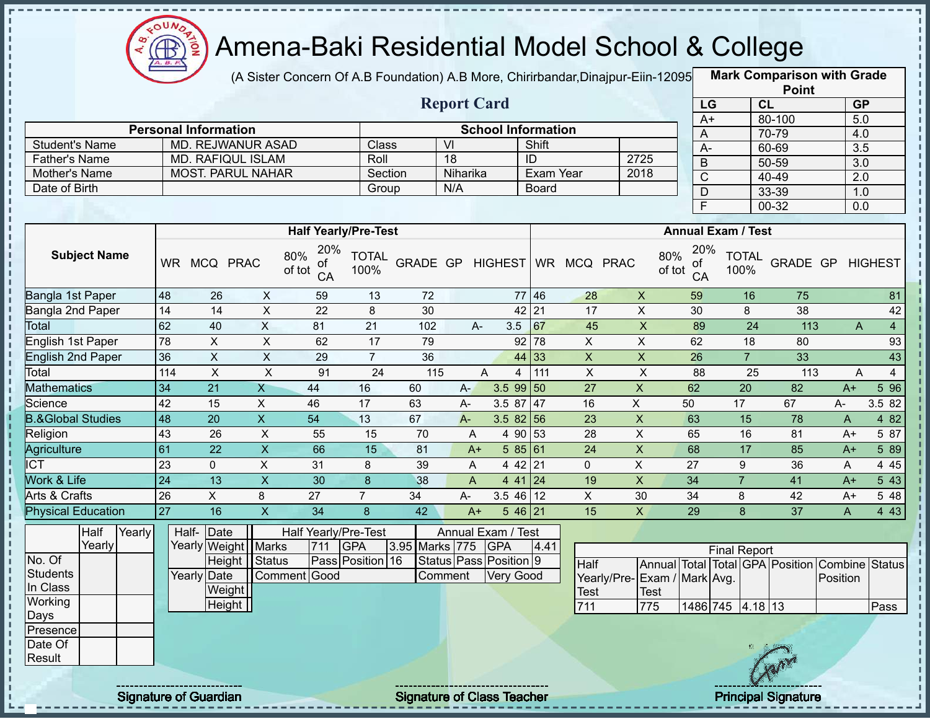

(A Sister Concern Of A.B Foundation) A.B More, Chirirbandar,Dinajpur-Eiin-120950

**Mark Comparison with Grade**

|                                        |                                                                  |                                         |                           |                             |                                |                |                         |                                                                  |                           |                                   |                    |                                  |                                                            | <b>Point</b> |                     |                |
|----------------------------------------|------------------------------------------------------------------|-----------------------------------------|---------------------------|-----------------------------|--------------------------------|----------------|-------------------------|------------------------------------------------------------------|---------------------------|-----------------------------------|--------------------|----------------------------------|------------------------------------------------------------|--------------|---------------------|----------------|
|                                        |                                                                  |                                         |                           |                             |                                |                | <b>Report Card</b>      |                                                                  |                           |                                   |                    | LG                               |                                                            | CL           | GP                  |                |
|                                        |                                                                  |                                         |                           |                             |                                |                |                         |                                                                  |                           |                                   |                    | $A+$                             |                                                            | 80-100       | $\overline{5.0}$    |                |
|                                        |                                                                  | <b>Personal Information</b>             |                           |                             |                                |                |                         | <b>School Information</b>                                        |                           |                                   |                    | A                                |                                                            | 70-79        | 4.0                 |                |
| <b>Student's Name</b>                  |                                                                  | <b>MD. REJWANUR ASAD</b>                |                           |                             | Class                          |                | $\overline{\mathsf{M}}$ |                                                                  | Shift                     |                                   |                    | $A -$                            |                                                            | 60-69        | $\overline{3.5}$    |                |
| <b>Father's Name</b>                   |                                                                  | <b>MD. RAFIQUL ISLAM</b>                |                           |                             | Roll                           |                | 18                      |                                                                  | ID                        |                                   | 2725               | $\mathsf B$                      |                                                            | 50-59        | 3.0                 |                |
| Mother's Name<br>Date of Birth         |                                                                  | <b>MOST. PARUL NAHAR</b>                |                           |                             | Section                        |                | Niharika<br>N/A         |                                                                  | Exam Year<br><b>Board</b> |                                   | 2018               | $\overline{C}$                   |                                                            | 40-49        | $\overline{2.0}$    |                |
|                                        |                                                                  |                                         |                           |                             | Group                          |                |                         |                                                                  |                           |                                   |                    | D                                |                                                            | 33-39        | 1.0                 |                |
|                                        |                                                                  |                                         |                           |                             |                                |                |                         |                                                                  |                           |                                   |                    | F                                |                                                            | 00-32        | 0.0                 |                |
|                                        |                                                                  |                                         |                           | <b>Half Yearly/Pre-Test</b> |                                |                |                         |                                                                  |                           |                                   |                    |                                  | <b>Annual Exam / Test</b>                                  |              |                     |                |
| <b>Subject Name</b>                    | 20%<br>80%<br>WR MCQ PRAC<br>οt<br>of tot<br>CA<br>48<br>26<br>X |                                         |                           |                             |                                |                |                         |                                                                  |                           | GRADE GP HIGHEST WR MCQ PRAC      |                    | 20%<br>80%<br>οt<br>of tot<br>CA | <b>TOTAL</b><br>100%                                       | GRADE GP     |                     | <b>HIGHEST</b> |
| Bangla 1st Paper                       |                                                                  |                                         |                           | 59                          | 13                             | 72             |                         |                                                                  | 77 46                     | 28                                | $\pmb{\times}$     | 59                               | 16                                                         | 75           |                     | 81             |
| Bangla 2nd Paper                       | 14                                                               | 14                                      | $\mathsf X$               | 22                          | 8                              | 30             |                         |                                                                  | $42$   21                 | 17                                | X                  | 30                               | 8                                                          | 38           |                     | 42             |
| Total                                  | 62                                                               | 40                                      | $\sf X$                   | 81                          | 21                             | 102            | $A -$                   | 3.5                                                              | 67                        | 45                                | $\mathsf{X}$       | 89                               | 24                                                         | 113          | $\overline{A}$      | $\overline{4}$ |
| English 1st Paper                      | 78                                                               | X                                       | $\mathsf{X}$              | 62                          | 17                             | 79             |                         |                                                                  | $92$ 78                   | $\mathsf{X}$                      | $\mathsf{x}$       | 62                               | 18                                                         | 80           |                     | 93             |
| <b>English 2nd Paper</b>               | 36                                                               | $\overline{\mathsf{x}}$                 | $\overline{X}$            | 29                          | $\overline{7}$                 | 36             |                         |                                                                  | 44 33                     | $\boldsymbol{\mathsf{X}}$         | $\overline{X}$     | 26                               | $\overline{7}$                                             | 33           |                     | 43             |
| Total                                  | 114                                                              | $\boldsymbol{\mathsf{X}}$               | $\sf X$                   | 91                          | 24                             | 115            |                         | A<br>4                                                           | 111                       | $\mathsf X$                       | X                  | 88                               | 25                                                         | 113          | A                   | $\overline{4}$ |
| <b>Mathematics</b>                     | 34                                                               | 21                                      | $\overline{X}$            | 44                          | 16                             | 60             | $A -$                   | $3.5$ 99 50                                                      |                           | 27                                | $\mathsf X$        | 62                               | 20                                                         | 82           | $A+$                | 5 9 6          |
| Science                                | 42                                                               | 15                                      | $\sf X$                   | 46                          | 17                             | 63             | A-                      | 3.5 87 47                                                        |                           | 16                                | $\mathsf{X}$       | 50                               | 17                                                         | 67           | А-                  | 3.5 82         |
| <b>B.&amp;Global Studies</b>           | 48                                                               | 20                                      | $\mathsf X$               | 54                          | 13                             | 67             | $A -$                   | $3.582$ 56                                                       |                           | 23                                | X                  | 63                               | 15                                                         | 78           | A                   | 4 8 2          |
| Religion                               | 43                                                               | 26                                      | $\mathsf X$               | 55                          | 15                             | 70             | Α                       |                                                                  | 4 90 53                   | 28                                | $\sf X$            | 65                               | 16                                                         | 81           | $A+$                | 5 87           |
| Agriculture                            | 61                                                               | 22                                      | $\overline{X}$            | 66                          | 15                             | 81             | $A+$                    |                                                                  | 585 61                    | 24                                | $\pmb{\mathsf{X}}$ | 68                               | 17                                                         | 85           | $A+$                | 5 89           |
| $\overline{\text{ICT}}$                | $\overline{23}$                                                  | $\overline{0}$                          | $\overline{X}$            | 31                          | 8                              | 39             | A                       | 4 42 21                                                          |                           | $\mathbf 0$                       | $\overline{X}$     | $\overline{27}$                  | 9                                                          | 36           | A                   | 445            |
| Work & Life                            | $\overline{24}$                                                  | $\overline{13}$                         | $\overline{\mathsf{x}}$   | 30                          | 8                              | 38             | A                       |                                                                  | 4 41 24                   | 19                                | $\overline{X}$     | 34                               | $\overline{7}$                                             | 41           | $A+$                | 543            |
| Arts & Crafts                          | 26                                                               | $\mathsf{X}$                            | 8                         | 27                          | $\overline{7}$                 | 34             | $A -$                   | $3.546$ 12                                                       |                           | $\times$                          | 30                 | 34                               | 8                                                          | 42           | $A+$                | 5 48           |
| <b>Physical Education</b>              | 27                                                               | 16                                      | $\boldsymbol{\mathsf{X}}$ | 34                          | 8                              | 42             | $A+$                    | $546$   21                                                       |                           | 15                                | $\mathsf{X}$       | 29                               | 8                                                          | 37           | A                   | 4 4 3          |
| Half<br>Yearly<br>Yearly<br>No. Of     | Half-                                                            | Date<br>Yearly Weight   Marks<br>Height | <b>Status</b>             | Half Yearly/Pre-Test<br>711 | <b>GPA</b><br>Pass Position 16 | 3.95 Marks 775 |                         | Annual Exam / Test<br><b>GPA</b><br>Status   Pass   Position   9 | 4.41                      |                                   |                    |                                  | <b>Final Report</b>                                        |              |                     |                |
| <b>Students</b><br>In Class<br>Working |                                                                  | Yearly Date<br>Weight<br>Height II      |                           | Comment Good                |                                |                | Comment                 | <b>Very Good</b>                                                 |                           | <b>Half</b><br><b>Test</b><br>744 | Test<br>775        | Yearly/Pre-Exam / Mark Avg.      | Annual Total Total GPA Position<br>$1400$ $745$ $140$ $19$ |              | Combine<br>Position | Status<br>Dooo |
|                                        |                                                                  |                                         |                           |                             |                                |                |                         |                                                                  |                           |                                   |                    |                                  |                                                            |              |                     |                |

711 775 1486 745 4.18 13 Pass

Height<sup>1</sup>

Days Presence Date Of **Result** 

п п

п

п J. п п  $\mathbf I$ п

> п п п п п л

> п

п п

Ţ J.

 $\mathbf{I}$  $\mathbf I$ п

Signature of Guardian Signature of Class Teacher Principal Signature 27/47/47/47/47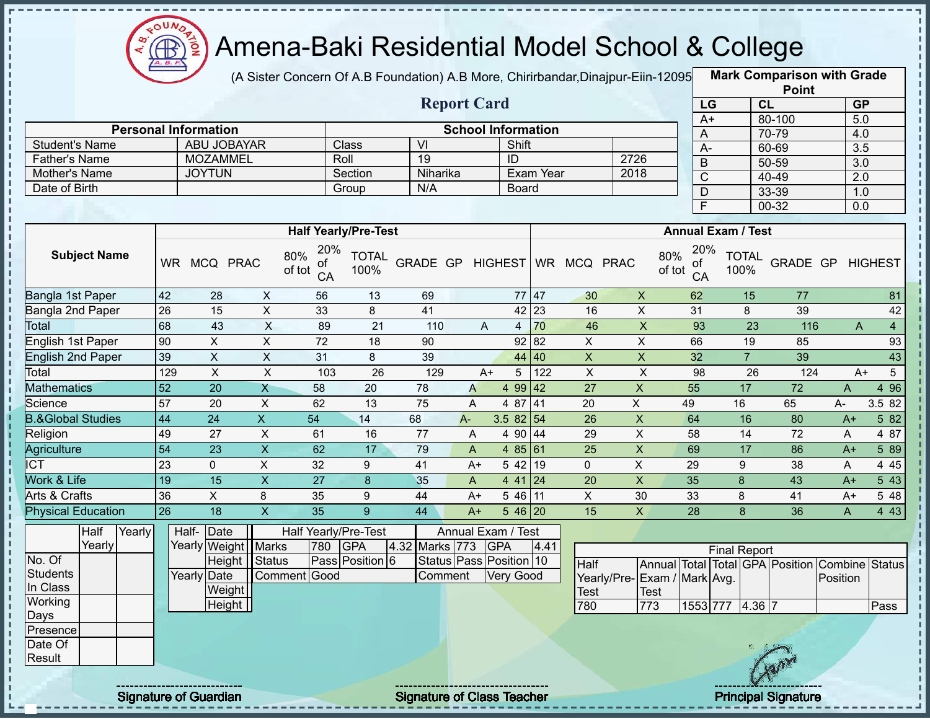

J.

п

ł

 $\begin{array}{c} 1 \\ 1 \\ 1 \\ 1 \\ 1 \\ 1 \\ \end{array}$ 

 $\mathbf I$  $\mathbf{I}$ 

 $\frac{1}{1}$ 

 $\mathbf I$ 

 $\frac{1}{1}$ 

# Amena-Baki Residential Model School & College

(A Sister Concern Of A.B Foundation) A.B More, Chirirbandar,Dinajpur-Eiin-120950

**Mark Comparison with Grade**

|                                               |                 |                                            |                           |                           |                             |                  |                           |                |           |                         |                             |               |                         |                           | <b>Point</b>                                   |                           |                 |
|-----------------------------------------------|-----------------|--------------------------------------------|---------------------------|---------------------------|-----------------------------|------------------|---------------------------|----------------|-----------|-------------------------|-----------------------------|---------------|-------------------------|---------------------------|------------------------------------------------|---------------------------|-----------------|
|                                               |                 |                                            |                           |                           |                             |                  | <b>Report Card</b>        |                |           |                         |                             |               | LG                      | CL                        |                                                | <b>GP</b>                 |                 |
|                                               |                 |                                            |                           |                           |                             |                  |                           |                |           |                         |                             |               | $A+$                    |                           | 80-100                                         | 5.0                       |                 |
|                                               |                 | <b>Personal Information</b><br>ABU JOBAYAR |                           |                           | Class                       | $\overline{V}$   | <b>School Information</b> | Shift          |           |                         |                             |               | A                       |                           | 70-79                                          | 4.0                       |                 |
| <b>Student's Name</b><br><b>Father's Name</b> |                 | <b>MOZAMMEL</b>                            |                           |                           | Roll                        | $\overline{19}$  |                           | ID             |           |                         | 2726                        |               | $A -$                   |                           | 60-69                                          | $\overline{3.5}$          |                 |
| Mother's Name                                 |                 | <b>JOYTUN</b>                              |                           |                           | Section                     | Niharika         |                           |                | Exam Year |                         | 2018                        |               | $\mathsf B$             |                           | 50-59                                          | $\overline{3.0}$          |                 |
| Date of Birth                                 |                 |                                            |                           |                           | Group                       | N/A              |                           | Board          |           |                         |                             |               | $\overline{C}$          |                           | 40-49                                          | $\overline{2.0}$          |                 |
|                                               |                 |                                            |                           |                           |                             |                  |                           |                |           |                         |                             |               | $\mathsf D$             |                           | 33-39                                          | 1.0                       |                 |
|                                               |                 |                                            |                           |                           |                             |                  |                           |                |           |                         |                             |               | $\overline{\mathsf{F}}$ |                           | $00 - 32$                                      | 0.0                       |                 |
|                                               |                 |                                            |                           |                           | <b>Half Yearly/Pre-Test</b> |                  |                           |                |           |                         |                             |               |                         | <b>Annual Exam / Test</b> |                                                |                           |                 |
|                                               |                 |                                            |                           | 20%                       |                             |                  |                           |                |           |                         |                             |               | 20%                     |                           |                                                |                           |                 |
| <b>Subject Name</b>                           |                 | WR MCQ PRAC                                |                           | 80%<br>of<br>of tot<br>CA | <b>TOTAL</b><br>100%        | GRADE GP HIGHEST |                           |                |           | WR MCQ PRAC             |                             | 80%<br>of tot | οf<br>CA                | <b>TOTAL</b><br>100%      | GRADE GP                                       |                           | <b>HIGHEST</b>  |
| Bangla 1st Paper                              | 42              | 28                                         | X                         | 56                        | 13                          | 69               |                           | 77 47          |           | 30                      | $\mathsf X$                 |               | 62                      | 15                        | 77                                             |                           | 81              |
| Bangla 2nd Paper                              | $\overline{26}$ | $\overline{15}$                            | $\overline{\mathsf{x}}$   | 33                        | 8                           | 41               |                           |                | 42 23     | 16                      | $\overline{\mathsf{x}}$     |               | $\overline{31}$         | 8                         | 39                                             |                           | 42              |
| Total                                         | 68              | 43                                         | $\overline{X}$            | 89                        | $\overline{21}$             | 110              | A                         | $\overline{4}$ | 70        | 46                      | $\mathsf X$                 |               | 93                      | $\overline{23}$           | 116                                            | $\boldsymbol{\mathsf{A}}$ | $\overline{4}$  |
| English 1st Paper                             | 90              | $\overline{X}$                             | $\overline{X}$            | $\overline{72}$           | $\overline{18}$             | 90               |                           | 92 82          |           | $\overline{X}$          | $\overline{\mathsf{x}}$     |               | 66                      | 19                        | 85                                             |                           | 93              |
| <b>English 2nd Paper</b>                      | 39              | $\overline{X}$                             | $\overline{X}$            | 31                        | 8                           | 39               |                           | 44 40          |           | $\overline{\mathsf{x}}$ | $\overline{X}$              |               | 32                      | $\overline{7}$            | 39                                             |                           | 43              |
| Total                                         | 129             | $\pmb{\times}$                             | $\mathsf X$               | 103                       | 26                          | 129              | $A+$                      | 5              | 122       | $\mathsf{X}$            | $\boldsymbol{\mathsf{X}}$   |               | 98                      | 26                        | 124                                            | $A+$                      | $5\phantom{.0}$ |
| <b>Mathematics</b>                            | $\overline{52}$ | $\overline{20}$                            | $\overline{X}$            | 58                        | 20                          | 78               | A                         | 4 99 42        |           | $\overline{27}$         | $\overline{X}$              | 55            |                         | $\overline{17}$           | $\overline{72}$                                | $\overline{A}$            | 4 9 6           |
| Science                                       | 57              | $\overline{20}$                            | $\overline{X}$            | 62                        | $\overline{13}$             | $\overline{75}$  | A                         | 4 87 41        |           | $\overline{20}$         | $\overline{X}$              | 49            |                         | 16                        | 65                                             | A-                        | 3.5 82          |
| <b>B.&amp;Global Studies</b>                  | 44              | 24                                         | $\mathsf X$               | 54                        | 14                          | 68               | $A -$                     | 3.5 $82 54$    |           | 26                      | $\mathsf X$                 | 64            |                         | 16                        | 80                                             | $A+$                      | 5 82            |
| Religion                                      | 49              | 27                                         | $\boldsymbol{\mathsf{X}}$ | 61                        | 16                          | 77               | A                         | 4 90 44        |           | 29                      | $\pmb{\times}$              | 58            |                         | 14                        | 72                                             | A                         | 4 87            |
| Agriculture                                   | $\overline{54}$ | $\overline{23}$                            | $\overline{\mathsf{x}}$   | 62                        | 17                          | 79               | A                         | 485 61         |           | $\overline{25}$         | $\pmb{\times}$              | 69            |                         | 17                        | 86                                             | $A+$                      | 5 89            |
| <b>ICT</b>                                    | 23              | $\mathbf 0$                                | X                         | 32                        | 9                           | 41               | $A+$                      | 5 4 2          | 19        | $\Omega$                | X                           | 29            |                         | 9                         | 38                                             | A                         | 4 4 5           |
| Work & Life                                   | 19              | $\overline{15}$                            | $\overline{X}$            | $\overline{27}$           | $\boldsymbol{8}$            | 35               | A                         | $441$ 24       |           | 20                      | $\mathsf X$                 | 35            |                         | $\boldsymbol{8}$          | 43                                             | $A+$                      | 543             |
| Arts & Crafts                                 | 36              | $\mathsf{X}$                               | 8                         | 35                        | 9                           | 44               | $A+$                      | 5 46 11        |           | $\overline{X}$          | 30                          | 33            |                         | 8                         | 41                                             | $A+$                      | 5 48            |
| <b>Physical Education</b>                     | $\overline{26}$ | $\overline{18}$                            | $\overline{\mathsf{x}}$   | 35                        | $\overline{9}$              | 44               | $A+$                      | $546$ 20       |           | 15                      | $\overline{X}$              | 28            |                         | $\overline{8}$            | 36                                             | $\overline{A}$            | 443             |
| Half<br>Yearly                                |                 | Half-<br>Date                              |                           |                           | <b>Half Yearly/Pre-Test</b> |                  | Annual Exam / Test        |                |           |                         |                             |               |                         |                           |                                                |                           |                 |
| Yearly                                        |                 | Yearly Weight                              | <b>Marks</b>              | 780                       | <b>GPA</b>                  | 4.32 Marks 773   |                           | <b>GPA</b>     | 4.41      |                         |                             |               |                         | <b>Final Report</b>       |                                                |                           |                 |
| No. Of                                        |                 |                                            | Height Status             |                           | Pass Position 6             |                  | Status Pass Position 10   |                |           | <b>Half</b>             |                             |               |                         |                           | Annual Total Total GPA Position Combine Status |                           |                 |
| <b>Students</b>                               |                 | Yearly Date                                | Comment                   | Good                      |                             | Comment          |                           | Very Good      |           |                         | Yearly/Pre-Exam / Mark Avg. |               |                         |                           |                                                | Position                  |                 |
| In Class                                      |                 | Weight                                     |                           |                           |                             |                  |                           |                |           | Test                    | <b>Test</b>                 |               |                         |                           |                                                |                           |                 |
| Working                                       |                 | Height                                     |                           |                           |                             |                  |                           |                |           | 780                     | 773                         |               |                         | 1553 777 4.36 7           |                                                |                           | Pass            |
| Days<br>Presence                              |                 |                                            |                           |                           |                             |                  |                           |                |           |                         |                             |               |                         |                           |                                                |                           |                 |
| Date Of                                       |                 |                                            |                           |                           |                             |                  |                           |                |           |                         |                             |               |                         |                           |                                                |                           |                 |
| Result                                        |                 |                                            |                           |                           |                             |                  |                           |                |           |                         |                             |               |                         |                           |                                                |                           |                 |
|                                               |                 |                                            |                           |                           |                             |                  |                           |                |           |                         |                             |               |                         |                           |                                                |                           |                 |
|                                               |                 |                                            |                           |                           |                             |                  |                           |                |           |                         |                             |               |                         |                           |                                                |                           |                 |

Signature of Guardian Signature of Class Teacher Principal Signature 28/47/47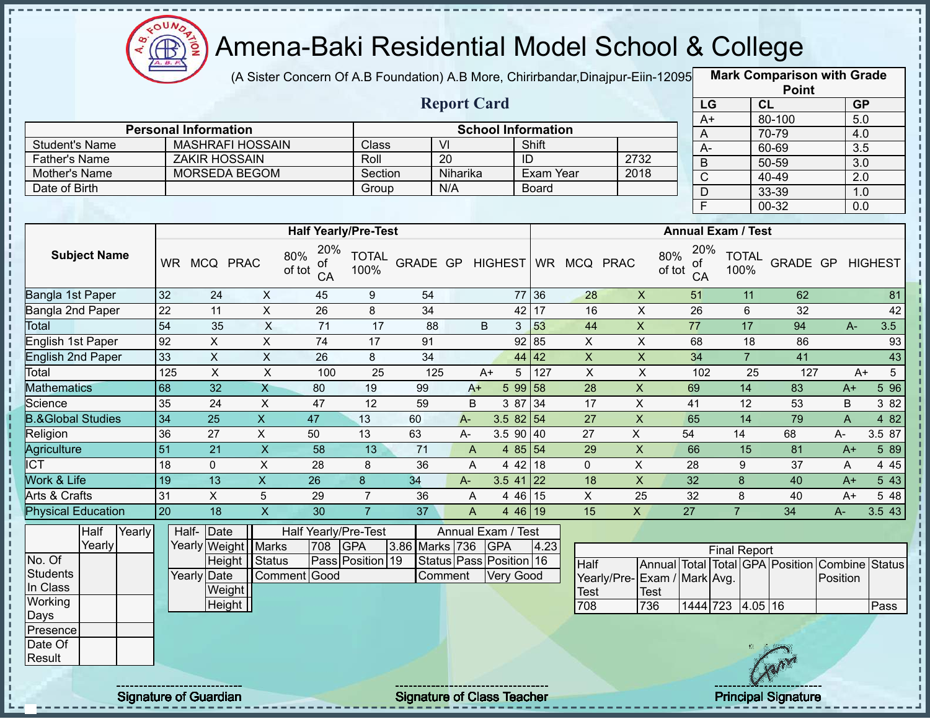

(A Sister Concern Of A.B Foundation) A.B More, Chirirbandar,Dinajpur-Eiin-120950

**Mark Comparison with Grade Point**

|                              |                 |                             |                           |                                  |                      |                 |                         |                  |             |                           |                              |                |                                  |                      |                | .        |                         |                  |
|------------------------------|-----------------|-----------------------------|---------------------------|----------------------------------|----------------------|-----------------|-------------------------|------------------|-------------|---------------------------|------------------------------|----------------|----------------------------------|----------------------|----------------|----------|-------------------------|------------------|
|                              |                 |                             |                           |                                  |                      |                 | <b>Report Card</b>      |                  |             |                           |                              |                | LG                               |                      | <b>CL</b>      |          | GP                      |                  |
|                              |                 | <b>Personal Information</b> |                           |                                  |                      |                 |                         |                  |             | <b>School Information</b> |                              |                | $A+$                             |                      | 80-100         |          | 5.0                     |                  |
| <b>Student's Name</b>        |                 | <b>MASHRAFI HOSSAIN</b>     |                           |                                  | Class                |                 | V <sub>l</sub>          |                  |             | Shift                     |                              |                | A                                |                      | 70-79<br>60-69 |          | 4.0<br>$\overline{3.5}$ |                  |
| <b>Father's Name</b>         |                 | <b>ZAKIR HOSSAIN</b>        |                           |                                  | Roll                 |                 | $\overline{20}$         |                  | ID          |                           |                              | 2732           | $A -$<br>$\overline{B}$          |                      | $50 - 59$      |          | $\overline{3.0}$        |                  |
| Mother's Name                |                 | MORSEDA BEGOM               |                           |                                  | Section              |                 | Niharika                |                  |             | <b>Exam Year</b>          |                              | 2018           | $\mathsf C$                      |                      | $40 - 49$      |          | 2.0                     |                  |
| Date of Birth                |                 |                             |                           |                                  | Group                |                 | N/A                     |                  |             | <b>Board</b>              |                              |                | D                                |                      | 33-39          |          | 1.0                     |                  |
|                              |                 |                             |                           |                                  |                      |                 |                         |                  |             |                           |                              |                | F                                |                      | 00-32          |          | 0.0                     |                  |
|                              |                 |                             |                           |                                  |                      |                 |                         |                  |             |                           |                              |                |                                  |                      |                |          |                         |                  |
|                              |                 |                             |                           | <b>Half Yearly/Pre-Test</b>      |                      |                 |                         |                  |             |                           |                              |                | <b>Annual Exam / Test</b>        |                      |                |          |                         |                  |
| <b>Subject Name</b>          |                 | WR MCQ PRAC                 |                           | 20%<br>80%<br>ОT<br>of tot<br>CA | <b>TOTAL</b><br>100% |                 |                         |                  |             |                           | GRADE GP HIGHEST WR MCQ PRAC |                | 20%<br>80%<br>ΟĪ<br>of tot<br>CA | <b>TOTAL</b><br>100% |                | GRADE GP |                         | <b>HIGHEST</b>   |
| <b>Bangla 1st Paper</b>      | 32              | 24                          | $\boldsymbol{\mathsf{X}}$ | 45                               | 9                    | 54              |                         |                  | 77 36       |                           | 28                           | $\pmb{\times}$ | 51                               | 11                   |                | 62       |                         | 81               |
| <b>Bangla 2nd Paper</b>      | $\overline{22}$ | 11                          | $\overline{X}$            | $\overline{26}$                  | 8                    | $\overline{34}$ |                         |                  | 42 17       |                           | 16                           | $\overline{X}$ | 26                               | 6                    |                | 32       |                         | 42               |
| Total                        | 54              | 35                          | $\times$                  | 71                               | 17                   | 88              |                         | B                | 3           | 53                        | 44                           | $\pmb{\times}$ | 77                               | 17                   |                | 94       | $A -$                   | 3.5              |
| English 1st Paper            | 92              | X                           | $\pmb{\times}$            | 74                               | 17                   | 91              |                         |                  |             | 92   85                   | $\pmb{\times}$               | X              | 68                               | 18                   |                | 86       |                         | 93               |
| <b>English 2nd Paper</b>     | 33              | $\sf X$                     | X                         | 26                               | 8                    | 34              |                         |                  |             | 44 42                     | $\pmb{\times}$               | $\pmb{\times}$ | 34                               | $\overline{7}$       |                | 41       |                         | 43               |
| Total                        | 125             | $\pmb{\times}$              | $\sf X$                   | 100                              | 25                   | 125             |                         | $A+$             | $\sqrt{5}$  | 127                       | $\pmb{\times}$               | $\pmb{\times}$ | 102                              |                      | 25             | 127      | $A+$                    | $5\overline{)}$  |
| <b>Mathematics</b>           | 68              | 32                          | $\mathsf{X}$              | 80                               | 19                   | 99              | $A+$                    |                  | 5 99 58     |                           | 28                           | $\pmb{\times}$ | 69                               | 14                   |                | 83       | $A+$                    | 5 9 6            |
| Science                      | 35              | 24                          | $\mathsf{X}$              | 47                               | 12                   | 59              | B                       |                  | 3 87 34     |                           | 17                           | $\mathsf X$    | 41                               | 12                   |                | 53       | B                       | 3 8 2            |
| <b>B.&amp;Global Studies</b> | 34              | 25                          | $\mathsf{X}$              | 47                               | 13                   | 60              | $A -$                   |                  | 3.5 82 54   |                           | 27                           | $\mathsf{X}$   | 65                               | 14                   |                | 79       | $\mathsf{A}$            | 4 8 2            |
| Religion                     | 36              | 27                          | $\pmb{\times}$            | 50                               | 13                   | 63              | A-                      |                  | $3.5$ 90 40 |                           | 27                           | $\mathsf X$    | 54                               | 14                   | 68             |          | A-                      | 3.5 87           |
| <b>Agriculture</b>           | 51              | $\overline{21}$             | $\mathsf{x}$              | 58                               | 13                   | 71              | A                       |                  | 4 85 54     |                           | 29                           | $\mathsf{X}$   | 66                               | 15                   |                | 81       | $A+$                    | 5 89             |
| <b>ICT</b>                   | 18              | $\mathbf 0$                 | $\sf X$                   | 28                               | 8                    | 36              | A                       |                  | 4 42 18     |                           | $\mathbf 0$                  | $\pmb{\times}$ | 28                               | 9                    |                | 37       | A                       | 4 4 5            |
| Work & Life                  | 19              | 13                          | $\overline{X}$            | 26                               | 8                    | 34              | A-                      |                  | $3.5$ 41 22 |                           | 18                           | $\pmb{\times}$ | 32                               | 8                    |                | 40       | $A+$                    | $5\overline{43}$ |
| Arts & Crafts                | 31              | $\overline{X}$              | 5                         | 29                               | $\overline{7}$       | 36              | A                       |                  | 4 46 15     |                           | $\pmb{\times}$               | 25             | 32                               | 8                    |                | 40       | $A+$                    | 5 48             |
| <b>Physical Education</b>    | 20              | 18                          | $\mathsf{X}$              | 30                               | $\overline{7}$       | 37              | $\mathsf{A}$            |                  | 4 46 19     |                           | 15                           | $\mathsf{X}$   | 27                               | $\overline{7}$       | 34             |          | A-                      | 3.5 43           |
| Half<br>Yearly               | Half-           | Date                        |                           | Half Yearly/Pre-Test             |                      |                 | Annual Exam / Test      |                  |             |                           |                              |                |                                  |                      |                |          |                         |                  |
| Yearly                       |                 | Yearly Weight   Marks       |                           | 708                              | GPA                  | 3.86 Marks 736  |                         | <b>GPA</b>       |             | 4.23                      |                              |                |                                  | <b>Final Report</b>  |                |          |                         |                  |
| No. Of                       |                 | Height                      | <b>Status</b>             |                                  | Pass Position 19     |                 | Status Pass Position 16 |                  |             |                           | Half                         |                | Annual Total Total GPA Position  |                      |                |          | <b>Combine Status</b>   |                  |
| <b>Students</b>              |                 | Yearly Date                 |                           | Comment Good                     |                      |                 | Comment                 | <b>Very Good</b> |             |                           |                              |                | Yearly/Pre-Exam / Mark Avg.      |                      |                |          | Position                |                  |
| In Class                     |                 | Weight                      |                           |                                  |                      |                 |                         |                  |             |                           | <b>Test</b>                  | <b>Test</b>    |                                  |                      |                |          |                         |                  |
| Working                      |                 | Height                      |                           |                                  |                      |                 |                         |                  |             |                           | 708                          | 736            | 1444 723                         |                      | 4.05 16        |          |                         | Pass             |
| Days                         |                 |                             |                           |                                  |                      |                 |                         |                  |             |                           |                              |                |                                  |                      |                |          |                         |                  |
| Presence                     |                 |                             |                           |                                  |                      |                 |                         |                  |             |                           |                              |                |                                  |                      |                |          |                         |                  |
| Date Of<br>Result            |                 |                             |                           |                                  |                      |                 |                         |                  |             |                           |                              |                |                                  |                      |                |          |                         |                  |
|                              |                 |                             |                           |                                  |                      |                 |                         |                  |             |                           |                              |                |                                  |                      |                |          |                         |                  |
|                              |                 |                             |                           |                                  |                      |                 |                         |                  |             |                           |                              |                |                                  |                      |                |          |                         |                  |

J,  $\blacksquare$ 

Signature of Guardian Signature of Class Teacher Principal Signature 2014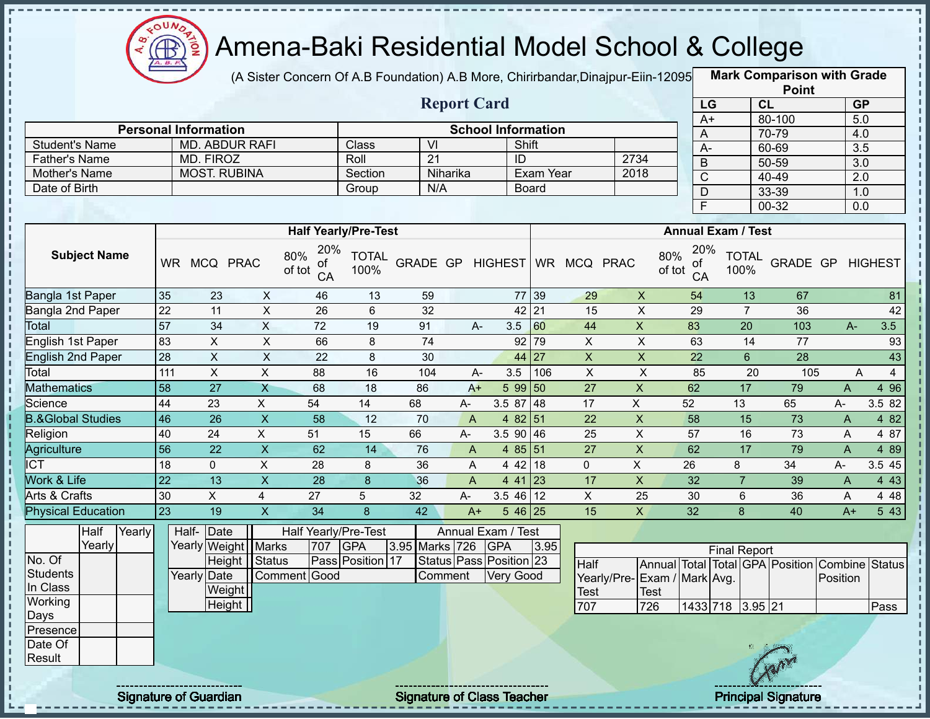

(A Sister Concern Of A.B Foundation) A.B More, Chirirbandar,Dinajpur-Eiin-120950

**Mark Comparison with Grade**

|                                       |     |                                  |                           |                                  |                             |                                   |                    |                         |                           |                    |                    |                 |                           | <b>Point</b>                    |                  |                |
|---------------------------------------|-----|----------------------------------|---------------------------|----------------------------------|-----------------------------|-----------------------------------|--------------------|-------------------------|---------------------------|--------------------|--------------------|-----------------|---------------------------|---------------------------------|------------------|----------------|
|                                       |     |                                  |                           |                                  |                             |                                   | <b>Report Card</b> |                         |                           |                    |                    | LG              |                           | CL                              |                  | <b>GP</b>      |
|                                       |     |                                  |                           |                                  |                             |                                   |                    |                         |                           |                    |                    | $A+$            |                           | 80-100                          |                  | 5.0            |
|                                       |     | <b>Personal Information</b>      |                           |                                  | Class                       |                                   |                    |                         | <b>School Information</b> |                    |                    | $\overline{A}$  |                           | 70-79                           | 4.0              |                |
| <b>Student's Name</b>                 |     | <b>MD. ABDUR RAFI</b>            |                           |                                  |                             | VI                                |                    |                         | Shift                     |                    |                    | $A -$           |                           | 60-69                           | $\overline{3.5}$ |                |
| <b>Father's Name</b><br>Mother's Name |     | MD. FIROZ<br><b>MOST. RUBINA</b> |                           |                                  | Roll                        | 21                                | Niharika           | ID                      | Exam Year                 |                    | 2734<br>2018       | $\mathsf B$     |                           | 50-59                           | 3.0              |                |
| Date of Birth                         |     |                                  |                           |                                  | Section<br>Group            | N/A                               |                    |                         | <b>Board</b>              |                    |                    | $\overline{C}$  |                           | 40-49                           | 2.0              |                |
|                                       |     |                                  |                           |                                  |                             |                                   |                    |                         |                           |                    |                    | D               |                           | 33-39                           | 1.0              |                |
|                                       |     |                                  |                           |                                  |                             |                                   |                    |                         |                           |                    |                    | $\overline{F}$  |                           | $00 - 32$                       | 0.0              |                |
|                                       |     |                                  |                           |                                  | <b>Half Yearly/Pre-Test</b> |                                   |                    |                         |                           |                    |                    |                 | <b>Annual Exam / Test</b> |                                 |                  |                |
| <b>Subject Name</b>                   |     | WR MCQ PRAC                      |                           | 20%<br>80%<br>οf<br>of tot<br>CA | <b>TOTAL</b><br>100%        | GRADE GP                          |                    | <b>HIGHEST</b>          |                           | WR MCQ PRAC        | 80%<br>of tot      | 20%<br>оf<br>CA | <b>TOTAL</b><br>100%      | GRADE GP                        |                  | <b>HIGHEST</b> |
| Bangla 1st Paper                      | 35  | 23                               | X                         | 46                               | 13                          | 59                                |                    |                         | 77 39                     | 29                 | $\mathsf X$        | 54              | 13                        | 67                              |                  | 81             |
| Bangla 2nd Paper                      | 22  | 11                               | $\boldsymbol{\mathsf{X}}$ | 26                               | 6                           | 32                                |                    |                         | $42$   21                 | 15                 | $\mathsf X$        | 29              | $\overline{7}$            | 36                              |                  | 42             |
| <b>Total</b>                          | 57  | 34                               | $\overline{X}$            | $\overline{72}$                  | 19                          | 91                                | A-                 | 3.5                     | 60                        | 44                 | $\overline{X}$     | 83              | 20                        | 103                             | A-               | 3.5            |
| English 1st Paper                     | 83  | X                                | X                         | 66                               | 8                           | 74                                |                    | 92                      | 79                        | X                  | X                  | 63              | 14                        | 77                              |                  | 93             |
| <b>English 2nd Paper</b>              | 28  | $\pmb{\times}$                   | $\boldsymbol{\mathsf{X}}$ | 22                               | 8                           | 30                                |                    | 44                      | 27                        | $\pmb{\mathsf{X}}$ | $\mathsf X$        | 22              | $6\phantom{1}$            | 28                              |                  | 43             |
| Total                                 | 111 | $\pmb{\times}$                   | $\boldsymbol{\mathsf{X}}$ | 88                               | 16                          | 104                               | A-                 | 3.5                     | 106                       | $\pmb{\times}$     | $\pmb{\times}$     | 85              | 20                        | 105                             | A                | $\overline{4}$ |
| <b>Mathematics</b>                    | 58  | 27                               | $\mathsf{X}$              | 68                               | 18                          | 86                                | $A+$               | 5 9 9                   | 50                        | 27                 | $\pmb{\mathsf{X}}$ | 62              | 17                        | 79                              | A                | 4 9 6          |
| Science                               | 44  | 23                               | X                         | 54                               | 14                          | 68                                | А-                 | 3.5 87                  | 48                        | 17                 | X                  | 52              | 13                        | 65                              | A-               | 3.5 82         |
| <b>B.&amp;Global Studies</b>          | 46  | 26                               | $\pmb{\times}$            | 58                               | 12                          | 70                                | $\overline{A}$     | 4 8 2                   | 51                        | 22                 | $\mathsf X$        | 58              | 15                        | 73                              | A                | 4 8 2          |
| Religion                              | 40  | 24                               | X                         | 51                               | 15                          | 66                                | А-                 | 3.5 90                  | 46                        | 25                 | $\mathsf X$        | 57              | 16                        | 73                              | A                | 4 87           |
| Agriculture                           | 56  | 22                               | $\mathsf X$               | 62                               | 14                          | 76                                | A                  | 4 8 5                   | 51                        | 27                 | $\overline{X}$     | 62              | 17                        | 79                              | A                | 4 8 9          |
| <b>ICT</b>                            | 18  | $\mathbf 0$                      | X                         | 28                               | 8                           | 36                                | A                  |                         | 4 42 18                   | $\mathbf 0$        | X                  | 26              | 8                         | 34                              | $A-$             | 3.5 45         |
| Work & Life                           | 22  | 13                               | $\mathsf{x}$              | 28                               | 8                           | 36                                | $\mathsf{A}$       | 4 4 1                   | 23                        | 17                 | $\pmb{\mathsf{X}}$ | 32              | $\overline{7}$            | 39                              | A                | 4 4 3          |
| Arts & Crafts                         | 30  | X                                | 4                         | 27                               | 5                           | 32                                | A-                 | 3.5 46                  | 12                        | $\mathsf{X}$       | 25                 | 30              | 6                         | 36                              | A                | 4 4 8          |
| <b>Physical Education</b>             | 23  | 19                               | $\mathsf X$               | 34                               | 8                           | 42                                | $A+$               |                         | $546$ 25                  | 15                 | X                  | 32              | 8                         | 40                              | $A+$             | 5 4 3          |
| Half<br>Yearly                        |     | Half- Date                       |                           | Half Yearly/Pre-Test             |                             |                                   |                    | Annual Exam / Test      |                           |                    |                    |                 |                           |                                 |                  |                |
| Yearly                                |     | Yearly Weight Marks              |                           | 707                              | GPA                         | 3.95 Marks 726                    |                    | <b>GPA</b>              | 3.95                      |                    |                    |                 | <b>Final Report</b>       |                                 |                  |                |
| No. Of                                |     |                                  | Height   Status           |                                  | Pass Position 17            |                                   |                    | Status Pass Position 23 |                           | Half               |                    |                 |                           | Annual Total Total GPA Position | Combine          | <b>Status</b>  |
| <b>Students</b>                       |     | Yearly Date                      |                           | Comment Good                     |                             | Comment                           |                    | <b>Very Good</b>        |                           | Yearly/Pre-        | Exam / Mark Avg.   |                 |                           |                                 | Position         |                |
| In Class                              |     | Weight                           |                           |                                  |                             |                                   |                    |                         |                           | <b>Test</b>        | Test               |                 |                           |                                 |                  |                |
| Working                               |     | Height                           |                           |                                  |                             |                                   |                    |                         |                           | 707                | 726                |                 | 1433 718 3.95 21          |                                 |                  | Pass           |
| Days                                  |     |                                  |                           |                                  |                             |                                   |                    |                         |                           |                    |                    |                 |                           |                                 |                  |                |
| Presence                              |     |                                  |                           |                                  |                             |                                   |                    |                         |                           |                    |                    |                 |                           |                                 |                  |                |
| Date Of                               |     |                                  |                           |                                  |                             |                                   |                    |                         |                           |                    |                    |                 |                           |                                 |                  |                |
| Result                                |     |                                  |                           |                                  |                             |                                   |                    |                         |                           |                    |                    |                 |                           |                                 |                  |                |
|                                       |     | <b>Signature of Guardian</b>     |                           |                                  |                             | <b>Signature of Class Teacher</b> |                    |                         |                           |                    |                    |                 |                           | <b>Principal Signature</b>      |                  |                |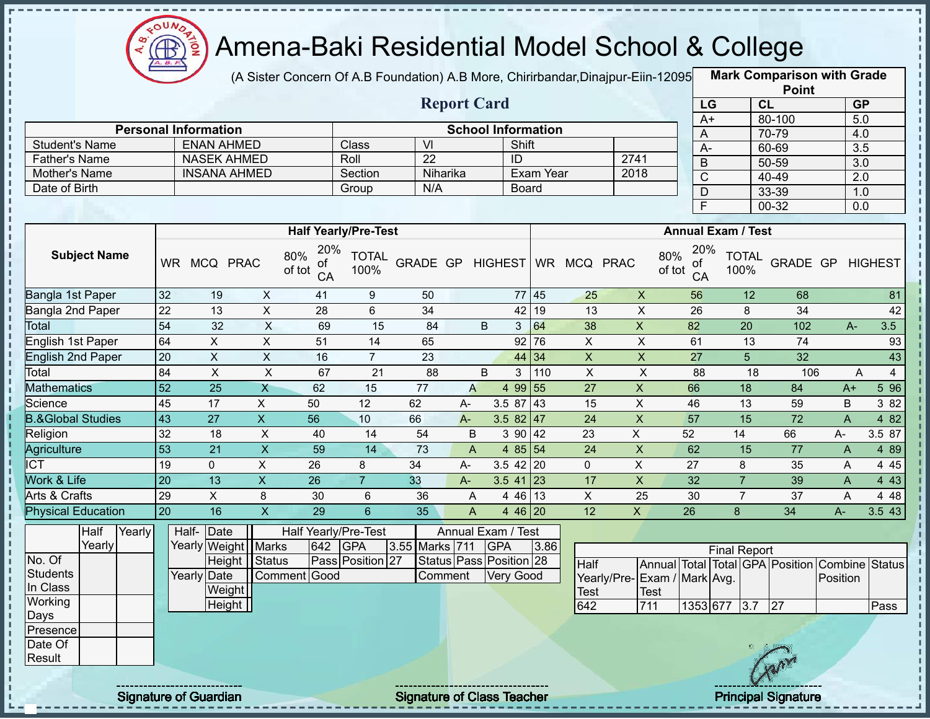

(A Sister Concern Of A.B Foundation) A.B More, Chirirbandar,Dinajpur-Eiin-120950

**Mark Comparison with Grade Point**

|                                                                              |                 |                                                                                      |                |                                             |                                |                              | <b>Report Card</b> |                                                                                 |           |                            |                           |                              | LG           | CL                         |                 |              | <b>GP</b>                                              |
|------------------------------------------------------------------------------|-----------------|--------------------------------------------------------------------------------------|----------------|---------------------------------------------|--------------------------------|------------------------------|--------------------|---------------------------------------------------------------------------------|-----------|----------------------------|---------------------------|------------------------------|--------------|----------------------------|-----------------|--------------|--------------------------------------------------------|
|                                                                              |                 | <b>Personal Information</b>                                                          |                |                                             |                                |                              |                    | <b>School Information</b>                                                       |           |                            |                           |                              | $A+$         |                            | 80-100<br>70-79 |              | 5.0                                                    |
| <b>Student's Name</b>                                                        |                 | <b>ENAN AHMED</b>                                                                    |                |                                             | Class                          | VI                           |                    | Shift                                                                           |           |                            |                           |                              | Α<br>$A-$    |                            | 60-69           |              | 4.0<br>$\overline{3.5}$                                |
| <b>Father's Name</b>                                                         |                 | <b>NASEK AHMED</b>                                                                   |                |                                             | Roll                           | $\overline{22}$              |                    | ID                                                                              |           |                            | 2741                      |                              | B            |                            | $50 - 59$       |              | 3.0                                                    |
| Mother's Name                                                                |                 | <b>INSANA AHMED</b>                                                                  |                |                                             | Section                        | Niharika                     |                    |                                                                                 | Exam Year |                            | 2018                      |                              | $\mathsf{C}$ |                            | 40-49           |              | 2.0                                                    |
| Date of Birth                                                                |                 |                                                                                      |                |                                             | Group                          | N/A                          |                    |                                                                                 | Board     |                            |                           |                              | $\mathsf{D}$ |                            | 33-39           |              | 1.0                                                    |
|                                                                              |                 |                                                                                      |                |                                             |                                |                              |                    |                                                                                 |           |                            |                           |                              | $\mathsf F$  |                            | 00-32           |              | 0.0                                                    |
|                                                                              |                 |                                                                                      |                |                                             |                                |                              |                    |                                                                                 |           |                            |                           |                              |              |                            |                 |              |                                                        |
|                                                                              |                 |                                                                                      |                | <b>Half Yearly/Pre-Test</b>                 |                                |                              |                    |                                                                                 |           |                            |                           | <b>Annual Exam / Test</b>    |              |                            |                 |              |                                                        |
| <b>Subject Name</b>                                                          |                 | WR MCQ PRAC                                                                          |                | 20%<br>80%<br>οf<br>of tot<br>CA            | <b>TOTAL</b><br>100%           | GRADE GP HIGHEST WR MCQ PRAC |                    |                                                                                 |           |                            |                           | 80%<br>οf<br>of tot<br>CA    | 20%          | <b>TOTAL</b><br>100%       |                 |              | GRADE GP HIGHEST                                       |
| <b>Bangla 1st Paper</b>                                                      | 32              | 19                                                                                   | X              | 41                                          | 9                              | 50                           |                    |                                                                                 | 77 45     | 25                         | X                         | 56                           |              | 12                         | 68              |              | 81                                                     |
| Bangla 2nd Paper                                                             | 22              | 13                                                                                   | X              | 28                                          | 6                              | 34                           |                    |                                                                                 | 42 19     | 13                         | $\pmb{\times}$            | 26                           |              | 8                          | 34              |              | 42                                                     |
| Total                                                                        | 54              | 32                                                                                   | $\times$       | 69                                          | 15                             | 84                           |                    | B<br>3 <sup>1</sup>                                                             | 64        | 38                         | $\pmb{\times}$            | 82                           |              | 20                         | 102             | $A -$        | 3.5                                                    |
| <b>English 1st Paper</b>                                                     | 64              | X                                                                                    | X              | 51                                          | 14                             | 65                           |                    |                                                                                 | $92$ 76   | $\mathsf{X}$               | X                         | 61                           |              | 13                         | 74              |              | 93                                                     |
| <b>English 2nd Paper</b>                                                     | 20              | $\mathsf X$                                                                          | X              | 16                                          | $\overline{7}$                 | 23                           |                    |                                                                                 | 44 34     | $\mathsf X$                | $\pmb{\times}$            | 27                           |              | 5                          | 32              |              | 43                                                     |
| Total                                                                        | 84              | X                                                                                    | $\pmb{\times}$ | 67                                          | 21                             | 88                           |                    | B<br>3                                                                          | 110       | $\mathsf X$                | X                         | 88                           |              | 18                         | 106             |              | A<br>$\overline{4}$                                    |
| <b>Mathematics</b>                                                           | $\overline{52}$ | $\overline{25}$                                                                      | $\mathsf{X}$   | 62                                          | 15                             | 77                           | A                  | 4 99 55                                                                         |           | 27                         | $\mathsf X$               | 66                           |              | 18                         | 84              | $A+$         | 5 9 6                                                  |
| Science                                                                      | 45              | 17                                                                                   | $\mathsf X$    | 50                                          | 12                             | 62                           | А-                 | $3.587$ 43                                                                      |           | 15                         | $\pmb{\times}$            | 46                           |              | 13                         | 59              | B            | 3 8 2                                                  |
| <b>B.&amp;Global Studies</b>                                                 | 43              | $\overline{27}$                                                                      | $\overline{X}$ | 56                                          | 10                             | 66                           | $A -$              | 3.5 82 47                                                                       |           | $\overline{24}$            | $\overline{X}$            | 57                           |              | 15                         | $\overline{72}$ | $\mathsf{A}$ | 4 8 2                                                  |
| Religion                                                                     | 32              | 18                                                                                   | X              | 40                                          | 14                             | 54                           | B                  | 3 90 42                                                                         |           | 23                         | $\mathsf X$               | 52                           |              | 14                         | 66              | $A-$         | 3.5 87                                                 |
| Agriculture                                                                  | 53              | $\overline{21}$                                                                      | $\overline{X}$ | 59                                          | 14                             | 73                           | A                  | 4 85 54                                                                         |           | 24                         | $\mathsf X$               | 62                           |              | 15                         | 77              | $\mathsf{A}$ | 4 8 9                                                  |
| $\overline{\text{ICT}}$                                                      | 19              | $\mathbf 0$                                                                          | X              | 26                                          | 8                              | 34                           | А-                 | $3.5$ 42 20                                                                     |           | 0                          | $\mathsf X$               | 27                           |              | 8                          | 35              | A            | 4 4 5                                                  |
| Work & Life                                                                  | 20              | 13                                                                                   | $\overline{X}$ | $\overline{26}$                             | $\overline{7}$                 | 33                           | A-                 | $3.541$ 23                                                                      |           | $\overline{17}$            | $\boldsymbol{\mathsf{X}}$ | 32                           |              | $\overline{7}$             | 39              | $\mathsf{A}$ | 4 4 3                                                  |
| Arts & Crafts                                                                | 29              | $\overline{X}$                                                                       | 8              | 30                                          | $\,6\,$                        | 36                           | A                  | 4 46 13                                                                         |           | $\mathsf X$                | 25                        | 30                           |              | $\overline{7}$             | 37              | A            | 4 4 8                                                  |
| <b>Physical Education</b>                                                    | 20              | 16                                                                                   | $\mathsf{X}$   | 29                                          | $6\phantom{a}$                 | 35                           | $\mathsf{A}$       | 4 46 20                                                                         |           | 12                         | $\mathsf{X}$              | 26                           |              | 8                          | 34              | $A -$        | 3.543                                                  |
| Half<br>Yearly<br>Yearly<br>No. Of<br><b>Students</b><br>In Class<br>Working |                 | Half-Date<br>Yearly Weight Marks<br><b>Height</b><br>Yearly Date<br>Weight<br>Height | Status         | Half Yearly/Pre-Test<br>642<br>Comment Good | <b>GPA</b><br>Pass Position 27 | 3.55 Marks 711<br>Comment    |                    | Annual Exam / Test<br><b>GPA</b><br>Status Pass Position 28<br><b>Very Good</b> | 3.86      | Half<br><b>Test</b><br>642 | <b>Test</b><br>711        | Yearly/Pre- Exam / Mark Avg. | 1353 677     | <b>Final Report</b><br>3.7 | 27              | Position     | Annual Total Total GPA Position Combine Status<br>Pass |
| Days<br>Presence<br>Date Of<br>Result                                        |                 |                                                                                      |                |                                             |                                |                              |                    |                                                                                 |           |                            |                           |                              |              |                            |                 |              |                                                        |

Signature of Guardian Signature of Class Teacher Principal Signature 31/47/47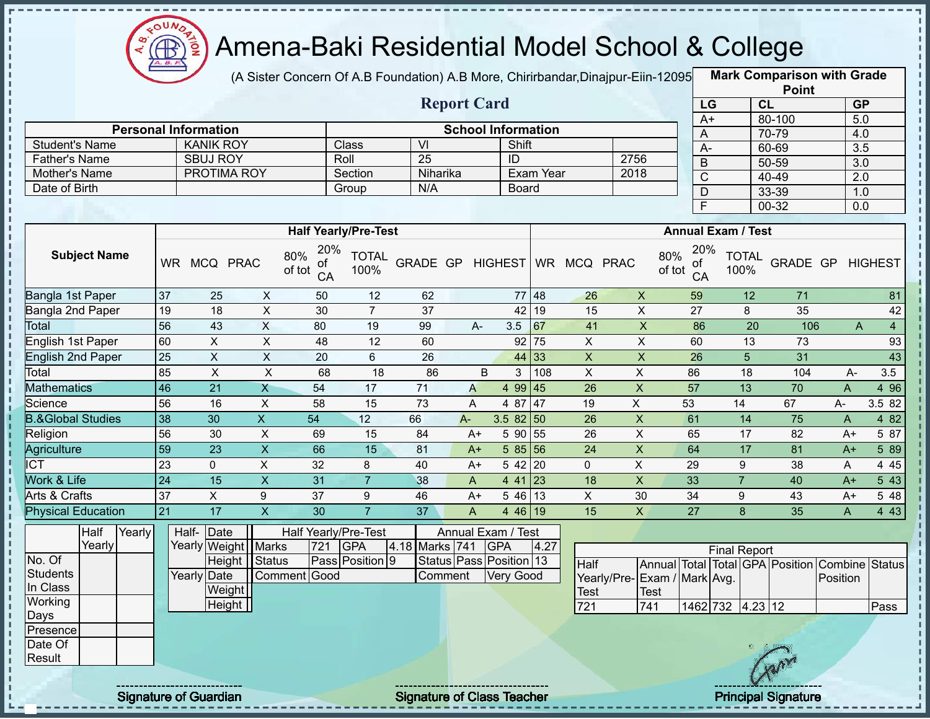

(A Sister Concern Of A.B Foundation) A.B More, Chirirbandar, Dinajpur-Eiin-12095

**Mark Comparison with Grade Point**

|                              |                 |                             |                           |                                  |                             |                  |                    |                           |           |                           |                           |                       |                                                | $\sim$          |                         |                |
|------------------------------|-----------------|-----------------------------|---------------------------|----------------------------------|-----------------------------|------------------|--------------------|---------------------------|-----------|---------------------------|---------------------------|-----------------------|------------------------------------------------|-----------------|-------------------------|----------------|
|                              |                 |                             |                           |                                  |                             |                  | <b>Report Card</b> |                           |           |                           |                           | LG                    |                                                | CL              | GP                      |                |
|                              |                 | <b>Personal Information</b> |                           |                                  |                             |                  |                    | <b>School Information</b> |           |                           |                           | $A+$                  |                                                | 80-100<br>70-79 | 5.0                     |                |
| <b>Student's Name</b>        |                 | <b>KANIK ROY</b>            |                           |                                  | Class                       | $\overline{VI}$  |                    | Shift                     |           |                           |                           | Α<br>$A -$            |                                                | 60-69           | 4.0<br>$\overline{3.5}$ |                |
| Father's Name                |                 | <b>SBUJ ROY</b>             |                           |                                  | Roll                        | $\overline{25}$  |                    | $\overline{ID}$           |           |                           | 2756                      | B                     |                                                | $50 - 59$       | $\overline{3.0}$        |                |
| Mother's Name                |                 | PROTIMA ROY                 |                           |                                  | Section                     | Niharika         |                    |                           | Exam Year |                           | 2018                      | $\overline{\text{c}}$ |                                                | $40 - 49$       | 2.0                     |                |
| Date of Birth                |                 |                             |                           |                                  | Group                       | N/A              |                    | Board                     |           |                           |                           | $\mathsf{D}$          |                                                | 33-39           | 1.0                     |                |
|                              |                 |                             |                           |                                  |                             |                  |                    |                           |           |                           |                           | $\overline{F}$        |                                                | 00-32           | 0.0                     |                |
|                              |                 |                             |                           |                                  |                             |                  |                    |                           |           |                           |                           |                       |                                                |                 |                         |                |
|                              |                 |                             |                           |                                  | <b>Half Yearly/Pre-Test</b> |                  |                    |                           |           |                           |                           |                       | <b>Annual Exam / Test</b>                      |                 |                         |                |
| <b>Subject Name</b>          |                 | WR MCQ PRAC                 |                           | 20%<br>80%<br>οf<br>of tot<br>CA | <b>TOTAL</b><br>100%        | GRADE GP HIGHEST |                    |                           |           | WR MCQ PRAC               | 80%<br>of tot             | 20%<br>ΟĪ<br>CA       | <b>TOTAL</b><br>100%                           |                 | GRADE GP HIGHEST        |                |
| Bangla 1st Paper             | 37              | 25                          | $\mathsf{X}$              | 50                               | 12                          | 62               |                    |                           | 77 48     | 26                        | $\pmb{\times}$            | 59                    | 12                                             | 71              |                         | 81             |
| Bangla 2nd Paper             | 19              | $\overline{18}$             | $\overline{X}$            | 30                               | $\overline{7}$              | $\overline{37}$  |                    | 42                        | 19        | $\overline{15}$           | $\overline{\mathsf{x}}$   | 27                    | 8                                              | 35              |                         | 42             |
| Total                        | 56              | 43                          | $\overline{X}$            | 80                               | 19                          | 99               | $A -$              | 3.5                       | 67        | 41                        | $\overline{X}$            | 86                    | $\overline{20}$                                | 106             | A                       | $\overline{4}$ |
| <b>English 1st Paper</b>     | 60              | $\overline{X}$              | $\overline{X}$            | 48                               | 12                          | 60               |                    | 92                        | 75        | $\overline{X}$            | $\overline{\mathsf{x}}$   | 60                    | $\overline{13}$                                | 73              |                         | 93             |
| <b>English 2nd Paper</b>     | 25              | $\pmb{\times}$              | $\overline{X}$            | 20                               | 6                           | 26               |                    | 44                        | 33        | $\boldsymbol{\mathsf{X}}$ | $\pmb{\times}$            | 26                    | 5                                              | 31              |                         | 43             |
| Total                        | 85              | $\pmb{\times}$              | $\mathsf{X}$              | 68                               | 18                          | 86               |                    | $\sf B$<br>3              | 108       | $\mathsf{X}$              | $\pmb{\times}$            | 86                    | 18                                             | 104             | A-                      | 3.5            |
| <b>Mathematics</b>           | 46              | $\overline{21}$             | $\mathsf{X}$              | 54                               | 17                          | $\overline{71}$  | $\overline{A}$     | 4 99 45                   |           | 26                        | $\overline{\mathsf{x}}$   | 57                    | 13                                             | 70              | A                       | 4 9 6          |
| Science                      | 56              | 16                          | $\boldsymbol{\mathsf{X}}$ | 58                               | 15                          | 73               | A                  | 4 87 47                   |           | 19                        | $\overline{X}$            | 53                    | 14                                             | 67              | A-                      | 3.5 82         |
| <b>B.&amp;Global Studies</b> | 38              | 30                          | $\overline{X}$            | $\overline{54}$                  | $\overline{12}$             | 66               | $A -$              | 3.582 50                  |           | 26                        | $\boldsymbol{\mathsf{X}}$ | 61                    | 14                                             | 75              | A                       | 482            |
| Religion                     | 56              | 30                          | $\boldsymbol{\mathsf{X}}$ | 69                               | 15                          | 84               | $A+$               | 5 90 55                   |           | 26                        | $\pmb{\times}$            | 65                    | 17                                             | 82              | $A+$                    | 5 87           |
| Agriculture                  | 59              | 23                          | $\overline{X}$            | 66                               | 15                          | 81               | $A+$               | 5 85 56                   |           | 24                        | $\boldsymbol{\mathsf{X}}$ | 64                    | $\overline{17}$                                | 81              | $A+$                    | 5 8 9          |
| $\overline{\text{ICT}}$      | 23              | $\mathbf 0$                 | $\overline{X}$            | 32                               | 8                           | 40               | $A+$               | 5 42                      | 20        | $\mathbf 0$               | $\pmb{\times}$            | 29                    | 9                                              | 38              | A                       | 4 4 5          |
| Work & Life                  | $\overline{24}$ | 15                          | $\overline{X}$            | $\overline{31}$                  | $\overline{7}$              | 38               | $\overline{A}$     | $441$ 23                  |           | $\overline{18}$           | $\overline{\mathsf{x}}$   | 33                    | $\overline{7}$                                 | 40              | $A+$                    | 543            |
| Arts & Crafts                | 37              | $\mathsf X$                 | $\boldsymbol{9}$          | 37                               | 9                           | 46               | $A+$               | $546$ 13                  |           | $\mathsf{X}$              | 30                        | 34                    | 9                                              | 43              | $A+$                    | 5 48           |
| <b>Physical Education</b>    | 21              | 17                          | $\overline{\mathsf{X}}$   | 30                               | $\overline{7}$              | 37               | $\overline{A}$     | 4 46 19                   |           | 15                        | $\mathsf{X}$              | 27                    | 8                                              | 35              | A                       | 4 4 3          |
| Half<br>Yearly               |                 | Date<br>Half-               |                           | Half Yearly/Pre-Test             |                             |                  |                    | Annual Exam / Test        |           |                           |                           |                       |                                                |                 |                         |                |
| Yearly                       |                 | Yearly Weight               | <b>Marks</b>              | 721                              | <b>GPA</b>                  | 4.18 Marks 741   |                    | <b>GPA</b>                | 4.27      |                           |                           |                       | <b>Final Report</b>                            |                 |                         |                |
| No. Of                       |                 | Height                      | Status                    |                                  | Pass Position 9             |                  |                    | Status Pass Position 13   |           | Half                      |                           |                       | Annual Total Total GPA Position Combine Status |                 |                         |                |
| <b>Students</b><br>In Class  |                 | Yearly Date                 |                           | Comment Good                     |                             |                  | Comment            | Very Good                 |           | Yearly/Pre-               |                           | Exam / Mark Avg.      |                                                |                 | Position                |                |
| Working                      |                 | Weight                      |                           |                                  |                             |                  |                    |                           |           | Test                      | <b>Test</b>               |                       |                                                |                 |                         |                |
| Days                         |                 | Height                      |                           |                                  |                             |                  |                    |                           |           | 721                       | 741                       |                       | 1462 732 4.23 12                               |                 |                         | Pass           |
| Presence                     |                 |                             |                           |                                  |                             |                  |                    |                           |           |                           |                           |                       |                                                |                 |                         |                |
| Date Of                      |                 |                             |                           |                                  |                             |                  |                    |                           |           |                           |                           |                       |                                                |                 |                         |                |
| Result                       |                 |                             |                           |                                  |                             |                  |                    |                           |           |                           |                           |                       |                                                |                 |                         |                |
|                              |                 |                             |                           |                                  |                             |                  |                    |                           |           |                           |                           |                       |                                                |                 |                         |                |

Signature of Guardian Signature of Class T Teacher Principal Signature 32/47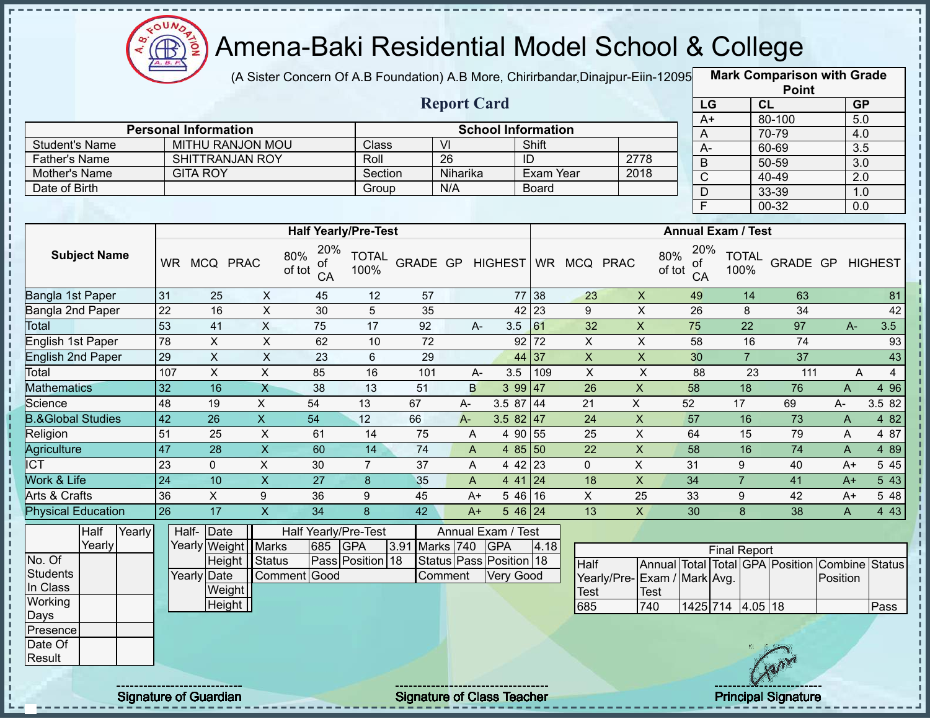

(A Sister Concern Of A.B Foundation) A.B More, Chirirbandar,Dinajpur-Eiin-12095 **Mark Comparison with Grade** 

|                                                       |                 |                                                        |                         |                                             |                             |          |                      |                                                                                 |              |                           |                                     |                                  |                         |                 | <b>Point</b>                    |                     |                  |
|-------------------------------------------------------|-----------------|--------------------------------------------------------|-------------------------|---------------------------------------------|-----------------------------|----------|----------------------|---------------------------------------------------------------------------------|--------------|---------------------------|-------------------------------------|----------------------------------|-------------------------|-----------------|---------------------------------|---------------------|------------------|
|                                                       |                 |                                                        |                         |                                             |                             |          | <b>Report Card</b>   |                                                                                 |              |                           |                                     |                                  | LG                      | CL              |                                 |                     | GP               |
|                                                       |                 |                                                        |                         |                                             |                             |          |                      |                                                                                 |              |                           |                                     |                                  | $A+$                    |                 | 80-100                          |                     | 5.0              |
| <b>Student's Name</b>                                 |                 | <b>Personal Information</b><br><b>MITHU RANJON MOU</b> |                         |                                             | <b>Class</b>                |          | $\overline{V}$       | <b>School Information</b>                                                       | Shift        |                           |                                     | A                                |                         |                 | 70-79                           |                     | 4.0              |
|                                                       |                 | <b>SHITTRANJAN ROY</b>                                 |                         |                                             | Roll                        |          | $\overline{26}$      |                                                                                 | ID           |                           | 2778                                | $A -$                            |                         |                 | 60-69                           |                     | $\overline{3.5}$ |
| <b>Father's Name</b>                                  |                 | <b>GITA ROY</b>                                        |                         |                                             | Section                     |          | Niharika             |                                                                                 | Exam Year    |                           |                                     | B                                |                         |                 | 50-59                           |                     | 3.0              |
| Mother's Name<br>Date of Birth                        |                 |                                                        |                         |                                             |                             |          | N/A                  |                                                                                 | <b>Board</b> |                           | 2018                                | $\overline{C}$                   |                         |                 | 40-49                           |                     | 2.0              |
|                                                       |                 |                                                        |                         |                                             | Group                       |          |                      |                                                                                 |              |                           |                                     | $\overline{D}$                   |                         |                 | 33-39                           |                     | 1.0              |
|                                                       |                 |                                                        |                         |                                             |                             |          |                      |                                                                                 |              |                           |                                     | F                                |                         |                 | $00 - 32$                       |                     | 0.0              |
|                                                       |                 |                                                        |                         |                                             | <b>Half Yearly/Pre-Test</b> |          |                      |                                                                                 |              |                           |                                     | <b>Annual Exam / Test</b>        |                         |                 |                                 |                     |                  |
| <b>Subject Name</b>                                   |                 | WR MCQ PRAC                                            |                         | 20%<br>80%<br>ОT<br>of tot<br>CA            | <b>TOTAL</b><br>100%        | GRADE GP |                      | <b>HIGHEST</b>                                                                  |              | WR MCQ PRAC               |                                     | 20%<br>80%<br>0t<br>of tot<br>CA | 100%                    | <b>TOTAL</b>    | GRADE GP                        |                     | <b>HIGHEST</b>   |
| Bangla 1st Paper                                      | 31              | 25                                                     | X                       | 45                                          | 12                          | 57       |                      | 77                                                                              | 38           | 23                        | $\boldsymbol{X}$                    | 49                               |                         | 14              | 63                              |                     | 81               |
| Bangla 2nd Paper                                      | $\overline{22}$ | 16                                                     | $\overline{X}$          | 30                                          | 5                           | 35       |                      | 42                                                                              | 23           | 9                         | $\sf X$                             | 26                               |                         | 8               | 34                              |                     | 42               |
| Total                                                 | 53              | 41                                                     | $\overline{X}$          | $\overline{75}$                             | $\overline{17}$             | 92       | $A -$                | 3.5                                                                             | 61           | 32                        | $\overline{X}$                      | $\overline{75}$                  |                         | $\overline{22}$ | 97                              | $A-$                | 3.5              |
| English 1st Paper                                     | 78              | X                                                      | X                       | 62                                          | 10                          | 72       |                      | 92                                                                              | 72           | X                         | X                                   | 58                               |                         | 16              | 74                              |                     | 93               |
| <b>English 2nd Paper</b>                              | $\overline{29}$ | $\overline{X}$                                         | $\overline{X}$          | 23                                          | $6\phantom{1}$              | 29       |                      |                                                                                 | 44 37        | $\mathsf X$               | $\overline{\mathsf{x}}$             | 30                               |                         | $\overline{7}$  | 37                              |                     | 43               |
| Total                                                 | 107             | $\boldsymbol{\mathsf{X}}$                              | $\pmb{\times}$          | 85                                          | 16                          | 101      | $A-$                 | 3.5                                                                             | 109          | X                         | $\sf X$                             | 88                               |                         | 23              | 111                             | A                   | $\overline{4}$   |
| <b>Mathematics</b>                                    | 32              | 16                                                     | X                       | 38                                          | 13                          | 51       | B                    |                                                                                 | 399   47     | 26                        | $\mathsf X$                         | 58                               |                         | 18              | 76                              | $\overline{A}$      | 4 9 6            |
| Science                                               | $\overline{48}$ | 19                                                     | $\overline{X}$          | 54                                          | 13                          | 67       | $A-$                 | 3.5 87                                                                          | 44           | 21                        | $\overline{X}$                      | 52                               | 17                      |                 | 69                              | A-                  | 3.5 82           |
| <b>B.&amp;Global Studies</b>                          | 42              | 26                                                     | $\overline{X}$          | 54                                          | 12                          | 66       | $A -$                | 3.5 $82 \mid 47$                                                                |              | 24                        | $\mathsf X$                         | 57                               |                         | 16              | 73                              | A                   | 4 8 2            |
| Religion                                              | 51              | 25                                                     | $\pmb{\times}$          | 61                                          | 14                          | 75       | Α                    |                                                                                 | 4 90 55      | 25                        | X                                   | 64                               |                         | 15              | 79                              | A                   | 4 87             |
| Agriculture                                           | 47              | 28                                                     | X                       | 60                                          | 14                          | 74       | A                    |                                                                                 | 4 $85$ 50    | 22                        | $\mathsf X$                         | 58                               |                         | 16              | 74                              | A                   | 4 8 9            |
| <b>ICT</b>                                            | 23              | 0                                                      | $\mathsf{X}$            | 30                                          | $\overline{7}$              | 37       | A                    |                                                                                 | 4 42 23      | 0                         | X                                   | 31                               | 9                       |                 | 40                              | $A+$                | 5 4 5            |
| Work & Life                                           | $\overline{24}$ | 10                                                     | $\overline{X}$          | $\overline{27}$                             | 8                           | 35       | A                    |                                                                                 | $441$ 24     | 18                        | X                                   | 34                               | $\overline{7}$          |                 | 41                              | $A+$                | 543              |
| <b>Arts &amp; Crafts</b>                              | 36              | $\overline{X}$                                         | $\boldsymbol{9}$        | 36                                          | 9                           | 45       | $A+$                 |                                                                                 | 54616        | $\boldsymbol{\mathsf{X}}$ | 25                                  | 33                               | 9                       |                 | 42                              | $A+$                | 5 48             |
| <b>Physical Education</b>                             | 26              | 17                                                     | $\overline{\mathsf{x}}$ | 34                                          | 8                           | 42       | $A+$                 |                                                                                 | $546$ 24     | 13                        | $\mathsf{X}$                        | 30                               | 8                       |                 | 38                              | A                   | 4 4 3            |
| Half<br>Yearly<br>Yearly<br>No. Of<br><b>Students</b> | Half-           | Date<br>Yearly Weight   Marks<br>Yearly Date           | Height   Status         | Half Yearly/Pre-Test<br>685<br>Comment Good | GPA<br>Pass Position 18     | 3.91     | Marks 740<br>Comment | Annual Exam / Test<br><b>GPA</b><br>Status Pass Position 18<br><b>Very Good</b> | 4.18         | Half                      | Yearly/Pre- Exam / Mark Avg.        |                                  | <b>Final Report</b>     |                 | Annual Total Total GPA Position | Combine<br>Position | Status           |
| In Class<br>Working                                   |                 | Weight<br>$H$ Pleight                                  |                         |                                             |                             |          |                      |                                                                                 |              | Test<br><b>200</b>        | <b>Test</b><br>$\frac{1}{\sqrt{2}}$ |                                  | $1425$ $714$ $105$ $10$ |                 |                                 |                     | Dooo             |

685 740 1425 714 4.05 18 Pass

Height<sup>1</sup>

Days Presence Date Of **Result** 

л

л л

Ì

 $\blacksquare$ 

 $\mathbf{I}$  $\mathbf{I}$ 

Signature of Guardian Signature of Class Teacher Principal Signature 33-471 Principal Signature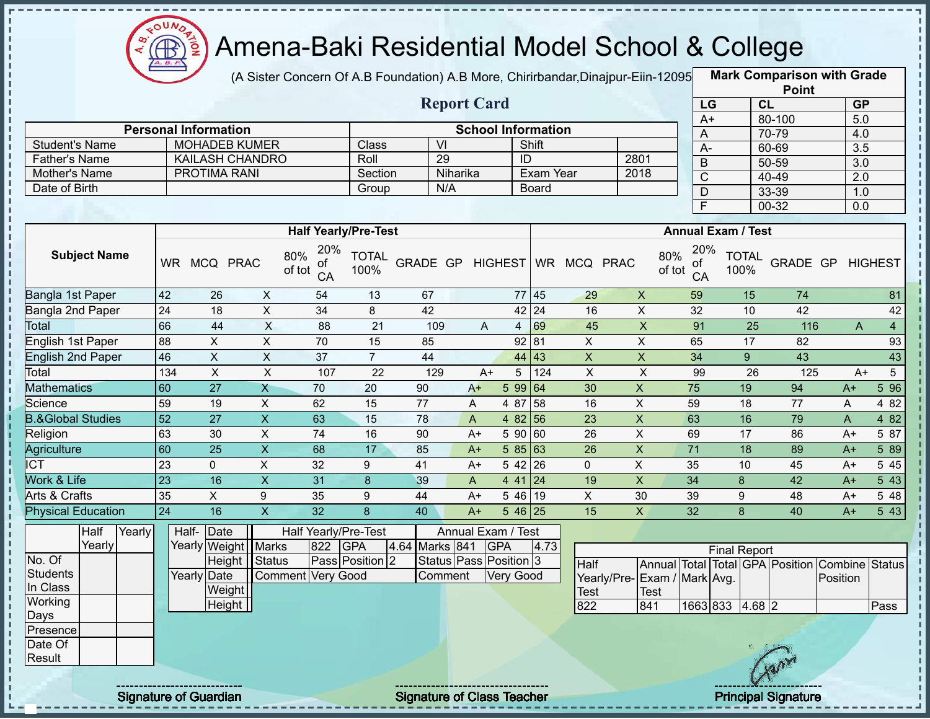

(A Sister Concern Of A.B Foundation) A.B More, Chirirbandar,Dinajpur-Eiin-120950

**Mark Comparison with Grade**

|                              |                                                                                                       |                             |                           |                             |                 |                         |                           |                |                  |                |                           |                         |                           |                | <b>Point</b>                    |                  |                  |
|------------------------------|-------------------------------------------------------------------------------------------------------|-----------------------------|---------------------------|-----------------------------|-----------------|-------------------------|---------------------------|----------------|------------------|----------------|---------------------------|-------------------------|---------------------------|----------------|---------------------------------|------------------|------------------|
|                              |                                                                                                       |                             |                           |                             |                 |                         | <b>Report Card</b>        |                |                  |                |                           | LG                      |                           | CL             |                                 | GP               |                  |
|                              |                                                                                                       |                             |                           |                             |                 |                         |                           |                |                  |                |                           | $A+$                    |                           |                | 80-100                          | $\overline{5.0}$ |                  |
|                              |                                                                                                       | <b>Personal Information</b> |                           |                             |                 |                         | <b>School Information</b> |                |                  |                |                           | A                       |                           |                | 70-79                           | 4.0              |                  |
| <b>Student's Name</b>        |                                                                                                       | <b>MOHADEB KUMER</b>        |                           |                             | Class           | $\overline{\mathsf{V}}$ |                           |                | Shift            |                |                           | $A-$                    |                           |                | 60-69                           | $\overline{3.5}$ |                  |
| <b>Father's Name</b>         |                                                                                                       | <b>KAILASH CHANDRO</b>      |                           |                             | Roll            | 29                      |                           | ID             |                  |                | 2801                      | $\mathsf B$             |                           |                | 50-59                           | 3.0              |                  |
| Mother's Name                |                                                                                                       | <b>PROTIMA RANI</b>         |                           |                             | Section         |                         | Niharika                  |                | <b>Exam Year</b> |                | 2018                      | $\overline{C}$          |                           |                | 40-49                           | $\overline{2.0}$ |                  |
| Date of Birth                |                                                                                                       |                             |                           |                             | Group           | N/A                     |                           |                | <b>Board</b>     |                |                           | $\mathsf D$             |                           |                | 33-39                           | 1.0              |                  |
|                              |                                                                                                       |                             |                           |                             |                 |                         |                           |                |                  |                |                           | $\overline{\mathsf{F}}$ |                           |                | 00-32                           | 0.0              |                  |
|                              |                                                                                                       |                             |                           | <b>Half Yearly/Pre-Test</b> |                 |                         |                           |                |                  |                |                           |                         | <b>Annual Exam / Test</b> |                |                                 |                  |                  |
| <b>Subject Name</b>          | 80%<br>WR MCQ PRAC<br>of tot<br>42<br>$\boldsymbol{X}$<br>26<br>$\boldsymbol{\mathsf{X}}$<br>24<br>18 |                             |                           |                             |                 | GRADE GP                |                           | <b>HIGHEST</b> |                  | WR MCQ PRAC    | 80%<br>of tot             | 20%<br>οf<br>CA         | <b>TOTAL</b><br>100%      |                | GRADE GP                        |                  | <b>HIGHEST</b>   |
| Bangla 1st Paper             |                                                                                                       |                             |                           | 54                          | 13              | 67                      |                           |                | 77 45            | 29             | $\mathsf{X}$              | 59                      |                           | 15             | 74                              |                  | 81               |
| Bangla 2nd Paper             |                                                                                                       |                             |                           | 34                          | 8               | 42                      |                           |                | 42 24            | 16             | $\sf X$                   | 32                      |                           | 10             | 42                              |                  | 42               |
| Total                        | 66                                                                                                    | 44                          | X                         | 88                          | 21              | 109                     | $\overline{A}$            | $\overline{4}$ | 69               | 45             | $\boldsymbol{\mathsf{X}}$ | 91                      |                           | 25             | 116                             | A                | $\overline{4}$   |
| English 1st Paper            | 88                                                                                                    | $\mathsf X$                 | $\boldsymbol{\mathsf{X}}$ | 70                          | 15              | 85                      |                           |                | 92 81            | $\mathsf{X}$   | $\mathsf X$               | 65                      |                           | 17             | 82                              |                  | 93               |
| <b>English 2nd Paper</b>     | 46                                                                                                    | $\overline{X}$              | $\overline{X}$            | $\overline{37}$             | $\overline{7}$  | 44                      |                           | 44             | 43               | $\overline{X}$ | $\overline{X}$            | $\overline{34}$         |                           | 9 <sup>°</sup> | 43                              |                  | 43               |
| Total                        | 134                                                                                                   | $\sf X$                     | $\times$                  | 107                         | 22              | 129                     | $A+$                      | 5              | 124              | $\pmb{\times}$ | $\boldsymbol{\mathsf{X}}$ | 99                      |                           | 26             | 125                             | $A+$             | 5                |
| <b>Mathematics</b>           | 60                                                                                                    | $\overline{27}$             | $\overline{X}$            | $\overline{70}$             | 20              | 90                      | $A+$                      | 5 9 9          | 64               | 30             | $\mathsf{X}$              | 75                      |                           | 19             | 94                              | $A+$             | 5 9 6            |
| Science                      | 59                                                                                                    | 19                          | $\pmb{\times}$            | 62                          | 15              | 77                      | A                         | 4 87           | 58               | 16             | $\overline{X}$            | 59                      |                           | 18             | 77                              | A                | 4 8 2            |
| <b>B.&amp;Global Studies</b> | $\overline{52}$                                                                                       | $\overline{27}$             | $\overline{\mathsf{x}}$   | 63                          | 15              | 78                      | A                         | 4 8 2          | 56               | 23             | $\overline{X}$            | 63                      |                           | 16             | 79                              | A                | 482              |
| Religion                     | 63                                                                                                    | 30                          | X                         | 74                          | 16              | 90                      | $A+$                      | 5 90           | 60               | 26             | $\sf X$                   | 69                      |                           | 17             | 86                              | A+               | 5 87             |
| Agriculture                  | 60                                                                                                    | $\overline{25}$             | $\overline{X}$            | 68                          | $\overline{17}$ | 85                      | $A+$                      | 585 63         |                  | 26             | $\pmb{\times}$            | $\overline{71}$         |                           | 18             | 89                              | $A+$             | 5 89             |
| <b>ICT</b>                   | 23                                                                                                    | 0                           | $\pmb{\times}$            | 32                          | 9               | 41                      | $A+$                      | $542$ 26       |                  | 0              | $\pmb{\times}$            | 35                      | 10                        |                | 45                              | $A+$             | 5 4 5            |
| Work & Life                  | $\overline{23}$                                                                                       | 16                          | $\overline{X}$            | $\overline{31}$             | 8               | 39                      | $\overline{A}$            | 4 41 24        |                  | 19             | $\overline{X}$            | $\overline{34}$         | 8                         |                | 42                              | $A+$             | 543              |
| <b>Arts &amp; Crafts</b>     | 35                                                                                                    | $\mathsf{X}$                | $9\,$                     | 35                          | 9               | 44                      | $A+$                      | $546$ 19       |                  | X              | 30                        | 39                      | 9                         |                | 48                              | A+               | 5 48             |
| <b>Physical Education</b>    | $\overline{24}$                                                                                       | 16                          | $\overline{\mathsf{x}}$   | $\overline{32}$             | 8               | 40                      | $A+$                      | $546$ 25       |                  | 15             | $\mathsf{X}$              | 32                      | 8                         |                | 40                              | $A+$             | $5\overline{43}$ |
| Half<br>Yearly               |                                                                                                       | Date<br>Half-               |                           | Half Yearly/Pre-Test        |                 |                         | Annual Exam / Test        |                |                  |                |                           |                         |                           |                |                                 |                  |                  |
| Yearly                       |                                                                                                       | Yearly Weight               | <b>Marks</b>              | 822                         | <b>GPA</b>      | 4.64 Marks 841          |                           | <b>GPA</b>     | 4.73             |                |                           |                         | <b>Final Report</b>       |                |                                 |                  |                  |
| No. Of                       |                                                                                                       | Height                      | Status                    |                             | Pass Position 2 |                         | Status Pass Position 3    |                |                  | Half           |                           |                         |                           |                | Annual Total Total GPA Position | Combine Status   |                  |
| <b>Students</b>              |                                                                                                       | Yearly Date                 |                           | Comment Very Good           |                 | Comment                 |                           | Very Good      |                  | Yearly/Pre-    |                           | Exam / Mark Avg.        |                           |                |                                 | Position         |                  |
| In Class                     |                                                                                                       | Weight                      |                           |                             |                 |                         |                           |                |                  | <b>Test</b>    | <b>Test</b>               |                         |                           |                |                                 |                  |                  |
| Working                      |                                                                                                       | Height                      |                           |                             |                 |                         |                           |                |                  | 822            | 841                       | 1663 833                |                           | $4.68$ 2       |                                 |                  | Pass             |
| Days                         |                                                                                                       |                             |                           |                             |                 |                         |                           |                |                  |                |                           |                         |                           |                |                                 |                  |                  |
| Presence                     |                                                                                                       |                             |                           |                             |                 |                         |                           |                |                  |                |                           |                         |                           |                |                                 |                  |                  |

Date Of Result

п

п  $\mathbf{I}$ п

> $\mathbf{I}$  $\mathbf I$ J. J, п

J.  $\mathbf I$ п

 $\mathbf I$ J. Î

Signature of Guardian Signature of Class T Teacher Principal Signature 34/47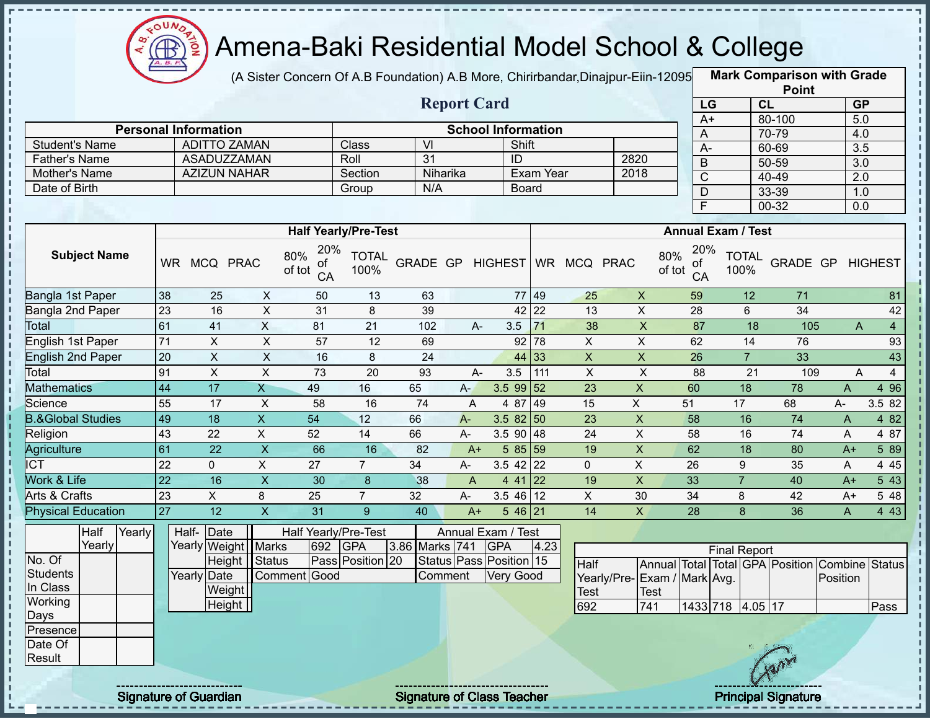

ì D ŋ

 $\frac{1}{2}$ 

I. J.

п

### Amena-Baki Residential Model School & College

(A Sister Concern Of A.B Foundation) A.B More, Chirirbandar, Dinajpur-Eiin-12095

**Mark Comparison with Grade Point**

|                              |                 |                                   |                           |                                  |                      |                 |                | <b>Report Card</b>                   |                            |                         |                           |                                                                               | LG                  | CL                   |                 |                | GP               |
|------------------------------|-----------------|-----------------------------------|---------------------------|----------------------------------|----------------------|-----------------|----------------|--------------------------------------|----------------------------|-------------------------|---------------------------|-------------------------------------------------------------------------------|---------------------|----------------------|-----------------|----------------|------------------|
|                              |                 |                                   |                           |                                  |                      |                 |                |                                      |                            |                         |                           |                                                                               | $A+$                |                      | 80-100          |                | 5.0              |
| <b>Student's Name</b>        |                 | <b>Personal Information</b>       | <b>ADITTO ZAMAN</b>       |                                  | Class                | $\overline{V}$  |                | <b>School Information</b><br>Shift   |                            |                         |                           |                                                                               | A                   |                      | 70-79           | 4.0            |                  |
| <b>Father's Name</b>         |                 |                                   | <b>ASADUZZAMAN</b>        |                                  | Roll                 | 31              |                | ID                                   |                            |                         | 2820                      |                                                                               | $A -$               |                      | 60-69           |                | 3.5              |
| Mother's Name                |                 |                                   | <b>AZIZUN NAHAR</b>       |                                  | Section              |                 | Niharika       |                                      | Exam Year                  |                         | 2018                      |                                                                               | $\overline{B}$      |                      | 50-59           |                | 3.0              |
| Date of Birth                |                 |                                   |                           |                                  | Group                | N/A             |                |                                      | <b>Board</b>               |                         |                           |                                                                               | $\overline{C}$      |                      | 40-49           |                | $\overline{2.0}$ |
|                              |                 |                                   |                           |                                  |                      |                 |                |                                      |                            |                         |                           |                                                                               | $\overline{D}$      |                      | 33-39           |                | 1.0              |
|                              |                 |                                   |                           |                                  |                      |                 |                |                                      |                            |                         |                           |                                                                               | Ē                   |                      | $00 - 32$       | 0.0            |                  |
|                              |                 |                                   |                           | <b>Half Yearly/Pre-Test</b>      |                      |                 |                |                                      |                            |                         |                           | <b>Annual Exam / Test</b>                                                     |                     |                      |                 |                |                  |
| <b>Subject Name</b>          |                 | WR MCQ PRAC                       |                           | 20%<br>80%<br>ot<br>of tot<br>CA | <b>TOTAL</b><br>100% | GRADE GP        |                | HIGHEST WR MCQ PRAC                  |                            |                         |                           | 80%<br>οf<br>of tot<br>CA                                                     | 20%                 | <b>TOTAL</b><br>100% | GRADE GP        |                | <b>HIGHEST</b>   |
| Bangla 1st Paper             | 38              | 25                                | $\pmb{\times}$            | 50                               | 13                   | 63              |                |                                      | 77 49                      | 25                      | $\boldsymbol{\mathsf{X}}$ | 59                                                                            |                     | 12                   | 71              |                | 81               |
| <b>Bangla 2nd Paper</b>      | 23              | 16                                | $\pmb{\times}$            | 31                               | 8                    | 39              |                |                                      | 42 22                      | 13                      | $\mathsf{X}$              | 28                                                                            |                     | 6                    | $\overline{34}$ |                | 42               |
| Total                        | 61              | 41                                | $\mathsf X$               | 81                               | $\overline{21}$      | 102             |                | 3.5<br>$A -$                         | 71                         | 38                      | $\pmb{\mathsf{X}}$        | 87                                                                            |                     | 18                   | 105             | $\mathsf{A}$   | $\overline{4}$   |
| <b>English 1st Paper</b>     | 71              | $\sf X$                           | X                         | $\overline{57}$                  | 12                   | 69              |                | 92                                   | 78                         | X                       | $\overline{X}$            | 62                                                                            |                     | 14                   | 76              |                | 93               |
| <b>English 2nd Paper</b>     | 20              | $\overline{X}$                    | $\boldsymbol{\mathsf{X}}$ | 16                               | $\,8\,$              | 24              |                | 44                                   | 33                         | $\overline{\mathsf{x}}$ | $\overline{\mathsf{x}}$   | $\overline{26}$                                                               |                     | $\overline{7}$       | 33              |                | 43               |
| Total                        | 91              | $\overline{X}$                    | $\overline{X}$            | 73                               | 20                   | 93              |                | $\overline{3.5}$<br>$A-$             | 111                        | $\overline{X}$          | $\pmb{\times}$            | 88                                                                            |                     | $\overline{21}$      | 109             | A              | $\overline{4}$   |
| <b>Mathematics</b>           | $\overline{44}$ | 17                                | $\overline{X}$            | 49                               | 16                   | 65              | $A -$          | $3.5$ 99 52                          |                            | 23                      | $\overline{X}$            | 60                                                                            |                     | $\overline{18}$      | 78              | $\overline{A}$ | 4 9 6            |
| Science                      | 55              | 17                                | $\pmb{\times}$            | 58                               | 16                   | $\overline{74}$ | A              | 4 87                                 | 49                         | 15                      | $\overline{\mathsf{X}}$   | 51                                                                            |                     | 17                   | 68              | A-             | 3.5 82           |
| <b>B.&amp;Global Studies</b> | 49              | 18                                | $\overline{X}$            | 54                               | 12                   | 66              | $A -$          | $3.582$ 50                           |                            | 23                      | $\pmb{\times}$            | 58                                                                            |                     | 16                   | 74              | A              | 4 8 2            |
| Religion                     | 43              | 22                                | $\pmb{\times}$            | 52                               | 14                   | 66              | A-             | 3.5 90 48                            |                            | 24                      | $\pmb{\times}$            | 58                                                                            |                     | 16                   | 74              | A              | 4 87             |
| Agriculture                  | 61              | $\overline{22}$                   | $\overline{\mathsf{x}}$   | 66                               | 16                   | 82              | $A+$           | 585 59                               |                            | 19                      | $\overline{X}$            | 62                                                                            |                     | $\overline{18}$      | 80              | $A+$           | 5 89             |
| <b>ICT</b>                   | 22              | $\overline{0}$                    | $\pmb{\times}$            | 27                               | $\overline{7}$       | 34              | A-             | $3.5$ 42 22                          |                            | $\mathbf 0$             | X                         | 26                                                                            |                     | 9                    | 35              | A              | 4 4 5            |
| Work & Life                  | $\overline{22}$ | 16                                | $\boldsymbol{\mathsf{X}}$ | 30                               | 8                    | 38              | $\overline{A}$ | $441$ 22                             |                            | 19                      | X                         | 33                                                                            |                     | $\overline{7}$       | 40              | $A+$           | 543              |
| Arts & Crafts                | 23              | X                                 | 8                         | 25                               | $\overline{7}$       | 32              | A-             | $3.546$ 12                           |                            | $\mathsf{X}$            | 30                        | 34                                                                            |                     | 8                    | 42              | $A+$           | 5 48             |
| <b>Physical Education</b>    | 27              | $\overline{12}$                   | $\overline{\mathsf{x}}$   | 31                               | 9                    | 40              | $A+$           | 5 46 21                              |                            | 14                      | $\overline{X}$            | 28                                                                            |                     | 8                    | 36              | $\mathsf{A}$   | 443              |
| Half<br>Yearly               |                 | Half- Date                        |                           | Half Yearly/Pre-Test             |                      |                 |                | Annual Exam / Test                   |                            |                         |                           |                                                                               |                     |                      |                 |                |                  |
| Yearly                       |                 | Yearly Weight                     | <b>Marks</b>              | 692                              | <b>GPA</b>           | 3.86 Marks 741  |                | <b>GPA</b>                           | 4.23                       |                         |                           |                                                                               | <b>Final Report</b> |                      |                 |                |                  |
| No. Of<br><b>Students</b>    |                 | Yearly Date                       | Status<br>Height          | Comment Good                     | Pass Position 20     |                 | Comment        | Status Pass Position 15<br>Very Good |                            | Half                    |                           | Annual Total Total GPA Position Combine Status<br>Yearly/Pre-Exam / Mark Avg. |                     |                      |                 | Position       |                  |
| In Class<br>Working          |                 |                                   | Weight                    |                                  |                      |                 |                |                                      |                            | Test                    | <b>Test</b>               |                                                                               |                     |                      |                 |                |                  |
| Days                         |                 |                                   | Height                    |                                  |                      |                 |                |                                      |                            | 692                     | 741                       |                                                                               | 1433 718 4.05 17    |                      |                 |                | Pass             |
| Presence                     |                 |                                   |                           |                                  |                      |                 |                |                                      |                            |                         |                           |                                                                               |                     |                      |                 |                |                  |
| Date Of                      |                 |                                   |                           |                                  |                      |                 |                |                                      |                            |                         |                           |                                                                               |                     |                      |                 |                |                  |
| Result                       |                 |                                   |                           |                                  |                      |                 |                |                                      |                            |                         |                           |                                                                               |                     |                      |                 |                |                  |
|                              |                 |                                   |                           |                                  |                      |                 |                |                                      |                            |                         |                           |                                                                               |                     |                      |                 |                |                  |
| <b>Signature of Guardian</b> |                 | <b>Signature of Class Teacher</b> |                           |                                  |                      |                 |                |                                      | <b>Principal Signature</b> |                         |                           |                                                                               |                     |                      |                 |                |                  |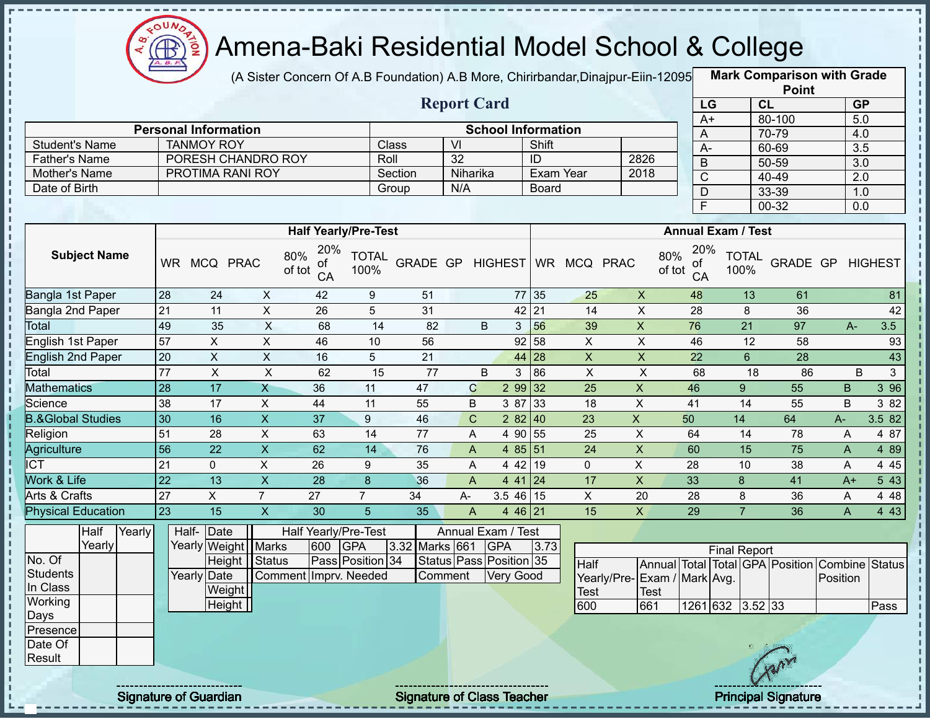

J.

 $\mathbf{I}$ 

J, Ţ п  $\frac{1}{1}$ 

> J. п

> $\frac{1}{1}$ ï

> п

 $\mathbf{I}$ 

 $\frac{1}{4}$ 

# Amena-Baki Residential Model School & College

(A Sister Concern Of A.B Foundation) A.B More, Chirirbandar,Dinajpur-Eiin-120950

**Mark Comparison with Grade Point**

|                              |                     |        |                 |                             |                           |                                  |                      |                | <b>Report Card</b>        |                                  |         |                 |                             |                                         | LG                   | CL              |                                 |              | GP                                   |
|------------------------------|---------------------|--------|-----------------|-----------------------------|---------------------------|----------------------------------|----------------------|----------------|---------------------------|----------------------------------|---------|-----------------|-----------------------------|-----------------------------------------|----------------------|-----------------|---------------------------------|--------------|--------------------------------------|
|                              |                     |        |                 | <b>Personal Information</b> |                           |                                  |                      |                |                           | <b>School Information</b>        |         |                 |                             |                                         | $A+$                 |                 | 80-100                          |              | 5.0                                  |
| <b>Student's Name</b>        |                     |        |                 | <b>TANMOY ROY</b>           |                           |                                  |                      | Class          | $\overline{\mathsf{V}}$   |                                  | Shift   |                 |                             | A                                       |                      |                 | 70-79                           |              | 4.0                                  |
| <b>Father's Name</b>         |                     |        |                 |                             | PORESH CHANDRO ROY        |                                  |                      | Roll           | 32                        |                                  | ID      |                 | 2826                        | $A -$                                   |                      |                 | 60-69                           |              | $\overline{3.5}$                     |
| Mother's Name                |                     |        |                 |                             | PROTIMA RANI ROY          |                                  |                      | Section        | Niharika                  |                                  |         | Exam Year       | 2018                        | $\overline{B}$<br>$\overline{\text{c}}$ |                      |                 | $50 - 59$<br>$40 - 49$          |              | $\overline{3.0}$<br>$\overline{2.0}$ |
| Date of Birth                |                     |        |                 |                             |                           |                                  |                      | Group          | N/A                       |                                  | Board   |                 |                             | $\mathsf{D}$                            |                      |                 | 33-39                           |              | 1.0                                  |
|                              |                     |        |                 |                             |                           |                                  |                      |                |                           |                                  |         |                 |                             | F                                       |                      |                 | 00-32                           |              | 0.0                                  |
|                              |                     |        |                 |                             |                           |                                  |                      |                |                           |                                  |         |                 |                             |                                         |                      |                 |                                 |              |                                      |
|                              |                     |        |                 |                             |                           | <b>Half Yearly/Pre-Test</b>      |                      |                |                           |                                  |         |                 |                             | <b>Annual Exam / Test</b>               |                      |                 |                                 |              |                                      |
|                              | <b>Subject Name</b> |        | <b>WR</b>       | MCQ PRAC                    |                           | 20%<br>80%<br>οt<br>of tot<br>CA | <b>TOTAL</b><br>100% | GRADE GP       |                           | <b>HIGHEST</b>                   |         | WR MCQ PRAC     |                             | 20%<br>80%<br>0f<br>of tot<br>CA        | <b>TOTAL</b><br>100% |                 | GRADE GP                        |              | <b>HIGHEST</b>                       |
| Bangla 1st Paper             |                     |        | 28              | 24                          | X                         | 42                               | 9                    | 51             |                           |                                  | 77 35   | 25              | $\boldsymbol{\mathsf{X}}$   | 48                                      |                      | 13              | 61                              |              | 81                                   |
| Bangla 2nd Paper             |                     |        | $\overline{21}$ | 11                          | $\boldsymbol{\mathsf{X}}$ | 26                               | 5                    | 31             |                           | 42                               | 21      | 14              | $\overline{X}$              | 28                                      |                      | 8               | 36                              |              | 42                                   |
| Total                        |                     |        | 49              | 35                          | X                         | 68                               | 14                   | 82             |                           | B<br>3                           | 56      | 39              | $\boldsymbol{\mathsf{X}}$   | 76                                      |                      | 21              | 97                              | $A -$        | 3.5                                  |
| English 1st Paper            |                     |        | 57              | $\overline{X}$              | $\overline{X}$            | 46                               | 10                   | 56             |                           | 92                               | 58      | $\pmb{\times}$  | $\pmb{\times}$              | 46                                      |                      | 12              | 58                              |              | 93                                   |
| <b>English 2nd Paper</b>     |                     |        | 20              | $\overline{X}$              | $\sf X$                   | 16                               | 5                    | 21             |                           | 44                               | 28      | $\pmb{\times}$  | $\pmb{\times}$              | 22                                      |                      | $6\phantom{1}$  | 28                              |              | 43                                   |
| Total                        |                     |        | $\overline{77}$ | $\pmb{\times}$              | $\times$                  | 62                               | 15                   | 77             |                           | B<br>3                           | 86      | X               | $\sf X$                     | 68                                      |                      | 18              | 86                              |              | $\mathbf{3}$<br>B                    |
| <b>Mathematics</b>           |                     |        | 28              | 17                          | $\overline{\mathsf{X}}$   | 36                               | 11                   | 47             | $\mathbf C$               | 2 99 32                          |         | $\overline{25}$ | $\mathsf X$                 | 46                                      | 9                    |                 | 55                              | $\mathsf B$  | 396                                  |
| Science                      |                     |        | 38              | 17                          | $\pmb{\times}$            | 44                               | 11                   | 55             | B                         | 3 87                             | 33      | 18              | $\mathsf{x}$                | 41                                      |                      | 14              | 55                              | B            | 3 82                                 |
| <b>B.&amp;Global Studies</b> |                     |        | 30              | 16                          | $\overline{\mathsf{x}}$   | $\overline{37}$                  | 9                    | 46             | $\mathbf C$               | 282   40                         |         | 23              | X                           | 50                                      | 14                   |                 | 64                              | A-           | 3.5 82                               |
| Religion                     |                     |        | 51              | 28                          | X                         | 63                               | 14                   | 77             | A                         | 4 90 55                          |         | 25              | X                           | 64                                      |                      | 14              | 78                              | A            | 4 87                                 |
| Agriculture                  |                     |        | 56              | $\overline{22}$             | $\overline{X}$            | 62                               | 14                   | 76             | $\boldsymbol{\mathsf{A}}$ | 4 85 51                          |         | $\overline{24}$ | $\overline{X}$              | 60                                      |                      | $\overline{15}$ | $\overline{75}$                 | $\mathsf{A}$ | 4 8 9                                |
| $\overline{\text{ICT}}$      |                     |        | 21              | $\mathbf 0$                 | $\overline{X}$            | 26                               | 9                    | 35             | A                         |                                  | 4 42 19 | $\Omega$        | $\pmb{\times}$              | 28                                      | 10                   |                 | 38                              | A            | 4 4 5                                |
| Work & Life                  |                     |        | 22              | 13                          | $\overline{\mathsf{x}}$   | 28                               | 8                    | 36             | $\overline{A}$            |                                  | 44124   | 17              | $\mathsf X$                 | 33                                      | 8                    |                 | 41                              | $A+$         | 543                                  |
| <b>Arts &amp; Crafts</b>     |                     |        | 27              | $\overline{X}$              | $\overline{7}$            | 27                               | $\overline{7}$       | 34             | A-                        | $3.546$ 15                       |         | $\pmb{\times}$  | 20                          | 28                                      | 8                    |                 | 36                              | A            | 4 4 8                                |
| <b>Physical Education</b>    |                     |        | 23              | 15                          | $\mathsf{X}$              | 30                               | 5                    | 35             | $\mathsf{A}$              | 4 46 21                          |         | 15              | $\mathsf{X}$                | 29                                      | $\overline{7}$       |                 | 36                              | $\mathsf{A}$ | 4 4 3                                |
|                              | Half<br>Yearly      | Yearly |                 | Date<br>Half-               | Yearly Weight   Marks     | Half Yearly/Pre-Test<br>600      | <b>GPA</b>           | 3.32 Marks 661 |                           | Annual Exam / Test<br><b>GPA</b> | 3.73    |                 |                             |                                         |                      |                 |                                 |              |                                      |
| No. Of                       |                     |        |                 |                             | Height Status             |                                  | Pass Position 34     |                |                           | Status Pass Position 35          |         |                 |                             |                                         | <b>Final Report</b>  |                 |                                 |              |                                      |
| <b>Students</b>              |                     |        |                 | Yearly Date                 |                           | Comment Imprv. Needed            |                      |                | Comment                   | Very Good                        |         | Half            | Yearly/Pre-Exam / Mark Avg. |                                         |                      |                 | Annual Total Total GPA Position | Position     | Combine Status                       |
| In Class                     |                     |        |                 |                             | Weight                    |                                  |                      |                |                           |                                  |         | Test            | <b>Test</b>                 |                                         |                      |                 |                                 |              |                                      |
| Working                      |                     |        |                 |                             | Height                    |                                  |                      |                |                           |                                  |         | 600             | 661                         |                                         | 1261 632 3.52 33     |                 |                                 |              | Pass                                 |
| <b>Days</b>                  |                     |        |                 |                             |                           |                                  |                      |                |                           |                                  |         |                 |                             |                                         |                      |                 |                                 |              |                                      |
| Presence                     |                     |        |                 |                             |                           |                                  |                      |                |                           |                                  |         |                 |                             |                                         |                      |                 |                                 |              |                                      |
| Date Of                      |                     |        |                 |                             |                           |                                  |                      |                |                           |                                  |         |                 |                             |                                         |                      |                 |                                 |              |                                      |
| Result                       |                     |        |                 |                             |                           |                                  |                      |                |                           |                                  |         |                 |                             |                                         |                      |                 |                                 |              |                                      |

Signature of Guardian Signature of Class Teacher Principal Signature 36 Australian Principal Signature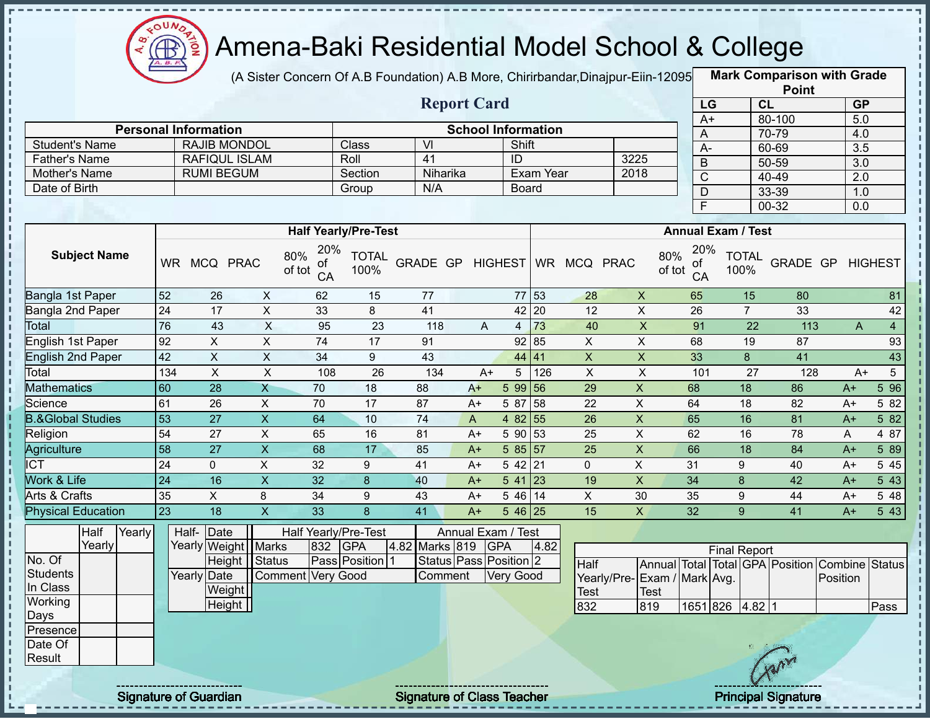

(A Sister Concern Of A.B Foundation) A.B More, Chirirbandar,Dinajpur-Eiin-12095 **Mark Comparison with Grade** 

|                              |           |                             |                      |                                  |                             |                    |      |                           |           |                     |      |               |                       |                           | <b>Point</b> |           |                |
|------------------------------|-----------|-----------------------------|----------------------|----------------------------------|-----------------------------|--------------------|------|---------------------------|-----------|---------------------|------|---------------|-----------------------|---------------------------|--------------|-----------|----------------|
|                              |           |                             |                      |                                  |                             | <b>Report Card</b> |      |                           |           |                     |      |               | LG                    |                           | CL           | <b>GP</b> |                |
|                              |           |                             |                      |                                  |                             |                    |      |                           |           |                     |      |               | $A+$                  |                           | 80-100       | 5.0       |                |
|                              |           | <b>Personal Information</b> |                      |                                  |                             |                    |      | <b>School Information</b> |           |                     |      |               | A                     |                           | 70-79        | 4.0       |                |
| <b>Student's Name</b>        |           |                             | RAJIB MONDOL         |                                  | <b>Class</b>                | VI                 |      | Shift                     |           |                     |      |               | A-                    |                           | 60-69        | 3.5       |                |
| <b>Father's Name</b>         |           |                             | <b>RAFIQUL ISLAM</b> |                                  | Roll                        | 41                 |      | ID                        |           |                     | 3225 |               | B                     |                           | 50-59        | 3.0       |                |
| Mother's Name                |           | <b>RUMI BEGUM</b>           |                      |                                  | Section                     | Niharika           |      |                           | Exam Year |                     | 2018 |               | $\overline{\text{C}}$ |                           | 40-49        | 2.0       |                |
| Date of Birth                |           |                             |                      |                                  | Group                       | N/A                |      | <b>Board</b>              |           |                     |      |               | D                     |                           | 33-39        | 1.0       |                |
|                              |           |                             |                      |                                  |                             |                    |      |                           |           |                     |      |               | F.                    |                           | 00-32        | 0.0       |                |
|                              |           |                             |                      |                                  |                             |                    |      |                           |           |                     |      |               |                       |                           |              |           |                |
|                              |           |                             |                      |                                  | <b>Half Yearly/Pre-Test</b> |                    |      |                           |           |                     |      |               |                       | <b>Annual Exam / Test</b> |              |           |                |
| <b>Subject Name</b>          | <b>WR</b> |                             | MCQ PRAC             | 20%<br>80%<br>0f<br>of tot<br>CA | <b>TOTAL</b><br>100%        | GRADE GP           |      |                           |           | HIGHEST WR MCQ PRAC |      | 80%<br>of tot | 20%<br>of<br>CA       | <b>TOTAL</b><br>100%      | GRADE GP     |           | <b>HIGHEST</b> |
| Bangla 1st Paper             | 52        | 26                          | X                    | 62                               | 15                          | 77                 |      | 77 53                     |           | 28                  | X    |               | 65                    | 15                        | 80           |           | 81             |
| Bangla 2nd Paper             | 24        | 17                          | X                    | 33                               | 8                           | 41                 |      | 42                        | 20        | 12                  | X    |               | 26                    | $\overline{7}$            | 33           |           | 42             |
| Total                        | 76        | 43                          | X                    | 95                               | 23                          | 118                | A    | 4                         | 73        | 40                  | X    |               | 91                    | 22                        | 113          | A         | $\overline{4}$ |
| English 1st Paper            | 92        | X                           | X                    | 74                               | 17                          | 91                 |      | 92 85                     |           | $\sf X$             | X    |               | 68                    | 19                        | 87           |           | 93             |
| English 2nd Paper            | 42        | X                           | X                    | 34                               | 9                           | 43                 |      | 44 41                     |           | X                   | X.   |               | 33                    | 8                         | 41           |           | 43             |
| Total                        | 134       | X                           | X                    | 108                              | 26                          | 134                | $A+$ | 5                         | 126       | X                   | X    |               | 101                   | 27                        | 128          | $A+$      | 5              |
| <b>Mathematics</b>           | 60        | 28                          | X                    | 70                               | 18                          | 88                 | $A+$ | 5 99 56                   |           | 29                  | X    |               | 68                    | 18                        | 86           | $A+$      | 5 9 6          |
| Science                      | 61        | 26                          | X                    | 70                               | 17                          | 87                 | $A+$ | 5 87                      | 58        | 22                  | X    |               | 64                    | 18                        | 82           | $A+$      | 5 82           |
| <b>B.&amp;Global Studies</b> | 53        | 27                          | X                    | 64                               | 10                          | 74                 | A    | 4 82 55                   |           | 26                  | X    |               | 65                    | 16                        | 81           | $A+$      | 5 82           |

| Mathematics                  | 160            | 28 | 70 | 18 | 88             | A+           | 99156      |     | 29 |    | 68 | 18 | 86 | A+    | 596     |
|------------------------------|----------------|----|----|----|----------------|--------------|------------|-----|----|----|----|----|----|-------|---------|
| Science                      | 6 <sup>′</sup> | 26 | 70 |    | 87             | A+           | 87         | 158 | 22 |    | 64 | 18 | 82 | $A^+$ | 5 8 2 1 |
| <b>B.&amp;Global Studies</b> | 153            | דר | 64 | 10 | 74             | $\mathsf{A}$ | 82 55<br>4 |     | 26 | Λ  | 65 | 16 | 81 | A+    | 5 82    |
| Religion                     | 54             | 27 | 65 | 16 | 81             | A+           | 90153      |     | 25 |    | 62 | 16 | 78 |       | 87<br>4 |
| Agriculture                  | 58             | 27 | 68 |    | 85             | $A+$         | 85157      |     | 25 | Λ  | 66 | 18 | 84 | $A+$  | 5 89    |
| ICT                          | 24             |    | 32 |    | 4 <sup>1</sup> | A+           | 42 21      |     |    |    | 31 |    | 40 | $A+$  | 5 4 5   |
| Work & Life                  | 124            | 16 | 32 |    | 40             | $A+$         | -41        | 23  | 19 | Λ  | 34 |    | 42 | A+    | 5 43    |
| Arts & Crafts                | 35             |    | 34 |    | 43             | A+           | 46   14    |     |    | 30 | 35 |    | 44 | $A+$  | 5 48    |
|                              |                |    |    |    |                |              |            |     |    |    |    |    |    |       |         |

| <b>Physical Education</b> |        |        | 23 | 18                    |                   | 33  |                      | 41      | $A+$           | $546$ 25                   |      | 15                           | X           | 32 |                 | 9                   | 41  | A+                                             | 5 4 3 |
|---------------------------|--------|--------|----|-----------------------|-------------------|-----|----------------------|---------|----------------|----------------------------|------|------------------------------|-------------|----|-----------------|---------------------|-----|------------------------------------------------|-------|
|                           | Half   | Yearly |    | Half-Date             |                   |     | Half Yearly/Pre-Test |         |                | Annual Exam / Test         |      |                              |             |    |                 |                     |     |                                                |       |
|                           | Yearly |        |    | Yearly Weight   Marks |                   | 832 | <b>GPA</b>           |         | 4.82 Marks 819 | <b>GPA</b>                 | 4.82 |                              |             |    |                 | <b>Final Report</b> |     |                                                |       |
| No. Of                    |        |        |    |                       | Height Status     |     | Pass Position 1      |         |                | Status   Pass   Position 2 |      | Half                         |             |    |                 |                     |     | Annual Total Total GPA Position Combine Status |       |
| Students                  |        |        |    | Yearly Date           | Comment Very Good |     |                      | Comment |                | Very Good                  |      | Yearly/Pre- Exam / Mark Avg. |             |    |                 |                     |     | Position                                       |       |
| In Class                  |        |        |    | Weight                |                   |     |                      |         |                |                            |      | <b>Test</b>                  | <b>Test</b> |    |                 |                     |     |                                                |       |
| Working                   |        |        |    | Height                |                   |     |                      |         |                |                            |      | 832                          | 819         |    | 1651 826 4.82 1 |                     |     |                                                | Pass  |
| Days                      |        |        |    |                       |                   |     |                      |         |                |                            |      |                              |             |    |                 |                     |     |                                                |       |
| Presence                  |        |        |    |                       |                   |     |                      |         |                |                            |      |                              |             |    |                 |                     |     |                                                |       |
| Date Of                   |        |        |    |                       |                   |     |                      |         |                |                            |      |                              |             |    |                 |                     |     |                                                |       |
| Result                    |        |        |    |                       |                   |     |                      |         |                |                            |      |                              |             |    |                 |                     | Any |                                                |       |
|                           |        |        |    |                       |                   |     |                      |         |                |                            |      |                              |             |    |                 |                     |     |                                                |       |

Signature of Guardian Signature of Class T Teacher Principal Signature 37/47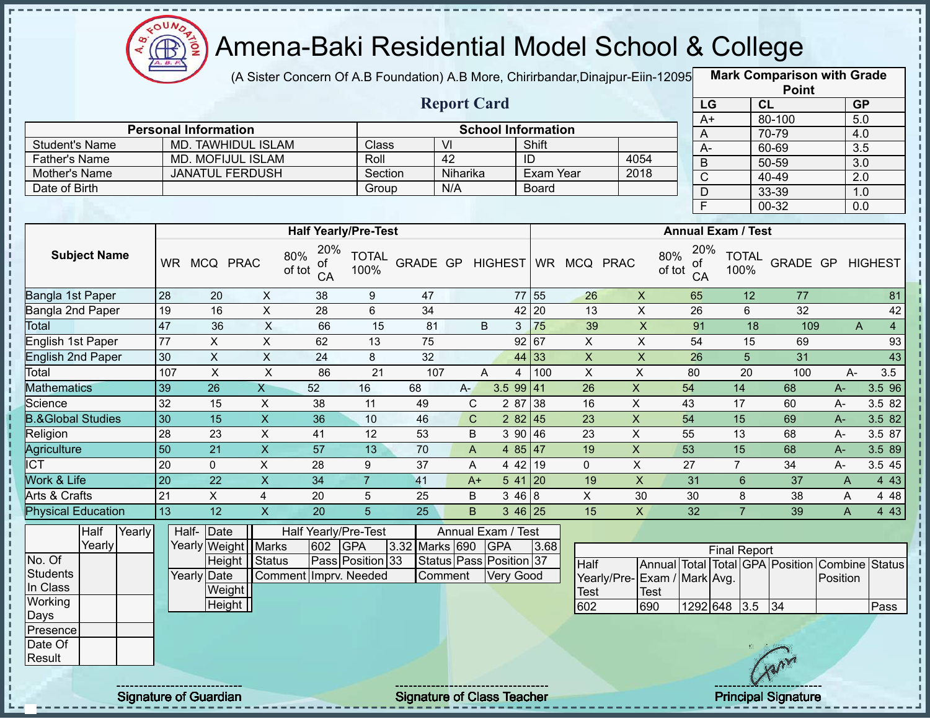

(A Sister Concern Of A.B Foundation) A.B More, Chirirbandar, Dinajpur-Eiin-12095

**Mark Comparison with Grade Point**

|                              |                 |                             |                           |                                  |                      |                  |                         |                           |                 |                           |                           |                           |                 |                      | <b>POINT</b>                    |          |                         |
|------------------------------|-----------------|-----------------------------|---------------------------|----------------------------------|----------------------|------------------|-------------------------|---------------------------|-----------------|---------------------------|---------------------------|---------------------------|-----------------|----------------------|---------------------------------|----------|-------------------------|
|                              |                 |                             |                           |                                  |                      |                  | <b>Report Card</b>      |                           |                 |                           |                           |                           | LG              | CL                   |                                 |          | GP                      |
|                              |                 | <b>Personal Information</b> |                           |                                  |                      |                  |                         | <b>School Information</b> |                 |                           |                           |                           | $A+$            |                      | 80-100                          |          | 5.0                     |
| <b>Student's Name</b>        |                 |                             | <b>MD. TAWHIDUL ISLAM</b> |                                  | Class                |                  | $\overline{V}$          |                           | Shift           |                           |                           |                           | A               |                      | 70-79                           |          | 4.0                     |
| <b>Father's Name</b>         |                 |                             | <b>MD. MOFIJUL ISLAM</b>  |                                  | Roll                 |                  | 42                      |                           | $\overline{ID}$ |                           | 4054                      |                           | $A-$<br>$\sf B$ |                      | 60-69<br>$50 - 59$              |          | 3.5<br>$\overline{3.0}$ |
| Mother's Name                |                 |                             | <b>JANATUL FERDUSH</b>    |                                  | Section              |                  | Niharika                |                           | Exam Year       |                           | 2018                      |                           | $\overline{C}$  |                      | 40-49                           |          | $\overline{2.0}$        |
| Date of Birth                |                 |                             |                           |                                  | Group                |                  | N/A                     |                           | Board           |                           |                           |                           | $\overline{D}$  |                      | 33-39                           |          | 1.0                     |
|                              |                 |                             |                           |                                  |                      |                  |                         |                           |                 |                           |                           |                           | F               |                      | $00 - 32$                       |          | 0.0                     |
|                              |                 |                             |                           |                                  |                      |                  |                         |                           |                 |                           |                           |                           |                 |                      |                                 |          |                         |
|                              |                 |                             |                           | <b>Half Yearly/Pre-Test</b>      |                      |                  |                         |                           |                 |                           |                           | <b>Annual Exam / Test</b> |                 |                      |                                 |          |                         |
| <b>Subject Name</b>          | WR.             | MCQ PRAC                    |                           | 20%<br>80%<br>ΟĪ<br>of tot<br>CA | <b>TOTAL</b><br>100% | GRADE GP HIGHEST |                         |                           |                 | WR MCQ PRAC               |                           | 80%<br>ot<br>of tot<br>CA | 20%             | <b>TOTAL</b><br>100% | GRADE GP HIGHEST                |          |                         |
| Bangla 1st Paper             | $\overline{28}$ | 20                          | $\pmb{\times}$            | 38                               | $9\,$                | 47               |                         |                           | 77 55           | 26                        | $\pmb{\times}$            | 65                        |                 | 12                   | 77                              |          | 81                      |
| Bangla 2nd Paper             | 19              | 16                          | $\sf X$                   | 28                               | 6                    | 34               |                         |                           | 42 20           | 13                        | $\pmb{\times}$            | 26                        |                 | 6                    | 32                              |          | 42                      |
| <b>Total</b>                 | 47              | 36                          | $\overline{\mathsf{x}}$   | 66                               | 15                   | 81               |                         | B<br>3                    | 75              | 39                        | $\boldsymbol{\mathsf{X}}$ | 91                        |                 | 18                   | 109                             | A        | $\overline{4}$          |
| English 1st Paper            | 77              | $\boldsymbol{\mathsf{X}}$   | $\mathsf X$               | 62                               | 13                   | 75               |                         |                           | 92 67           | $\overline{X}$            | $\pmb{\times}$            | 54                        |                 | 15                   | 69                              |          | 93                      |
| <b>English 2nd Paper</b>     | 30              | $\mathsf X$                 | $\mathsf X$               | 24                               | 8                    | 32               |                         |                           | 44 33           | $\boldsymbol{\mathsf{X}}$ | $\boldsymbol{\mathsf{X}}$ | 26                        |                 | 5                    | 31                              |          | 43                      |
| Total                        | 107             | $\overline{X}$              | $\pmb{\times}$            | 86                               | $\overline{21}$      | 107              |                         | A<br>$\overline{4}$       | 100             | $\pmb{\times}$            | $\mathsf X$               | 80                        |                 | 20                   | 100                             | $A -$    | 3.5                     |
| <b>Mathematics</b>           | 39              | $\overline{26}$             | $\overline{X}$            | 52                               | 16                   | 68               | $A -$                   | 3.599   41                |                 | $\overline{26}$           | $\mathsf X$               | 54                        |                 | 14                   | 68                              | A-       | 3.5 96                  |
| Science                      | 32              | 15                          | X                         | 38                               | 11                   | 49               | C                       | 2 87                      | 38              | 16                        | $\mathsf{X}$              | 43                        |                 | 17                   | 60                              | A-       | 3.5 82                  |
| <b>B.&amp;Global Studies</b> | 30              | $\overline{15}$             | $\boldsymbol{\mathsf{X}}$ | 36                               | 10                   | 46               | $\mathsf C$             | 2 8 2                     | 45              | 23                        | $\mathsf X$               | 54                        |                 | $\overline{15}$      | 69                              | $A-$     | 3.5 82                  |
| Religion                     | 28              | 23                          | $\mathsf X$               | 41                               | 12                   | 53               | B                       | 3 90                      | 46              | 23                        | $\mathsf{X}$              | 55                        |                 | $\overline{13}$      | 68                              | $A-$     | 3.5 87                  |
| Agriculture                  | $\overline{50}$ | 21                          | $\boldsymbol{\mathsf{X}}$ | 57                               | 13                   | 70               | A                       | 4 8 5                     | 47              | 19                        | $\mathsf{X}$              | 53                        |                 | 15                   | 68                              | A-       | 3.5 89                  |
| $\overline{\text{ICT}}$      | $\overline{20}$ | 0                           | $\mathsf X$               | 28                               | 9                    | 37               | A                       | 4 4 2                     | 19              | $\mathbf 0$               | $\boldsymbol{\mathsf{X}}$ | 27                        |                 | $\overline{7}$       | 34                              | A-       | 3.5 45                  |
| Work & Life                  | $\overline{20}$ | $\overline{22}$             | $\overline{\mathsf{x}}$   | 34                               | $\overline{7}$       | 41               | $A+$                    |                           | $541$ 20        | 19                        | $\mathsf X$               | 31                        |                 | $\,6\,$              | 37                              | A        | 443                     |
| Arts & Crafts                | 21              | $\overline{X}$              | $\overline{4}$            | 20                               | 5                    | 25               | B                       | 3468                      |                 | $\boldsymbol{\mathsf{X}}$ | 30                        | 30                        |                 | 8                    | 38                              | A        | 4 4 8                   |
| <b>Physical Education</b>    | 13              | 12                          | $\overline{\mathsf{x}}$   | 20                               | $\overline{5}$       | 25               | B                       |                           | $346$ 25        | 15                        | $\mathsf{X}$              | 32                        |                 | $\overline{7}$       | 39                              | A        | 4 4 3                   |
| Half<br>Yearly<br>Yearly     |                 | Half-<br>Date               | Yearly Weight   Marks     | Half Yearly/Pre-Test<br>602      | <b>GPA</b>           | 3.32 Marks 690   | Annual Exam / Test      | <b>GPA</b>                | 3.68            |                           |                           |                           |                 | <b>Final Report</b>  |                                 |          |                         |
| No. Of                       |                 |                             | Height Status             |                                  | Pass Position 33     |                  | Status Pass Position 37 |                           |                 | <b>Half</b>               |                           |                           |                 |                      | Annual Total Total GPA Position |          | Combine Status          |
| <b>Students</b>              |                 | Yearly Date                 |                           | Comment Imprv. Needed            |                      |                  | Comment                 | Very Good                 |                 | Yearly/Pre-               |                           | Exam / Mark Avg.          |                 |                      |                                 | Position |                         |
| In Class<br>Working          |                 | Weight                      |                           |                                  |                      |                  |                         |                           |                 | <b>Test</b>               | <b>Test</b>               |                           |                 |                      |                                 |          |                         |
| Days                         |                 | Height                      |                           |                                  |                      |                  |                         |                           |                 | 602                       | 690                       |                           | 1292 648        | 3.5                  | 34                              |          | Pass                    |
| Presence                     |                 |                             |                           |                                  |                      |                  |                         |                           |                 |                           |                           |                           |                 |                      |                                 |          |                         |
| Date Of                      |                 |                             |                           |                                  |                      |                  |                         |                           |                 |                           |                           |                           |                 |                      |                                 |          |                         |
| Result                       |                 |                             |                           |                                  |                      |                  |                         |                           |                 |                           |                           |                           |                 |                      |                                 |          |                         |
|                              |                 |                             |                           |                                  |                      |                  |                         |                           |                 |                           |                           |                           |                 |                      |                                 |          |                         |
|                              |                 |                             |                           |                                  |                      |                  |                         |                           |                 |                           |                           |                           |                 |                      |                                 |          |                         |

Signature of Guardian Signature of Class Teacher **Signature 38/478** Principal Signature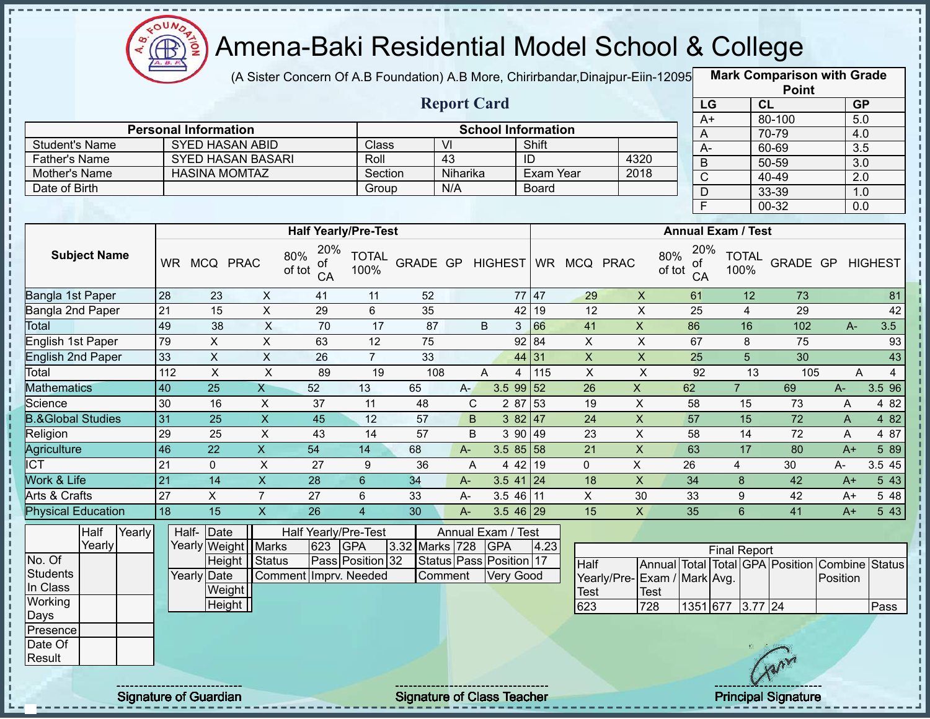

п

 $\frac{1}{1}$ 

Ţ  $\mathbf{I}$ l,  $\mathbf{I}$ 

 $\mathbf{I}$ 

 $\frac{1}{1}$ 

# Amena-Baki Residential Model School & College

(A Sister Concern Of A.B Foundation) A.B More, Chirirbandar,Dinajpur-Eiin-120950

**Mark Comparison with Grade**

|                              |                 |                             |                           |                             |                      |                  |                    |                           |                    |                 |                             |                 |                           |                 | <b>Point</b>                                   |              |                |
|------------------------------|-----------------|-----------------------------|---------------------------|-----------------------------|----------------------|------------------|--------------------|---------------------------|--------------------|-----------------|-----------------------------|-----------------|---------------------------|-----------------|------------------------------------------------|--------------|----------------|
|                              |                 |                             |                           |                             |                      |                  | <b>Report Card</b> |                           |                    |                 |                             |                 | LG                        | CL              |                                                | <b>GP</b>    |                |
|                              |                 |                             |                           |                             |                      |                  |                    |                           |                    |                 |                             | $A+$            |                           |                 | 80-100                                         | 5.0          |                |
|                              |                 | <b>Personal Information</b> |                           |                             |                      |                  |                    | <b>School Information</b> |                    |                 |                             | A               |                           |                 | 70-79                                          | 4.0          |                |
| <b>Student's Name</b>        |                 | <b>SYED HASAN ABID</b>      |                           |                             | Class                |                  | $\overline{V}$     |                           | Shift              |                 |                             | $A -$           |                           |                 | 60-69                                          | 3.5          |                |
| <b>Father's Name</b>         |                 | <b>SYED HASAN BASARI</b>    |                           |                             | Roll                 |                  | 43                 |                           | ID                 |                 | 4320                        | $\mathsf B$     |                           |                 | $50 - 59$                                      | 3.0          |                |
| Mother's Name                |                 | <b>HASINA MOMTAZ</b>        |                           |                             | Section              |                  | Niharika           |                           | <b>Exam Year</b>   |                 | 2018                        | $\mathsf C$     |                           |                 | 40-49                                          | 2.0          |                |
| Date of Birth                |                 |                             |                           |                             | Group                |                  | N/A                |                           | <b>Board</b>       |                 |                             | $\mathsf D$     |                           |                 | 33-39                                          | 1.0          |                |
|                              |                 |                             |                           |                             |                      |                  |                    |                           |                    |                 |                             | F               |                           |                 | $00 - 32$                                      | 0.0          |                |
|                              |                 |                             |                           | <b>Half Yearly/Pre-Test</b> |                      |                  |                    |                           |                    |                 |                             |                 | <b>Annual Exam / Test</b> |                 |                                                |              |                |
|                              |                 |                             |                           | 20%                         |                      |                  |                    |                           |                    |                 |                             | 20%             |                           |                 |                                                |              |                |
| <b>Subject Name</b>          |                 | WR MCQ PRAC                 |                           | 80%<br>οf<br>of tot<br>CA   | <b>TOTAL</b><br>100% | GRADE GP HIGHEST |                    |                           |                    | WR MCQ PRAC     | 80%<br>of tot               | οf<br>CA        | 100%                      | <b>TOTAL</b>    | GRADE GP                                       |              | <b>HIGHEST</b> |
| Bangla 1st Paper             | 28              | 23                          | $\boldsymbol{\mathsf{X}}$ | 41                          | 11                   | 52               |                    |                           | 77 47              | 29              | $\pmb{\times}$              | 61              |                           | 12              | 73                                             |              | 81             |
| Bangla 2nd Paper             | $\overline{21}$ | 15                          | $\overline{X}$            | 29                          | $6\phantom{a}$       | 35               |                    |                           | $ 19\rangle$<br>42 | 12              | $\pmb{\times}$              | 25              |                           | $\overline{4}$  | 29                                             |              | 42             |
| Total                        | 49              | 38                          | $\overline{X}$            | 70                          | 17                   | 87               |                    | B<br>3                    | 66                 | 41              | $\boldsymbol{\mathsf{X}}$   | 86              |                           | $\overline{16}$ | 102                                            | $A -$        | 3.5            |
| English 1st Paper            | 79              | X                           | $\mathsf{X}$              | 63                          | 12                   | 75               |                    |                           | 92 84              | $\mathsf{X}$    | $\pmb{\times}$              | 67              |                           | 8               | 75                                             |              | 93             |
| <b>English 2nd Paper</b>     | 33              | $\overline{X}$              | $\overline{X}$            | 26                          | $\overline{7}$       | 33               |                    |                           | 44 31              | $\mathsf{X}$    | $\boldsymbol{\mathsf{X}}$   | $\overline{25}$ |                           | $\overline{5}$  | 30                                             |              | 43             |
| Total                        | 112             | $\overline{X}$              | $\overline{X}$            | 89                          | 19                   | 108              |                    | A<br>$\overline{4}$       | 115                | $\overline{X}$  | $\boldsymbol{\mathsf{X}}$   | $\overline{92}$ |                           | 13              | 105                                            | A            | $\overline{4}$ |
| <b>Mathematics</b>           | 40              | 25                          | $\mathsf{X}$              | 52                          | 13                   | 65               | $A -$              | 3.59952                   |                    | 26              | $\boldsymbol{\mathsf{X}}$   | 62              | $\overline{7}$            |                 | 69                                             | A-           | 3.5 96         |
| Science                      | 30              | 16                          | $\pmb{\times}$            | 37                          | 11                   | 48               | $\mathbf C$        | 2 87                      | 53                 | 19              | $\pmb{\times}$              | 58              |                           | 15              | 73                                             | A            | 4 8 2          |
| <b>B.&amp;Global Studies</b> | 31              | $\overline{25}$             | $\overline{\mathsf{x}}$   | $\overline{45}$             | 12                   | 57               | B                  |                           | 382   47           | 24              | $\boldsymbol{\mathsf{X}}$   | 57              |                           | 15              | 72                                             | $\mathsf{A}$ | 482            |
| Religion                     | 29              | 25                          | X                         | 43                          | 14                   | 57               | B                  | 3 90                      | 49                 | 23              | $\pmb{\times}$              | 58              |                           | 14              | 72                                             | A            | 4 87           |
| Agriculture                  | 46              | $\overline{22}$             | $\overline{X}$            | 54                          | 14                   | 68               | $A-$               | $3.585$ 58                |                    | 21              | $\overline{\mathsf{x}}$     | 63              |                           | 17              | 80                                             | $A+$         | 5 89           |
| <b>ICT</b>                   | 21              | $\mathbf 0$                 | $\overline{X}$            | $\overline{27}$             | 9                    | $\overline{36}$  | A                  |                           | 442   19           | $\mathbf{0}$    | $\overline{X}$              | $\overline{26}$ | $\overline{4}$            |                 | 30                                             | A-           | 3.5 45         |
| <b>Work &amp; Life</b>       | 21              | 14                          | $\overline{X}$            | $\overline{28}$             | $6\phantom{a}$       | 34               | A-                 | $3.5 \ 41 \ 24$           |                    | $\overline{18}$ | $\boldsymbol{\mathsf{X}}$   | $\overline{34}$ | 8                         |                 | 42                                             | $A+$         | 5 43           |
| Arts & Crafts                | $\overline{27}$ | $\pmb{\times}$              | $\overline{7}$            | 27                          | 6                    | 33               | $A-$               | $3.546$ 11                |                    | $\pmb{\times}$  | 30                          | 33              | 9                         |                 | 42                                             | $A+$         | 5 48           |
| <b>Physical Education</b>    | 18              | 15                          | $\overline{X}$            | 26                          | $\overline{4}$       | 30               | $A -$              | $3.546$ 29                |                    | 15              | $\mathsf{X}$                | 35              | 6                         |                 | 41                                             | $A+$         | 5 43           |
| Half<br>Yearly               |                 | Half-Date                   |                           | Half Yearly/Pre-Test        |                      |                  |                    | Annual Exam / Test        |                    |                 |                             |                 |                           |                 |                                                |              |                |
| Yearly                       |                 | Yearly Weight   Marks       |                           | 623                         | <b>GPA</b>           | 3.32 Marks 728   |                    | <b>GPA</b>                | 4.23               |                 |                             |                 | <b>Final Report</b>       |                 |                                                |              |                |
| No. Of                       |                 |                             | Height Status             |                             | Pass Position 32     |                  |                    | Status Pass Position 17   |                    | Half            |                             |                 |                           |                 | Annual Total Total GPA Position Combine Status |              |                |
| <b>Students</b>              |                 | Yearly Date                 |                           | Comment Imprv. Needed       |                      |                  | Comment            | <b>Very Good</b>          |                    |                 | Yearly/Pre-Exam / Mark Avg. |                 |                           |                 |                                                | Position     |                |
| In Class                     |                 | Weight                      |                           |                             |                      |                  |                    |                           |                    | <b>Test</b>     | Test                        |                 |                           |                 |                                                |              |                |
| Working                      |                 | Height                      |                           |                             |                      |                  |                    |                           |                    | 623             | 728                         |                 | 1351 677                  | $3.77$ 24       |                                                |              | Pass           |
| Days                         |                 |                             |                           |                             |                      |                  |                    |                           |                    |                 |                             |                 |                           |                 |                                                |              |                |
| Presence                     |                 |                             |                           |                             |                      |                  |                    |                           |                    |                 |                             |                 |                           |                 |                                                |              |                |
| Date Of<br>Result            |                 |                             |                           |                             |                      |                  |                    |                           |                    |                 |                             |                 |                           |                 |                                                |              |                |
|                              |                 |                             |                           |                             |                      |                  |                    |                           |                    |                 |                             |                 |                           |                 | Tran                                           |              |                |
|                              |                 |                             |                           |                             |                      |                  |                    |                           |                    |                 |                             |                 |                           |                 |                                                |              |                |

Signature of Guardian Signature of Class Teacher **Signature 30 August 2016** Principal Signature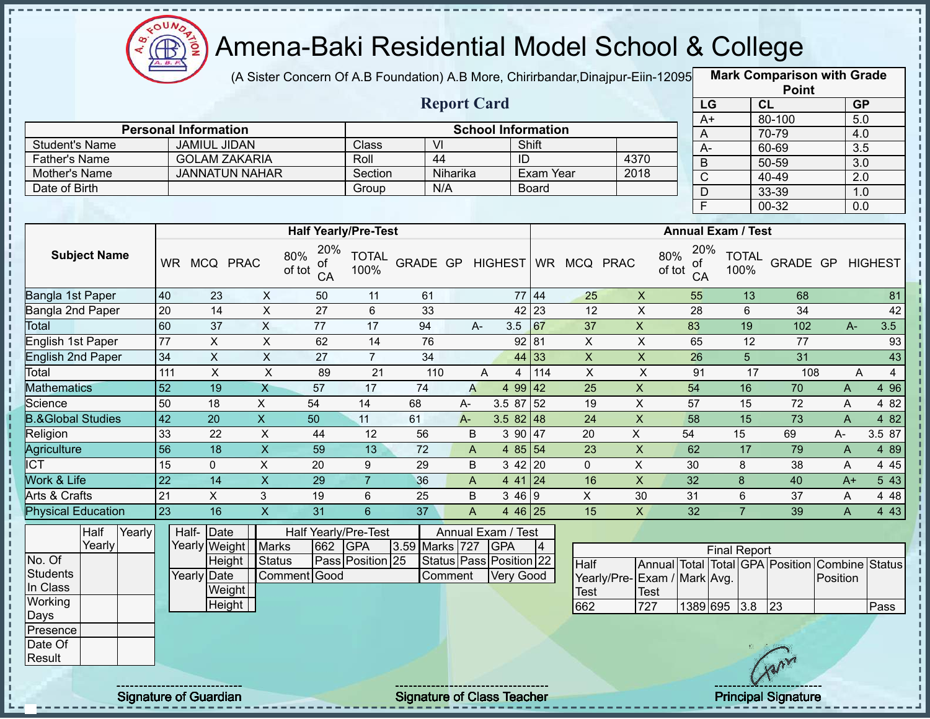

(A Sister Concern Of A.B Foundation) A.B More, Chirirbandar,Dinajpur-Eiin-120950

**Mark Comparison with Grade**

|                              |                                                            |                             |                         |                             |                      |                  |                         |                           |                 |                           |                             |                    |                           |                      | <b>Point</b>                                   |                |                                  |
|------------------------------|------------------------------------------------------------|-----------------------------|-------------------------|-----------------------------|----------------------|------------------|-------------------------|---------------------------|-----------------|---------------------------|-----------------------------|--------------------|---------------------------|----------------------|------------------------------------------------|----------------|----------------------------------|
|                              | <b>Report Card</b>                                         |                             |                         |                             |                      |                  |                         |                           |                 |                           |                             |                    | LG                        | CL                   |                                                |                | GP                               |
|                              |                                                            |                             |                         |                             |                      |                  |                         |                           |                 |                           |                             |                    | $A+$                      |                      | 80-100                                         |                | 5.0                              |
|                              |                                                            | <b>Personal Information</b> |                         |                             |                      |                  |                         | <b>School Information</b> |                 |                           |                             | A                  |                           |                      | 70-79                                          |                | 4.0                              |
| <b>Student's Name</b>        |                                                            | <b>JAMIUL JIDAN</b>         |                         |                             | Class                | VI               |                         |                           | Shift           |                           |                             | $A -$              |                           |                      | 60-69                                          |                | 3.5                              |
| <b>Father's Name</b>         |                                                            | <b>GOLAM ZAKARIA</b>        |                         |                             | Roll                 | 44               |                         |                           | ID              |                           | 4370                        | B                  |                           |                      | $50 - 59$                                      |                | $\overline{3.0}$                 |
| Mother's Name                |                                                            | <b>JANNATUN NAHAR</b>       |                         |                             | Section              |                  | Niharika                |                           | Exam Year       |                           | 2018                        | $\overline{C}$     |                           |                      | 40-49                                          |                | $\overline{2.0}$                 |
| Date of Birth                |                                                            |                             |                         |                             | Group                | N/A              |                         |                           | <b>Board</b>    |                           |                             | $\overline{D}$     |                           |                      | 33-39                                          |                | 1.0                              |
|                              |                                                            |                             |                         |                             |                      |                  |                         |                           |                 |                           |                             | F                  |                           |                      | $00 - 32$                                      |                | 0.0                              |
|                              |                                                            |                             |                         | <b>Half Yearly/Pre-Test</b> |                      |                  |                         |                           |                 |                           |                             |                    | <b>Annual Exam / Test</b> |                      |                                                |                |                                  |
|                              |                                                            |                             |                         | 20%                         |                      |                  |                         |                           |                 |                           |                             | 20%                |                           |                      |                                                |                |                                  |
| <b>Subject Name</b>          |                                                            | WR MCQ PRAC                 |                         | 80%<br>οf<br>of tot<br>CA   | <b>TOTAL</b><br>100% | GRADE GP HIGHEST |                         |                           |                 | WR MCQ PRAC               | 80%                         | οt<br>of tot<br>CA |                           | <b>TOTAL</b><br>100% | GRADE GP HIGHEST                               |                |                                  |
| Bangla 1st Paper             | 40                                                         | 23                          | X                       | 50                          | 11                   | 61               |                         |                           | 77 44           | 25                        | $\boldsymbol{\mathsf{X}}$   | 55                 |                           | 13                   | 68                                             |                | 81                               |
| Bangla 2nd Paper             | 20                                                         | $\overline{14}$             | $\overline{\mathsf{x}}$ | $\overline{27}$             | $6\phantom{1}$       | 33               |                         |                           | 42 23           | $\overline{12}$           | $\overline{\mathsf{x}}$     | $\overline{28}$    |                           | $6\phantom{a}$       | $\overline{34}$                                |                | 42                               |
| Total                        | 60                                                         | $\overline{37}$             | $\overline{X}$          | 77                          | 17                   | 94               | $A -$                   | 3.5                       | 67              | 37                        | $\boldsymbol{\mathsf{X}}$   | 83                 |                           | $\overline{19}$      | 102                                            | $A -$          | 3.5                              |
| English 1st Paper            | $\overline{77}$                                            | $\overline{X}$              | $\mathsf X$             | 62                          | 14                   | 76               |                         |                           | 92 81           | $\pmb{\times}$            | $\mathsf X$                 | 65                 |                           | 12                   | $\overline{77}$                                |                | 93                               |
| <b>English 2nd Paper</b>     | 34                                                         | $\overline{X}$              | $\overline{X}$          | 27                          | $\overline{7}$       | 34               |                         |                           | 44 33           | $\boldsymbol{\mathsf{X}}$ | $\mathsf X$                 | 26                 |                           | 5                    | $\overline{31}$                                |                | 43                               |
| Total                        | $\overline{X}$<br>$\pmb{\times}$<br>111<br>89<br>21<br>110 |                             |                         |                             |                      |                  |                         | A<br>$\overline{4}$       | 114             | $\pmb{\times}$            | $\overline{X}$              | 91                 |                           | 17                   | 108                                            |                | $\overline{A}$<br>$\overline{4}$ |
| <b>Mathematics</b>           | 52                                                         | 19                          | $\mathsf{X}$            | 57                          | 17                   | 74               | $\overline{A}$          | 4 9 9                     | $ 42\rangle$    | 25                        | $\boldsymbol{\mathsf{X}}$   | 54                 |                           | 16                   | 70                                             | $\mathsf{A}$   | 4 9 6                            |
| Science                      | 50                                                         | 18                          | $\mathsf X$             | 54                          | 14                   | 68               | A-                      | 3.5 87                    | 52              | 19                        | $\pmb{\times}$              | 57                 |                           | 15                   | 72                                             | A              | 4 8 2                            |
| <b>B.&amp;Global Studies</b> | 42                                                         | 20                          | $\overline{X}$          | 50                          | 11                   | 61               | $A -$                   | 3.5 82 48                 |                 | 24                        | $\boldsymbol{\mathsf{X}}$   | 58                 |                           | 15                   | 73                                             | $\overline{A}$ | 4 8 2                            |
| Religion                     | 33                                                         | 22                          | $\overline{X}$          | 44                          | 12                   | 56               | $\sf B$                 |                           | $390$ 47        | 20                        | $\overline{X}$              | 54                 | 15                        |                      | 69                                             | A-             | 3.5 87                           |
| Agriculture                  | $\overline{56}$                                            | 18                          | $\overline{X}$          | 59                          | 13                   | 72               | $\mathsf{A}$            |                           | 4 85 54         | 23                        | $\overline{\mathsf{x}}$     | 62                 |                           | 17                   | 79                                             | $\overline{A}$ | 4 8 9                            |
| <b>ICT</b>                   | 15                                                         | $\mathbf 0$                 | $\overline{X}$          | 20                          | 9                    | 29               | $\sf B$                 |                           | $3 \, 42 \, 20$ | $\mathbf 0$               | $\mathsf{X}$                | 30                 |                           | 8                    | 38                                             | A              | 4 4 5                            |
| Work & Life                  | $\overline{22}$                                            | 14                          | $\overline{\mathsf{x}}$ | $\overline{29}$             | $\overline{7}$       | 36               | $\overline{A}$          |                           | $441$ 24        | 16                        | $\overline{X}$              | $\overline{32}$    |                           | 8                    | 40                                             | $A+$           | $5\overline{43}$                 |
| Arts & Crafts                | 21                                                         | $\mathsf{X}$                | $\mathbf{3}$            | 19                          | 6                    | 25               | B                       | 346 9                     |                 | $\mathsf{X}$              | 30                          | 31                 |                           | $6\phantom{1}$       | 37                                             | A              | 4 4 8                            |
| <b>Physical Education</b>    | 23                                                         | 16                          | $\overline{\mathsf{X}}$ | 31                          | $6\overline{6}$      | 37               | $\overline{\mathsf{A}}$ |                           | 4 46 25         | 15                        | $\overline{X}$              | 32                 |                           | $\overline{7}$       | 39                                             | $\mathsf{A}$   | 4 4 3                            |
| Half<br>Yearly               |                                                            | Half- Date                  |                         | Half Yearly/Pre-Test        |                      |                  |                         | Annual Exam / Test        |                 |                           |                             |                    |                           |                      |                                                |                |                                  |
| Yearly                       |                                                            | Yearly Weight               | <b>Marks</b>            | 662                         | <b>GPA</b>           | 3.59 Marks 727   |                         | <b>GPA</b>                | $\vert 4 \vert$ |                           | <b>Final Report</b>         |                    |                           |                      |                                                |                |                                  |
| No. Of                       |                                                            | Height                      | <b>Status</b>           |                             | Pass Position 25     |                  |                         | Status Pass Position 22   |                 | Half                      |                             |                    |                           |                      | Annual Total Total GPA Position Combine Status |                |                                  |
| <b>Students</b>              |                                                            | <b>Yearly Date</b>          |                         | Comment Good                |                      |                  | Comment                 | <b>Very Good</b>          |                 |                           | Yearly/Pre-Exam / Mark Avg. |                    |                           |                      |                                                | Position       |                                  |
| In Class                     |                                                            | Weight                      |                         |                             |                      |                  |                         |                           |                 | Test                      | Test                        |                    |                           |                      |                                                |                |                                  |
| Working                      |                                                            | <b>Height</b>               |                         |                             |                      |                  |                         |                           |                 | 662                       | 727                         | 1389 695           |                           | 3.8                  | $\sqrt{23}$                                    |                | Pass                             |
| Days                         |                                                            |                             |                         |                             |                      |                  |                         |                           |                 |                           |                             |                    |                           |                      |                                                |                |                                  |
| Presence<br>Date Of          |                                                            |                             |                         |                             |                      |                  |                         |                           |                 |                           |                             |                    |                           |                      |                                                |                |                                  |
| Result                       |                                                            |                             |                         |                             |                      |                  |                         |                           |                 |                           |                             |                    |                           |                      |                                                |                |                                  |
|                              |                                                            |                             |                         |                             |                      |                  |                         |                           |                 |                           |                             |                    |                           |                      | AMY                                            |                |                                  |
|                              |                                                            |                             |                         |                             |                      |                  |                         |                           |                 |                           |                             |                    |                           |                      |                                                |                |                                  |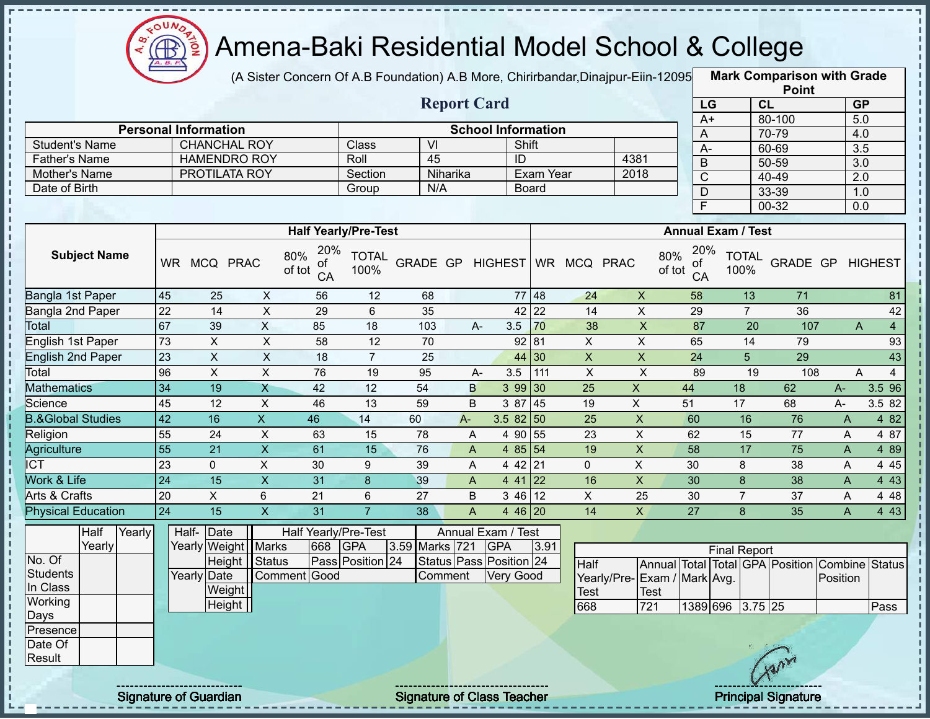

 $\frac{1}{1}$ 

п

 $\frac{1}{1}$ 

 $\frac{1}{1}$ 

### Amena-Baki Residential Model School & College

(A Sister Concern Of A.B Foundation) A.B More, Chirirbandar, Dinajpur-Eiin-12095

**Mark Comparison with Grade Point**

|                              |                 |                             |                           |                                  |                      |                  | <b>Report Card</b>        |                           |              |                    |                           | LG                    |                           | <b>LOILI</b><br>CL                      |                | <b>GP</b>                     |
|------------------------------|-----------------|-----------------------------|---------------------------|----------------------------------|----------------------|------------------|---------------------------|---------------------------|--------------|--------------------|---------------------------|-----------------------|---------------------------|-----------------------------------------|----------------|-------------------------------|
|                              |                 |                             |                           |                                  |                      |                  |                           |                           |              |                    |                           | $A+$                  |                           | 80-100                                  |                | 5.0                           |
|                              |                 | <b>Personal Information</b> |                           |                                  |                      |                  |                           | <b>School Information</b> |              |                    |                           | A                     |                           | 70-79                                   |                | 4.0                           |
| <b>Student's Name</b>        |                 | <b>CHANCHAL ROY</b>         |                           |                                  | Class                | $\overline{V}$   |                           |                           | Shift        |                    |                           | $A -$                 |                           | 60-69                                   |                | $\overline{3.5}$              |
| <b>Father's Name</b>         |                 | <b>HAMENDRO ROY</b>         |                           |                                  | Roll                 | 45               |                           | $\overline{ID}$           |              |                    | 4381                      | B                     |                           | 50-59                                   |                | $\overline{3.0}$              |
| Mother's Name                |                 | PROTILATA ROY               |                           |                                  | Section              |                  | Niharika                  |                           | Exam Year    |                    | 2018                      | $\overline{\text{c}}$ |                           | 40-49                                   |                | 2.0                           |
| Date of Birth                |                 |                             |                           |                                  | Group                | N/A              |                           |                           | <b>Board</b> |                    |                           | D                     |                           | 33-39                                   |                | 1.0                           |
|                              |                 |                             |                           |                                  |                      |                  |                           |                           |              |                    |                           | F                     |                           | $00 - 32$                               |                | 0.0                           |
|                              |                 |                             |                           | <b>Half Yearly/Pre-Test</b>      |                      |                  |                           |                           |              |                    |                           |                       | <b>Annual Exam / Test</b> |                                         |                |                               |
| <b>Subject Name</b>          |                 | WR MCQ PRAC                 |                           | 20%<br>80%<br>ΟĪ<br>of tot<br>CA | <b>TOTAL</b><br>100% | GRADE GP HIGHEST |                           |                           |              | WR MCQ PRAC        | 80%<br>of tot             | 20%<br>ot<br>CA       | <b>TOTAL</b><br>100%      | GRADE GP                                |                | <b>HIGHEST</b>                |
| Bangla 1st Paper             | 45              | 25                          | $\pmb{\times}$            | 56                               | 12                   | 68               |                           |                           | 77 48        | 24                 | $\pmb{\times}$            | 58                    | 13                        | 71                                      |                | 81                            |
| Bangla 2nd Paper             | $\overline{22}$ | $\overline{14}$             | $\overline{\mathsf{x}}$   | 29                               | $6\phantom{a}$       | 35               |                           |                           | 42 22        | $\overline{14}$    | $\overline{\mathsf{x}}$   | 29                    | $\overline{7}$            | 36                                      |                | 42                            |
| Total                        | 67              | 39                          | $\boldsymbol{\mathsf{X}}$ | 85                               | 18                   | 103              | A-                        | 3.5                       | 70           | 38                 | $\pmb{\times}$            | 87                    | 20                        | 107                                     |                | $\overline{4}$<br>$\mathsf A$ |
| English 1st Paper            | $\overline{73}$ | X                           | $\mathsf X$               | 58                               | 12                   | 70               |                           |                           | 92 81        | $\pmb{\times}$     | $\pmb{\times}$            | 65                    | 14                        | 79                                      |                | 93                            |
| <b>English 2nd Paper</b>     | 23              | $\pmb{\times}$              | $\mathsf X$               | 18                               | $\overline{7}$       | 25               |                           | 44                        | $\vert$ 30   | $\pmb{\mathsf{X}}$ | $\pmb{\times}$            | 24                    | 5 <sup>5</sup>            | 29                                      |                | 43                            |
| Total                        | 96              | $\overline{X}$              | $\pmb{\times}$            | 76                               | 19                   | 95               | A-                        | 3.5                       | 111          | $\overline{X}$     | $\overline{X}$            | 89                    | $\overline{19}$           | 108                                     |                | $\overline{4}$<br>A           |
| <b>Mathematics</b>           | 34              | 19                          | X                         | 42                               | 12                   | 54               | B                         |                           | 3 99 30      | 25                 | $\boldsymbol{\mathsf{X}}$ | 44                    | 18                        | 62                                      | $A -$          | 3.5 96                        |
| Science                      | 45              | 12                          | $\pmb{\times}$            | 46                               | 13                   | 59               | B                         | 3 87                      | 45           | 19                 | $\mathsf X$               | 51                    | 17                        | 68                                      | A-             | 3.5 82                        |
| <b>B.&amp;Global Studies</b> | 42              | 16                          | $\overline{X}$            | 46                               | 14                   | 60               | $A -$                     | $3.582$ 50                |              | 25                 | $\mathsf X$               | 60                    | 16                        | 76                                      | A              | 4 8 2                         |
| Religion                     | 55              | 24                          | $\pmb{\times}$            | 63                               | 15                   | 78               | $\overline{\mathsf{A}}$   | 4 90                      | 55           | 23                 | $\mathsf X$               | 62                    | 15                        | 77                                      | A              | 4 87                          |
| Agriculture                  | 55              | 21                          | $\boldsymbol{\mathsf{X}}$ | 61                               | 15                   | 76               | A                         |                           | 4 85 54      | 19                 | $\mathsf X$               | 58                    | 17                        | 75                                      | A              | 4 8 9                         |
| <b>ICT</b>                   | $\overline{23}$ | $\mathbf 0$                 | $\mathsf X$               | 30                               | 9                    | 39               | A                         |                           | 442   21     | $\overline{0}$     | $\mathsf X$               | 30                    | $\,8\,$                   | 38                                      | A              | 4 4 5                         |
| Work & Life                  | $\overline{24}$ | 15                          | $\boldsymbol{\mathsf{X}}$ | 31                               | 8                    | 39               | $\boldsymbol{\mathsf{A}}$ |                           | $441$ 22     | 16                 | $\mathsf X$               | 30                    | $\boldsymbol{8}$          | 38                                      | $\mathsf{A}$   | 4 4 3                         |
| Arts & Crafts                | 20              | $\overline{X}$              | $\,6\,$                   | 21                               | 6                    | $\overline{27}$  | B                         |                           | 3 46 12      | $\mathsf X$        | 25                        | 30                    | $\overline{7}$            | 37                                      | A              | 4 4 8                         |
| <b>Physical Education</b>    | 24              | $\overline{15}$             | $\overline{\mathsf{x}}$   | $\overline{31}$                  | $\overline{7}$       | $\overline{38}$  | $\overline{A}$            |                           | 4 46 20      | $\overline{14}$    | $\overline{X}$            | $\overline{27}$       | 8                         | $\overline{35}$                         | $\overline{A}$ | 443                           |
| Half<br>Yearly               |                 | Date<br>Half-               |                           | <b>Half Yearly/Pre-Test</b>      |                      |                  | Annual Exam / Test        |                           |              |                    |                           |                       |                           |                                         |                |                               |
| Yearly                       |                 | Yearly Weight   Marks       |                           | 668                              | <b>GPA</b>           | 3.59 Marks 721   |                           | <b>GPA</b>                | 3.91         |                    |                           |                       | <b>Final Report</b>       |                                         |                |                               |
| No. Of                       |                 | Height                      | Status                    |                                  | Pass Position 24     |                  | Status Pass Position 24   |                           |              | Half               |                           |                       |                           | Annual Total Total GPA Position Combine |                | <b>Status</b>                 |
| <b>Students</b>              |                 | Yearly Date                 |                           | Comment Good                     |                      |                  | Comment                   | <b>Very Good</b>          |              | Yearly/Pre-        | Exam / Mark Avg.          |                       |                           |                                         | Position       |                               |
| In Class<br>Working          |                 | Weight                      |                           |                                  |                      |                  |                           |                           |              | <b>Test</b>        | <b>Test</b>               |                       |                           |                                         |                |                               |
| Days                         |                 | <b>Height</b>               |                           |                                  |                      |                  |                           |                           |              | 668                | 721                       |                       | 1389 696 3.75 25          |                                         |                | Pass                          |
| Presence                     |                 |                             |                           |                                  |                      |                  |                           |                           |              |                    |                           |                       |                           |                                         |                |                               |
| Date Of<br>Result            |                 |                             |                           |                                  |                      |                  |                           |                           |              |                    |                           |                       |                           | Car                                     |                |                               |
|                              |                 |                             |                           |                                  |                      |                  |                           |                           |              |                    |                           |                       |                           |                                         |                |                               |

Signature of Guardian Signature of Class Teacher Principal Signature 41 American Principal Signature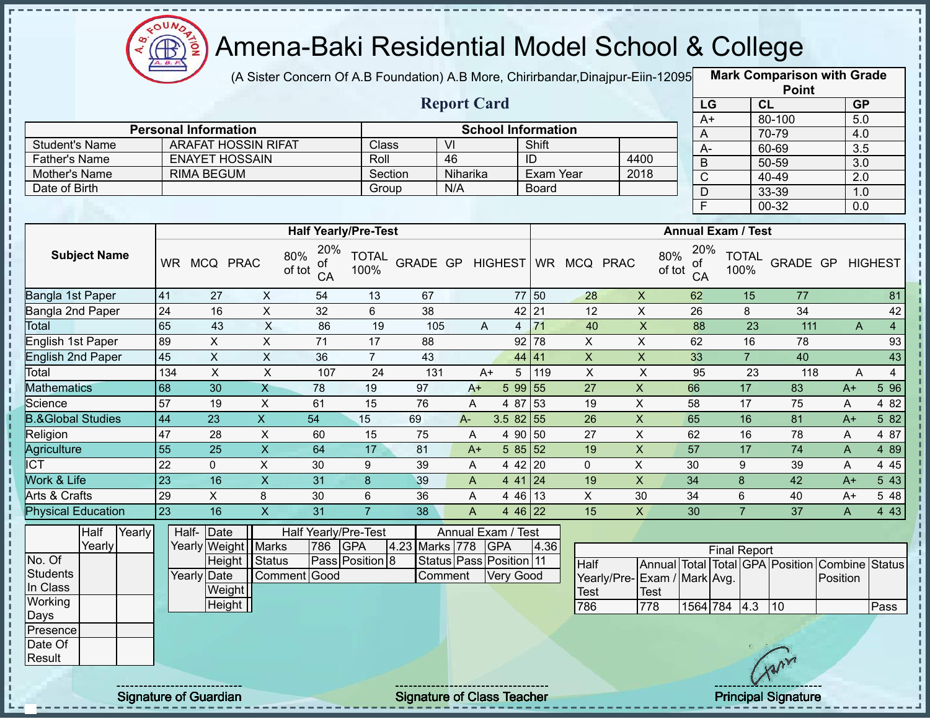

(A Sister Concern Of A.B Foundation) A.B More, Chirirbandar,Dinajpur-Eiin-12095 **Mark Comparison with Grade** 

**Point**

|                              |           |                             |                            | in place Concent Of A.D I curiodium A.D inore, Onlineariual,Dinapul-Lilli-12030 |                      |          |                         |                           |              |              |                           |                                  | $m_{\text{N}}$       | <b>Point</b> |                  |                |
|------------------------------|-----------|-----------------------------|----------------------------|---------------------------------------------------------------------------------|----------------------|----------|-------------------------|---------------------------|--------------|--------------|---------------------------|----------------------------------|----------------------|--------------|------------------|----------------|
|                              |           |                             |                            |                                                                                 |                      |          | <b>Report Card</b>      |                           |              |              |                           | LG                               |                      | <b>CL</b>    | <b>GP</b>        |                |
|                              |           |                             |                            |                                                                                 |                      |          |                         |                           |              |              |                           | A+                               |                      | 80-100       | 5.0              |                |
|                              |           | <b>Personal Information</b> |                            |                                                                                 |                      |          |                         | <b>School Information</b> |              |              |                           | A                                |                      | 70-79        | 4.0              |                |
| <b>Student's Name</b>        |           |                             | <b>ARAFAT HOSSIN RIFAT</b> |                                                                                 | <b>Class</b>         |          | $\overline{\mathsf{M}}$ |                           | Shift        |              |                           | $A-$                             |                      | 60-69        | 3.5              |                |
| <b>Father's Name</b>         |           | <b>ENAYET HOSSAIN</b>       |                            |                                                                                 | Roll                 |          | 46                      |                           | ID           |              | 4400                      | B                                |                      | 50-59        | 3.0              |                |
| Mother's Name                |           | <b>RIMA BEGUM</b>           |                            |                                                                                 | Section              |          | Niharika                |                           | Exam Year    |              | 2018                      | $\overline{\text{C}}$            |                      | 40-49        | $\overline{2.0}$ |                |
| Date of Birth                |           |                             |                            |                                                                                 | Group                |          | N/A                     |                           | <b>Board</b> |              |                           | $\mathsf D$                      |                      | 33-39        | 1.0              |                |
|                              |           |                             |                            |                                                                                 |                      |          |                         |                           |              |              |                           | F.                               |                      | 00-32        | 0.0              |                |
|                              |           |                             |                            | <b>Half Yearly/Pre-Test</b>                                                     |                      |          |                         |                           |              |              |                           | <b>Annual Exam / Test</b>        |                      |              |                  |                |
| <b>Subject Name</b>          | <b>WR</b> | MCQ PRAC                    |                            | 20%<br>80%<br>of<br>of tot<br>CA                                                | <b>TOTAL</b><br>100% | GRADE GP |                         | <b>HIGHEST</b>            |              | WR MCQ PRAC  |                           | 20%<br>80%<br>of<br>of tot<br>CA | <b>TOTAL</b><br>100% | GRADE GP     |                  | <b>HIGHEST</b> |
| Bangla 1st Paper             | 41        | 27                          | X                          | 54                                                                              | 13                   | 67       |                         |                           | 77<br>50     | 28           | $\mathsf{X}$              | 62                               | 15                   | 77           |                  | 81             |
| Bangla 2nd Paper             | 24        | 16                          | X                          | 32                                                                              | 6                    | 38       |                         |                           | 42<br>21     | 12           | $\mathsf{X}$              | 26                               | 8                    | 34           |                  | 42             |
| Total                        | 65        | 43                          | X                          | 86                                                                              | 19                   | 105      |                         | A<br>$\overline{4}$       | 71           | 40           | X                         | 88                               | 23                   | 111          | A                | $\overline{4}$ |
| English 1st Paper            | 89        | X                           | X                          | 71                                                                              | 17                   | 88       |                         |                           | 92<br>78     | X            | $\mathsf{X}$              | 62                               | 16                   | 78           |                  | 93             |
| English 2nd Paper            | 45        | $\mathsf{X}$                | $\mathsf{X}$               | 36                                                                              | $\overline{7}$       | 43       |                         |                           | 44 41        | $\mathsf{X}$ | $\mathsf{X}$              | 33                               | $\overline{7}$       | 40           |                  | 43             |
| Total                        | 134       | X                           | X                          | 107                                                                             | 24                   | 131      |                         | 5<br>$A+$                 | 119          | X            | $\times$                  | 95                               | 23                   | 118          | Α                | $\overline{4}$ |
| <b>Mathematics</b>           | 68        | 30                          | X                          | 78                                                                              | 19                   | 97       | $A+$                    | 5 9 9                     | 55           | 27           | $\mathsf{X}$              | 66                               | 17                   | 83           | $A+$             | 5 9 6          |
| Science                      | 57        | 19                          | X                          | 61                                                                              | 15                   | 76       | A                       | 4 87                      | 53           | 19           | X                         | 58                               | 17                   | 75           | A                | 4 8 2          |
| <b>B.&amp;Global Studies</b> | 44        | 23                          | $\mathsf{X}$               | 54                                                                              | 15                   | 69       | $A -$                   | $3.582$ 55                |              | 26           | X                         | 65                               | 16                   | 81           | $A+$             | 5 82           |
| Religion                     | 47        | 28                          | X                          | 60                                                                              | 15                   | 75       | A                       |                           | 4 90 50      | 27           | X                         | 62                               | 16                   | 78           | A                | 4 87           |
| Agriculture                  | 55        | 25                          | X                          | 64                                                                              | 17                   | 81       | $A+$                    |                           | 585 52       | 19           | X                         | 57                               | 17                   | 74           | A                | 4 8 9          |
| <b>ICT</b>                   | 22        | 0                           | $\mathsf X$                | 30                                                                              | 9                    | 39       | Α                       |                           | 4 42 20      | 0            | $\sf X$                   | 30                               | 9                    | 39           | Α                | 4 4 5          |
| Work & Life                  | 23        | 16                          | X                          | 31                                                                              | 8                    | 39       | A                       |                           | $441$ 24     | 19           | $\boldsymbol{\mathsf{X}}$ | 34                               | 8                    | 42           | $A+$             | 5 4 3          |

Annual Exam / Test Marks 778 GPA 4.36 Status Pass Position 11 Comment Very Good Final Report **Half** Yearly/Pre-Test Annual Total Total GPA Position Combine Status Exam / Mark Avg. Test Position 786 778 1564 784 4.3 10 Pass Physical Education 23 16 X 31 7 38 A 4 46 22 15 X 30 7 37 A 4 43

Half-

**Date** 

Yearly Date

Height

**Weight Height** 

Yearly Weight | Marks | 786 GPA | 4.23

Comment Good

Half Yearly/Pre-Test

Status | Pass | Position 8

**Half** Yearly

No. Of **Students** In Class Working Days Presence Date Of **Result** 

 $\mathbf{I}$ 

f,  $\mathbf{I}$ 

i<br>i

л

Î

Yearly

Signature of Guardian Signature of Class Teacher **Signature of Class Teacher Principal Signature** 

Arts & Crafts 29 X 8 30 6 36 A 4 46 13 X 30 34 6 40 A+ 5 48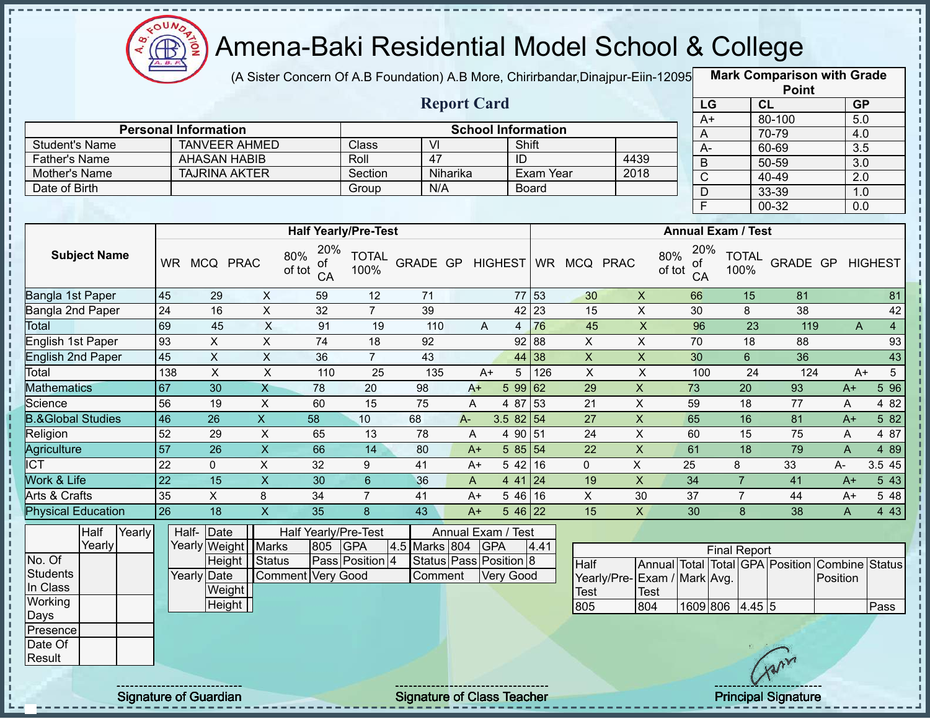

(A Sister Concern Of A.B Foundation) A.B More, Chirirbandar,Dinajpur-Eiin-120950

**Mark Comparison with Grade**

|                                |                 |                                             |                |                                  |                      |                                   |                           |                  |              |                |                             |                         |                           |                | <b>Point</b>                    |                  |                  |
|--------------------------------|-----------------|---------------------------------------------|----------------|----------------------------------|----------------------|-----------------------------------|---------------------------|------------------|--------------|----------------|-----------------------------|-------------------------|---------------------------|----------------|---------------------------------|------------------|------------------|
|                                |                 |                                             |                |                                  |                      |                                   | <b>Report Card</b>        |                  |              |                |                             |                         | LG                        | CL             |                                 | <b>GP</b>        |                  |
|                                |                 |                                             |                |                                  |                      |                                   |                           |                  |              |                |                             | $A+$                    |                           |                | 80-100                          | 5.0              |                  |
|                                |                 | <b>Personal Information</b>                 |                |                                  |                      |                                   | <b>School Information</b> |                  |              |                |                             | Α                       |                           |                | 70-79                           | 4.0              |                  |
| <b>Student's Name</b>          |                 | <b>TANVEER AHMED</b><br><b>AHASAN HABIB</b> |                |                                  | Class                | VI<br>$\overline{47}$             |                           | ID               | Shift        |                |                             | $A-$                    |                           |                | 60-69                           | 3.5              |                  |
| <b>Father's Name</b>           |                 | <b>TAJRINA AKTER</b>                        |                |                                  | Roll                 |                                   | Niharika                  |                  | Exam Year    |                | 4439<br>2018                | $\sf B$                 |                           |                | 50-59                           | 3.0              |                  |
| Mother's Name<br>Date of Birth |                 |                                             |                |                                  | Section              | N/A                               |                           |                  |              |                |                             | $\overline{\mathsf{C}}$ |                           |                | 40-49                           | $\overline{2.0}$ |                  |
|                                |                 |                                             |                |                                  | Group                |                                   |                           |                  | <b>Board</b> |                |                             | D                       |                           |                | 33-39                           | 1.0              |                  |
|                                |                 |                                             |                |                                  |                      |                                   |                           |                  |              |                |                             | $\overline{\mathsf{F}}$ |                           |                | 00-32                           | 0.0              |                  |
|                                |                 |                                             |                | <b>Half Yearly/Pre-Test</b>      |                      |                                   |                           |                  |              |                |                             |                         | <b>Annual Exam / Test</b> |                |                                 |                  |                  |
| <b>Subject Name</b>            |                 | WR MCQ PRAC                                 |                | 20%<br>80%<br>οf<br>of tot<br>CA | <b>TOTAL</b><br>100% | GRADE GP                          |                           | <b>HIGHEST</b>   |              | WR MCQ PRAC    | 80%<br>of tot               | 20%<br>of<br>CA         | 100%                      | <b>TOTAL</b>   | GRADE GP                        |                  | <b>HIGHEST</b>   |
| Bangla 1st Paper               | 45              | 29                                          | X              | 59                               | 12                   | 71                                |                           |                  | 77 53        | 30             | $\mathsf{X}$                | 66                      |                           | 15             | 81                              |                  | 81               |
| Bangla 2nd Paper               | 24              | 16                                          | $\mathsf{X}$   | 32                               | $\overline{7}$       | 39                                |                           |                  | $42$ 23      | 15             | $\pmb{\times}$              | 30                      |                           | 8              | 38                              |                  | 42               |
| <b>Total</b>                   | 69              | 45                                          | $\mathsf{X}$   | 91                               | 19                   | 110                               | A                         | $\overline{4}$   | 76           | 45             | $\boldsymbol{\mathsf{X}}$   | 96                      |                           | 23             | 119                             | A                | $\overline{4}$   |
| English 1st Paper              | 93              | $\mathsf{X}$                                | X              | 74                               | 18                   | 92                                |                           |                  | 92 88        | $\mathsf{X}$   | X                           | 70                      |                           | 18             | 88                              |                  | 93               |
| English 2nd Paper              | 45              | $\pmb{\times}$                              | X              | 36                               | $\overline{7}$       | 43                                |                           |                  | 44 38        | $\pmb{\times}$ | $\pmb{\mathsf{X}}$          | 30                      |                           | $6\phantom{a}$ | 36                              |                  | 43               |
| Total                          | 138             | $\pmb{\times}$                              | $\pmb{\times}$ | 110                              | 25                   | 135                               | $A+$                      | 5                | 126          | $\pmb{\times}$ | $\pmb{\times}$              | 100                     |                           | 24             | 124                             | $A+$             | $5\phantom{.0}$  |
| <b>Mathematics</b>             | 67              | 30                                          | $\overline{X}$ | 78                               | 20                   | 98                                | $A+$                      | 5 9 9            | 162          | 29             | $\pmb{\times}$              | 73                      |                           | 20             | 93                              | $A+$             | $5\overline{96}$ |
| Science                        | 56              | 19                                          | $\sf X$        | 60                               | 15                   | 75                                | Α                         | 4 87             | 53           | 21             | $\pmb{\times}$              | 59                      |                           | 18             | 77                              | A                | 4 8 2            |
| <b>B.&amp;Global Studies</b>   | 46              | 26                                          | $\mathsf{X}$   | 58                               | 10                   | 68                                | $A -$                     | $3.582$ 54       |              | 27             | $\pmb{\times}$              | 65                      |                           | 16             | 81                              | $A+$             | 5 82             |
| Religion                       | 52              | 29                                          | X              | 65                               | 13                   | 78                                | A                         |                  | 4 90 51      | 24             | $\pmb{\times}$              | 60                      |                           | 15             | 75                              | A                | 4 87             |
| Agriculture                    | $\overline{57}$ | 26                                          | $\overline{X}$ | 66                               | 14                   | 80                                | $A+$                      |                  | 5 85 54      | 22             | $\overline{X}$              | 61                      |                           | 18             | 79                              | $\mathsf{A}$     | 4 8 9            |
| $\overline{IC}$                | 22              | $\mathbf 0$                                 | X              | 32                               | 9                    | 41                                | $A+$                      |                  | $542$ 16     | 0              | $\mathsf X$                 | 25                      | 8                         |                | 33                              | $A -$            | 3.5 45           |
| Work & Life                    | 22              | 15                                          | $\mathsf{x}$   | 30                               | $6\phantom{1}6$      | 36                                | A                         |                  | 4 41 24      | 19             | $\pmb{\times}$              | 34                      |                           | $\overline{7}$ | 41                              | $A+$             | 5 4 3            |
| Arts & Crafts                  | 35              | X                                           | 8              | 34                               | $\overline{7}$       | 41                                | $A+$                      |                  | 54616        | X.             | 30                          | 37                      |                           | $\overline{7}$ | 44                              | $A+$             | 5 48             |
| <b>Physical Education</b>      | $\overline{26}$ | 18                                          | $\overline{X}$ | 35                               | 8                    | 43                                | $A+$                      |                  | 5 46 22      | 15             | $\mathsf{X}$                | 30                      |                           | 8              | 38                              | A                | 4 4 3            |
| Yearly<br>Half                 |                 | Half- Date                                  |                | Half Yearly/Pre-Test             |                      |                                   | Annual Exam / Test        |                  |              |                |                             |                         |                           |                |                                 |                  |                  |
| Yearly                         |                 | Yearly Weight   Marks                       |                | 805                              | <b>GPA</b>           | 4.5 Marks 804                     |                           | <b>GPA</b>       | 4.41         |                |                             |                         | <b>Final Report</b>       |                |                                 |                  |                  |
| No. Of                         |                 | Height                                      | Status         |                                  | Pass Position 4      |                                   | Status Pass Position 8    |                  |              | Half           |                             |                         |                           |                | Annual Total Total GPA Position | Combine Status   |                  |
| <b>Students</b>                |                 | Yearly Date                                 |                | Comment Very Good                |                      | Comment                           |                           | <b>Very Good</b> |              |                | Yearly/Pre-Exam / Mark Avg. |                         |                           |                |                                 | Position         |                  |
| In Class                       |                 | Weight                                      |                |                                  |                      |                                   |                           |                  |              | <b>Test</b>    | <b>Test</b>                 |                         |                           |                |                                 |                  |                  |
| Working                        |                 | Height                                      |                |                                  |                      |                                   |                           |                  |              | 805            | 804                         |                         | 1609 806 4.45 5           |                |                                 |                  | Pass             |
| Days                           |                 |                                             |                |                                  |                      |                                   |                           |                  |              |                |                             |                         |                           |                |                                 |                  |                  |
| Presence                       |                 |                                             |                |                                  |                      |                                   |                           |                  |              |                |                             |                         |                           |                |                                 |                  |                  |
| Date Of                        |                 |                                             |                |                                  |                      |                                   |                           |                  |              |                |                             |                         |                           |                |                                 |                  |                  |
| Result                         |                 |                                             |                |                                  |                      |                                   |                           |                  |              |                |                             |                         |                           |                |                                 |                  |                  |
|                                |                 | <b>Signature of Guardian</b>                |                |                                  |                      | <b>Signature of Class Teacher</b> |                           |                  |              |                |                             |                         |                           |                | <b>Principal Signature</b>      |                  |                  |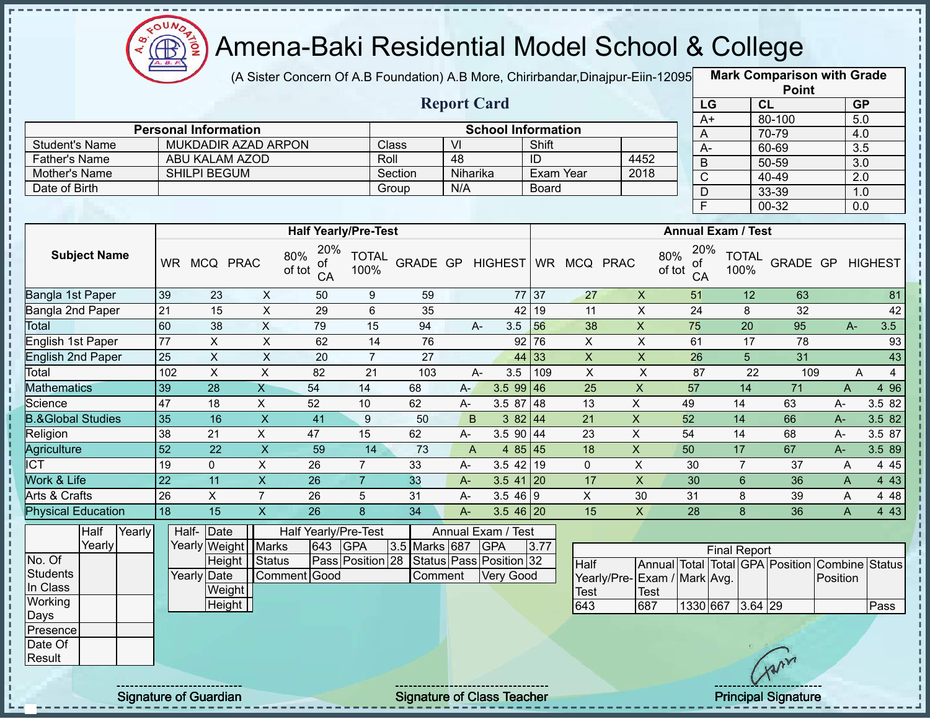

(A Sister Concern Of A.B Foundation) A.B More, Chirirbandar,Dinajpur-Eiin-12095 **Mark Comparison with Grade** 

|                                       |        |                 |                             |                         |                                  |                      |                 |          |                                      |              |                         | <b>Point</b>                |               |                 |                      |                                                |                |                         |
|---------------------------------------|--------|-----------------|-----------------------------|-------------------------|----------------------------------|----------------------|-----------------|----------|--------------------------------------|--------------|-------------------------|-----------------------------|---------------|-----------------|----------------------|------------------------------------------------|----------------|-------------------------|
|                                       |        |                 |                             |                         |                                  |                      |                 |          | <b>Report Card</b>                   |              |                         |                             |               | LG              |                      | CL                                             |                | GP                      |
|                                       |        |                 |                             |                         |                                  |                      |                 |          |                                      |              |                         |                             |               | $A+$            |                      | 80-100                                         |                | 5.0                     |
|                                       |        |                 | <b>Personal Information</b> |                         |                                  |                      |                 |          | <b>School Information</b>            |              |                         |                             |               | $\mathsf{A}$    |                      | 70-79                                          |                | 4.0                     |
| <b>Student's Name</b>                 |        |                 |                             | MUKDADIR AZAD ARPON     |                                  |                      | Class           | VI       |                                      | Shift        |                         |                             |               | $A-$            |                      | 60-69                                          |                | $\overline{3.5}$        |
| <b>Father's Name</b>                  |        |                 |                             | ABU KALAM AZOD          |                                  |                      | Roll            | 48       |                                      | ID           |                         | 4452                        |               | $\overline{B}$  |                      | $50 - 59$                                      |                | $\overline{3.0}$        |
| Mother's Name                         |        |                 | SHILPI BEGUM                |                         |                                  |                      | Section         | Niharika |                                      |              | <b>Exam Year</b>        | 2018                        |               | $\overline{C}$  |                      | 40-49                                          |                | $\overline{2.0}$        |
| Date of Birth                         |        |                 |                             |                         |                                  |                      | Group           | N/A      |                                      | <b>Board</b> |                         |                             |               | $\mathsf D$     |                      | 33-39                                          |                | 1.0                     |
|                                       |        |                 |                             |                         |                                  |                      |                 |          |                                      |              |                         |                             |               | $\overline{F}$  |                      | 00-32                                          |                | 0.0                     |
|                                       |        |                 |                             |                         | <b>Half Yearly/Pre-Test</b>      |                      |                 |          |                                      |              |                         |                             |               |                 | Annual Exam / Test   |                                                |                |                         |
| <b>Subject Name</b>                   |        |                 | WR MCQ PRAC                 |                         | 20%<br>80%<br>of<br>of tot<br>CA | <b>TOTAL</b><br>100% |                 |          | GRADE GP HIGHEST                     |              | WR MCQ PRAC             |                             | 80%<br>of tot | 20%<br>οf<br>CA | <b>TOTAL</b><br>100% |                                                |                | <b>GRADE GP HIGHEST</b> |
| Bangla 1st Paper                      |        | 39              | 23                          | $\boldsymbol{X}$        | 50                               | 9                    | 59              |          |                                      | 77 37        | 27                      | $\boldsymbol{\mathsf{X}}$   |               | 51              | 12                   | 63                                             |                | 81                      |
| Bangla 2nd Paper                      |        | 21              | 15                          | $\pmb{\times}$          | 29                               | 6                    | 35              |          |                                      | 42 19        | 11                      | $\pmb{\times}$              |               | 24              | 8                    | 32                                             |                | 42                      |
| <b>Total</b>                          |        | 60              | 38                          | $\overline{X}$          | 79                               | 15                   | 94              |          | A-<br>3.5                            | 56           | 38                      | $\overline{\mathsf{x}}$     |               | 75              | $\overline{20}$      | 95                                             | $A -$          | 3.5                     |
| <b>English 1st Paper</b>              |        | 77              | X                           | $\overline{X}$          | 62                               | 14                   | 76              |          |                                      | $92$ 76      | $\overline{X}$          | $\pmb{\times}$              |               | 61              | 17                   | 78                                             |                | 93                      |
| <b>English 2nd Paper</b>              |        | $\overline{25}$ | $\overline{X}$              | $\overline{X}$          | 20                               | $\overline{7}$       | $\overline{27}$ |          |                                      | 44 33        | $\overline{X}$          | $\overline{X}$              |               | 26              | $\overline{5}$       | 31                                             |                | 43                      |
| Total                                 |        | 102             | $\overline{X}$              | $\overline{\mathsf{x}}$ | $\overline{82}$                  | $\overline{21}$      | $\frac{1}{103}$ |          | A-<br>3.5                            | 109          | $\overline{\mathsf{x}}$ | $\overline{X}$              |               | $\overline{87}$ | $\overline{22}$      | 109                                            |                | $\overline{4}$<br>A     |
| <b>Mathematics</b>                    |        | 39              | $\overline{28}$             | $\overline{X}$          | 54                               | 14                   | 68              | $A -$    | $3.599$ 46                           |              | 25                      | $\pmb{\times}$              |               | 57              | 14                   | 71                                             | $\overline{A}$ | 4 9 6                   |
| Science                               |        | 47              | 18                          | X                       | 52                               | 10                   | 62              | A-       | 3.5 87 48                            |              | 13                      | $\pmb{\times}$              | 49            |                 | 14                   | 63                                             | $A -$          | 3.5 82                  |
| <b>B.&amp;Global Studies</b>          |        | 35              | 16                          | $\overline{X}$          | 41                               | 9                    | 50              | B        | 382   44                             |              | 21                      | $\overline{X}$              | 52            |                 | 14                   | 66                                             | $A -$          | 3.5 82                  |
| Religion                              |        | $\overline{38}$ | 21                          | X                       | 47                               | 15                   | 62              | A-       | 3.5 90 44                            |              | 23                      | $\mathsf{X}$                | 54            |                 | 14                   | 68                                             | $A-$           | 3.5 87                  |
| Agriculture                           |        | $\overline{52}$ | $\overline{22}$             | $\overline{X}$          | 59                               | $\overline{14}$      | $\overline{73}$ | A        | 4 $85 \mid 45$                       |              | 18                      | $\boldsymbol{\mathsf{X}}$   | 50            |                 | $\overline{17}$      | 67                                             | $A -$          | 3.5 89                  |
| <b>ICT</b>                            |        | 19              | $\mathbf 0$                 | $\overline{X}$          | 26                               | $\overline{7}$       | 33              | A-       | $3.5$ 42 19                          |              | $\mathbf 0$             | $\pmb{\times}$              |               | 30              | $\overline{7}$       | 37                                             | A              | 445                     |
| <b>Work &amp; Life</b>                |        | $\overline{22}$ | 11                          | $\overline{\mathsf{X}}$ | 26                               | $\overline{7}$       | 33              | A-       | $3.5$ 41 20                          |              | 17                      | $\pmb{\times}$              |               | 30              | $6\phantom{1}$       | 36                                             | A              | 4 4 3                   |
| <b>Arts &amp; Crafts</b>              |        | 26              | X                           | $\overline{7}$          | 26                               | 5                    | 31              | $A-$     | $3.546$ 9                            |              | $\overline{X}$          | 30                          |               | 31              | 8                    | 39                                             | A              | 4 4 8                   |
| <b>Physical Education</b>             |        | 18              | 15                          | $\overline{X}$          | 26                               | $\overline{8}$       | 34              | $A -$    | $3.546$ 20                           |              | 15                      | $\overline{X}$              |               | 28              | 8                    | 36                                             | $\mathsf{A}$   | 4 4 3                   |
| Half<br>Yearly                        | Yearly |                 | Half- Date                  | Yearly Weight Marks     | Half Yearly/Pre-Test<br>643      | <b>GPA</b>           | 3.5 Marks 687   |          | Annual Exam / Test<br><b>GPA</b>     | 3.77         |                         |                             |               |                 | <b>Final Report</b>  |                                                |                |                         |
| No. Of<br><b>Students</b><br>In Class |        |                 | Yearly Date                 | Height Status<br>Weight | Comment Good                     | Pass Position 28     | Comment         |          | Status Pass Position 32<br>Very Good |              | Half<br>Test            | Yearly/Pre-Exam / Mark Avg. | <b>Test</b>   |                 |                      | Annual Total Total GPA Position Combine Status | Position       |                         |
| Working                               |        |                 |                             | Height                  |                                  |                      |                 |          |                                      |              | 643                     | 687                         |               |                 | 1330 667 3.64 29     |                                                |                | Pass                    |
| Days<br>Presence<br>Date Of<br>Result |        |                 |                             |                         |                                  |                      |                 |          |                                      |              |                         |                             |               |                 |                      | Aun                                            |                |                         |
|                                       |        |                 |                             |                         |                                  |                      |                 |          |                                      |              |                         |                             |               |                 |                      |                                                |                |                         |

Signature of Guardian Signature of Class Teacher Principal Signature 44-47 Archives Australian Signature 44-47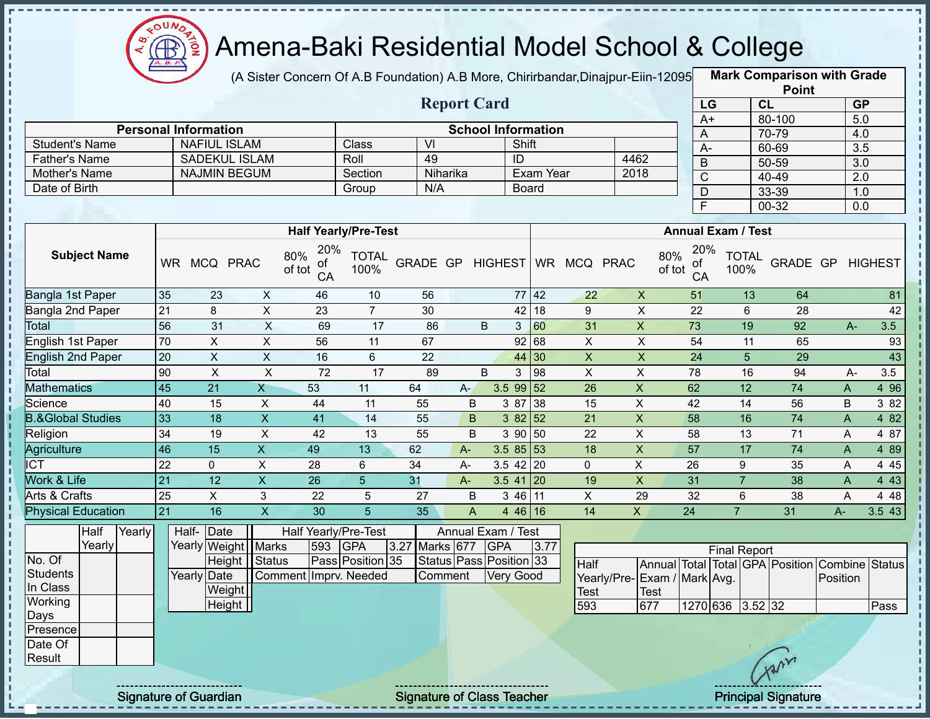

(A Sister Concern Of A.B Foundation) A.B More, Chirirbandar, Dinajpur-Eiin-12095

**Mark Comparison with Grade**

|                              |                 |                             |                           |                                  |                      |                  |                                                                       |                                  |              |                           |                             | <b>Point</b>              |                                         |                 |                |                         |
|------------------------------|-----------------|-----------------------------|---------------------------|----------------------------------|----------------------|------------------|-----------------------------------------------------------------------|----------------------------------|--------------|---------------------------|-----------------------------|---------------------------|-----------------------------------------|-----------------|----------------|-------------------------|
|                              |                 |                             |                           |                                  |                      |                  | <b>Report Card</b>                                                    |                                  |              |                           |                             |                           | LG                                      | CL              |                | <b>GP</b>               |
|                              |                 |                             |                           |                                  |                      |                  |                                                                       |                                  |              |                           |                             |                           | $A+$                                    | 80-100          |                | 5.0                     |
|                              |                 | <b>Personal Information</b> |                           |                                  |                      | $\overline{V}$   |                                                                       | <b>School Information</b>        |              |                           |                             |                           | A                                       | 70-79           |                | 4.0                     |
| <b>Student's Name</b>        |                 | <b>NAFIUL ISLAM</b>         | <b>SADEKUL ISLAM</b>      |                                  | Class                | 49               |                                                                       | ID                               | Shift        |                           | 4462                        |                           | $A-$                                    | 60-69           |                | $\overline{3.5}$        |
| <b>Father's Name</b>         |                 |                             |                           |                                  | Roll                 |                  |                                                                       |                                  | Exam Year    |                           |                             |                           | B                                       | $50 - 59$       |                | $\overline{3.0}$        |
| Mother's Name                |                 |                             | <b>NAJMIN BEGUM</b>       |                                  | Section              | N/A              | Niharika                                                              |                                  |              |                           | 2018                        |                           | $\mathsf{C}$                            | $40 - 49$       |                | $\overline{2.0}$        |
| Date of Birth                |                 |                             |                           |                                  | Group                |                  |                                                                       |                                  | <b>Board</b> |                           |                             |                           | D                                       | 33-39           |                | 1.0                     |
|                              |                 |                             |                           |                                  |                      |                  |                                                                       |                                  |              |                           |                             |                           | F                                       | $00 - 32$       |                | 0.0                     |
|                              |                 |                             |                           | <b>Half Yearly/Pre-Test</b>      |                      |                  |                                                                       |                                  |              |                           |                             |                           | <b>Annual Exam / Test</b>               |                 |                |                         |
|                              |                 |                             |                           |                                  |                      |                  |                                                                       |                                  |              |                           |                             |                           |                                         |                 |                |                         |
| <b>Subject Name</b>          |                 | WR MCQ PRAC                 |                           | 20%<br>80%<br>оf<br>of tot<br>СA | <b>TOTAL</b><br>100% | GRADE GP HIGHEST |                                                                       |                                  |              | WR MCQ PRAC               |                             | 80%<br>оf<br>of tot<br>CA | 20%<br><b>TOTAL</b><br>100%             |                 |                | <b>GRADE GP HIGHEST</b> |
| Bangla 1st Paper             | 35              | 23                          | $\mathsf{X}$              | 46                               | 10                   | 56               |                                                                       |                                  | 77 42        | 22                        | $\mathsf X$                 | 51                        | 13                                      | 64              |                | 81                      |
| Bangla 2nd Paper             | 21              | 8                           | $\overline{X}$            | 23                               | $\overline{7}$       | 30               |                                                                       | 42                               | 18           | 9                         | $\overline{X}$              | $\overline{22}$           | 6                                       | 28              |                | 42                      |
| Total                        | 56              | 31                          | $\overline{X}$            | 69                               | $\overline{17}$      | 86               |                                                                       | $\sf B$<br>3                     | 60           | 31                        | $\overline{X}$              | 73                        | 19                                      | $\overline{92}$ | $A-$           | 3.5                     |
| English 1st Paper            | $\overline{70}$ | $\pmb{\times}$              | $\mathsf X$               | 56                               | 11                   | 67               |                                                                       |                                  | 92 68        | $\mathsf{X}$              | $\mathsf X$                 | 54                        | 11                                      | 65              |                | 93                      |
| <b>English 2nd Paper</b>     | 20              | $\pmb{\times}$              | $\overline{X}$            | 16                               | 6                    | $\overline{22}$  |                                                                       |                                  | 44 30        | $\pmb{\times}$            | $\overline{X}$              | $\overline{24}$           | 5                                       | 29              |                | $\overline{43}$         |
| Total                        | 90              | $\overline{X}$              | $\overline{X}$            | $\overline{72}$                  | $\overline{17}$      | 89               |                                                                       | $\overline{B}$<br>$\mathfrak{S}$ | 98           | $\overline{X}$            | $\overline{X}$              | 78                        | 16                                      | 94              | A-             | $\overline{3.5}$        |
| <b>Mathematics</b>           | $\overline{45}$ | $\overline{21}$             | $\overline{X}$            | 53                               | 11                   | 64               | $A-$                                                                  | $3.599$ 52                       |              | 26                        | $\boldsymbol{\mathsf{X}}$   | 62                        | 12                                      | 74              | A              | 4 9 6                   |
| Science                      | 40              | 15                          | $\boldsymbol{X}$          | 44                               | 11                   | 55               | B                                                                     | 3 87                             | 38           | 15                        | $\pmb{\times}$              | 42                        | 14                                      | 56              | B              | 3 8 2                   |
| <b>B.&amp;Global Studies</b> | 33              | 18                          | $\overline{X}$            | 41                               | 14                   | 55               | B                                                                     | $382$ 52                         |              | $\overline{21}$           | $\overline{X}$              | 58                        | 16                                      | 74              | $\overline{A}$ | 4 82                    |
| Religion                     | $\overline{34}$ | 19                          | $\boldsymbol{\mathsf{X}}$ | 42                               | 13                   | 55               | B                                                                     | 39050                            |              | 22                        | $\pmb{\times}$              | 58                        | 13                                      | 71              | A              | 487                     |
| <b>Agriculture</b>           | 46              | $\overline{15}$             | $\mathsf X$               | 49                               | 13                   | 62               | $A -$                                                                 | 3.5855                           |              | $\overline{18}$           | $\mathsf X$                 | 57                        | $\overline{17}$                         | 74              | A              | 489                     |
| <b>I</b> ICT                 | $\overline{22}$ | 0                           | $\overline{\mathsf{x}}$   | $\overline{28}$                  | 6                    | $\overline{34}$  | $A -$                                                                 | $3.5$ 42 20                      |              | $\mathbf{0}$              | $\overline{X}$              | 26                        | 9                                       | 35              | A              | 4 4 5                   |
| Work & Life                  | 21              | 12                          | $\mathsf X$               | 26                               | 5                    | 31               | $A -$                                                                 | $3.5$ 41 20                      |              | 19                        | $\mathsf X$                 | 31                        | $\overline{7}$                          | 38              | A              | 4 4 3                   |
| <b>Arts &amp; Crafts</b>     | $\overline{25}$ | $\overline{X}$              | $\mathbf{3}$              | 22                               | $\overline{5}$       | 27               | B                                                                     | 3 46 11                          |              | $\boldsymbol{\mathsf{X}}$ | 29                          | 32                        | $6\phantom{1}6$                         | 38              | A              | 4 4 8                   |
| <b>Physical Education</b>    | 21              | 16                          | $\overline{X}$            | 30                               | $\overline{5}$       | 35               | $\mathsf{A}% _{\mathsf{A}}^{\prime}=\mathsf{A}_{\mathsf{A}}^{\prime}$ | $446$ 16                         |              | $\overline{14}$           | $\overline{X}$              | $\overline{24}$           | $\overline{7}$                          | 31              | $A -$          | 3.5 43                  |
| Half<br>Yearly               |                 | Half-Date                   |                           | Half Yearly/Pre-Test             |                      |                  |                                                                       | Annual Exam / Test               |              |                           |                             |                           |                                         |                 |                |                         |
| Yearly                       |                 | Yearly Weight               | <b>Marks</b>              | 593                              | <b>GPA</b>           | 3.27 Marks 677   |                                                                       | <b>GPA</b>                       | 3.77         |                           |                             |                           | <b>Final Report</b>                     |                 |                |                         |
| No. Of                       |                 |                             | Height<br>Status          |                                  | Pass Position 35     |                  |                                                                       | Status Pass Position 33          |              | <b>Half</b>               |                             |                           | Annual Total Total GPA Position Combine |                 |                | <b>Status</b>           |
| <b>Students</b>              |                 | Yearly Date                 |                           | Comment Imprv. Needed            |                      |                  | Comment                                                               | Very Good                        |              |                           | Yearly/Pre-Exam / Mark Avg. |                           |                                         |                 | Position       |                         |
| In Class                     |                 |                             | Weight                    |                                  |                      |                  |                                                                       |                                  |              | <b>Test</b>               | <b>Test</b>                 |                           |                                         |                 |                |                         |
| Working                      |                 |                             | Height                    |                                  |                      |                  |                                                                       |                                  |              | 593                       | 677                         |                           | 1270 636 3.52 32                        |                 |                | Pass                    |
| Days                         |                 |                             |                           |                                  |                      |                  |                                                                       |                                  |              |                           |                             |                           |                                         |                 |                |                         |
| Presence<br>Date Of          |                 |                             |                           |                                  |                      |                  |                                                                       |                                  |              |                           |                             |                           |                                         |                 |                |                         |
| Result                       |                 |                             |                           |                                  |                      |                  |                                                                       |                                  |              |                           |                             |                           |                                         | Avr             |                |                         |
|                              |                 |                             |                           |                                  |                      |                  |                                                                       |                                  |              |                           |                             |                           |                                         |                 |                |                         |
|                              |                 |                             |                           |                                  |                      |                  |                                                                       |                                  |              |                           |                             |                           |                                         |                 |                |                         |

 $\frac{1}{1}$ 

 $\mathbf I$ 

 $\mathbf{I}$ 

 $\mathbf{I}$ 

Signature of Guardian Signature of Class Teacher Principal Signature 45-47-47.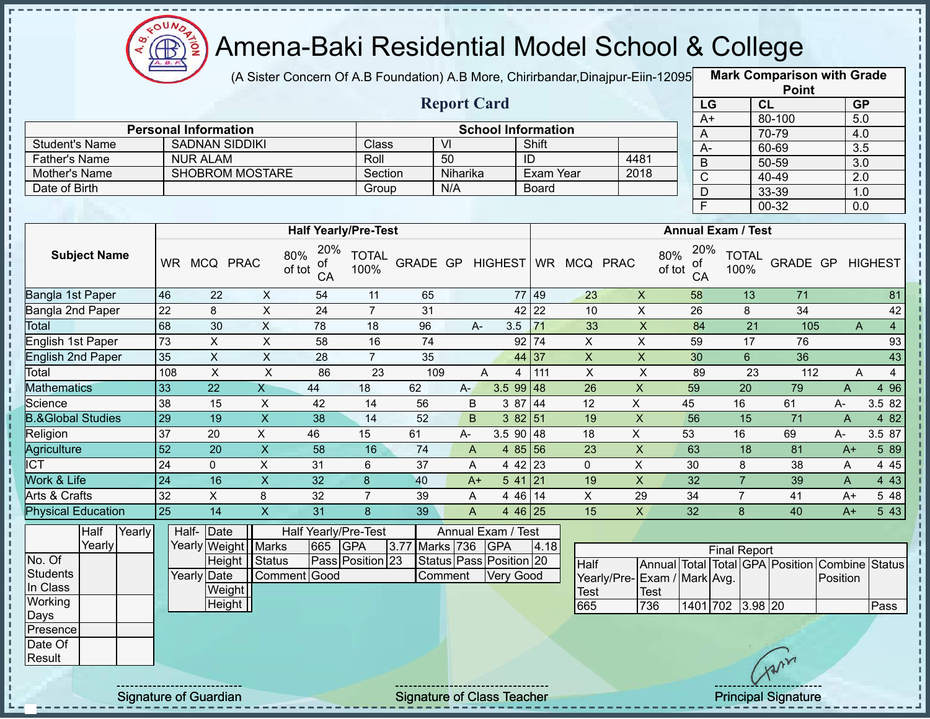

J.

Ţ

 $\begin{array}{c} 1 \\ 1 \\ 1 \\ 1 \end{array}$ 

 $\mathbf I$ 

 $\mathbf{I}$ 

# Amena-Baki Residential Model School & College

(A Sister Concern Of A.B Foundation) A.B More, Chirirbandar, Dinajpur-Eiin-12095

**Mark Comparison with Grade**

|                                |                 |                                                      |                           |                                  |                      |                  |                         |                           |                    |                 |                             |                 |                           | <b>Point</b>                                   |                |                |
|--------------------------------|-----------------|------------------------------------------------------|---------------------------|----------------------------------|----------------------|------------------|-------------------------|---------------------------|--------------------|-----------------|-----------------------------|-----------------|---------------------------|------------------------------------------------|----------------|----------------|
| <b>Report Card</b>             |                 |                                                      |                           |                                  |                      |                  |                         |                           |                    |                 |                             | LG              |                           | CL                                             | <b>GP</b>      |                |
|                                |                 |                                                      |                           |                                  |                      |                  |                         |                           |                    |                 |                             | $A+$            |                           | 80-100                                         | 5.0            |                |
| <b>Student's Name</b>          |                 | <b>Personal Information</b><br><b>SADNAN SIDDIKI</b> |                           |                                  | Class                |                  | $\overline{V}$          | <b>School Information</b> | Shift              |                 |                             | A               |                           | 70-79                                          | 4.0            |                |
|                                |                 |                                                      |                           |                                  | Roll                 |                  | 50                      |                           | ID                 |                 |                             | $\overline{A}$  |                           | 60-69                                          | 3.5            |                |
| Father's Name<br>Mother's Name |                 | <b>NUR ALAM</b><br><b>SHOBROM MOSTARE</b>            |                           |                                  | Section              |                  | Niharika                |                           | Exam Year          |                 | 4481<br>2018                | $\overline{B}$  |                           | $50 - 59$                                      | 3.0            |                |
| Date of Birth                  |                 |                                                      |                           |                                  | Group                |                  | N/A                     |                           | <b>Board</b>       |                 |                             | $\mathsf C$     |                           | 40-49                                          | 2.0            |                |
|                                |                 |                                                      |                           |                                  |                      |                  |                         |                           |                    |                 |                             | D               |                           | 33-39                                          | 1.0            |                |
|                                |                 |                                                      |                           |                                  |                      |                  |                         |                           |                    |                 |                             | $\overline{F}$  |                           | 00-32                                          | 0.0            |                |
|                                |                 |                                                      |                           | <b>Half Yearly/Pre-Test</b>      |                      |                  |                         |                           |                    |                 |                             |                 | <b>Annual Exam / Test</b> |                                                |                |                |
| <b>Subject Name</b>            |                 | WR MCQ PRAC                                          |                           | 20%<br>80%<br>οf<br>of tot<br>CA | <b>TOTAL</b><br>100% | GRADE GP HIGHEST |                         |                           |                    | WR MCQ PRAC     | 80%<br>of tot               | 20%<br>οf<br>CA | <b>TOTAL</b><br>100%      | GRADE GP HIGHEST                               |                |                |
| Bangla 1st Paper               | 46              | 22                                                   | $\boldsymbol{\mathsf{X}}$ | 54                               | 11                   | 65               |                         |                           | 77 49              | 23              | $\boldsymbol{\mathsf{X}}$   | 58              |                           | 13<br>71                                       |                | 81             |
| Bangla 2nd Paper               | $\overline{22}$ | 8                                                    | $\overline{X}$            | $\overline{24}$                  | $\overline{7}$       | 31               |                         |                           | 42 22              | 10              | $\pmb{\times}$              | 26              |                           | 8<br>$\overline{34}$                           |                | 42             |
| <b>Total</b>                   | 68              | 30                                                   | $\overline{X}$            | 78                               | 18                   | 96               | $A -$                   | 3.5                       | 71                 | 33              | $\overline{\mathsf{x}}$     | 84              |                           | $\overline{21}$<br>105                         | $\overline{A}$ | $\overline{4}$ |
| English 1st Paper              | 73              | $\pmb{\times}$                                       | $\overline{X}$            | 58                               | 16                   | 74               |                         |                           | $92$ 74            | $\overline{X}$  | $\pmb{\times}$              | 59              |                           | 17<br>76                                       |                | 93             |
| <b>English 2nd Paper</b>       | 35              | $\overline{X}$                                       | $\overline{X}$            | 28                               | $\overline{7}$       | 35               |                         |                           | 44 37              | $\mathsf{X}$    | $\overline{\mathsf{x}}$     | 30              | $6\phantom{a}$            | 36                                             |                | 43             |
| Total                          | 108             | $\pmb{\times}$                                       | $\overline{X}$            | 86                               | $\overline{23}$      | 109              |                         | A<br>$\overline{4}$       | 111                | $\pmb{\times}$  | $\mathsf X$                 | 89              |                           | $\overline{23}$<br>112                         | A              | $\overline{4}$ |
| <b>Mathematics</b>             | 33              | $\overline{22}$                                      | $\overline{X}$            | 44                               | 18                   | 62               | $A -$                   | $3.599$ 48                |                    | 26              | X                           | 59              | 20                        | 79                                             | A              | 4 9 6          |
| Science                        | 38              | 15                                                   | $\pmb{\times}$            | 42                               | 14                   | 56               | B                       |                           | 3 87 44            | 12              | X                           | 45              | 16                        | 61                                             | $A-$           | 3.582          |
| <b>B.&amp;Global Studies</b>   | 29              | 19                                                   | $\overline{X}$            | $\overline{38}$                  | 14                   | 52               | B                       |                           | $382\overline{51}$ | 19              | $\overline{X}$              | 56              | 15                        | 71                                             | $\overline{A}$ | 4 8 2          |
| Religion                       | 37              | 20                                                   | X                         | 46                               | 15                   | 61               | $A-$                    | $3.590$ 48                |                    | 18              | $\mathsf{X}$                | 53              | 16                        | 69                                             | A-             | 3.5 87         |
| Agriculture                    | $\overline{52}$ | 20                                                   | $\overline{X}$            | $\overline{58}$                  | 16                   | 74               | A                       |                           | 4 $85 56$          | $\overline{23}$ | $\mathsf X$                 | 63              | 18                        | 81                                             | $A+$           | 5 89           |
| <b>ICT</b>                     | $\overline{24}$ | $\mathbf 0$                                          | $\overline{X}$            | $\overline{31}$                  | 6                    | $\overline{37}$  | A                       |                           | 4 42 23            | $\mathbf 0$     | $\overline{X}$              | 30              | 8                         | 38                                             | A              | 4 4 5          |
| Work & Life                    | $\overline{24}$ | 16                                                   | $\overline{X}$            | $\overline{32}$                  | 8                    | 40               | $A+$                    | $541$ 21                  |                    | 19              | $\overline{X}$              | $\overline{32}$ | $\overline{7}$            | 39                                             | A              | 4 4 3          |
| Arts & Crafts                  | 32              | $\overline{X}$                                       | 8                         | 32                               | $\overline{7}$       | 39               | A                       |                           | 446 14             | $\overline{X}$  | 29                          | $\overline{34}$ | $\overline{7}$            | $\overline{41}$                                | $A+$           | 5 48           |
| <b>Physical Education</b>      | $\overline{25}$ | 14                                                   | $\overline{X}$            | $\overline{31}$                  | 8                    | 39               | A                       |                           | 4 46 25            | 15              | $\mathsf{X}$                | 32              | $\mathbf{8}$              | 40                                             | $A+$           | 5 4 3          |
| Half<br>Yearly                 |                 | Half-Date                                            |                           | Half Yearly/Pre-Test             |                      |                  | Annual Exam / Test      |                           |                    |                 |                             |                 |                           |                                                |                |                |
| Yearly                         |                 | Yearly Weight                                        | Marks                     | 665                              | <b>GPA</b>           | 3.77 Marks 736   |                         | <b>GPA</b>                | 4.18               |                 |                             |                 | <b>Final Report</b>       |                                                |                |                |
| No. Of                         |                 | Height                                               | Status                    |                                  | Pass Position 23     |                  | Status Pass Position 20 |                           |                    | <b>Half</b>     |                             |                 |                           | Annual Total Total GPA Position Combine Status |                |                |
| <b>Students</b>                |                 | Yearly Date                                          |                           | Comment Good                     |                      |                  | Comment                 | <b>Very Good</b>          |                    |                 | Yearly/Pre-Exam / Mark Avg. |                 |                           |                                                | Position       |                |
| In Class                       |                 | Weight                                               |                           |                                  |                      |                  |                         |                           |                    | <b>Test</b>     | <b>Test</b>                 |                 |                           |                                                |                |                |
| Working                        |                 | Height                                               |                           |                                  |                      |                  |                         |                           |                    | 665             | 736                         |                 |                           | 1401 702 3.98 20                               |                | Pass           |
| Days                           |                 |                                                      |                           |                                  |                      |                  |                         |                           |                    |                 |                             |                 |                           |                                                |                |                |
| Presence<br>Date Of<br>Result  |                 |                                                      |                           |                                  |                      |                  |                         |                           |                    |                 |                             |                 |                           | Avin                                           |                |                |